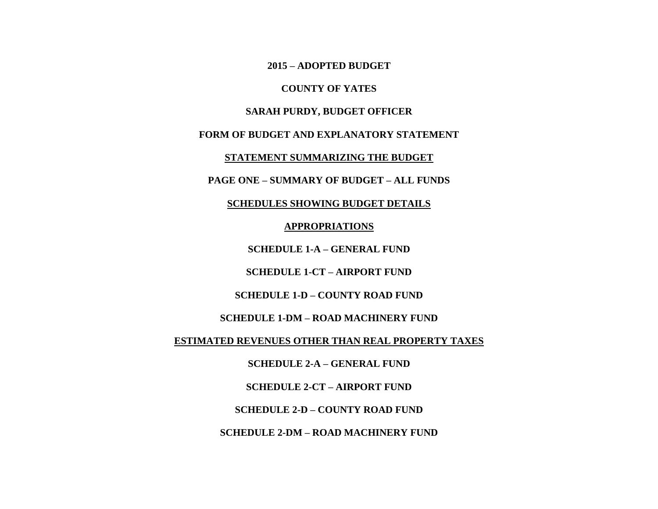**2015 – ADOPTED BUDGET**

**COUNTY OF YATES**

**SARAH PURDY, BUDGET OFFICER**

**FORM OF BUDGET AND EXPLANATORY STATEMENT**

**STATEMENT SUMMARIZING THE BUDGET**

**PAGE ONE – SUMMARY OF BUDGET – ALL FUNDS**

**SCHEDULES SHOWING BUDGET DETAILS**

**APPROPRIATIONS**

**SCHEDULE 1-A – GENERAL FUND**

**SCHEDULE 1-CT – AIRPORT FUND**

**SCHEDULE 1-D – COUNTY ROAD FUND**

**SCHEDULE 1-DM – ROAD MACHINERY FUND**

**ESTIMATED REVENUES OTHER THAN REAL PROPERTY TAXES**

**SCHEDULE 2-A – GENERAL FUND**

**SCHEDULE 2-CT – AIRPORT FUND**

**SCHEDULE 2-D – COUNTY ROAD FUND**

**SCHEDULE 2-DM – ROAD MACHINERY FUND**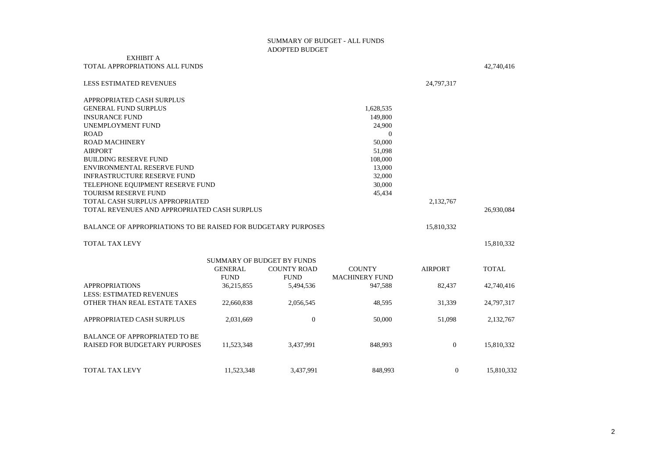## SUMMARY OF BUDGET - ALL FUNDS ADOPTED BUDGET

## EXHIBIT A

| TOTAL APPROPRIATIONS ALL FUNDS                                       |                |                                   |                       |                | 42,740,416   |
|----------------------------------------------------------------------|----------------|-----------------------------------|-----------------------|----------------|--------------|
| <b>LESS ESTIMATED REVENUES</b>                                       |                |                                   |                       | 24,797,317     |              |
| APPROPRIATED CASH SURPLUS                                            |                |                                   |                       |                |              |
| <b>GENERAL FUND SURPLUS</b>                                          |                |                                   | 1,628,535             |                |              |
| <b>INSURANCE FUND</b>                                                |                |                                   | 149,800               |                |              |
| UNEMPLOYMENT FUND                                                    |                |                                   | 24,900                |                |              |
| <b>ROAD</b>                                                          |                |                                   | $\Omega$              |                |              |
| <b>ROAD MACHINERY</b>                                                |                |                                   | 50,000                |                |              |
| <b>AIRPORT</b>                                                       |                |                                   | 51,098                |                |              |
| <b>BUILDING RESERVE FUND</b>                                         |                |                                   | 108,000               |                |              |
| ENVIRONMENTAL RESERVE FUND                                           |                |                                   | 13,000                |                |              |
| <b>INFRASTRUCTURE RESERVE FUND</b>                                   |                |                                   | 32,000                |                |              |
| TELEPHONE EQUIPMENT RESERVE FUND                                     |                |                                   | 30,000                |                |              |
| <b>TOURISM RESERVE FUND</b>                                          |                |                                   | 45,434                |                |              |
| TOTAL CASH SURPLUS APPROPRIATED                                      |                |                                   |                       | 2,132,767      |              |
| TOTAL REVENUES AND APPROPRIATED CASH SURPLUS                         |                |                                   |                       |                | 26,930,084   |
| <b>BALANCE OF APPROPRIATIONS TO BE RAISED FOR BUDGETARY PURPOSES</b> |                |                                   |                       | 15,810,332     |              |
| <b>TOTAL TAX LEVY</b>                                                |                |                                   |                       |                | 15,810,332   |
|                                                                      |                | <b>SUMMARY OF BUDGET BY FUNDS</b> |                       |                |              |
|                                                                      |                |                                   |                       |                |              |
|                                                                      | <b>GENERAL</b> | <b>COUNTY ROAD</b>                | <b>COUNTY</b>         | <b>AIRPORT</b> | <b>TOTAL</b> |
|                                                                      | <b>FUND</b>    | <b>FUND</b>                       | <b>MACHINERY FUND</b> |                |              |
| <b>APPROPRIATIONS</b>                                                | 36,215,855     | 5,494,536                         | 947,588               | 82,437         | 42,740,416   |
| <b>LESS: ESTIMATED REVENUES</b>                                      |                |                                   |                       |                |              |
| OTHER THAN REAL ESTATE TAXES                                         | 22,660,838     | 2,056,545                         | 48,595                | 31,339         | 24,797,317   |
| APPROPRIATED CASH SURPLUS                                            | 2,031,669      | $\boldsymbol{0}$                  | 50,000                | 51,098         | 2,132,767    |
| BALANCE OF APPROPRIATED TO BE                                        |                |                                   |                       |                |              |
| <b>RAISED FOR BUDGETARY PURPOSES</b>                                 | 11,523,348     | 3,437,991                         | 848,993               | $\theta$       | 15,810,332   |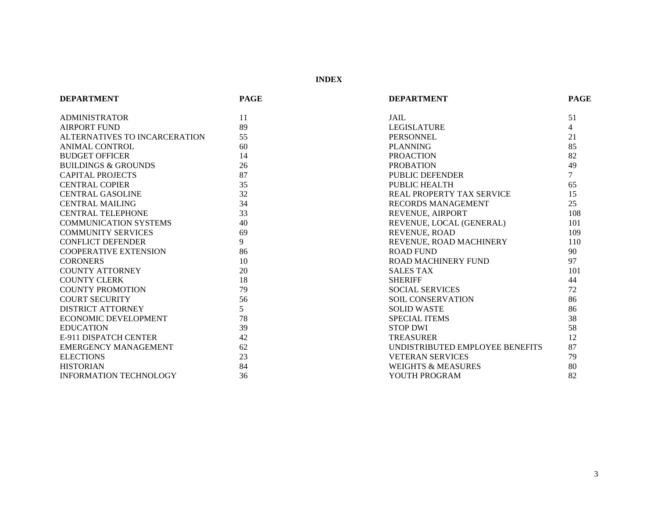**INDEX**

| <b>DEPARTMENT</b>              | <b>PAGE</b> | <b>DEPARTMENT</b>                | <b>PAGE</b>    |
|--------------------------------|-------------|----------------------------------|----------------|
| <b>ADMINISTRATOR</b>           | 11          | <b>JAIL</b>                      | 51             |
| <b>AIRPORT FUND</b>            | 89          | <b>LEGISLATURE</b>               | $\overline{4}$ |
| ALTERNATIVES TO INCARCERATION  | 55          | <b>PERSONNEL</b>                 | 21             |
| ANIMAL CONTROL                 | 60          | <b>PLANNING</b>                  | 85             |
| <b>BUDGET OFFICER</b>          | 14          | <b>PROACTION</b>                 | 82             |
| <b>BUILDINGS &amp; GROUNDS</b> | 26          | <b>PROBATION</b>                 | 49             |
| <b>CAPITAL PROJECTS</b>        | 87          | PUBLIC DEFENDER                  | $\tau$         |
| <b>CENTRAL COPIER</b>          | 35          | PUBLIC HEALTH                    | 65             |
| <b>CENTRAL GASOLINE</b>        | 32          | <b>REAL PROPERTY TAX SERVICE</b> | 15             |
| <b>CENTRAL MAILING</b>         | 34          | <b>RECORDS MANAGEMENT</b>        | 25             |
| <b>CENTRAL TELEPHONE</b>       | 33          | REVENUE, AIRPORT                 | 108            |
| <b>COMMUNICATION SYSTEMS</b>   | 40          | REVENUE, LOCAL (GENERAL)         | 101            |
| <b>COMMUNITY SERVICES</b>      | 69          | REVENUE, ROAD                    | 109            |
| <b>CONFLICT DEFENDER</b>       | 9           | REVENUE, ROAD MACHINERY          | 110            |
| <b>COOPERATIVE EXTENSION</b>   | 86          | ROAD FUND                        | 90             |
| <b>CORONERS</b>                | 10          | <b>ROAD MACHINERY FUND</b>       | 97             |
| <b>COUNTY ATTORNEY</b>         | 20          | <b>SALES TAX</b>                 | 101            |
| <b>COUNTY CLERK</b>            | 18          | <b>SHERIFF</b>                   | 44             |
| <b>COUNTY PROMOTION</b>        | 79          | <b>SOCIAL SERVICES</b>           | 72             |
| <b>COURT SECURITY</b>          | 56          | SOIL CONSERVATION                | 86             |
| <b>DISTRICT ATTORNEY</b>       | 5           | <b>SOLID WASTE</b>               | 86             |
| <b>ECONOMIC DEVELOPMENT</b>    | 78          | <b>SPECIAL ITEMS</b>             | 38             |
| <b>EDUCATION</b>               | 39          | <b>STOP DWI</b>                  | 58             |
| <b>E-911 DISPATCH CENTER</b>   | 42          | <b>TREASURER</b>                 | 12             |
| <b>EMERGENCY MANAGEMENT</b>    | 62          | UNDISTRIBUTED EMPLOYEE BENEFITS  | 87             |
| <b>ELECTIONS</b>               | 23          | <b>VETERAN SERVICES</b>          | 79             |
| <b>HISTORIAN</b>               | 84          | <b>WEIGHTS &amp; MEASURES</b>    | 80             |
| <b>INFORMATION TECHNOLOGY</b>  | 36          | YOUTH PROGRAM                    | 82             |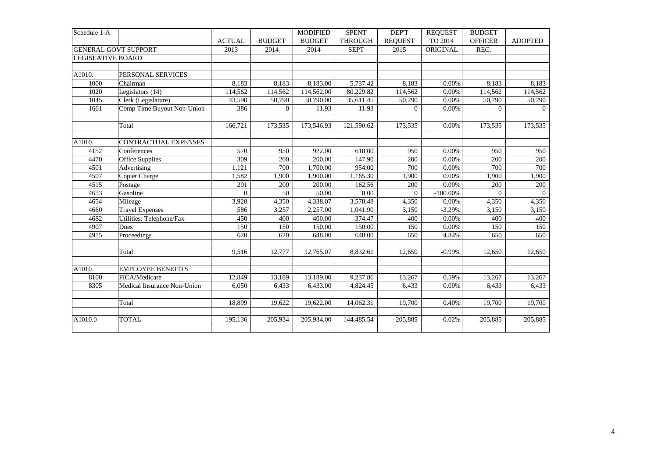| Schedule 1-A                |                             |               |                | <b>MODIFIED</b> | <b>SPENT</b>   | DEP'T          | <b>REQUEST</b> | <b>BUDGET</b>  |                |
|-----------------------------|-----------------------------|---------------|----------------|-----------------|----------------|----------------|----------------|----------------|----------------|
|                             |                             | <b>ACTUAL</b> | <b>BUDGET</b>  | <b>BUDGET</b>   | <b>THROUGH</b> | <b>REQUEST</b> | TO 2014        | <b>OFFICER</b> | <b>ADOPTED</b> |
| <b>GENERAL GOVT SUPPORT</b> |                             | 2013          | 2014           | 2014            | <b>SEPT</b>    | 2015           | ORIGINAL       | REC.           |                |
| <b>LEGISLATIVE BOARD</b>    |                             |               |                |                 |                |                |                |                |                |
|                             |                             |               |                |                 |                |                |                |                |                |
| A1010.                      | PERSONAL SERVICES           |               |                |                 |                |                |                |                |                |
| 1000                        | Chairman                    | 8,183         | 8,183          | 8,183.00        | 5,737.42       | 8,183          | 0.00%          | 8,183          | 8,183          |
| 1020                        | Legislators (14)            | 114,562       | 114,562        | 114,562.00      | 80,229.82      | 114,562        | 0.00%          | 114,562        | 114,562        |
| 1045                        | Clerk (Legislature)         | 43,590        | 50,790         | 50,790.00       | 35,611.45      | 50,790         | 0.00%          | 50,790         | 50,790         |
| 1661                        | Comp Time Buyout Non-Union  | 386           | $\overline{0}$ | 11.93           | 11.93          | $\overline{0}$ | 0.00%          | $\overline{0}$ | $\overline{0}$ |
|                             |                             |               |                |                 |                |                |                |                |                |
|                             | Total                       | 166,721       | 173,535        | 173,546.93      | 121,590.62     | 173,535        | 0.00%          | 173,535        | 173,535        |
|                             |                             |               |                |                 |                |                |                |                |                |
| A1010.                      | CONTRACTUAL EXPENSES        |               |                |                 |                |                |                |                |                |
| 4152                        | Conferences                 | 570           | 950            | 922.00          | 610.00         | 950            | 0.00%          | 950            | 950            |
| 4470                        | <b>Office Supplies</b>      | 309           | 200            | 200.00          | 147.90         | 200            | 0.00%          | 200            | 200            |
| 4501                        | Advertising                 | 1,121         | 700            | 1,700.00        | 954.00         | 700            | 0.00%          | 700            | 700            |
| 4507                        | Copier Charge               | 1,582         | 1,900          | 1,900.00        | 1,165.30       | 1,900          | 0.00%          | 1,900          | 1,900          |
| 4515                        | Postage                     | 201           | 200            | 200.00          | 162.56         | 200            | 0.00%          | 200            | 200            |
| 4653                        | Gasoline                    | $\Omega$      | 50             | 50.00           | 0.00           | $\Omega$       | $-100.00\%$    | $\theta$       | $\overline{0}$ |
| 4654                        | Mileage                     | 3,928         | 4,350          | 4,338.07        | 3,578.48       | 4,350          | 0.00%          | 4,350          | 4,350          |
| 4660                        | <b>Travel Expenses</b>      | 586           | 3,257          | 2,257.00        | 1,041.90       | 3,150          | $-3.29%$       | 3,150          | 3,150          |
| 4682                        | Utilities: Telephone/Fax    | 450           | 400            | 400.00          | 374.47         | 400            | 0.00%          | 400            | 400            |
| 4907                        | Dues                        | 150           | 150            | 150.00          | 150.00         | 150            | 0.00%          | 150            | 150            |
| 4915                        | Proceedings                 | 620           | 620            | 648.00          | 648.00         | 650            | 4.84%          | 650            | 650            |
|                             |                             |               |                |                 |                |                |                |                |                |
|                             | Total                       | 9,516         | 12,777         | 12,765.07       | 8,832.61       | 12,650         | $-0.99%$       | 12,650         | 12,650         |
|                             |                             |               |                |                 |                |                |                |                |                |
| A1010.                      | <b>EMPLOYEE BENEFITS</b>    |               |                |                 |                |                |                |                |                |
| 8100                        | FICA/Medicare               | 12,849        | 13,189         | 13,189.00       | 9,237.86       | 13,267         | 0.59%          | 13,267         | 13,267         |
| 8305                        | Medical Insurance Non-Union | 6,050         | 6,433          | 6,433.00        | 4,824.45       | 6,433          | 0.00%          | 6,433          | 6,433          |
|                             |                             |               |                |                 |                |                |                |                |                |
|                             | Total                       | 18,899        | 19,622         | 19,622.00       | 14,062.31      | 19,700         | 0.40%          | 19,700         | 19,700         |
|                             |                             |               |                |                 |                |                |                |                |                |
| A1010.0                     | <b>TOTAL</b>                | 195,136       | 205,934        | 205,934.00      | 144,485.54     | 205,885        | $-0.02%$       | 205,885        | 205,885        |
|                             |                             |               |                |                 |                |                |                |                |                |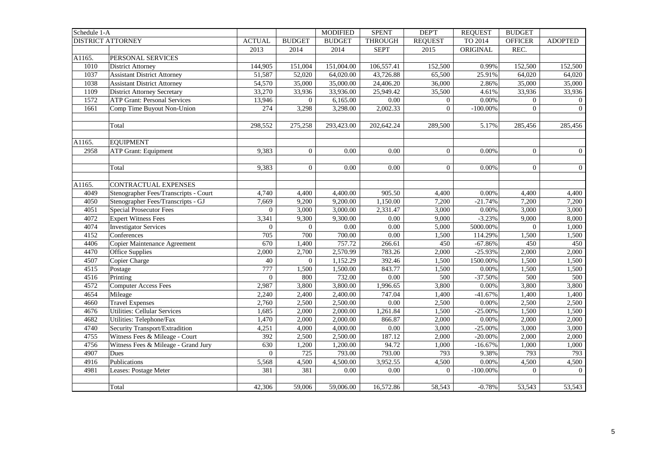| Schedule 1-A |                                       |                  |                | <b>MODIFIED</b>   | <b>SPENT</b>   | <b>DEPT</b>    | <b>REQUEST</b> | <b>BUDGET</b>  |                |
|--------------|---------------------------------------|------------------|----------------|-------------------|----------------|----------------|----------------|----------------|----------------|
|              | <b>DISTRICT ATTORNEY</b>              | <b>ACTUAL</b>    | <b>BUDGET</b>  | <b>BUDGET</b>     | <b>THROUGH</b> | <b>REQUEST</b> | TO 2014        | <b>OFFICER</b> | <b>ADOPTED</b> |
|              |                                       | 2013             | 2014           | 2014              | <b>SEPT</b>    | 2015           | ORIGINAL       | REC.           |                |
| A1165.       | PERSONAL SERVICES                     |                  |                |                   |                |                |                |                |                |
| 1010         | <b>District Attorney</b>              | 144,905          | 151,004        | 151,004.00        | 106,557.41     | 152,500        | 0.99%          | 152,500        | 152,500        |
| 1037         | <b>Assistant District Attorney</b>    | 51,587           | 52,020         | 64,020.00         | 43,726.88      | 65,500         | 25.91%         | 64,020         | 64,020         |
| 1038         | <b>Assistant District Attorney</b>    | 54,570           | 35,000         | 35,000.00         | 24,406.20      | 36,000         | 2.86%          | 35,000         | 35,000         |
| 1109         | <b>District Attorney Secretary</b>    | 33,270           | 33,936         | 33,936.00         | 25,949.42      | 35,500         | 4.61%          | 33,936         | 33,936         |
| 1572         | <b>ATP Grant: Personal Services</b>   | 13,946           | $\overline{0}$ | 6,165.00          | $0.00\,$       | $\overline{0}$ | 0.00%          | $\Omega$       | $\overline{0}$ |
| 1661         | Comp Time Buyout Non-Union            | 274              | 3,298          | 3,298.00          | 2,002.33       | $\overline{0}$ | $-100.00\%$    | $\overline{0}$ | $\overline{0}$ |
|              |                                       |                  |                |                   |                |                |                |                |                |
|              | Total                                 | 298,552          | 275,258        | 293,423.00        | 202,642.24     | 289,500        | 5.17%          | 285,456        | 285,456        |
|              |                                       |                  |                |                   |                |                |                |                |                |
| A1165.       | <b>EQUIPMENT</b>                      |                  |                |                   |                |                |                |                |                |
| 2958         | <b>ATP Grant: Equipment</b>           | 9,383            | $\overline{0}$ | 0.00              | 0.00           | $\overline{0}$ | 0.00%          | $\overline{0}$ | $\overline{0}$ |
|              |                                       |                  |                |                   |                |                |                |                |                |
|              | Total                                 | 9,383            | $\theta$       | 0.00              | 0.00           | $\Omega$       | 0.00%          | $\Omega$       | $\overline{0}$ |
|              |                                       |                  |                |                   |                |                |                |                |                |
| A1165.       | <b>CONTRACTUAL EXPENSES</b>           |                  |                |                   |                |                |                |                |                |
| 4049         | Stenographer Fees/Transcripts - Court | 4,740            | 4,400          | 4,400.00          | 905.50         | 4,400          | 0.00%          | 4,400          | 4,400          |
| 4050         | Stenographer Fees/Transcripts - GJ    | 7,669            | 9,200          | 9,200.00          | 1,150.00       | 7,200          | $-21.74%$      | 7,200          | 7,200          |
| 4051         | Special Prosecutor Fees               | $\boldsymbol{0}$ | 3,000          | 3,000.00          | 2,331.47       | 3,000          | 0.00%          | 3,000          | 3,000          |
| 4072         | <b>Expert Witness Fees</b>            | 3,341            | 9,300          | 9,300.00          | 0.00           | 9,000          | $-3.23%$       | 9,000          | 8,000          |
| 4074         | <b>Investigator Services</b>          | $\overline{0}$   | $\overline{0}$ | $\overline{0.00}$ | 0.00           | 5,000          | 5000.00%       | $\overline{0}$ | 1,000          |
| 4152         | Conferences                           | 705              | 700            | 700.00            | 0.00           | 1,500          | 114.29%        | 1,500          | 1,500          |
| 4406         | Copier Maintenance Agreement          | 670              | 1,400          | 757.72            | 266.61         | 450            | $-67.86%$      | 450            | 450            |
| 4470         | <b>Office Supplies</b>                | 2.000            | 2,700          | 2,570.99          | 783.26         | 2,000          | $-25.93%$      | 2,000          | 2,000          |
| 4507         | Copier Charge                         | 40               | $\Omega$       | 1,152.29          | 392.46         | 1,500          | 1500.00%       | 1,500          | 1,500          |
| 4515         | Postage                               | 777              | 1,500          | 1,500.00          | 843.77         | 1,500          | 0.00%          | 1,500          | 1,500          |
| 4516         | Printing                              | $\boldsymbol{0}$ | 800            | 732.00            | 0.00           | 500            | $-37.50%$      | 500            | 500            |
| 4572         | <b>Computer Access Fees</b>           | 2,987            | 3,800          | 3,800.00          | 1,996.65       | 3,800          | 0.00%          | 3,800          | 3,800          |
| 4654         | Mileage                               | 2,240            | 2,400          | 2,400.00          | 747.04         | 1,400          | $-41.67%$      | 1,400          | 1,400          |
| 4660         | <b>Travel Expenses</b>                | 2,760            | 2,500          | 2,500.00          | 0.00           | 2,500          | 0.00%          | 2,500          | 2,500          |
| 4676         | <b>Utilities: Cellular Services</b>   | 1,685            | 2,000          | 2,000.00          | 1,261.84       | 1,500          | $-25.00\%$     | 1,500          | 1,500          |
| 4682         | Utilities: Telephone/Fax              | 1,470            | 2,000          | 2,000.00          | 866.87         | 2,000          | 0.00%          | 2,000          | 2,000          |
| 4740         | Security Transport/Extradition        | 4,251            | 4,000          | 4,000.00          | 0.00           | 3,000          | $-25.00%$      | 3,000          | 3,000          |
| 4755         | Witness Fees & Mileage - Court        | 392              | 2,500          | 2,500.00          | 187.12         | 2,000          | $-20.00\%$     | 2,000          | 2,000          |
| 4756         | Witness Fees & Mileage - Grand Jury   | 630              | 1,200          | 1,200.00          | 94.72          | 1,000          | $-16.67%$      | 1,000          | 1,000          |
| 4907         | Dues                                  | $\theta$         | 725            | 793.00            | 793.00         | 793            | 9.38%          | 793            | 793            |
| 4916         | Publications                          | 5,568            | 4,500          | 4,500.00          | 3,952.55       | 4,500          | 0.00%          | 4,500          | 4,500          |
| 4981         | Leases: Postage Meter                 | 381              | 381            | 0.00              | 0.00           | $\theta$       | $-100.00\%$    | $\Omega$       | $\overline{0}$ |
|              |                                       |                  |                |                   |                |                |                |                |                |
|              | Total                                 | 42,306           | 59,006         | 59,006.00         | 16,572.86      | 58,543         | $-0.78%$       | 53,543         | 53,543         |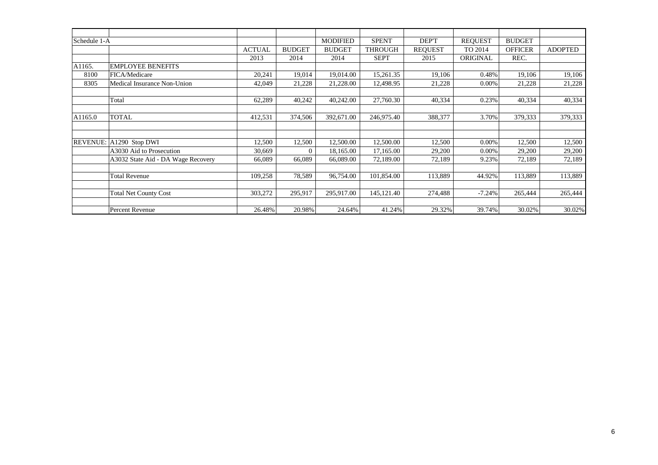| Schedule 1-A |                                    |               |               | <b>MODIFIED</b> | <b>SPENT</b>   | DEP'T          | <b>REQUEST</b> | <b>BUDGET</b>  |                |
|--------------|------------------------------------|---------------|---------------|-----------------|----------------|----------------|----------------|----------------|----------------|
|              |                                    | <b>ACTUAL</b> | <b>BUDGET</b> | <b>BUDGET</b>   | <b>THROUGH</b> | <b>REQUEST</b> | TO 2014        | <b>OFFICER</b> | <b>ADOPTED</b> |
|              |                                    | 2013          | 2014          | 2014            | <b>SEPT</b>    | 2015           | ORIGINAL       | REC.           |                |
| A1165.       | <b>EMPLOYEE BENEFITS</b>           |               |               |                 |                |                |                |                |                |
| 8100         | FICA/Medicare                      | 20,241        | 19,014        | 19,014.00       | 15,261.35      | 19,106         | 0.48%          | 19,106         | 19,106         |
| 8305         | Medical Insurance Non-Union        | 42,049        | 21,228        | 21,228.00       | 12,498.95      | 21,228         | 0.00%          | 21,228         | 21,228         |
|              |                                    |               |               |                 |                |                |                |                |                |
|              | Total                              | 62,289        | 40,242        | 40,242.00       | 27,760.30      | 40,334         | 0.23%          | 40,334         | 40,334         |
|              |                                    |               |               |                 |                |                |                |                |                |
| A1165.0      | <b>TOTAL</b>                       | 412,531       | 374,506       | 392,671.00      | 246,975.40     | 388,377        | 3.70%          | 379,333        | 379,333        |
|              |                                    |               |               |                 |                |                |                |                |                |
|              |                                    |               |               |                 |                |                |                |                |                |
|              | REVENUE: A1290 Stop DWI            | 12,500        | 12,500        | 12,500.00       | 12,500.00      | 12,500         | 0.00%          | 12,500         | 12,500         |
|              | A3030 Aid to Prosecution           | 30,669        | $\Omega$      | 18,165.00       | 17,165.00      | 29,200         | 0.00%          | 29,200         | 29,200         |
|              | A3032 State Aid - DA Wage Recovery | 66,089        | 66,089        | 66,089.00       | 72,189.00      | 72,189         | 9.23%          | 72,189         | 72,189         |
|              |                                    |               |               |                 |                |                |                |                |                |
|              | <b>Total Revenue</b>               | 109,258       | 78,589        | 96,754.00       | 101,854.00     | 113,889        | 44.92%         | 113,889        | 113,889        |
|              |                                    |               |               |                 |                |                |                |                |                |
|              | <b>Total Net County Cost</b>       | 303,272       | 295,917       | 295,917.00      | 145, 121. 40   | 274,488        | $-7.24%$       | 265,444        | 265,444        |
|              |                                    |               |               |                 |                |                |                |                |                |
|              | Percent Revenue                    | 26.48%        | 20.98%        | 24.64%          | 41.24%         | 29.32%         | 39.74%         | 30.02%         | 30.02%         |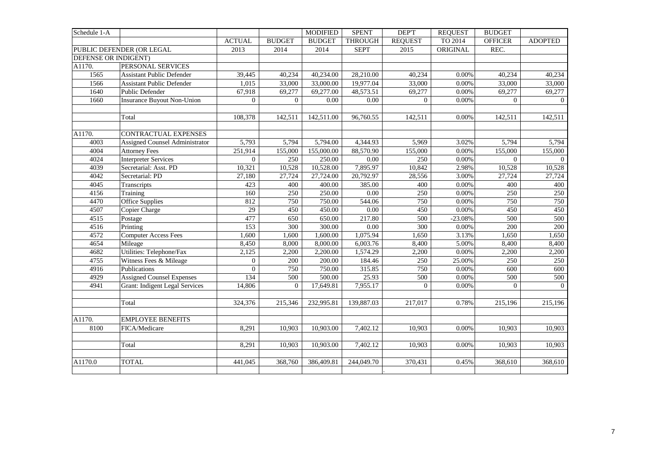| Schedule 1-A         |                                       |                  |                | <b>MODIFIED</b> | <b>SPENT</b>      | <b>DEPT</b>    | <b>REQUEST</b> | <b>BUDGET</b>  |                |
|----------------------|---------------------------------------|------------------|----------------|-----------------|-------------------|----------------|----------------|----------------|----------------|
|                      |                                       | <b>ACTUAL</b>    | <b>BUDGET</b>  | <b>BUDGET</b>   | <b>THROUGH</b>    | <b>REQUEST</b> | TO 2014        | <b>OFFICER</b> | <b>ADOPTED</b> |
|                      | PUBLIC DEFENDER (OR LEGAL             | 2013             | 2014           | 2014            | <b>SEPT</b>       | 2015           | ORIGINAL       | REC.           |                |
| DEFENSE OR INDIGENT) |                                       |                  |                |                 |                   |                |                |                |                |
| A1170.               | PERSONAL SERVICES                     |                  |                |                 |                   |                |                |                |                |
| 1565                 | <b>Assistant Public Defender</b>      | 39,445           | 40,234         | 40,234.00       | 28,210.00         | 40,234         | 0.00%          | 40,234         | 40,234         |
| 1566                 | <b>Assistant Public Defender</b>      | 1,015            | 33,000         | 33,000.00       | 19,977.04         | 33,000         | 0.00%          | 33,000         | 33,000         |
| 1640                 | Public Defender                       | 67,918           | 69,277         | 69,277.00       | 48,573.51         | 69,277         | 0.00%          | 69,277         | 69,277         |
| 1660                 | <b>Insurance Buyout Non-Union</b>     | $\overline{0}$   | $\overline{0}$ | 0.00            | 0.00              | $\overline{0}$ | 0.00%          | $\Omega$       | $\overline{0}$ |
|                      |                                       |                  |                |                 |                   |                |                |                |                |
|                      | Total                                 | 108,378          | 142,511        | 142,511.00      | 96,760.55         | 142,511        | 0.00%          | 142,511        | 142,511        |
|                      |                                       |                  |                |                 |                   |                |                |                |                |
| A1170.               | CONTRACTUAL EXPENSES                  |                  |                |                 |                   |                |                |                |                |
| 4003                 | <b>Assigned Counsel Administrator</b> | 5,793            | 5,794          | 5,794.00        | 4,344.93          | 5,969          | 3.02%          | 5,794          | 5,794          |
| 4004                 | <b>Attorney Fees</b>                  | 251,914          | 155,000        | 155,000.00      | 88,570.90         | 155,000        | 0.00%          | 155,000        | 155,000        |
| 4024                 | <b>Interpreter Services</b>           | $\boldsymbol{0}$ | 250            | 250.00          | 0.00              | 250            | 0.00%          | $\overline{0}$ | $\overline{0}$ |
| 4039                 | Secretarial: Asst. PD                 | 10,321           | 10,528         | 10,528.00       | 7,895.97          | 10,842         | 2.98%          | 10,528         | 10,528         |
| 4042                 | Secretarial: PD                       | 27,180           | 27,724         | 27,724.00       | 20,792.97         | 28,556         | 3.00%          | 27,724         | 27,724         |
| 4045                 | Transcripts                           | 423              | 400            | 400.00          | 385.00            | 400            | 0.00%          | 400            | 400            |
| 4156                 | Training                              | 160              | 250            | 250.00          | $0.00\,$          | 250            | 0.00%          | 250            | 250            |
| 4470                 | Office Supplies                       | 812              | 750            | 750.00          | 544.06            | 750            | 0.00%          | 750            | 750            |
| 4507                 | Copier Charge                         | 29               | 450            | 450.00          | $\overline{0.00}$ | 450            | 0.00%          | 450            | 450            |
| 4515                 | Postage                               | 477              | 650            | 650.00          | 217.80            | 500            | $-23.08%$      | 500            | 500            |
| 4516                 | Printing                              | $\overline{153}$ | 300            | 300.00          | $0.00\,$          | 300            | 0.00%          | 200            | 200            |
| 4572                 | <b>Computer Access Fees</b>           | 1,600            | 1,600          | 1,600.00        | 1,075.94          | 1,650          | 3.13%          | 1,650          | 1,650          |
| 4654                 | Mileage                               | 8,450            | 8,000          | 8,000.00        | 6,003.76          | 8,400          | 5.00%          | 8,400          | 8,400          |
| 4682                 | Utilities: Telephone/Fax              | 2,125            | 2,200          | 2,200.00        | 1,574.29          | 2,200          | 0.00%          | 2,200          | 2,200          |
| 4755                 | Witness Fees & Mileage                | $\mathbf{0}$     | 200            | 200.00          | 184.46            | 250            | 25.00%         | 250            | 250            |
| 4916                 | Publications                          | $\boldsymbol{0}$ | 750            | 750.00          | 315.85            | 750            | 0.00%          | 600            | 600            |
| 4929                 | <b>Assigned Counsel Expenses</b>      | 134              | 500            | 500.00          | 25.93             | 500            | 0.00%          | 500            | 500            |
| 4941                 | <b>Grant: Indigent Legal Services</b> | 14,806           | $\overline{0}$ | 17,649.81       | 7,955.17          | $\overline{0}$ | 0.00%          | $\overline{0}$ | $\overline{0}$ |
|                      |                                       |                  |                |                 |                   |                |                |                |                |
|                      | Total                                 | 324,376          | 215,346        | 232,995.81      | 139,887.03        | 217,017        | 0.78%          | 215,196        | 215,196        |
|                      |                                       |                  |                |                 |                   |                |                |                |                |
| A1170.               | <b>EMPLOYEE BENEFITS</b>              |                  |                |                 |                   |                |                |                |                |
| 8100                 | FICA/Medicare                         | 8,291            | 10,903         | 10,903.00       | 7,402.12          | 10,903         | 0.00%          | 10,903         | 10,903         |
|                      |                                       |                  |                |                 |                   |                |                |                |                |
|                      | Total                                 | 8,291            | 10,903         | 10,903.00       | 7,402.12          | 10,903         | 0.00%          | 10,903         | 10,903         |
|                      |                                       |                  |                |                 |                   |                |                |                |                |
| A1170.0              | <b>TOTAL</b>                          | 441,045          | 368,760        | 386,409.81      | 244,049.70        | 370,431        | 0.45%          | 368,610        | 368,610        |
|                      |                                       |                  |                |                 |                   |                |                |                |                |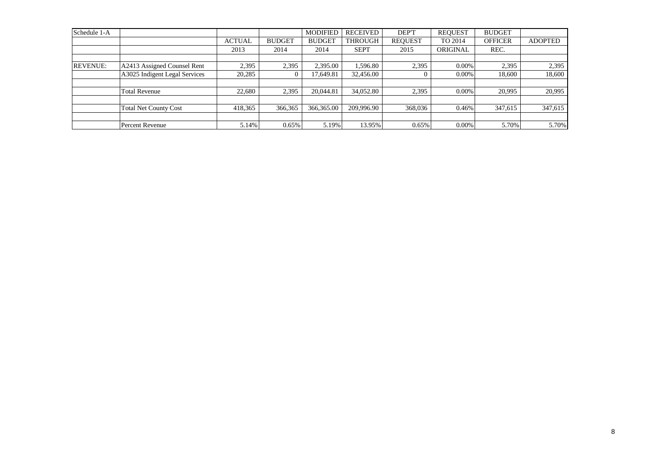| Schedule 1-A    |                               |               |               | <b>MODIFIED</b> | <b>RECEIVED</b> | DEP'T          | <b>REQUEST</b> | <b>BUDGET</b>  |                |
|-----------------|-------------------------------|---------------|---------------|-----------------|-----------------|----------------|----------------|----------------|----------------|
|                 |                               | <b>ACTUAL</b> | <b>BUDGET</b> | <b>BUDGET</b>   | <b>THROUGH</b>  | <b>REQUEST</b> | TO 2014        | <b>OFFICER</b> | <b>ADOPTED</b> |
|                 |                               | 2013          | 2014          | 2014            | <b>SEPT</b>     | 2015           | ORIGINAL       | REC.           |                |
|                 |                               |               |               |                 |                 |                |                |                |                |
| <b>REVENUE:</b> | A2413 Assigned Counsel Rent   | 2,395         | 2,395         | 2,395.00        | 1,596.80        | 2,395          | $0.00\%$       | 2,395          | 2,395          |
|                 | A3025 Indigent Legal Services | 20,285        |               | 17.649.81       | 32,456.00       |                | $0.00\%$       | 18.600         | 18,600         |
|                 |                               |               |               |                 |                 |                |                |                |                |
|                 | <b>Total Revenue</b>          | 22,680        | 2,395         | 20,044.81       | 34,052.80       | 2,395          | $0.00\%$       | 20,995         | 20,995         |
|                 |                               |               |               |                 |                 |                |                |                |                |
|                 | <b>Total Net County Cost</b>  | 418,365       | 366,365       | 366,365.00      | 209,996.90      | 368,036        | 0.46%          | 347,615        | 347,615        |
|                 |                               |               |               |                 |                 |                |                |                |                |
|                 | Percent Revenue               | 5.14%         | 0.65%         | 5.19%           | 13.95%          | 0.65%          | $0.00\%$       | 5.70%          | 5.70%          |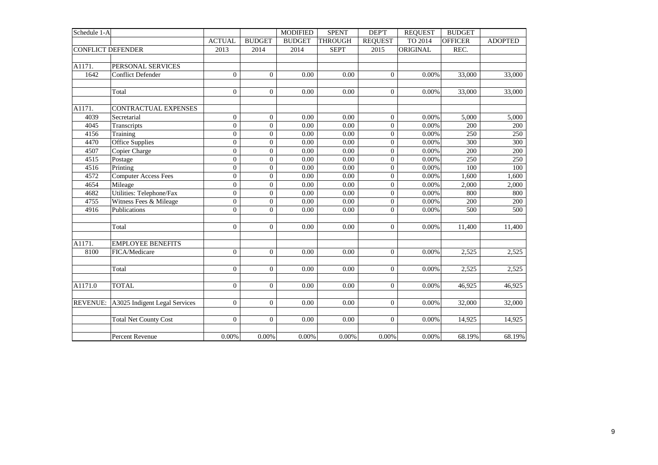| Schedule 1-A                                                 |                                                                                                                                                                                                  |                                                                                       |                                                                                                    | <b>MODIFIED</b>                                  | <b>SPENT</b>                                  | DEP'T                                                                                             | <b>REQUEST</b>                                     | <b>BUDGET</b>                                          |                                                        |
|--------------------------------------------------------------|--------------------------------------------------------------------------------------------------------------------------------------------------------------------------------------------------|---------------------------------------------------------------------------------------|----------------------------------------------------------------------------------------------------|--------------------------------------------------|-----------------------------------------------|---------------------------------------------------------------------------------------------------|----------------------------------------------------|--------------------------------------------------------|--------------------------------------------------------|
|                                                              |                                                                                                                                                                                                  | <b>ACTUAL</b>                                                                         | <b>BUDGET</b>                                                                                      | <b>BUDGET</b>                                    | <b>THROUGH</b>                                | <b>REQUEST</b>                                                                                    | TO 2014                                            | <b>OFFICER</b>                                         | <b>ADOPTED</b>                                         |
| <b>CONFLICT DEFENDER</b>                                     |                                                                                                                                                                                                  | 2013                                                                                  | 2014                                                                                               | 2014                                             | <b>SEPT</b>                                   | 2015                                                                                              | ORIGINAL                                           | REC.                                                   |                                                        |
|                                                              |                                                                                                                                                                                                  |                                                                                       |                                                                                                    |                                                  |                                               |                                                                                                   |                                                    |                                                        |                                                        |
| A1171.                                                       | PERSONAL SERVICES                                                                                                                                                                                |                                                                                       |                                                                                                    |                                                  |                                               |                                                                                                   |                                                    |                                                        |                                                        |
| 1642                                                         | <b>Conflict Defender</b>                                                                                                                                                                         | $\theta$                                                                              | $\Omega$                                                                                           | 0.00                                             | 0.00                                          | $\overline{0}$                                                                                    | 0.00%                                              | 33,000                                                 | 33,000                                                 |
|                                                              |                                                                                                                                                                                                  |                                                                                       |                                                                                                    |                                                  |                                               |                                                                                                   |                                                    |                                                        |                                                        |
|                                                              | Total                                                                                                                                                                                            | $\theta$                                                                              | $\overline{0}$                                                                                     | 0.00                                             | 0.00                                          | $\overline{0}$                                                                                    | 0.00%                                              | 33,000                                                 | 33,000                                                 |
|                                                              |                                                                                                                                                                                                  |                                                                                       |                                                                                                    |                                                  |                                               |                                                                                                   |                                                    |                                                        |                                                        |
| A1171.                                                       | CONTRACTUAL EXPENSES                                                                                                                                                                             |                                                                                       |                                                                                                    |                                                  |                                               |                                                                                                   |                                                    |                                                        |                                                        |
| 4039                                                         | Secretarial                                                                                                                                                                                      | $\mathbf{0}$                                                                          | $\mathbf{0}$                                                                                       | 0.00                                             | 0.00                                          | $\mathbf{0}$                                                                                      | 0.00%                                              | 5,000                                                  | 5,000                                                  |
| 4045                                                         | Transcripts                                                                                                                                                                                      | $\mathbf{0}$                                                                          | $\overline{0}$                                                                                     | 0.00                                             | 0.00                                          | $\boldsymbol{0}$                                                                                  | 0.00%                                              | 200                                                    | 200                                                    |
| 4156                                                         | Training                                                                                                                                                                                         | $\mathbf{0}$                                                                          | $\overline{0}$                                                                                     | 0.00                                             | 0.00                                          | $\boldsymbol{0}$                                                                                  | $0.00\%$                                           | 250                                                    | 250                                                    |
| 4470                                                         | Office Supplies                                                                                                                                                                                  | $\boldsymbol{0}$                                                                      | $\mathbf{0}$                                                                                       | 0.00                                             | 0.00                                          | $\boldsymbol{0}$                                                                                  | $0.00\%$                                           | 300                                                    | 300                                                    |
| 4507                                                         | Copier Charge                                                                                                                                                                                    | $\theta$                                                                              | $\overline{0}$                                                                                     | 0.00                                             | 0.00                                          | $\overline{0}$                                                                                    | 0.00%                                              | 200                                                    | 200                                                    |
| 4515                                                         | Postage                                                                                                                                                                                          | $\theta$                                                                              | $\overline{0}$                                                                                     | 0.00                                             | 0.00                                          | $\boldsymbol{0}$                                                                                  | $0.00\%$                                           | 250                                                    | 250                                                    |
| 4516                                                         | Printing                                                                                                                                                                                         | $\theta$                                                                              | $\overline{0}$                                                                                     | 0.00                                             | 0.00                                          | $\overline{0}$                                                                                    | 0.00%                                              | 100                                                    | 100                                                    |
| 4572                                                         | <b>Computer Access Fees</b>                                                                                                                                                                      | $\overline{0}$                                                                        | $\overline{0}$                                                                                     | 0.00                                             | 0.00                                          | $\boldsymbol{0}$                                                                                  | 0.00%                                              | 1,600                                                  | 1,600                                                  |
| 4654                                                         | Mileage                                                                                                                                                                                          | $\mathbf{0}$                                                                          | $\mathbf{0}$                                                                                       | 0.00                                             | 0.00                                          | $\overline{0}$                                                                                    | 0.00%                                              | 2,000                                                  | 2,000                                                  |
| 4682                                                         | Utilities: Telephone/Fax                                                                                                                                                                         | $\mathbf{0}$                                                                          | $\overline{0}$                                                                                     | 0.00                                             | $0.00\,$                                      | $\overline{0}$                                                                                    | 0.00%                                              | 800                                                    | 800                                                    |
|                                                              |                                                                                                                                                                                                  | $\boldsymbol{0}$                                                                      | $\overline{0}$                                                                                     | 0.00                                             | 0.00                                          | $\overline{0}$                                                                                    | 0.00%                                              | 200                                                    | 200                                                    |
|                                                              |                                                                                                                                                                                                  | $\Omega$                                                                              | $\Omega$                                                                                           | 0.00                                             | 0.00                                          | $\Omega$                                                                                          | 0.00%                                              | 500                                                    | 500                                                    |
|                                                              |                                                                                                                                                                                                  |                                                                                       |                                                                                                    |                                                  |                                               |                                                                                                   |                                                    |                                                        |                                                        |
|                                                              | Total                                                                                                                                                                                            | $\overline{0}$                                                                        | $\Omega$                                                                                           | 0.00                                             | 0.00                                          | $\overline{0}$                                                                                    | 0.00%                                              | 11,400                                                 | 11,400                                                 |
|                                                              |                                                                                                                                                                                                  |                                                                                       |                                                                                                    |                                                  |                                               |                                                                                                   |                                                    |                                                        |                                                        |
|                                                              |                                                                                                                                                                                                  |                                                                                       |                                                                                                    |                                                  |                                               |                                                                                                   |                                                    |                                                        |                                                        |
|                                                              |                                                                                                                                                                                                  |                                                                                       |                                                                                                    |                                                  |                                               |                                                                                                   |                                                    |                                                        |                                                        |
|                                                              |                                                                                                                                                                                                  |                                                                                       |                                                                                                    |                                                  |                                               |                                                                                                   |                                                    |                                                        |                                                        |
|                                                              |                                                                                                                                                                                                  |                                                                                       |                                                                                                    |                                                  |                                               |                                                                                                   |                                                    |                                                        |                                                        |
|                                                              |                                                                                                                                                                                                  |                                                                                       |                                                                                                    |                                                  |                                               |                                                                                                   |                                                    |                                                        |                                                        |
|                                                              |                                                                                                                                                                                                  |                                                                                       |                                                                                                    |                                                  |                                               |                                                                                                   |                                                    |                                                        |                                                        |
|                                                              |                                                                                                                                                                                                  |                                                                                       |                                                                                                    |                                                  |                                               |                                                                                                   |                                                    |                                                        |                                                        |
|                                                              |                                                                                                                                                                                                  |                                                                                       |                                                                                                    |                                                  |                                               |                                                                                                   |                                                    |                                                        |                                                        |
|                                                              |                                                                                                                                                                                                  |                                                                                       |                                                                                                    |                                                  |                                               |                                                                                                   |                                                    |                                                        |                                                        |
|                                                              |                                                                                                                                                                                                  |                                                                                       |                                                                                                    |                                                  |                                               |                                                                                                   |                                                    |                                                        |                                                        |
|                                                              |                                                                                                                                                                                                  |                                                                                       |                                                                                                    |                                                  |                                               |                                                                                                   |                                                    |                                                        |                                                        |
| 4755<br>4916<br>A1171.<br>8100<br>A1171.0<br><b>REVENUE:</b> | Witness Fees & Mileage<br>Publications<br><b>EMPLOYEE BENEFITS</b><br>FICA/Medicare<br>Total<br><b>TOTAL</b><br>A3025 Indigent Legal Services<br><b>Total Net County Cost</b><br>Percent Revenue | $\mathbf{0}$<br>$\overline{0}$<br>$\theta$<br>$\overline{0}$<br>$\mathbf{0}$<br>0.00% | $\overline{0}$<br>$\overline{0}$<br>$\overline{0}$<br>$\overline{0}$<br>$\overline{0}$<br>$0.00\%$ | 0.00<br>0.00<br>0.00<br>0.00<br>0.00<br>$0.00\%$ | 0.00<br>0.00<br>0.00<br>0.00<br>0.00<br>0.00% | $\overline{0}$<br>$\overline{0}$<br>$\overline{0}$<br>$\overline{0}$<br>$\boldsymbol{0}$<br>0.00% | 0.00%<br>0.00%<br>0.00%<br>0.00%<br>0.00%<br>0.00% | 2,525<br>2,525<br>46,925<br>32,000<br>14,925<br>68.19% | 2,525<br>2,525<br>46,925<br>32,000<br>14,925<br>68.19% |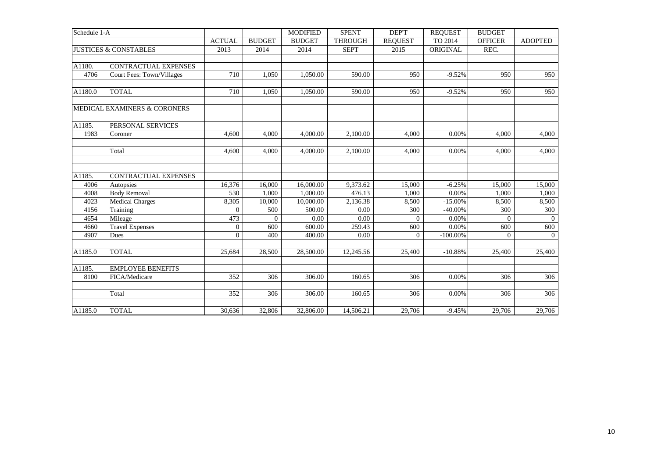| Schedule 1-A |                                  |                  |                | <b>MODIFIED</b> | <b>SPENT</b>   | DEP'T          | <b>REOUEST</b> | <b>BUDGET</b>  |                |
|--------------|----------------------------------|------------------|----------------|-----------------|----------------|----------------|----------------|----------------|----------------|
|              |                                  | <b>ACTUAL</b>    | <b>BUDGET</b>  | <b>BUDGET</b>   | <b>THROUGH</b> | <b>REQUEST</b> | TO 2014        | <b>OFFICER</b> | <b>ADOPTED</b> |
|              | <b>JUSTICES &amp; CONSTABLES</b> | 2013             | 2014           | 2014            | <b>SEPT</b>    | 2015           | ORIGINAL       | REC.           |                |
|              |                                  |                  |                |                 |                |                |                |                |                |
| A1180.       | <b>CONTRACTUAL EXPENSES</b>      |                  |                |                 |                |                |                |                |                |
| 4706         | Court Fees: Town/Villages        | 710              | 1,050          | 1,050.00        | 590.00         | 950            | $-9.52%$       | 950            | 950            |
| A1180.0      | <b>TOTAL</b>                     | 710              | 1,050          | 1,050.00        | 590.00         | 950            | $-9.52%$       | 950            | 950            |
|              | MEDICAL EXAMINERS & CORONERS     |                  |                |                 |                |                |                |                |                |
| A1185.       | PERSONAL SERVICES                |                  |                |                 |                |                |                |                |                |
| 1983         | Coroner                          | 4,600            | 4,000          | 4,000.00        | 2,100.00       | 4,000          | 0.00%          | 4,000          | 4,000          |
|              | Total                            | 4,600            | 4,000          | 4,000.00        | 2,100.00       | 4,000          | 0.00%          | 4,000          | 4,000          |
| A1185.       | CONTRACTUAL EXPENSES             |                  |                |                 |                |                |                |                |                |
| 4006         | Autopsies                        | 16,376           | 16,000         | 16,000.00       | 9,373.62       | 15,000         | $-6.25%$       | 15,000         | 15,000         |
| 4008         | <b>Body Removal</b>              | 530              | 1.000          | 1,000.00        | 476.13         | 1,000          | 0.00%          | 1,000          | 1,000          |
| 4023         | <b>Medical Charges</b>           | 8,305            | 10,000         | 10,000.00       | 2,136.38       | 8,500          | $-15.00%$      | 8,500          | 8,500          |
| 4156         | Training                         | $\theta$         | 500            | 500.00          | 0.00           | 300            | $-40.00%$      | 300            | 300            |
| 4654         | Mileage                          | 473              | $\overline{0}$ | 0.00            | 0.00           | $\Omega$       | 0.00%          | $\Omega$       | $\overline{0}$ |
| 4660         | <b>Travel Expenses</b>           | $\boldsymbol{0}$ | 600            | 600.00          | 259.43         | 600            | 0.00%          | 600            | 600            |
| 4907         | Dues                             | $\Omega$         | 400            | 400.00          | 0.00           | $\Omega$       | $-100.00\%$    | $\Omega$       | $\overline{0}$ |
| A1185.0      | <b>TOTAL</b>                     | 25,684           | 28,500         | 28,500.00       | 12,245.56      | 25,400         | $-10.88%$      | 25,400         | 25,400         |
| A1185.       | <b>EMPLOYEE BENEFITS</b>         |                  |                |                 |                |                |                |                |                |
| 8100         | FICA/Medicare                    | 352              | 306            | 306.00          | 160.65         | 306            | 0.00%          | 306            | 306            |
|              | Total                            | 352              | 306            | 306.00          | 160.65         | 306            | 0.00%          | 306            | 306            |
| A1185.0      | <b>TOTAL</b>                     | 30.636           | 32,806         | 32,806.00       | 14,506.21      | 29.706         | $-9.45%$       | 29,706         | 29,706         |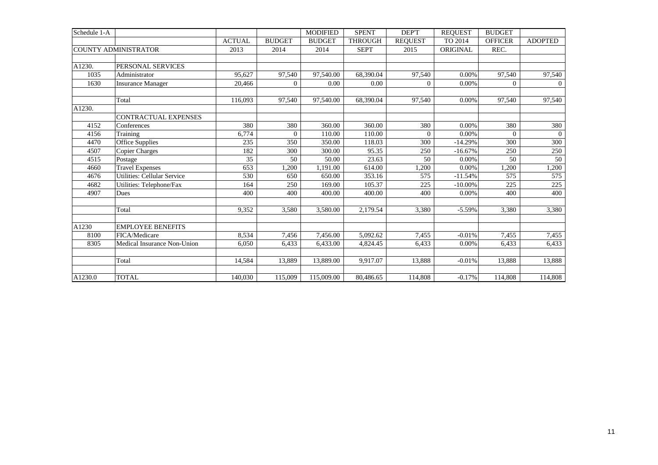| Schedule 1-A |                             |               |               | <b>MODIFIED</b> | <b>SPENT</b>   | DEP'T          | <b>REOUEST</b> | <b>BUDGET</b>  |                |
|--------------|-----------------------------|---------------|---------------|-----------------|----------------|----------------|----------------|----------------|----------------|
|              |                             | <b>ACTUAL</b> | <b>BUDGET</b> | <b>BUDGET</b>   | <b>THROUGH</b> | <b>REQUEST</b> | TO 2014        | <b>OFFICER</b> | <b>ADOPTED</b> |
|              | <b>COUNTY ADMINISTRATOR</b> | 2013          | 2014          | 2014            | <b>SEPT</b>    | 2015           | ORIGINAL       | REC.           |                |
|              |                             |               |               |                 |                |                |                |                |                |
| A1230.       | PERSONAL SERVICES           |               |               |                 |                |                |                |                |                |
| 1035         | Administrator               | 95.627        | 97,540        | 97,540.00       | 68,390.04      | 97,540         | $0.00\%$       | 97.540         | 97,540         |
| 1630         | <b>Insurance Manager</b>    | 20,466        | $\Omega$      | 0.00            | 0.00           | $\Omega$       | $0.00\%$       | $\Omega$       | $\overline{0}$ |
|              |                             |               |               |                 |                |                |                |                |                |
|              | Total                       | 116,093       | 97,540        | 97,540.00       | 68,390.04      | 97,540         | 0.00%          | 97,540         | 97,540         |
| A1230.       |                             |               |               |                 |                |                |                |                |                |
|              | <b>CONTRACTUAL EXPENSES</b> |               |               |                 |                |                |                |                |                |
| 4152         | Conferences                 | 380           | 380           | 360.00          | 360.00         | 380            | $0.00\%$       | 380            | 380            |
| 4156         | Training                    | 6.774         | $\Omega$      | 110.00          | 110.00         | $\Omega$       | 0.00%          | $\Omega$       | $\theta$       |
| 4470         | Office Supplies             | 235           | 350           | 350.00          | 118.03         | 300            | $-14.29%$      | 300            | 300            |
| 4507         | <b>Copier Charges</b>       | 182           | 300           | 300.00          | 95.35          | 250            | $-16.67%$      | 250            | 250            |
| 4515         | Postage                     | 35            | 50            | 50.00           | 23.63          | 50             | 0.00%          | 50             | 50             |
| 4660         | <b>Travel Expenses</b>      | 653           | 1,200         | 1,191.00        | 614.00         | 1,200          | 0.00%          | 1,200          | 1,200          |
| 4676         | Utilities: Cellular Service | 530           | 650           | 650.00          | 353.16         | 575            | $-11.54%$      | 575            | 575            |
| 4682         | Utilities: Telephone/Fax    | 164           | 250           | 169.00          | 105.37         | 225            | $-10.00\%$     | 225            | 225            |
| 4907         | Dues                        | 400           | 400           | 400.00          | 400.00         | 400            | 0.00%          | 400            | 400            |
|              |                             |               |               |                 |                |                |                |                |                |
|              | Total                       | 9,352         | 3,580         | 3,580.00        | 2,179.54       | 3,380          | $-5.59%$       | 3,380          | 3,380          |
|              |                             |               |               |                 |                |                |                |                |                |
| A1230        | <b>EMPLOYEE BENEFITS</b>    |               |               |                 |                |                |                |                |                |
| 8100         | FICA/Medicare               | 8,534         | 7,456         | 7,456.00        | 5,092.62       | 7,455          | $-0.01%$       | 7,455          | 7,455          |
| 8305         | Medical Insurance Non-Union | 6.050         | 6,433         | 6.433.00        | 4,824.45       | 6,433          | 0.00%          | 6,433          | 6,433          |
|              |                             |               |               |                 |                |                |                |                |                |
|              | Total                       | 14,584        | 13,889        | 13,889.00       | 9,917.07       | 13,888         | $-0.01%$       | 13,888         | 13,888         |
|              |                             |               |               |                 |                |                |                |                |                |
| A1230.0      | <b>TOTAL</b>                | 140,030       | 115,009       | 115,009.00      | 80,486.65      | 114,808        | $-0.17%$       | 114,808        | 114,808        |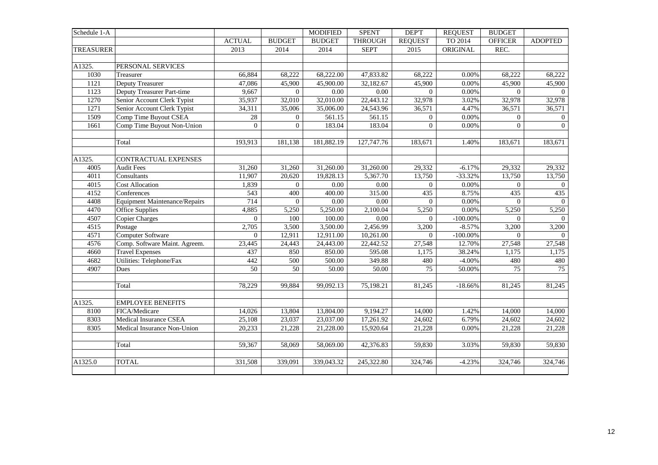| Schedule 1-A     |                                      |                 |                | <b>MODIFIED</b> | <b>SPENT</b>   | <b>DEPT</b>     | <b>REQUEST</b> | <b>BUDGET</b>  |                |
|------------------|--------------------------------------|-----------------|----------------|-----------------|----------------|-----------------|----------------|----------------|----------------|
|                  |                                      | <b>ACTUAL</b>   | <b>BUDGET</b>  | <b>BUDGET</b>   | <b>THROUGH</b> | <b>REQUEST</b>  | TO 2014        | <b>OFFICER</b> | <b>ADOPTED</b> |
| <b>TREASURER</b> |                                      | 2013            | 2014           | 2014            | <b>SEPT</b>    | 2015            | ORIGINAL       | REC.           |                |
|                  |                                      |                 |                |                 |                |                 |                |                |                |
| A1325.           | PERSONAL SERVICES                    |                 |                |                 |                |                 |                |                |                |
| 1030             | Treasurer                            | 66,884          | 68,222         | 68,222.00       | 47,833.82      | 68,222          | 0.00%          | 68,222         | 68,222         |
| 1121             | Deputy Treasurer                     | 47,086          | 45,900         | 45,900.00       | 32,182.67      | 45,900          | 0.00%          | 45,900         | 45,900         |
| 1123             | Deputy Treasurer Part-time           | 9,667           | $\Omega$       | 0.00            | 0.00           | $\Omega$        | 0.00%          | $\Omega$       | $\overline{0}$ |
| 1270             | Senior Account Clerk Typist          | 35,937          | 32,010         | 32,010.00       | 22,443.12      | 32,978          | 3.02%          | 32,978         | 32,978         |
| 1271             | Senior Account Clerk Typist          | 34,311          | 35,006         | 35,006.00       | 24,543.96      | 36,571          | 4.47%          | 36,571         | 36,571         |
| 1509             | Comp Time Buyout CSEA                | 28              | $\overline{0}$ | 561.15          | 561.15         | $\overline{0}$  | 0.00%          | $\overline{0}$ | $\overline{0}$ |
| 1661             | Comp Time Buyout Non-Union           | $\Omega$        | $\overline{0}$ | 183.04          | 183.04         | $\overline{0}$  | 0.00%          | $\Omega$       | $\overline{0}$ |
|                  | Total                                | 193,913         | 181,138        | 181,882.19      | 127,747.76     | 183,671         | 1.40%          | 183,671        | 183,671        |
| A1325.           | CONTRACTUAL EXPENSES                 |                 |                |                 |                |                 |                |                |                |
| 4005             | <b>Audit Fees</b>                    | 31,260          | 31,260         | 31,260.00       | 31,260.00      | 29,332          | $-6.17%$       | 29,332         | 29,332         |
| 4011             | Consultants                          | 11,907          | 20,620         | 19,828.13       | 5,367.70       | 13,750          | $-33.32%$      | 13,750         | 13,750         |
| 4015             | <b>Cost Allocation</b>               | 1,839           | $\overline{0}$ | 0.00            | 0.00           | $\overline{0}$  | 0.00%          | $\Omega$       | $\overline{0}$ |
| 4152             | Conferences                          | 543             | 400            | 400.00          | 315.00         | 435             | 8.75%          | 435            | 435            |
| 4408             | <b>Equipment Maintenance/Repairs</b> | 714             | $\Omega$       | 0.00            | 0.00           | 0               | 0.00%          | $\Omega$       | $\Omega$       |
| 4470             | Office Supplies                      | 4,885           | 5,250          | 5,250.00        | 2,100.04       | 5,250           | 0.00%          | 5,250          | 5,250          |
| 4507             | <b>Copier Charges</b>                | $\overline{0}$  | 100            | 100.00          | 0.00           | $\overline{0}$  | $-100.00\%$    | $\overline{0}$ | $\overline{0}$ |
| 4515             | Postage                              | 2,705           | 3,500          | 3,500.00        | 2,456.99       | 3,200           | $-8.57%$       | 3,200          | 3,200          |
| 4571             | <b>Computer Software</b>             | $\Omega$        | 12,911         | 12,911.00       | 10,261.00      | $\Omega$        | $-100.00\%$    | $\Omega$       | $\Omega$       |
| 4576             | Comp. Software Maint. Agreem.        | 23,445          | 24,443         | 24,443.00       | 22,442.52      | 27,548          | 12.70%         | 27,548         | 27,548         |
| 4660             | <b>Travel Expenses</b>               | 437             | 850            | 850.00          | 595.08         | 1,175           | 38.24%         | 1,175          | 1,175          |
| 4682             | Utilities: Telephone/Fax             | 442             | 500            | 500.00          | 349.88         | 480             | $-4.00\%$      | 480            | 480            |
| 4907             | Dues                                 | $\overline{50}$ | 50             | 50.00           | 50.00          | $\overline{75}$ | 50.00%         | 75             | 75             |
|                  | Total                                | 78,229          | 99,884         | 99,092.13       | 75,198.21      | 81,245          | $-18.66%$      | 81,245         | 81,245         |
| A1325.           | <b>EMPLOYEE BENEFITS</b>             |                 |                |                 |                |                 |                |                |                |
| 8100             | FICA/Medicare                        | 14,026          | 13,804         | 13,804.00       | 9,194.27       | 14,000          | 1.42%          | 14,000         | 14,000         |
| 8303             | Medical Insurance CSEA               | 25,108          | 23,037         | 23,037.00       | 17,261.92      | 24,602          | 6.79%          | 24,602         | 24,602         |
| 8305             | Medical Insurance Non-Union          | 20,233          | 21,228         | 21,228.00       | 15,920.64      | 21,228          | 0.00%          | 21,228         | 21,228         |
|                  | Total                                | 59,367          | 58,069         | 58,069.00       | 42,376.83      | 59,830          | 3.03%          | 59,830         | 59,830         |
| A1325.0          | <b>TOTAL</b>                         | 331,508         | 339,091        | 339,043.32      | 245,322.80     | 324,746         | $-4.23%$       | 324,746        | 324,746        |
|                  |                                      |                 |                |                 |                |                 |                |                |                |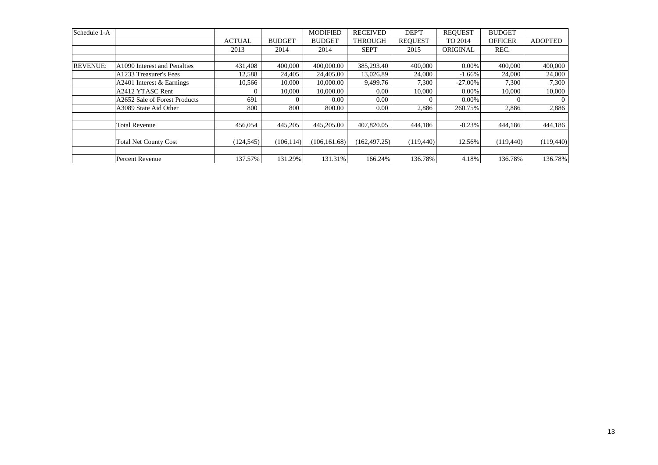| Schedule 1-A    |                               |               |               | <b>MODIFIED</b> | <b>RECEIVED</b> | DEP'T          | <b>REOUEST</b> | <b>BUDGET</b>  |                |
|-----------------|-------------------------------|---------------|---------------|-----------------|-----------------|----------------|----------------|----------------|----------------|
|                 |                               | <b>ACTUAL</b> | <b>BUDGET</b> | <b>BUDGET</b>   | <b>THROUGH</b>  | <b>REOUEST</b> | TO 2014        | <b>OFFICER</b> | <b>ADOPTED</b> |
|                 |                               | 2013          | 2014          | 2014            | <b>SEPT</b>     | 2015           | ORIGINAL       | REC.           |                |
|                 |                               |               |               |                 |                 |                |                |                |                |
| <b>REVENUE:</b> | A1090 Interest and Penalties  | 431,408       | 400,000       | 400,000.00      | 385,293.40      | 400,000        | $0.00\%$       | 400,000        | 400,000        |
|                 | A1233 Treasurer's Fees        | 12,588        | 24,405        | 24,405.00       | 13,026.89       | 24,000         | $-1.66\%$      | 24,000         | 24,000         |
|                 | A2401 Interest & Earnings     | 10,566        | 10.000        | 10,000.00       | 9,499.76        | 7,300          | $-27.00\%$     | 7,300          | 7,300          |
|                 | A2412 YTASC Rent              |               | 10,000        | 10,000.00       | 0.00            | 10,000         | $0.00\%$       | 10,000         | 10,000         |
|                 | A2652 Sale of Forest Products | 691           |               | 0.00            | 0.00            |                | $0.00\%$       |                | $\theta$       |
|                 | A3089 State Aid Other         | 800           | 800           | 800.00          | 0.00            | 2,886          | 260.75%        | 2,886          | 2,886          |
|                 |                               |               |               |                 |                 |                |                |                |                |
|                 | <b>Total Revenue</b>          | 456,054       | 445,205       | 445,205.00      | 407,820.05      | 444,186        | $-0.23%$       | 444.186        | 444,186        |
|                 |                               |               |               |                 |                 |                |                |                |                |
|                 | <b>Total Net County Cost</b>  | (124, 545)    | (106.114)     | (106.161.68)    | (162.497.25)    | (119, 440)     | 12.56%         | (119,440)      | (119, 440)     |
|                 |                               |               |               |                 |                 |                |                |                |                |
|                 | Percent Revenue               | 137.57%       | 131.29%       | 131.31%         | 166.24%         | 136.78%        | 4.18%          | 136.78%        | 136.78%        |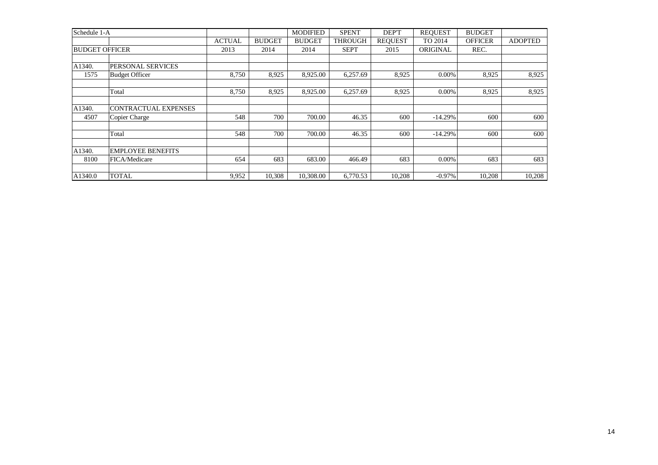| Schedule 1-A          |                             |               |               | <b>MODIFIED</b> | <b>SPENT</b>   | DEP'T          | <b>REOUEST</b> | <b>BUDGET</b>  |                |
|-----------------------|-----------------------------|---------------|---------------|-----------------|----------------|----------------|----------------|----------------|----------------|
|                       |                             | <b>ACTUAL</b> | <b>BUDGET</b> | <b>BUDGET</b>   | <b>THROUGH</b> | <b>REQUEST</b> | TO 2014        | <b>OFFICER</b> | <b>ADOPTED</b> |
| <b>BUDGET OFFICER</b> |                             | 2013          | 2014          | 2014            | <b>SEPT</b>    | 2015           | ORIGINAL       | REC.           |                |
|                       |                             |               |               |                 |                |                |                |                |                |
| A1340.                | <b>PERSONAL SERVICES</b>    |               |               |                 |                |                |                |                |                |
| 1575                  | <b>Budget Officer</b>       | 8,750         | 8,925         | 8,925.00        | 6,257.69       | 8,925          | 0.00%          | 8,925          | 8,925          |
|                       |                             |               |               |                 |                |                |                |                |                |
|                       | Total                       | 8,750         | 8,925         | 8,925.00        | 6,257.69       | 8,925          | 0.00%          | 8,925          | 8,925          |
|                       |                             |               |               |                 |                |                |                |                |                |
| A1340.                | <b>CONTRACTUAL EXPENSES</b> |               |               |                 |                |                |                |                |                |
| 4507                  | Copier Charge               | 548           | 700           | 700.00          | 46.35          | 600            | $-14.29%$      | 600            | 600            |
|                       |                             |               |               |                 |                |                |                |                |                |
|                       | Total                       | 548           | 700           | 700.00          | 46.35          | 600            | $-14.29%$      | 600            | 600            |
| A1340.                | <b>EMPLOYEE BENEFITS</b>    |               |               |                 |                |                |                |                |                |
| 8100                  | FICA/Medicare               | 654           | 683           | 683.00          | 466.49         | 683            | 0.00%          | 683            | 683            |
|                       |                             |               |               |                 |                |                |                |                |                |
| A1340.0               | <b>TOTAL</b>                | 9,952         | 10,308        | 10,308.00       | 6,770.53       | 10,208         | $-0.97\%$      | 10,208         | 10,208         |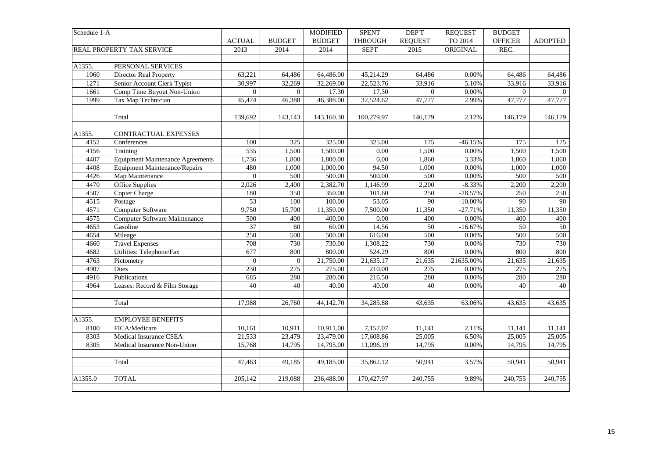| Schedule 1-A |                                         |                |                 | <b>MODIFIED</b> | <b>SPENT</b>   | <b>DEPT</b>     | <b>REQUEST</b> | <b>BUDGET</b>   |                |
|--------------|-----------------------------------------|----------------|-----------------|-----------------|----------------|-----------------|----------------|-----------------|----------------|
|              |                                         | <b>ACTUAL</b>  | <b>BUDGET</b>   | <b>BUDGET</b>   | <b>THROUGH</b> | <b>REQUEST</b>  | TO 2014        | <b>OFFICER</b>  | <b>ADOPTED</b> |
|              | REAL PROPERTY TAX SERVICE               | 2013           | 2014            | 2014            | <b>SEPT</b>    | 2015            | ORIGINAL       | REC.            |                |
|              |                                         |                |                 |                 |                |                 |                |                 |                |
| A1355.       | PERSONAL SERVICES                       |                |                 |                 |                |                 |                |                 |                |
| 1060         | Director Real Property                  | 63,221         | 64,486          | 64,486.00       | 45,214.29      | 64,486          | 0.00%          | 64,486          | 64,486         |
| 1271         | Senior Account Clerk Typist             | 30,997         | 32,269          | 32,269.00       | 22,523.76      | 33,916          | 5.10%          | 33,916          | 33,916         |
| 1661         | Comp Time Buyout Non-Union              | $\overline{0}$ | $\overline{0}$  | 17.30           | 17.30          | $\Omega$        | $0.00\%$       | $\overline{0}$  | $\overline{0}$ |
| 1999         | Tax Map Technician                      | 45,474         | 46,388          | 46,388.00       | 32,524.62      | 47,777          | 2.99%          | 47,777          | 47,777         |
|              |                                         |                |                 |                 |                |                 |                |                 |                |
|              | Total                                   | 139,692        | 143,143         | 143,160.30      | 100,279.97     | 146,179         | 2.12%          | 146,179         | 146,179        |
|              |                                         |                |                 |                 |                |                 |                |                 |                |
| A1355.       | CONTRACTUAL EXPENSES                    |                |                 |                 |                |                 |                |                 |                |
| 4152         | Conferences                             | 100            | 325             | 325.00          | 325.00         | 175             | $-46.15%$      | 175             | 175            |
| 4156         | Training                                | 535            | 1,500           | 1,500.00        | 0.00           | 1,500           | 0.00%          | 1,500           | 1,500          |
| 4407         | <b>Equipment Maintenance Agreements</b> | 1,736          | 1,800           | 1,800.00        | 0.00           | 1,860           | 3.33%          | 1,860           | 1,860          |
| 4408         | <b>Equipment Maintenance/Repairs</b>    | 480            | 1,000           | 1,000.00        | 94.50          | 1,000           | 0.00%          | 1,000           | 1,000          |
| 4426         | Map Maintenance                         | $\theta$       | 500             | 500.00          | 500.00         | 500             | 0.00%          | 500             | 500            |
| 4470         | Office Supplies                         | 2,026          | 2,400           | 2,382.70        | 1,146.99       | 2,200           | $-8.33%$       | 2,200           | 2,200          |
| 4507         | Copier Charge                           | 180            | 350             | 350.00          | 101.60         | 250             | $-28.57%$      | 250             | 250            |
| 4515         | Postage                                 | 53             | 100             | 100.00          | 53.05          | 90              | $-10.00\%$     | 90              | 90             |
| 4571         | Computer Software                       | 9,750          | 15,700          | 11,350.00       | 7,500.00       | 11,350          | $-27.71%$      | 11,350          | 11,350         |
| 4575         | Computer Software Maintenance           | 500            | 400             | 400.00          | $0.00\,$       | 400             | 0.00%          | 400             | 400            |
| 4653         | Gasoline                                | 37             | $\overline{60}$ | 60.00           | 14.56          | $\overline{50}$ | $-16.67%$      | $\overline{50}$ | 50             |
| 4654         | Mileage                                 | 250            | 500             | 500.00          | 616.00         | 500             | 0.00%          | 500             | 500            |
| 4660         | <b>Travel Expenses</b>                  | 708            | 730             | 730.00          | 1,308.22       | 730             | 0.00%          | 730             | 730            |
| 4682         | Utilities: Telephone/Fax                | 677            | 800             | 800.00          | 524.29         | 800             | 0.00%          | 800             | 800            |
| 4763         | Pictometry                              | $\mathbf{0}$   | $\overline{0}$  | 21,750.00       | 21,635.17      | 21,635          | 21635.00%      | 21,635          | 21,635         |
| 4907         | Dues                                    | 230            | 275             | 275.00          | 210.00         | 275             | 0.00%          | 275             | 275            |
| 4916         | Publications                            | 685            | 280             | 280.00          | 216.50         | 280             | $0.00\%$       | 280             | 280            |
| 4964         | Leases: Record & Film Storage           | 40             | 40              | 40.00           | 40.00          | 40              | 0.00%          | 40              | 40             |
|              |                                         |                |                 |                 |                |                 |                |                 |                |
|              | Total                                   | 17,988         | 26,760          | 44,142.70       | 34,285.88      | 43,635          | 63.06%         | 43,635          | 43,635         |
|              |                                         |                |                 |                 |                |                 |                |                 |                |
| A1355.       | <b>EMPLOYEE BENEFITS</b>                |                |                 |                 |                |                 |                |                 |                |
| 8100         | FICA/Medicare                           | 10,161         | 10,911          | 10,911.00       | 7,157.07       | 11,141          | 2.11%          | 11,141          | 11,141         |
| 8303         | Medical Insurance CSEA                  | 21,533         | 23,479          | 23,479.00       | 17,608.86      | 25,005          | 6.50%          | 25,005          | 25,005         |
| 8305         | Medical Insurance Non-Union             | 15,768         | 14,795          | 14,795.00       | 11,096.19      | 14,795          | $0.00\%$       | 14,795          | 14,795         |
|              |                                         |                |                 |                 |                |                 |                |                 |                |
|              | Total                                   | 47,463         | 49,185          | 49,185.00       | 35,862.12      | 50,941          | 3.57%          | 50,941          | 50,941         |
|              |                                         |                |                 |                 |                |                 |                |                 |                |
| A1355.0      | <b>TOTAL</b>                            | 205,142        | 219,088         | 236,488.00      | 170,427.97     | 240,755         | 9.89%          | 240,755         | 240,755        |
|              |                                         |                |                 |                 |                |                 |                |                 |                |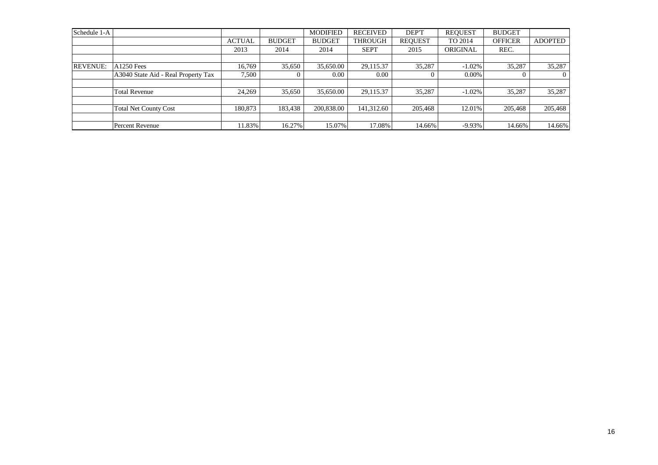| Schedule 1-A    |                                     |               |               | <b>MODIFIED</b> | <b>RECEIVED</b> | DEP'T          | <b>REOUEST</b> | <b>BUDGET</b>  |                |
|-----------------|-------------------------------------|---------------|---------------|-----------------|-----------------|----------------|----------------|----------------|----------------|
|                 |                                     | <b>ACTUAL</b> | <b>BUDGET</b> | <b>BUDGET</b>   | <b>THROUGH</b>  | <b>REQUEST</b> | TO 2014        | <b>OFFICER</b> | <b>ADOPTED</b> |
|                 |                                     | 2013          | 2014          | 2014            | <b>SEPT</b>     | 2015           | ORIGINAL       | REC.           |                |
|                 |                                     |               |               |                 |                 |                |                |                |                |
| <b>REVENUE:</b> | <b>A1250 Fees</b>                   | 16.769        | 35,650        | 35,650.00       | 29,115.37       | 35,287         | $-1.02\%$      | 35,287         | 35,287         |
|                 | A3040 State Aid - Real Property Tax | 7,500         |               | $0.00\,$        | 0.00            | $\Omega$       | $0.00\%$       | 0              |                |
|                 |                                     |               |               |                 |                 |                |                |                |                |
|                 | <b>Total Revenue</b>                | 24,269        | 35,650        | 35,650.00       | 29,115.37       | 35,287         | $-1.02\%$      | 35,287         | 35,287         |
|                 |                                     |               |               |                 |                 |                |                |                |                |
|                 | <b>Total Net County Cost</b>        | 180,873       | 183,438       | 200,838.00      | 141,312.60      | 205,468        | 12.01%         | 205,468        | 205,468        |
|                 |                                     |               |               |                 |                 |                |                |                |                |
|                 | Percent Revenue                     | 11.83%        | 16.27%        | 15.07%          | 17.08%          | 14.66%         | $-9.93\%$      | 14.66%         | 14.66%         |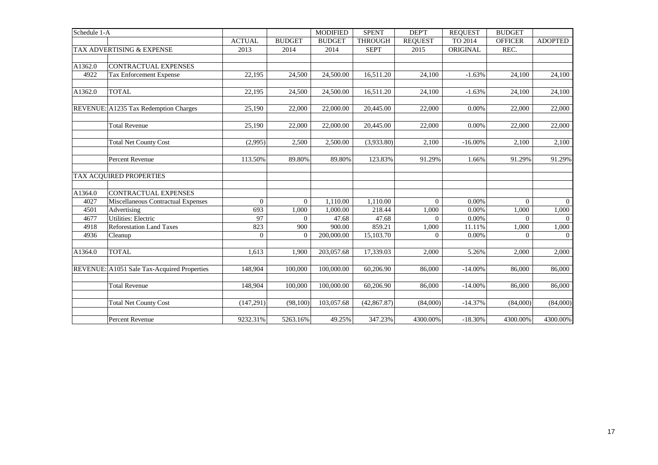| Schedule 1-A |                                             |                 |                | <b>MODIFIED</b> | <b>SPENT</b>   | <b>DEPT</b>    | <b>REQUEST</b> | <b>BUDGET</b>  |                |
|--------------|---------------------------------------------|-----------------|----------------|-----------------|----------------|----------------|----------------|----------------|----------------|
|              |                                             | <b>ACTUAL</b>   | <b>BUDGET</b>  | <b>BUDGET</b>   | <b>THROUGH</b> | <b>REOUEST</b> | TO 2014        | <b>OFFICER</b> | <b>ADOPTED</b> |
|              | TAX ADVERTISING & EXPENSE                   | 2013            | 2014           | 2014            | <b>SEPT</b>    | 2015           | ORIGINAL       | REC.           |                |
|              |                                             |                 |                |                 |                |                |                |                |                |
| A1362.0      | <b>CONTRACTUAL EXPENSES</b>                 |                 |                |                 |                |                |                |                |                |
| 4922         | Tax Enforcement Expense                     | 22,195          | 24,500         | 24,500.00       | 16,511.20      | 24,100         | $-1.63%$       | 24,100         | 24,100         |
| A1362.0      | <b>TOTAL</b>                                | 22,195          | 24,500         | 24,500.00       | 16,511.20      | 24,100         | $-1.63%$       | 24,100         | 24,100         |
|              | REVENUE: A1235 Tax Redemption Charges       | 25,190          | 22,000         | 22,000.00       | 20,445.00      | 22,000         | 0.00%          | 22,000         | 22,000         |
|              | <b>Total Revenue</b>                        | 25,190          | 22,000         | 22,000.00       | 20,445.00      | 22,000         | 0.00%          | 22,000         | 22,000         |
|              | <b>Total Net County Cost</b>                | (2,995)         | 2,500          | 2,500.00        | (3,933.80)     | 2,100          | $-16.00\%$     | 2,100          | 2,100          |
|              | <b>Percent Revenue</b>                      | 113.50%         | 89.80%         | 89.80%          | 123.83%        | 91.29%         | 1.66%          | 91.29%         | 91.29%         |
|              | TAX ACQUIRED PROPERTIES                     |                 |                |                 |                |                |                |                |                |
| A1364.0      | <b>CONTRACTUAL EXPENSES</b>                 |                 |                |                 |                |                |                |                |                |
| 4027         | Miscellaneous Contractual Expenses          | $\Omega$        | $\Omega$       | 1,110.00        | 1,110.00       | $\Omega$       | 0.00%          | $\Omega$       | $\Omega$       |
| 4501         | Advertising                                 | 693             | 1,000          | 1,000.00        | 218.44         | 1,000          | 0.00%          | 1,000          | 1,000          |
| 4677         | Utilities: Electric                         | $\overline{97}$ | $\overline{0}$ | 47.68           | 47.68          | $\overline{0}$ | 0.00%          | $\overline{0}$ | $\theta$       |
| 4918         | <b>Reforestation Land Taxes</b>             | 823             | 900            | 900.00          | 859.21         | 1,000          | 11.11%         | 1,000          | 1,000          |
| 4936         | Cleanup                                     | $\Omega$        | $\Omega$       | 200,000.00      | 15,103.70      | $\Omega$       | 0.00%          | $\Omega$       | $\theta$       |
| A1364.0      | <b>TOTAL</b>                                | 1,613           | 1.900          | 203,057.68      | 17,339.03      | 2,000          | 5.26%          | 2,000          | 2,000          |
|              | REVENUE: A1051 Sale Tax-Acquired Properties | 148,904         | 100,000        | 100,000.00      | 60,206.90      | 86,000         | $-14.00%$      | 86,000         | 86,000         |
|              | <b>Total Revenue</b>                        | 148,904         | 100,000        | 100,000.00      | 60,206.90      | 86,000         | $-14.00%$      | 86,000         | 86,000         |
|              | <b>Total Net County Cost</b>                | (147, 291)      | (98, 100)      | 103,057.68      | (42, 867.87)   | (84,000)       | $-14.37%$      | (84,000)       | (84,000)       |
|              | Percent Revenue                             | 9232.31%        | 5263.16%       | 49.25%          | 347.23%        | 4300.00%       | $-18.30%$      | 4300.00%       | 4300.00%       |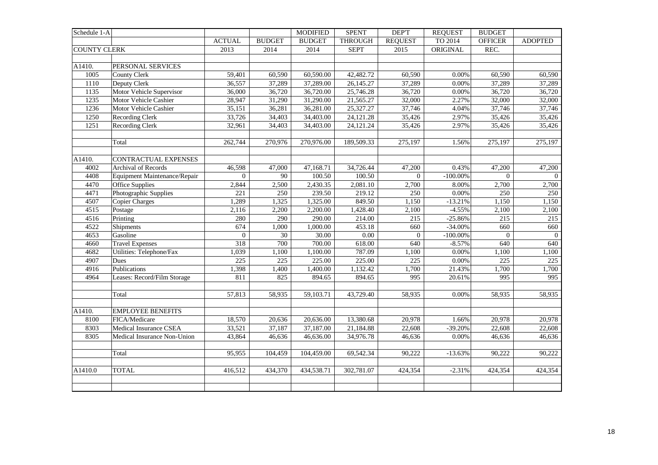| Schedule 1-A        |                              |                  |               | <b>MODIFIED</b> | <b>SPENT</b>      | <b>DEPT</b>    | <b>REQUEST</b> | <b>BUDGET</b>  |                |
|---------------------|------------------------------|------------------|---------------|-----------------|-------------------|----------------|----------------|----------------|----------------|
|                     |                              | <b>ACTUAL</b>    | <b>BUDGET</b> | <b>BUDGET</b>   | <b>THROUGH</b>    | <b>REQUEST</b> | TO 2014        | <b>OFFICER</b> | <b>ADOPTED</b> |
| <b>COUNTY CLERK</b> |                              | 2013             | 2014          | 2014            | <b>SEPT</b>       | 2015           | ORIGINAL       | REC.           |                |
|                     |                              |                  |               |                 |                   |                |                |                |                |
| A1410.              | PERSONAL SERVICES            |                  |               |                 |                   |                |                |                |                |
| 1005                | County Clerk                 | 59,401           | 60,590        | 60,590.00       | 42,482.72         | 60,590         | 0.00%          | 60,590         | 60,590         |
| 1110                | Deputy Clerk                 | 36,557           | 37,289        | 37,289.00       | 26,145.27         | 37,289         | 0.00%          | 37,289         | 37,289         |
| 1135                | Motor Vehicle Supervisor     | 36,000           | 36,720        | 36,720.00       | 25,746.28         | 36,720         | 0.00%          | 36,720         | 36,720         |
| 1235                | Motor Vehicle Cashier        | 28,947           | 31,290        | 31,290.00       | 21,565.27         | 32,000         | 2.27%          | 32,000         | 32,000         |
| 1236                | Motor Vehicle Cashier        | 35,151           | 36,281        | 36,281.00       | 25,327.27         | 37,746         | 4.04%          | 37,746         | 37,746         |
| 1250                | <b>Recording Clerk</b>       | 33,726           | 34,403        | 34,403.00       | 24,121.28         | 35,426         | 2.97%          | 35,426         | 35,426         |
| 1251                | <b>Recording Clerk</b>       | 32,961           | 34,403        | 34,403.00       | 24,121.24         | 35,426         | 2.97%          | 35,426         | 35,426         |
|                     |                              |                  |               |                 |                   |                |                |                |                |
|                     | Total                        | 262,744          | 270,976       | 270,976.00      | 189,509.33        | 275,197        | 1.56%          | 275,197        | 275,197        |
|                     |                              |                  |               |                 |                   |                |                |                |                |
| A1410.              | CONTRACTUAL EXPENSES         |                  |               |                 |                   |                |                |                |                |
| 4002                | <b>Archival of Records</b>   | 46,598           | 47,000        | 47,168.71       | 34,726.44         | 47,200         | 0.43%          | 47,200         | 47,200         |
| 4408                | Equipment Maintenance/Repair | $\overline{0}$   | $90\,$        | 100.50          | 100.50            | $\overline{0}$ | $-100.00\%$    | $\Omega$       | $\overline{0}$ |
| 4470                | <b>Office Supplies</b>       | 2,844            | 2,500         | 2,430.35        | 2,081.10          | 2,700          | 8.00%          | 2,700          | 2,700          |
| 4471                | Photographic Supplies        | $\overline{221}$ | 250           | 239.50          | 219.12            | 250            | 0.00%          | 250            | 250            |
| 4507                | <b>Copier Charges</b>        | 1,289            | 1,325         | 1,325.00        | 849.50            | 1,150          | $-13.21%$      | 1,150          | 1,150          |
| 4515                | Postage                      | 2,116            | 2,200         | 2,200.00        | 1,428.40          | 2,100          | $-4.55%$       | 2,100          | 2,100          |
| 4516                | Printing                     | 280              | 290           | 290.00          | 214.00            | 215            | $-25.86%$      | 215            | 215            |
| 4522                | Shipments                    | 674              | 1,000         | 1,000.00        | 453.18            | 660            | $-34.00%$      | 660            | 660            |
| 4653                | Gasoline                     | $\overline{0}$   | 30            | 30.00           | $\overline{0.00}$ | $\overline{0}$ | $-100.00\%$    | $\Omega$       | $\overline{0}$ |
| 4660                | <b>Travel Expenses</b>       | 318              | 700           | 700.00          | 618.00            | 640            | $-8.57%$       | 640            | 640            |
| 4682                | Utilities: Telephone/Fax     | 1,039            | 1,100         | 1,100.00        | 787.09            | 1,100          | 0.00%          | 1,100          | 1,100          |
| 4907                | Dues                         | 225              | 225           | 225.00          | 225.00            | 225            | 0.00%          | 225            | 225            |
| 4916                | Publications                 | 1,398            | 1,400         | 1,400.00        | 1,132.42          | 1,700          | 21.43%         | 1,700          | 1,700          |
| 4964                | Leases: Record/Film Storage  | 811              | 825           | 894.65          | 894.65            | 995            | 20.61%         | 995            | 995            |
|                     |                              |                  |               |                 |                   |                |                |                |                |
|                     | Total                        | 57,813           | 58,935        | 59,103.71       | 43,729.40         | 58,935         | 0.00%          | 58,935         | 58,935         |
|                     |                              |                  |               |                 |                   |                |                |                |                |
| A1410.              | <b>EMPLOYEE BENEFITS</b>     |                  |               |                 |                   |                |                |                |                |
| 8100                | FICA/Medicare                | 18,570           | 20,636        | 20,636.00       | 13,380.68         | 20,978         | 1.66%          | 20,978         | 20,978         |
| 8303                | Medical Insurance CSEA       | 33,521           | 37,187        | 37,187.00       | 21,184.88         | 22,608         | $-39.20%$      | 22,608         | 22,608         |
| 8305                | Medical Insurance Non-Union  | 43,864           | 46,636        | 46,636.00       | 34,976.78         | 46,636         | 0.00%          | 46,636         | 46,636         |
|                     |                              |                  |               |                 |                   |                |                |                |                |
|                     | Total                        | 95,955           | 104,459       | 104,459.00      | 69,542.34         | 90,222         | $-13.63%$      | 90,222         | 90,222         |
|                     |                              |                  |               |                 |                   |                |                |                |                |
| A1410.0             | <b>TOTAL</b>                 | 416,512          | 434,370       | 434,538.71      | 302,781.07        | 424,354        | $-2.31%$       | 424,354        | 424,354        |
|                     |                              |                  |               |                 |                   |                |                |                |                |
|                     |                              |                  |               |                 |                   |                |                |                |                |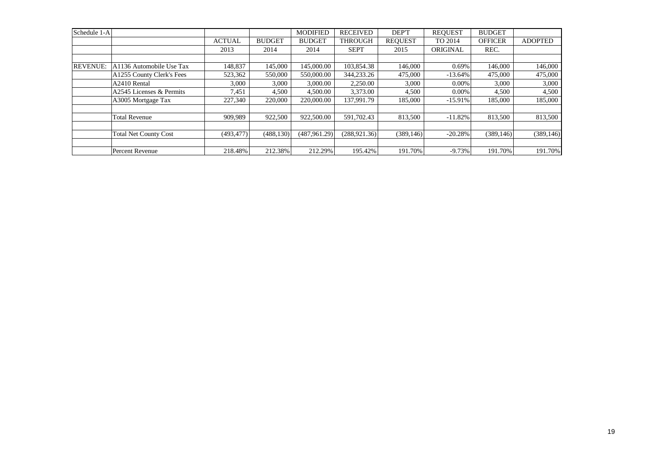| Schedule 1-A    |                              |               |               | <b>MODIFIED</b> | <b>RECEIVED</b> | DEP'T          | <b>REOUEST</b> | <b>BUDGET</b>  |                |
|-----------------|------------------------------|---------------|---------------|-----------------|-----------------|----------------|----------------|----------------|----------------|
|                 |                              | <b>ACTUAL</b> | <b>BUDGET</b> | <b>BUDGET</b>   | <b>THROUGH</b>  | <b>REOUEST</b> | TO 2014        | <b>OFFICER</b> | <b>ADOPTED</b> |
|                 |                              | 2013          | 2014          | 2014            | <b>SEPT</b>     | 2015           | ORIGINAL       | REC.           |                |
|                 |                              |               |               |                 |                 |                |                |                |                |
| <b>REVENUE:</b> | A1136 Automobile Use Tax     | 148,837       | 145,000       | 145,000.00      | 103,854.38      | 146,000        | 0.69%          | 146,000        | 146,000        |
|                 | A1255 County Clerk's Fees    | 523,362       | 550,000       | 550,000.00      | 344,233.26      | 475,000        | $-13.64\%$     | 475,000        | 475,000        |
|                 | A2410 Rental                 | 3,000         | 3,000         | 3,000.00        | 2.250.00        | 3,000          | 0.00%          | 3,000          | 3,000          |
|                 | A2545 Licenses & Permits     | 7,451         | 4,500         | 4,500.00        | 3,373.00        | 4,500          | $0.00\%$       | 4,500          | 4,500          |
|                 | A3005 Mortgage Tax           | 227,340       | 220,000       | 220,000.00      | 137,991.79      | 185,000        | $-15.91%$      | 185,000        | 185,000        |
|                 |                              |               |               |                 |                 |                |                |                |                |
|                 | <b>Total Revenue</b>         | 909,989       | 922,500       | 922,500.00      | 591,702.43      | 813,500        | $-11.82%$      | 813,500        | 813,500        |
|                 |                              |               |               |                 |                 |                |                |                |                |
|                 | <b>Total Net County Cost</b> | (493, 477)    | (488, 130)    | (487.961.29)    | (288.921.36)    | (389, 146)     | $-20.28%$      | (389, 146)     | (389, 146)     |
|                 |                              |               |               |                 |                 |                |                |                |                |
|                 | Percent Revenue              | 218.48%       | 212.38%       | 212.29%         | 195.42%         | 191.70%        | $-9.73%$       | 191.70%        | 191.70%        |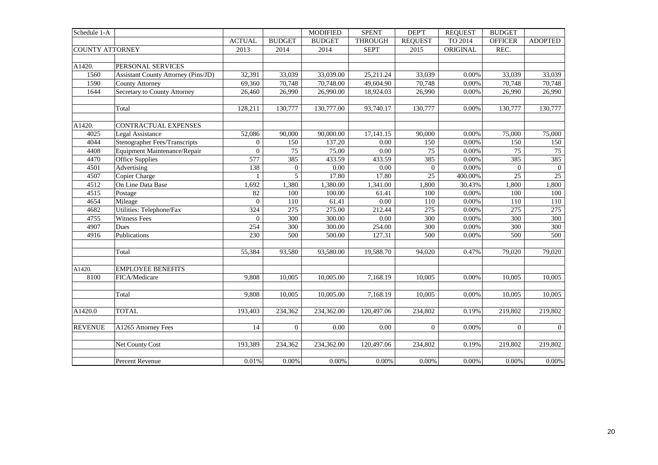| Schedule 1-A           |                                            |                |                  | <b>MODIFIED</b> | <b>SPENT</b>      | <b>DEPT</b>         | <b>REQUEST</b> | <b>BUDGET</b>  |                |
|------------------------|--------------------------------------------|----------------|------------------|-----------------|-------------------|---------------------|----------------|----------------|----------------|
|                        |                                            | <b>ACTUAL</b>  | <b>BUDGET</b>    | <b>BUDGET</b>   | <b>THROUGH</b>    | <b>REQUEST</b>      | TO 2014        | <b>OFFICER</b> | <b>ADOPTED</b> |
| <b>COUNTY ATTORNEY</b> |                                            | 2013           | 2014             | 2014            | <b>SEPT</b>       | 2015                | ORIGINAL       | REC.           |                |
|                        |                                            |                |                  |                 |                   |                     |                |                |                |
| A1420.                 | PERSONAL SERVICES                          |                |                  |                 |                   |                     |                |                |                |
| 1560                   | <b>Assistant County Attorney (Pins/JD)</b> | 32,391         | 33,039           | 33,039.00       | 25,211.24         | 33,039              | 0.00%          | 33,039         | 33,039         |
| 1590                   | <b>County Attorney</b>                     | 69,360         | 70,748           | 70,748.00       | 49,604.90         | 70,748              | 0.00%          | 70,748         | 70,748         |
| 1644                   | Secretary to County Attorney               | 26,460         | 26,990           | 26,990.00       | 18,924.03         | 26,990              | 0.00%          | 26,990         | 26,990         |
|                        |                                            |                |                  |                 |                   |                     |                |                |                |
|                        | Total                                      | 128,211        | 130,777          | 130,777.00      | 93,740.17         | 130,777             | 0.00%          | 130,777        | 130,777        |
| A1420.                 | <b>CONTRACTUAL EXPENSES</b>                |                |                  |                 |                   |                     |                |                |                |
| 4025                   | Legal Assistance                           | 52,086         | 90,000           | 90,000.00       | 17,141.15         | 90,000              | 0.00%          | 75,000         | 75,000         |
| 4044                   | <b>Stenographer Fees/Transcripts</b>       | $\overline{0}$ | 150              | 137.20          | 0.00              | 150                 | 0.00%          | 150            | 150            |
| 4408                   | Equipment Maintenance/Repair               | $\overline{0}$ | 75               | 75.00           | $0.00\,$          | 75                  | 0.00%          | 75             | 75             |
| 4470                   | <b>Office Supplies</b>                     | 577            | 385              | 433.59          | 433.59            | 385                 | 0.00%          | 385            | 385            |
| 4501                   | Advertising                                | 138            | $\overline{0}$   | 0.00            | $\overline{0.00}$ | $\overline{0}$      | 0.00%          | $\theta$       | $\overline{0}$ |
| 4507                   | Copier Charge                              | $\mathbf{1}$   | $\overline{5}$   | 17.80           | 17.80             | 25                  | 400.00%        | 25             | 25             |
| 4512                   | On Line Data Base                          | 1,692          | 1,380            | 1,380.00        | 1,341.00          | 1,800               | 30.43%         | 1,800          | 1,800          |
| 4515                   | Postage                                    | 82             | 100              | 100.00          | 61.41             | 100                 | 0.00%          | 100            | 100            |
| 4654                   | Mileage                                    | $\overline{0}$ | 110              | 61.41           | 0.00              | 110                 | 0.00%          | 110            | 110            |
| 4682                   | Utilities: Telephone/Fax                   | 324            | 275              | 275.00          | 212.44            | 275                 | 0.00%          | 275            | 275            |
| 4755                   | <b>Witness Fees</b>                        | $\overline{0}$ | 300              | 300.00          | $0.00\,$          | 300                 | $0.00\%$       | 300            | 300            |
| 4907                   | Dues                                       | 254            | $\overline{300}$ | 300.00          | 254.00            | 300                 | 0.00%          | 300            | 300            |
| 4916                   | Publications                               | 230            | 500              | 500.00          | 127.31            | 500                 | 0.00%          | 500            | 500            |
|                        |                                            |                |                  |                 |                   |                     |                |                |                |
|                        | Total                                      | 55,384         | 93,580           | 93,580.00       | 19,588.70         | 94.020              | 0.47%          | 79,020         | 79.020         |
|                        |                                            |                |                  |                 |                   |                     |                |                |                |
| A1420.                 | <b>EMPLOYEE BENEFITS</b>                   |                |                  |                 |                   |                     |                |                |                |
| 8100                   | FICA/Medicare                              | 9,808          | 10,005           | 10,005.00       | 7,168.19          | 10,005              | 0.00%          | 10,005         | 10,005         |
|                        | Total                                      | 9,808          | 10,005           | 10,005.00       | 7,168.19          | $\overline{10,005}$ | 0.00%          | 10,005         | 10,005         |
|                        |                                            |                |                  |                 |                   |                     |                |                |                |
| A1420.0                | <b>TOTAL</b>                               | 193,403        | 234,362          | 234,362.00      | 120,497.06        | 234,802             | 0.19%          | 219,802        | 219,802        |
|                        |                                            |                |                  |                 |                   |                     |                |                |                |
| <b>REVENUE</b>         | A1265 Attorney Fees                        | 14             | $\overline{0}$   | 0.00            | 0.00              | $\Omega$            | 0.00%          | $\Omega$       | $\overline{0}$ |
|                        | Net County Cost                            | 193,389        | 234,362          | 234,362.00      | 120,497.06        | 234,802             | 0.19%          | 219,802        | 219,802        |
|                        |                                            |                |                  |                 |                   |                     |                |                |                |
|                        | Percent Revenue                            | 0.01%          | $0.00\%$         | 0.00%           | 0.00%             | 0.00%               | 0.00%          | 0.00%          | $0.00\%$       |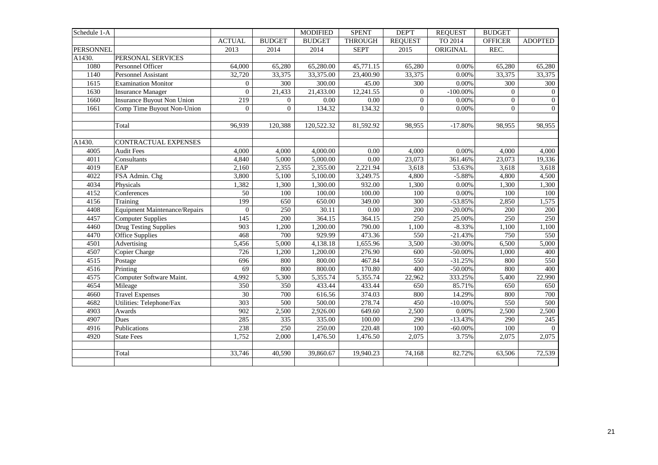| Schedule 1-A     |                                      |                  |                | <b>MODIFIED</b> | <b>SPENT</b>   | <b>DEPT</b>      | <b>REQUEST</b> | <b>BUDGET</b>  |                |
|------------------|--------------------------------------|------------------|----------------|-----------------|----------------|------------------|----------------|----------------|----------------|
|                  |                                      | <b>ACTUAL</b>    | <b>BUDGET</b>  | <b>BUDGET</b>   | <b>THROUGH</b> | <b>REQUEST</b>   | TO 2014        | <b>OFFICER</b> | <b>ADOPTED</b> |
| <b>PERSONNEL</b> |                                      | 2013             | 2014           | 2014            | <b>SEPT</b>    | 2015             | ORIGINAL       | REC.           |                |
| A1430.           | PERSONAL SERVICES                    |                  |                |                 |                |                  |                |                |                |
| 1080             | Personnel Officer                    | 64,000           | 65,280         | 65,280.00       | 45,771.15      | 65,280           | 0.00%          | 65,280         | 65,280         |
| 1140             | Personnel Assistant                  | 32,720           | 33,375         | 33,375.00       | 23,400.90      | 33,375           | 0.00%          | 33,375         | 33,375         |
| 1615             | <b>Examination Monitor</b>           | $\boldsymbol{0}$ | 300            | 300.00          | 45.00          | 300              | 0.00%          | 300            | 300            |
| 1630             | <b>Insurance Manager</b>             | $\overline{0}$   | 21,433         | 21,433.00       | 12,241.55      | $\boldsymbol{0}$ | $-100.00\%$    | $\overline{0}$ | $\overline{0}$ |
| 1660             | Insurance Buyout Non Union           | 219              | $\overline{0}$ | 0.00            | 0.00           | $\overline{0}$   | 0.00%          | $\overline{0}$ | $\overline{0}$ |
| 1661             | Comp Time Buyout Non-Union           | $\overline{0}$   | $\overline{0}$ | 134.32          | 134.32         | $\overline{0}$   | 0.00%          | $\overline{0}$ | $\overline{0}$ |
|                  |                                      |                  |                |                 |                |                  |                |                |                |
|                  | Total                                | 96,939           | 120,388        | 120,522.32      | 81,592.92      | 98,955           | $-17.80%$      | 98,955         | 98,955         |
|                  |                                      |                  |                |                 |                |                  |                |                |                |
| A1430.           | CONTRACTUAL EXPENSES                 |                  |                |                 |                |                  |                |                |                |
| 4005             | <b>Audit Fees</b>                    | 4,000            | 4,000          | 4,000.00        | 0.00           | 4,000            | 0.00%          | 4,000          | 4,000          |
| 4011             | Consultants                          | 4,840            | 5,000          | 5,000.00        | $0.00\,$       | 23,073           | 361.46%        | 23,073         | 19,336         |
| 4019             | EAP                                  | 2,160            | 2,355          | 2,355.00        | 2,221.94       | 3,618            | 53.63%         | 3,618          | 3,618          |
| 4022             | FSA Admin. Chg                       | 3,800            | 5,100          | 5,100.00        | 3,249.75       | 4,800            | $-5.88%$       | 4,800          | 4,500          |
| 4034             | Physicals                            | 1,382            | 1,300          | 1,300.00        | 932.00         | 1,300            | 0.00%          | 1,300          | 1,300          |
| 4152             | Conferences                          | 50               | 100            | 100.00          | 100.00         | 100              | 0.00%          | 100            | 100            |
| 4156             | Training                             | 199              | 650            | 650.00          | 349.00         | 300              | $-53.85%$      | 2,850          | 1,575          |
| 4408             | <b>Equipment Maintenance/Repairs</b> | $\overline{0}$   | 250            | 30.11           | $0.00\,$       | 200              | $-20.00%$      | 200            | 200            |
| 4457             | <b>Computer Supplies</b>             | 145              | 200            | 364.15          | 364.15         | 250              | 25.00%         | 250            | 250            |
| 4460             | <b>Drug Testing Supplies</b>         | 903              | 1,200          | 1,200.00        | 790.00         | 1,100            | $-8.33%$       | 1,100          | 1,100          |
| 4470             | Office Supplies                      | 468              | 700            | 929.99          | 473.36         | 550              | $-21.43%$      | 750            | 550            |
| 4501             | Advertising                          | 5,456            | 5,000          | 4,138.18        | 1,655.96       | 3,500            | $-30.00\%$     | 6,500          | 5,000          |
| 4507             | Copier Charge                        | 726              | 1,200          | 1,200.00        | 276.90         | 600              | $-50.00\%$     | 1,000          | 400            |
| 4515             | Postage                              | 696              | 800            | 800.00          | 467.84         | 550              | $-31.25%$      | 800            | 550            |
| 4516             | Printing                             | 69               | 800            | 800.00          | 170.80         | 400              | $-50.00\%$     | 800            | 400            |
| 4575             | Computer Software Maint.             | 4,992            | 5,300          | 5,355.74        | 5,355.74       | 22,962           | 333.25%        | 5,400          | 22,990         |
| 4654             | Mileage                              | 350              | 350            | 433.44          | 433.44         | 650              | 85.71%         | 650            | 650            |
| 4660             | <b>Travel Expenses</b>               | 30               | 700            | 616.56          | 374.03         | 800              | 14.29%         | 800            | 700            |
| 4682             | Utilities: Telephone/Fax             | 303              | 500            | 500.00          | 278.74         | 450              | $-10.00\%$     | 550            | 500            |
| 4903             | Awards                               | 902              | 2,500          | 2,926.00        | 649.60         | 2,500            | 0.00%          | 2,500          | 2,500          |
| 4907             | Dues                                 | 285              | 335            | 335.00          | 100.00         | 290              | $-13.43%$      | 290            | 245            |
| 4916             | Publications                         | 238              | 250            | 250.00          | 220.48         | 100              | $-60.00\%$     | 100            | $\overline{0}$ |
| 4920             | <b>State Fees</b>                    | 1,752            | 2,000          | 1,476.50        | 1,476.50       | 2,075            | 3.75%          | 2,075          | 2,075          |
|                  |                                      |                  |                |                 |                |                  |                |                |                |
|                  | Total                                | 33,746           | 40,590         | 39,860.67       | 19,940.23      | 74,168           | 82.72%         | 63,506         | 72,539         |
|                  |                                      |                  |                |                 |                |                  |                |                |                |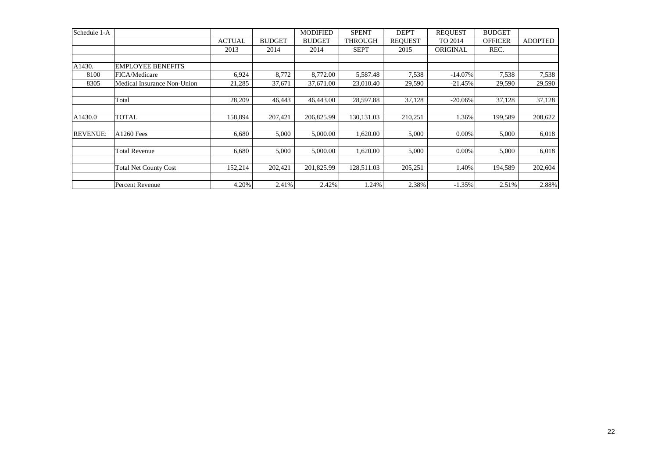| Schedule 1-A    |                              |               |               | <b>MODIFIED</b> | <b>SPENT</b>   | DEP'T          | <b>REQUEST</b> | <b>BUDGET</b>  |                |
|-----------------|------------------------------|---------------|---------------|-----------------|----------------|----------------|----------------|----------------|----------------|
|                 |                              | <b>ACTUAL</b> | <b>BUDGET</b> | <b>BUDGET</b>   | <b>THROUGH</b> | <b>REOUEST</b> | TO 2014        | <b>OFFICER</b> | <b>ADOPTED</b> |
|                 |                              | 2013          | 2014          | 2014            | <b>SEPT</b>    | 2015           | ORIGINAL       | REC.           |                |
|                 |                              |               |               |                 |                |                |                |                |                |
| A1430.          | <b>EMPLOYEE BENEFITS</b>     |               |               |                 |                |                |                |                |                |
| 8100            | FICA/Medicare                | 6,924         | 8,772         | 8,772.00        | 5,587.48       | 7,538          | $-14.07\%$     | 7,538          | 7,538          |
| 8305            | Medical Insurance Non-Union  | 21,285        | 37,671        | 37,671.00       | 23,010.40      | 29,590         | $-21.45%$      | 29,590         | 29,590         |
|                 |                              |               |               |                 |                |                |                |                |                |
|                 | Total                        | 28,209        | 46,443        | 46,443.00       | 28,597.88      | 37,128         | $-20.06%$      | 37,128         | 37,128         |
|                 |                              |               |               |                 |                |                |                |                |                |
| A1430.0         | <b>TOTAL</b>                 | 158,894       | 207,421       | 206,825.99      | 130, 131.03    | 210,251        | 1.36%          | 199,589        | 208,622        |
|                 |                              |               |               |                 |                |                |                |                |                |
| <b>REVENUE:</b> | <b>A1260 Fees</b>            | 6,680         | 5,000         | 5,000.00        | 1,620.00       | 5,000          | 0.00%          | 5,000          | 6,018          |
|                 |                              |               |               |                 |                |                |                |                |                |
|                 | <b>Total Revenue</b>         | 6,680         | 5,000         | 5,000.00        | 1,620.00       | 5,000          | 0.00%          | 5,000          | 6,018          |
|                 |                              |               |               |                 |                |                |                |                |                |
|                 | <b>Total Net County Cost</b> | 152,214       | 202,421       | 201.825.99      | 128,511.03     | 205,251        | 1.40%          | 194,589        | 202,604        |
|                 |                              |               |               |                 |                |                |                |                |                |
|                 | Percent Revenue              | 4.20%         | 2.41%         | 2.42%           | 1.24%          | 2.38%          | $-1.35%$       | 2.51%          | 2.88%          |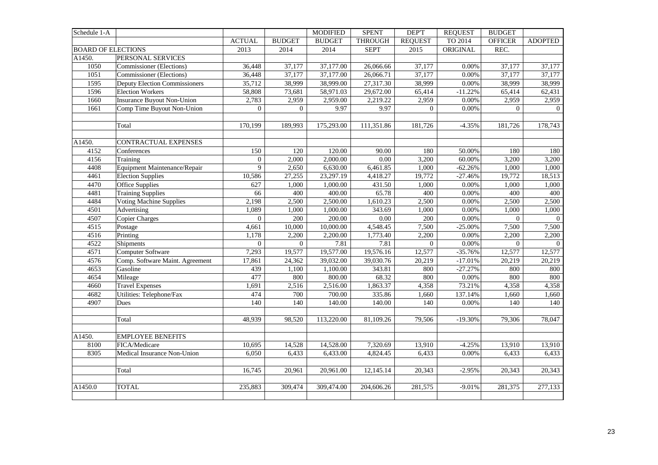| Schedule 1-A              |                                      |                |                | <b>MODIFIED</b> | <b>SPENT</b>      | <b>DEPT</b>      | <b>REQUEST</b> | <b>BUDGET</b>  |                |
|---------------------------|--------------------------------------|----------------|----------------|-----------------|-------------------|------------------|----------------|----------------|----------------|
|                           |                                      | <b>ACTUAL</b>  | <b>BUDGET</b>  | <b>BUDGET</b>   | <b>THROUGH</b>    | <b>REQUEST</b>   | TO 2014        | <b>OFFICER</b> | <b>ADOPTED</b> |
| <b>BOARD OF ELECTIONS</b> |                                      | 2013           | 2014           | 2014            | <b>SEPT</b>       | 2015             | ORIGINAL       | REC.           |                |
| A1450.                    | PERSONAL SERVICES                    |                |                |                 |                   |                  |                |                |                |
| 1050                      | Commissioner (Elections)             | 36,448         | 37,177         | 37,177.00       | 26,066.66         | 37,177           | 0.00%          | 37,177         | 37,177         |
| 1051                      | Commissioner (Elections)             | 36,448         | 37,177         | 37,177.00       | 26,066.71         | 37,177           | 0.00%          | 37,177         | 37,177         |
| 1595                      | <b>Deputy Election Commissioners</b> | 35,712         | 38,999         | 38,999.00       | 27,317.30         | 38,999           | 0.00%          | 38,999         | 38,999         |
| 1596                      | <b>Election Workers</b>              | 58,808         | 73,681         | 58,971.03       | 29,672.00         | 65,414           | $-11.22%$      | 65,414         | 62,431         |
| 1660                      | <b>Insurance Buyout Non-Union</b>    | 2,783          | 2,959          | 2,959.00        | 2,219.22          | 2,959            | 0.00%          | 2,959          | 2,959          |
| 1661                      | Comp Time Buyout Non-Union           | $\overline{0}$ | $\overline{0}$ | 9.97            | 9.97              | $\overline{0}$   | 0.00%          | $\overline{0}$ | $\mathbf{0}$   |
|                           |                                      |                |                |                 |                   |                  |                |                |                |
|                           | Total                                | 170,199        | 189,993        | 175,293.00      | 111,351.86        | 181,726          | $-4.35%$       | 181,726        | 178,743        |
|                           |                                      |                |                |                 |                   |                  |                |                |                |
| A1450.                    | <b>CONTRACTUAL EXPENSES</b>          |                |                |                 |                   |                  |                |                |                |
| 4152                      | Conferences                          | 150            | 120            | 120.00          | 90.00             | 180              | 50.00%         | 180            | 180            |
| 4156                      | Training                             | $\overline{0}$ | 2,000          | 2,000.00        | $\overline{0.00}$ | 3,200            | 60.00%         | 3,200          | 3,200          |
| 4408                      | Equipment Maintenance/Repair         | 9              | 2,650          | 6,630.00        | 6,461.85          | 1,000            | $-62.26%$      | 1,000          | 1,000          |
| 4461                      | <b>Election Supplies</b>             | 10,586         | 27,255         | 23,297.19       | 4,418.27          | 19,772           | $-27.46%$      | 19,772         | 18,513         |
| 4470                      | Office Supplies                      | 627            | 1,000          | 1,000.00        | 431.50            | 1,000            | 0.00%          | 1,000          | 1,000          |
| 4481                      | <b>Training Supplies</b>             | 66             | 400            | 400.00          | 65.78             | 400              | 0.00%          | 400            | 400            |
| 4484                      | <b>Voting Machine Supplies</b>       | 2,198          | 2,500          | 2,500.00        | 1,610.23          | 2,500            | 0.00%          | 2,500          | 2,500          |
| 4501                      | Advertising                          | 1,089          | 1,000          | 1,000.00        | 343.69            | 1,000            | 0.00%          | 1,000          | 1,000          |
| 4507                      | <b>Copier Charges</b>                | $\mathbf{0}$   | 200            | 200.00          | $0.00\,$          | 200              | 0.00%          | $\overline{0}$ | $\mathbf{0}$   |
| 4515                      | Postage                              | 4,661          | 10,000         | 10,000.00       | 4,548.45          | 7,500            | $-25.00\%$     | 7,500          | 7,500          |
| 4516                      | Printing                             | 1,178          | 2,200          | 2,200.00        | 1,773.40          | 2,200            | 0.00%          | 2,200          | 2,200          |
| 4522                      | Shipments                            | $\overline{0}$ | $\overline{0}$ | 7.81            | 7.81              | $\boldsymbol{0}$ | 0.00%          | $\overline{0}$ | $\overline{0}$ |
| 4571                      | Computer Software                    | 7,293          | 19,577         | 19,577.00       | 19,576.16         | 12,577           | $-35.76%$      | 12,577         | 12,577         |
| 4576                      | Comp. Software Maint. Agreement      | 17,861         | 24,362         | 39,032.00       | 39,030.76         | 20,219           | $-17.01%$      | 20,219         | 20,219         |
| 4653                      | Gasoline                             | 439            | 1,100          | 1,100.00        | 343.81            | 800              | $-27.27%$      | 800            | 800            |
| 4654                      | Mileage                              | 477            | 800            | 800.00          | 68.32             | 800              | 0.00%          | 800            | 800            |
| 4660                      | <b>Travel Expenses</b>               | 1,691          | 2,516          | 2,516.00        | 1,863.37          | 4,358            | 73.21%         | 4,358          | 4,358          |
| 4682                      | Utilities: Telephone/Fax             | 474            | 700            | 700.00          | 335.86            | 1,660            | 137.14%        | 1,660          | 1,660          |
| 4907                      | Dues                                 | 140            | 140            | 140.00          | 140.00            | 140              | 0.00%          | 140            | 140            |
|                           |                                      |                |                |                 |                   |                  |                |                |                |
|                           | Total                                | 48,939         | 98,520         | 113,220.00      | 81,109.26         | 79,506           | $-19.30%$      | 79,306         | 78,047         |
| A1450.                    | <b>EMPLOYEE BENEFITS</b>             |                |                |                 |                   |                  |                |                |                |
| 8100                      | FICA/Medicare                        | 10,695         | 14,528         | 14,528.00       | 7,320.69          | 13,910           | $-4.25%$       | 13,910         | 13,910         |
| 8305                      | Medical Insurance Non-Union          | 6,050          | 6,433          | 6,433.00        | 4,824.45          | 6,433            | 0.00%          | 6,433          | 6,433          |
|                           |                                      |                |                |                 |                   |                  |                |                |                |
|                           | Total                                | 16,745         | 20,961         | 20,961.00       | 12,145.14         | 20,343           | $-2.95%$       | 20,343         | 20,343         |
| A1450.0                   | <b>TOTAL</b>                         |                |                |                 |                   |                  | $-9.01%$       |                | 277,133        |
|                           |                                      | 235,883        | 309,474        | 309,474.00      | 204,606.26        | 281,575          |                | 281,375        |                |
|                           |                                      |                |                |                 |                   |                  |                |                |                |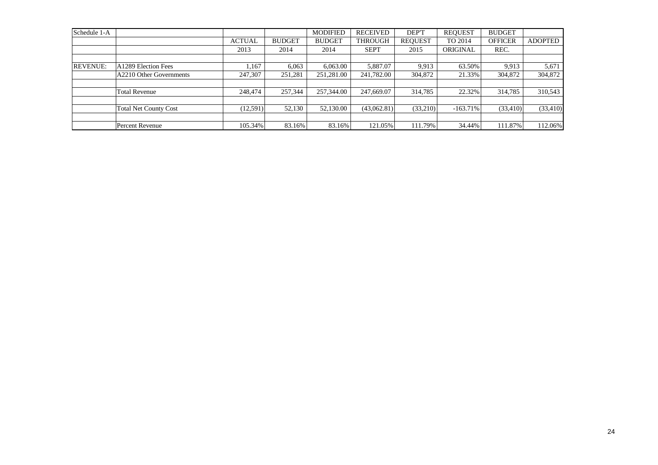| Schedule 1-A    |                              |               |               | <b>MODIFIED</b> | <b>RECEIVED</b> | DEP'T          | <b>REOUEST</b> | <b>BUDGET</b>  |                |
|-----------------|------------------------------|---------------|---------------|-----------------|-----------------|----------------|----------------|----------------|----------------|
|                 |                              | <b>ACTUAL</b> | <b>BUDGET</b> | <b>BUDGET</b>   | <b>THROUGH</b>  | <b>REOUEST</b> | TO 2014        | <b>OFFICER</b> | <b>ADOPTED</b> |
|                 |                              | 2013          | 2014          | 2014            | <b>SEPT</b>     | 2015           | ORIGINAL       | REC.           |                |
|                 |                              |               |               |                 |                 |                |                |                |                |
| <b>REVENUE:</b> | A1289 Election Fees          | .167          | 6.063         | 6,063.00        | 5,887.07        | 9.913          | 63.50%         | 9.913          | 5,671          |
|                 | A2210 Other Governments      | 247,307       | 251,281       | 251,281.00      | 241,782.00      | 304,872        | 21.33%         | 304,872        | 304,872        |
|                 |                              |               |               |                 |                 |                |                |                |                |
|                 | <b>Total Revenue</b>         | 248,474       | 257,344       | 257,344.00      | 247,669.07      | 314,785        | 22.32%         | 314,785        | 310,543        |
|                 |                              |               |               |                 |                 |                |                |                |                |
|                 | <b>Total Net County Cost</b> | (12,591)      | 52,130        | 52,130.00       | (43,062.81)     | (33,210)       | $-163.71%$     | (33, 410)      | (33, 410)      |
|                 |                              |               |               |                 |                 |                |                |                |                |
|                 | Percent Revenue              | 105.34%       | 83.16%        | 83.16%          | 121.05%         | 111.79%        | 34.44%         | 111.87%        | 112.06%        |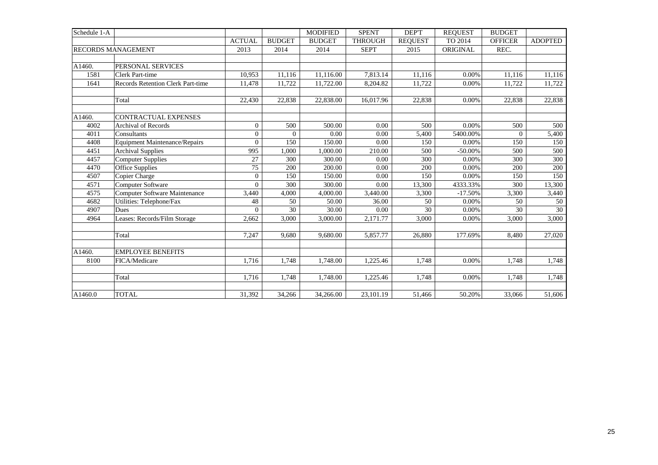| Schedule 1-A |                                      |                |               | <b>MODIFIED</b> | <b>SPENT</b>   | DEP'T          | <b>REOUEST</b> | <b>BUDGET</b>  |                 |
|--------------|--------------------------------------|----------------|---------------|-----------------|----------------|----------------|----------------|----------------|-----------------|
|              |                                      | <b>ACTUAL</b>  | <b>BUDGET</b> | <b>BUDGET</b>   | <b>THROUGH</b> | <b>REQUEST</b> | TO 2014        | <b>OFFICER</b> | <b>ADOPTED</b>  |
|              | <b>RECORDS MANAGEMENT</b>            | 2013           | 2014          | 2014            | <b>SEPT</b>    | 2015           | ORIGINAL       | REC.           |                 |
|              |                                      |                |               |                 |                |                |                |                |                 |
| A1460.       | PERSONAL SERVICES                    |                |               |                 |                |                |                |                |                 |
| 1581         | <b>Clerk Part-time</b>               | 10,953         | 11,116        | 11,116.00       | 7,813.14       | 11,116         | 0.00%          | 11,116         | 11,116          |
| 1641         | Records Retention Clerk Part-time    | 11,478         | 11,722        | 11,722.00       | 8,204.82       | 11,722         | 0.00%          | 11,722         | 11,722          |
|              |                                      |                |               |                 |                |                |                |                |                 |
|              | Total                                | 22,430         | 22,838        | 22,838.00       | 16,017.96      | 22,838         | 0.00%          | 22,838         | 22,838          |
|              |                                      |                |               |                 |                |                |                |                |                 |
| A1460.       | <b>CONTRACTUAL EXPENSES</b>          |                |               |                 |                |                |                |                |                 |
| 4002         | <b>Archival of Records</b>           | $\theta$       | 500           | 500.00          | 0.00           | 500            | 0.00%          | 500            | 500             |
| 4011         | Consultants                          | $\overline{0}$ | $\Omega$      | 0.00            | 0.00           | 5,400          | 5400.00%       | $\Omega$       | 5,400           |
| 4408         | <b>Equipment Maintenance/Repairs</b> | $\Omega$       | 150           | 150.00          | 0.00           | 150            | 0.00%          | 150            | 150             |
| 4451         | <b>Archival Supplies</b>             | 995            | 1,000         | 1,000.00        | 210.00         | 500            | $-50.00\%$     | 500            | 500             |
| 4457         | <b>Computer Supplies</b>             | 27             | 300           | 300.00          | 0.00           | 300            | 0.00%          | 300            | 300             |
| 4470         | <b>Office Supplies</b>               | 75             | 200           | 200.00          | 0.00           | 200            | 0.00%          | 200            | 200             |
| 4507         | Copier Charge                        | $\overline{0}$ | 150           | 150.00          | 0.00           | 150            | $0.00\%$       | 150            | 150             |
| 4571         | Computer Software                    | $\Omega$       | 300           | 300.00          | 0.00           | 13,300         | 4333.33%       | 300            | 13,300          |
| 4575         | <b>Computer Software Maintenance</b> | 3,440          | 4,000         | 4,000.00        | 3,440.00       | 3,300          | $-17.50%$      | 3,300          | 3,440           |
| 4682         | Utilities: Telephone/Fax             | 48             | 50            | 50.00           | 36.00          | 50             | 0.00%          | 50             | 50              |
| 4907         | Dues                                 | $\Omega$       | 30            | 30.00           | 0.00           | 30             | 0.00%          | 30             | $\overline{30}$ |
| 4964         | Leases: Records/Film Storage         | 2,662          | 3,000         | 3,000.00        | 2,171.77       | 3,000          | 0.00%          | 3,000          | 3,000           |
|              |                                      |                |               |                 |                |                |                |                |                 |
|              | Total                                | 7,247          | 9,680         | 9,680.00        | 5,857.77       | 26,880         | 177.69%        | 8,480          | 27,020          |
|              |                                      |                |               |                 |                |                |                |                |                 |
| A1460.       | <b>EMPLOYEE BENEFITS</b>             |                |               |                 |                |                |                |                |                 |
| 8100         | FICA/Medicare                        | 1.716          | 1.748         | 1,748.00        | 1,225.46       | 1.748          | 0.00%          | 1.748          | 1,748           |
|              |                                      |                |               |                 |                |                |                |                |                 |
|              | Total                                | 1,716          | 1,748         | 1,748.00        | 1,225.46       | 1,748          | 0.00%          | 1,748          | 1,748           |
|              |                                      |                |               |                 |                |                |                |                |                 |
| A1460.0      | <b>TOTAL</b>                         | 31,392         | 34,266        | 34,266.00       | 23,101.19      | 51,466         | 50.20%         | 33,066         | 51,606          |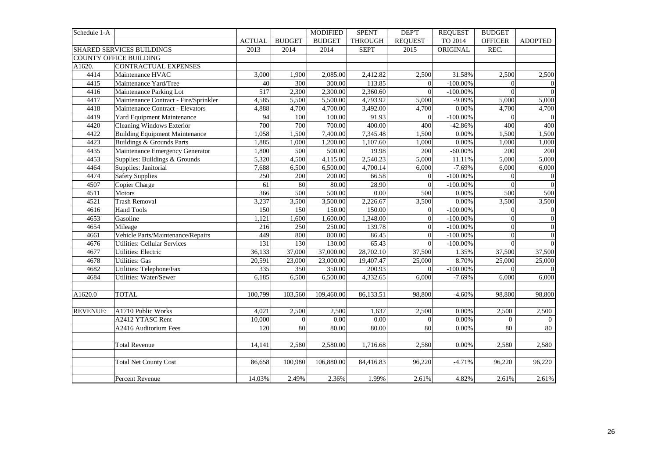| Schedule 1-A |                                       |                 |               | <b>MODIFIED</b> | <b>SPENT</b>   | DEP'T          | <b>REQUEST</b> | <b>BUDGET</b>    |                  |
|--------------|---------------------------------------|-----------------|---------------|-----------------|----------------|----------------|----------------|------------------|------------------|
|              |                                       | <b>ACTUAL</b>   | <b>BUDGET</b> | <b>BUDGET</b>   | <b>THROUGH</b> | <b>REQUEST</b> | TO 2014        | <b>OFFICER</b>   | <b>ADOPTED</b>   |
|              | SHARED SERVICES BUILDINGS             | 2013            | 2014          | 2014            | <b>SEPT</b>    | 2015           | ORIGINAL       | REC.             |                  |
|              | <b>COUNTY OFFICE BUILDING</b>         |                 |               |                 |                |                |                |                  |                  |
| A1620.       | <b>CONTRACTUAL EXPENSES</b>           |                 |               |                 |                |                |                |                  |                  |
| 4414         | Maintenance HVAC                      | 3,000           | 1,900         | 2,085.00        | 2,412.82       | 2,500          | 31.58%         | 2,500            | 2,500            |
| 4415         | Maintenance Yard/Tree                 | 40              | 300           | 300.00          | 113.85         | $\Omega$       | $-100.00\%$    | $\Omega$         | $\boldsymbol{0}$ |
| 4416         | Maintenance Parking Lot               | 517             | 2,300         | 2,300.00        | 2,360.60       | $\Omega$       | $-100.00\%$    | $\Omega$         | $\overline{0}$   |
| 4417         | Maintenance Contract - Fire/Sprinkler | 4,585           | 5,500         | 5,500.00        | 4,793.92       | 5,000          | $-9.09%$       | 5,000            | 5,000            |
| 4418         | Maintenance Contract - Elevators      | 4,888           | 4,700         | 4,700.00        | 3,492.00       | 4,700          | 0.00%          | 4,700            | 4,700            |
| 4419         | Yard Equipment Maintenance            | $\overline{94}$ | 100           | 100.00          | 91.93          | $\theta$       | $-100.00\%$    | $\overline{0}$   | $\overline{0}$   |
| 4420         | <b>Cleaning Windows Exterior</b>      | 700             | 700           | 700.00          | 400.00         | 400            | $-42.86%$      | 400              | 400              |
| 4422         | <b>Building Equipment Maintenance</b> | 1,058           | 1,500         | 7,400.00        | 7,345.48       | 1,500          | 0.00%          | 1,500            | 1,500            |
| 4423         | Buildings & Grounds Parts             | 1,885           | 1,000         | 1,200.00        | 1,107.60       | 1,000          | 0.00%          | 1,000            | 1,000            |
| 4435         | Maintenance Emergency Generator       | 1,800           | 500           | 500.00          | 19.98          | 200            | $-60.00%$      | 200              | 200              |
| 4453         | Supplies: Buildings & Grounds         | 5,320           | 4,500         | 4,115.00        | 2,540.23       | 5,000          | 11.11%         | 5,000            | 5,000            |
| 4464         | Supplies: Janitorial                  | 7,688           | 6,500         | 6,500.00        | 4,700.14       | 6,000          | $-7.69%$       | 6,000            | 6,000            |
| 4474         | <b>Safety Supplies</b>                | 250             | 200           | 200.00          | 66.58          | $\overline{0}$ | $-100.00\%$    | $\overline{0}$   | $\boldsymbol{0}$ |
| 4507         | Copier Charge                         | 61              | 80            | 80.00           | 28.90          | $\theta$       | $-100.00\%$    | $\overline{0}$   | $\overline{0}$   |
| 4511         | <b>Motors</b>                         | 366             | 500           | 500.00          | 0.00           | 500            | 0.00%          | 500              | 500              |
| 4521         | <b>Trash Removal</b>                  | 3,237           | 3,500         | 3,500.00        | 2,226.67       | 3,500          | 0.00%          | 3,500            | 3,500            |
| 4616         | Hand Tools                            | 150             | 150           | 150.00          | 150.00         | $\overline{0}$ | $-100.00\%$    | $\boldsymbol{0}$ | $\mathbf{0}$     |
| 4653         | Gasoline                              | 1,121           | 1,600         | 1,600.00        | 1,348.00       | $\Omega$       | $-100.00\%$    | $\overline{0}$   | $\overline{0}$   |
| 4654         | Mileage                               | 216             | 250           | 250.00          | 139.78         | $\theta$       | $-100.00\%$    | $\mathbf{0}$     | $\overline{0}$   |
| 4661         | Vehicle Parts/Maintenance/Repairs     | 449             | 800           | 800.00          | 86.45          | $\Omega$       | $-100.00\%$    | $\overline{0}$   | $\mathbf{0}$     |
| 4676         | <b>Utilities: Cellular Services</b>   | 131             | 130           | 130.00          | 65.43          | $\Omega$       | $-100.00\%$    | $\theta$         | $\overline{0}$   |
| 4677         | <b>Utilities: Electric</b>            | 36,133          | 37,000        | 37,000.00       | 28,702.10      | 37,500         | 1.35%          | 37,500           | 37,500           |
| 4678         | <b>Utilities:</b> Gas                 | 20,591          | 23,000        | 23,000.00       | 19,407.47      | 25,000         | 8.70%          | 25,000           | 25,000           |
| 4682         | Utilities: Telephone/Fax              | 335             | 350           | 350.00          | 200.93         | $\Omega$       | $-100.00\%$    | $\Omega$         | $\mathbf{0}$     |
| 4684         | Utilities: Water/Sewer                | 6,185           | 6,500         | 6,500.00        | 4,332.65       | 6,000          | $-7.69%$       | 6,000            | 6,000            |
|              |                                       |                 |               |                 |                |                |                |                  |                  |
| A1620.0      | <b>TOTAL</b>                          | 100,799         | 103,560       | 109,460.00      | 86,133.51      | 98,800         | $-4.60%$       | 98,800           | 98,800           |
|              |                                       |                 |               |                 |                |                |                |                  |                  |
| REVENUE:     | A1710 Public Works                    | 4,021           | 2,500         | 2,500           | 1,637          | 2,500          | 0.00%          | 2,500            | 2,500            |
|              | A2412 YTASC Rent                      | 10,000          | $\Omega$      | 0.00            | 0.00           | $\theta$       | 0.00%          | $\overline{0}$   | $\overline{0}$   |
|              | A2416 Auditorium Fees                 | 120             | 80            | 80.00           | 80.00          | 80             | 0.00%          | 80               | 80               |
|              |                                       |                 |               |                 |                |                |                |                  |                  |
|              | <b>Total Revenue</b>                  | 14,141          | 2,580         | 2,580.00        | 1,716.68       | 2,580          | 0.00%          | 2,580            | 2,580            |
|              |                                       |                 |               |                 |                |                |                |                  |                  |
|              | <b>Total Net County Cost</b>          | 86,658          | 100,980       | 106,880.00      | 84,416.83      | 96,220         | $-4.71%$       | 96,220           | 96,220           |
|              |                                       |                 |               |                 |                |                |                |                  |                  |
|              | Percent Revenue                       | 14.03%          | 2.49%         | 2.36%           | 1.99%          | 2.61%          | 4.82%          | 2.61%            | 2.61%            |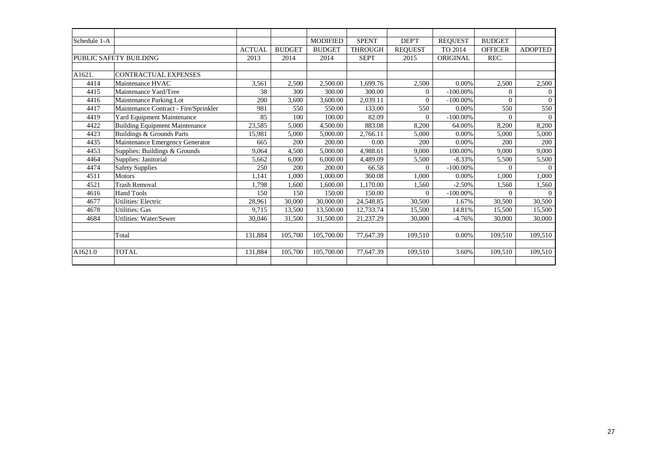| Schedule 1-A |                                       |               |               | <b>MODIFIED</b> | <b>SPENT</b>   | DEP'T          | <b>REQUEST</b> | <b>BUDGET</b>  |                |
|--------------|---------------------------------------|---------------|---------------|-----------------|----------------|----------------|----------------|----------------|----------------|
|              |                                       | <b>ACTUAL</b> | <b>BUDGET</b> | <b>BUDGET</b>   | <b>THROUGH</b> | <b>REQUEST</b> | TO 2014        | <b>OFFICER</b> | <b>ADOPTED</b> |
|              | PUBLIC SAFETY BUILDING                | 2013          | 2014          | 2014            | <b>SEPT</b>    | 2015           | ORIGINAL       | REC.           |                |
|              |                                       |               |               |                 |                |                |                |                |                |
| A1621.       | CONTRACTUAL EXPENSES                  |               |               |                 |                |                |                |                |                |
| 4414         | Maintenance HVAC                      | 3,561         | 2,500         | 2,500.00        | 1,699.76       | 2,500          | 0.00%          | 2,500          | 2,500          |
| 4415         | Maintenance Yard/Tree                 | 38            | 300           | 300.00          | 300.00         | $\Omega$       | $-100.00\%$    | $\theta$       |                |
| 4416         | Maintenance Parking Lot               | 200           | 3,600         | 3,600.00        | 2,039.11       | $\Omega$       | $-100.00\%$    | $\Omega$       | $\Omega$       |
| 4417         | Maintenance Contract - Fire/Sprinkler | 981           | 550           | 550.00          | 133.00         | 550            | 0.00%          | 550            | 550            |
| 4419         | Yard Equipment Maintenance            | 85            | 100           | 100.00          | 82.09          | $\Omega$       | $-100.00\%$    | $\theta$       | $\Omega$       |
| 4422         | <b>Building Equipment Maintenance</b> | 23,585        | 5,000         | 4,500.00        | 883.08         | 8,200          | 64.00%         | 8,200          | 8,200          |
| 4423         | Buildings & Grounds Parts             | 15,981        | 5,000         | 5,000.00        | 2,766.11       | 5,000          | 0.00%          | 5,000          | 5,000          |
| 4435         | Maintenance Emergency Generator       | 665           | 200           | 200.00          | 0.00           | 200            | 0.00%          | 200            | 200            |
| 4453         | Supplies: Buildings & Grounds         | 9,064         | 4,500         | 5,000.00        | 4,988.61       | 9,000          | 100.00%        | 9,000          | 9,000          |
| 4464         | Supplies: Janitorial                  | 5,662         | 6,000         | 6,000.00        | 4,489.09       | 5,500          | $-8.33%$       | 5,500          | 5,500          |
| 4474         | <b>Safety Supplies</b>                | 250           | 200           | 200.00          | 66.58          | $\Omega$       | $-100.00\%$    | $\Omega$       | $\Omega$       |
| 4511         | <b>Motors</b>                         | 1.141         | 1.000         | 1,000.00        | 360.08         | 1,000          | 0.00%          | 1,000          | 1,000          |
| 4521         | <b>Trash Removal</b>                  | 1,798         | 1,600         | 1,600.00        | 1,170.00       | 1,560          | $-2.50%$       | 1,560          | 1,560          |
| 4616         | <b>Hand Tools</b>                     | 150           | 150           | 150.00          | 150.00         | $\Omega$       | $-100.00\%$    | $\Omega$       |                |
| 4677         | Utilities: Electric                   | 28,961        | 30,000        | 30,000.00       | 24,548.85      | 30,500         | 1.67%          | 30,500         | 30,500         |
| 4678         | <b>Utilities: Gas</b>                 | 9,715         | 13,500        | 13,500.00       | 12,733.74      | 15,500         | 14.81%         | 15,500         | 15,500         |
| 4684         | Utilities: Water/Sewer                | 30,046        | 31,500        | 31,500.00       | 21,237.29      | 30,000         | $-4.76%$       | 30,000         | 30,000         |
|              |                                       |               |               |                 |                |                |                |                |                |
|              | Total                                 | 131,884       | 105,700       | 105,700.00      | 77,647.39      | 109,510        | 0.00%          | 109,510        | 109,510        |
|              |                                       |               |               |                 |                |                |                |                |                |
| A1621.0      | <b>TOTAL</b>                          | 131,884       | 105,700       | 105,700.00      | 77,647.39      | 109,510        | 3.60%          | 109,510        | 109,510        |
|              |                                       |               |               |                 |                |                |                |                |                |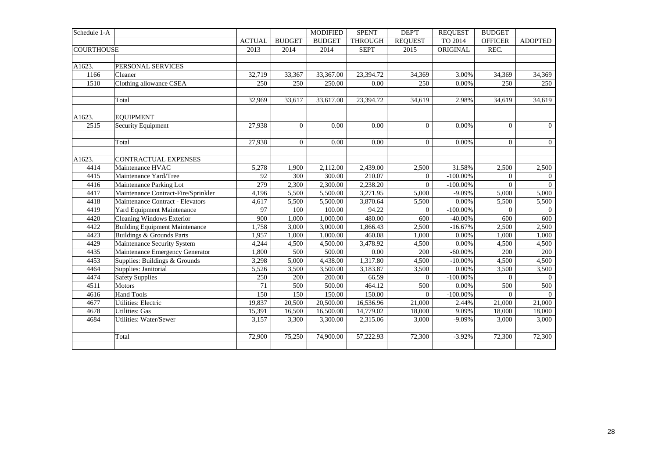| Schedule 1-A      |                                       |                 |                | <b>MODIFIED</b> | <b>SPENT</b>   | DEP'T          | <b>REQUEST</b> | <b>BUDGET</b>  |                |
|-------------------|---------------------------------------|-----------------|----------------|-----------------|----------------|----------------|----------------|----------------|----------------|
|                   |                                       | <b>ACTUAL</b>   | <b>BUDGET</b>  | <b>BUDGET</b>   | <b>THROUGH</b> | <b>REQUEST</b> | TO 2014        | <b>OFFICER</b> | <b>ADOPTED</b> |
| <b>COURTHOUSE</b> |                                       | 2013            | 2014           | 2014            | <b>SEPT</b>    | 2015           | ORIGINAL       | REC.           |                |
|                   |                                       |                 |                |                 |                |                |                |                |                |
| A1623.            | PERSONAL SERVICES                     |                 |                |                 |                |                |                |                |                |
| 1166              | Cleaner                               | 32,719          | 33,367         | 33,367.00       | 23,394.72      | 34,369         | 3.00%          | 34,369         | 34,369         |
| 1510              | Clothing allowance CSEA               | 250             | 250            | 250.00          | 0.00           | 250            | 0.00%          | 250            | 250            |
|                   |                                       |                 |                |                 |                |                |                |                |                |
|                   | Total                                 | 32,969          | 33,617         | 33,617.00       | 23,394.72      | 34,619         | 2.98%          | 34,619         | 34,619         |
|                   |                                       |                 |                |                 |                |                |                |                |                |
| A1623.            | <b>EQUIPMENT</b>                      |                 |                |                 |                |                |                |                |                |
| 2515              | Security Equipment                    | 27,938          | $\overline{0}$ | 0.00            | 0.00           | $\overline{0}$ | 0.00%          | $\overline{0}$ | $\overline{0}$ |
|                   |                                       |                 |                |                 |                |                |                |                |                |
|                   | Total                                 | 27,938          | $\mathbf{0}$   | 0.00            | 0.00           | $\overline{0}$ | 0.00%          | $\theta$       | $\overline{0}$ |
|                   |                                       |                 |                |                 |                |                |                |                |                |
| A1623.            | CONTRACTUAL EXPENSES                  |                 |                |                 |                |                |                |                |                |
| 4414              | Maintenance HVAC                      | 5,278           | 1,900          | 2,112.00        | 2,439.00       | 2,500          | 31.58%         | 2,500          | 2,500          |
| 4415              | Maintenance Yard/Tree                 | 92              | 300            | 300.00          | 210.07         | $\overline{0}$ | $-100.00\%$    | $\overline{0}$ | $\overline{0}$ |
| 4416              | Maintenance Parking Lot               | 279             | 2,300          | 2,300.00        | 2,238.20       | $\Omega$       | $-100.00\%$    | $\theta$       | $\Omega$       |
| 4417              | Maintenance Contract-Fire/Sprinkler   | 4,196           | 5,500          | 5,500.00        | 3,271.95       | 5,000          | $-9.09%$       | 5,000          | 5,000          |
| 4418              | Maintenance Contract - Elevators      | 4,617           | 5,500          | 5,500.00        | 3,870.64       | 5,500          | 0.00%          | 5,500          | 5,500          |
| 4419              | Yard Equipment Maintenance            | $\overline{97}$ | 100            | 100.00          | 94.22          | $\mathbf{0}$   | $-100.00\%$    | $\Omega$       | $\Omega$       |
| 4420              | <b>Cleaning Windows Exterior</b>      | 900             | 1,000          | 1,000.00        | 480.00         | 600            | $-40.00%$      | 600            | 600            |
| 4422              | <b>Building Equipment Maintenance</b> | 1,758           | 3,000          | 3,000.00        | 1,866.43       | 2,500          | $-16.67%$      | 2,500          | 2,500          |
| 4423              | <b>Buildings &amp; Grounds Parts</b>  | 1,957           | 1,000          | 1,000.00        | 460.08         | 1,000          | 0.00%          | 1,000          | 1,000          |
| 4429              | Maintenance Security System           | 4,244           | 4,500          | 4,500.00        | 3,478.92       | 4,500          | 0.00%          | 4,500          | 4,500          |
| 4435              | Maintenance Emergency Generator       | 1,800           | 500            | 500.00          | $0.00\,$       | 200            | $-60.00\%$     | 200            | 200            |
| 4453              | Supplies: Buildings & Grounds         | 3,298           | 5,000          | 4,438.00        | 1,317.80       | 4,500          | $-10.00\%$     | 4,500          | 4,500          |
| 4464              | Supplies: Janitorial                  | 5,526           | 3,500          | 3,500.00        | 3,183.87       | 3,500          | 0.00%          | 3,500          | 3,500          |
| 4474              | <b>Safety Supplies</b>                | 250             | 200            | 200.00          | 66.59          | $\overline{0}$ | $-100.00\%$    | $\theta$       | $\Omega$       |
| 4511              | Motors                                | 71              | 500            | 500.00          | 464.12         | 500            | 0.00%          | 500            | 500            |
| 4616              | <b>Hand Tools</b>                     | 150             | 150            | 150.00          | 150.00         | $\overline{0}$ | $-100.00\%$    | $\Omega$       | $\Omega$       |
| 4677              | <b>Utilities: Electric</b>            | 19,837          | 20,500         | 20,500.00       | 16,536.96      | 21,000         | 2.44%          | 21,000         | 21,000         |
| 4678              | <b>Utilities: Gas</b>                 | 15,391          | 16,500         | 16,500.00       | 14,779.02      | 18,000         | 9.09%          | 18,000         | 18,000         |
| 4684              | <b>Utilities: Water/Sewer</b>         | 3,157           | 3,300          | 3,300.00        | 2,315.06       | 3,000          | $-9.09%$       | 3,000          | 3,000          |
|                   |                                       |                 |                |                 |                |                |                |                |                |
|                   | Total                                 | 72,900          | 75,250         | 74,900.00       | 57,222.93      | 72,300         | $-3.92%$       | 72,300         | 72,300         |
|                   |                                       |                 |                |                 |                |                |                |                |                |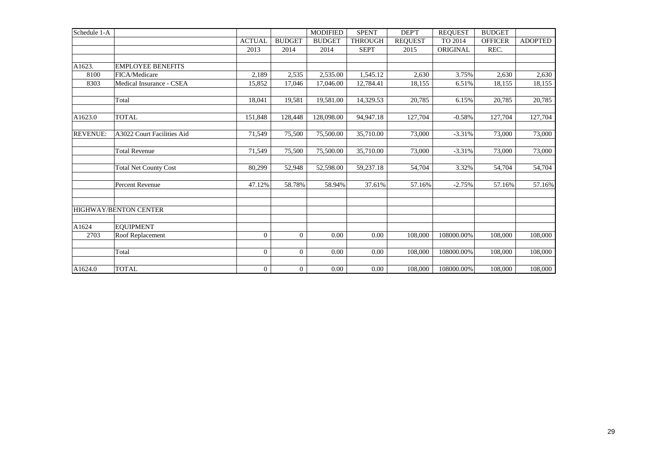| Schedule 1-A    |                              |                |                | <b>MODIFIED</b> | <b>SPENT</b>   | DEP'T          | <b>REOUEST</b> | <b>BUDGET</b>  |                |
|-----------------|------------------------------|----------------|----------------|-----------------|----------------|----------------|----------------|----------------|----------------|
|                 |                              | <b>ACTUAL</b>  | <b>BUDGET</b>  | <b>BUDGET</b>   | <b>THROUGH</b> | <b>REQUEST</b> | TO 2014        | <b>OFFICER</b> | <b>ADOPTED</b> |
|                 |                              | 2013           | 2014           | 2014            | <b>SEPT</b>    | 2015           | ORIGINAL       | REC.           |                |
|                 |                              |                |                |                 |                |                |                |                |                |
| A1623.          | <b>EMPLOYEE BENEFITS</b>     |                |                |                 |                |                |                |                |                |
| 8100            | FICA/Medicare                | 2,189          | 2,535          | 2,535.00        | 1.545.12       | 2,630          | 3.75%          | 2,630          | 2,630          |
| 8303            | Medical Insurance - CSEA     | 15,852         | 17,046         | 17,046.00       | 12,784.41      | 18,155         | 6.51%          | 18,155         | 18,155         |
|                 |                              |                |                |                 |                |                |                |                |                |
|                 | Total                        | 18,041         | 19,581         | 19,581.00       | 14,329.53      | 20,785         | 6.15%          | 20,785         | 20,785         |
|                 |                              |                |                |                 |                |                |                |                |                |
| A1623.0         | <b>TOTAL</b>                 | 151,848        | 128,448        | 128,098.00      | 94,947.18      | 127,704        | $-0.58%$       | 127,704        | 127,704        |
|                 |                              |                |                |                 |                |                |                |                |                |
| <b>REVENUE:</b> | A3022 Court Facilities Aid   | 71,549         | 75,500         | 75,500.00       | 35,710.00      | 73,000         | $-3.31%$       | 73,000         | 73,000         |
|                 |                              |                |                |                 |                |                |                |                |                |
|                 | <b>Total Revenue</b>         | 71,549         | 75,500         | 75,500.00       | 35,710.00      | 73,000         | $-3.31%$       | 73,000         | 73,000         |
|                 |                              |                |                |                 |                |                |                |                |                |
|                 | <b>Total Net County Cost</b> | 80,299         | 52,948         | 52,598.00       | 59,237.18      | 54,704         | 3.32%          | 54,704         | 54,704         |
|                 |                              |                |                |                 |                |                |                |                |                |
|                 | <b>Percent Revenue</b>       | 47.12%         | 58.78%         | 58.94%          | 37.61%         | 57.16%         | $-2.75%$       | 57.16%         | 57.16%         |
|                 |                              |                |                |                 |                |                |                |                |                |
|                 |                              |                |                |                 |                |                |                |                |                |
|                 | <b>HIGHWAY/BENTON CENTER</b> |                |                |                 |                |                |                |                |                |
|                 |                              |                |                |                 |                |                |                |                |                |
| A1624           | <b>EQUIPMENT</b>             |                |                |                 |                |                |                |                |                |
| 2703            | Roof Replacement             | $\mathbf{0}$   | $\overline{0}$ | 0.00            | $0.00\,$       | 108,000        | 108000.00%     | 108,000        | 108,000        |
|                 |                              |                |                |                 |                |                |                |                |                |
|                 | Total                        | $\Omega$       | $\overline{0}$ | 0.00            | 0.00           | 108,000        | 108000.00%     | 108,000        | 108,000        |
|                 |                              |                |                |                 |                |                |                |                |                |
| A1624.0         | <b>TOTAL</b>                 | $\overline{0}$ | $\overline{0}$ | 0.00            | 0.00           | 108,000        | 108000.00%     | 108,000        | 108,000        |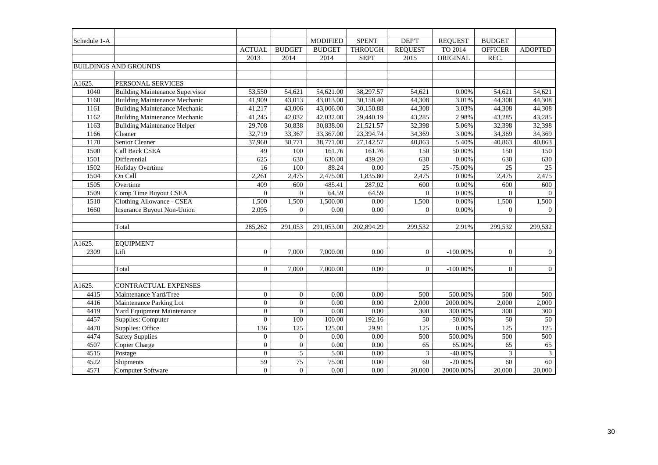| Schedule 1-A   |                                        |                  |                  | <b>MODIFIED</b>   | <b>SPENT</b>      | DEP'T           | <b>REQUEST</b> | <b>BUDGET</b>    |                 |
|----------------|----------------------------------------|------------------|------------------|-------------------|-------------------|-----------------|----------------|------------------|-----------------|
|                |                                        | <b>ACTUAL</b>    | <b>BUDGET</b>    | <b>BUDGET</b>     | <b>THROUGH</b>    | <b>REQUEST</b>  | TO 2014        | <b>OFFICER</b>   | <b>ADOPTED</b>  |
|                |                                        | 2013             | 2014             | 2014              | <b>SEPT</b>       | 2015            | ORIGINAL       | REC.             |                 |
|                | <b>BUILDINGS AND GROUNDS</b>           |                  |                  |                   |                   |                 |                |                  |                 |
|                |                                        |                  |                  |                   |                   |                 |                |                  |                 |
| A1625.         | PERSONAL SERVICES                      |                  |                  |                   |                   |                 |                |                  |                 |
| 1040           | <b>Building Maintenance Supervisor</b> | 53,550           | 54,621           | 54,621.00         | 38,297.57         | 54,621          | 0.00%          | 54,621           | 54.621          |
| 1160           | <b>Building Maintenance Mechanic</b>   | 41,909           | 43,013           | 43,013.00         | 30,158.40         | 44,308          | 3.01%          | 44,308           | 44,308          |
| 1161           | <b>Building Maintenance Mechanic</b>   | 41,217           | 43,006           | 43,006.00         | 30,150.88         | 44,308          | 3.03%          | 44,308           | 44,308          |
| 1162           | <b>Building Maintenance Mechanic</b>   | 41,245           | 42,032           | 42,032.00         | 29,440.19         | 43,285          | 2.98%          | 43,285           | 43,285          |
| 1163           | <b>Building Maintenance Helper</b>     | 29,708           | 30,838           | 30,838.00         | 21,521.57         | 32,398          | 5.06%          | 32,398           | 32,398          |
| 1166           | Cleaner                                | 32,719           | 33,367           | 33,367.00         | 23,394.74         | 34,369          | 3.00%          | 34,369           | 34,369          |
| 1170           | Senior Cleaner                         | 37,960           | 38,771           | 38,771.00         | 27,142.57         | 40,863          | 5.40%          | 40,863           | 40,863          |
| 1500           | Call Back CSEA                         | 49               | 100              | 161.76            | 161.76            | 150             | 50.00%         | 150              | 150             |
| 1501           | Differential                           | 625              | 630              | 630.00            | 439.20            | 630             | 0.00%          | 630              | 630             |
| 1502           | Holiday Overtime                       | 16               | 100              | 88.24             | $\overline{0.00}$ | $\overline{25}$ | $-75.00\%$     | $\overline{25}$  | $\overline{25}$ |
| 1504           | On Call                                | 2,261            | 2,475            | 2,475.00          | 1,835.80          | 2,475           | 0.00%          | 2,475            | 2,475           |
| 1505           | Overtime                               | 409              | 600              | 485.41            | 287.02            | 600             | 0.00%          | 600              | 600             |
| 1509           | Comp Time Buyout CSEA                  | $\Omega$         | $\overline{0}$   | 64.59             | 64.59             | $\Omega$        | 0.00%          | $\Omega$         | $\overline{0}$  |
| 1510           | Clothing Allowance - CSEA              | 1,500            | 1,500            | 1,500.00          | 0.00              | 1,500           | 0.00%          | 1,500            | 1,500           |
| 1660           | <b>Insurance Buyout Non-Union</b>      | 2,095            | $\Omega$         | 0.00              | 0.00              | $\overline{0}$  | 0.00%          | $\Omega$         | $\overline{0}$  |
|                |                                        |                  |                  |                   |                   |                 |                |                  |                 |
|                | Total                                  | 285,262          | 291,053          | 291,053.00        | 202,894.29        | 299,532         | 2.91%          | 299,532          | 299,532         |
|                |                                        |                  |                  |                   |                   |                 |                |                  |                 |
| A1625.<br>2309 | <b>EQUIPMENT</b><br>Lift               | $\overline{0}$   |                  |                   | 0.00              | $\Omega$        |                | $\overline{0}$   | $\overline{0}$  |
|                |                                        |                  | 7,000            | 7,000.00          |                   |                 | $-100.00\%$    |                  |                 |
|                | Total                                  | $\overline{0}$   | 7,000            | 7,000.00          | 0.00              | $\overline{0}$  | $-100.00\%$    | $\overline{0}$   | $\overline{0}$  |
| A1625.         | CONTRACTUAL EXPENSES                   |                  |                  |                   |                   |                 |                |                  |                 |
| 4415           | Maintenance Yard/Tree                  | $\overline{0}$   | $\mathbf{0}$     | 0.00              | 0.00              | 500             | 500.00%        | 500              | 500             |
| 4416           | Maintenance Parking Lot                | $\overline{0}$   | $\boldsymbol{0}$ | 0.00              | $0.00\,$          | 2,000           | 2000.00%       | 2,000            | 2,000           |
| 4419           | Yard Equipment Maintenance             | $\overline{0}$   | $\theta$         | 0.00              | 0.00              | 300             | 300.00%        | 300              | 300             |
| 4457           | Supplies: Computer                     | $\overline{0}$   | 100              | 100.00            | 192.16            | 50              | $-50.00%$      | $\overline{50}$  | $\overline{50}$ |
| 4470           | Supplies: Office                       | 136              | 125              | 125.00            | 29.91             | 125             | 0.00%          | $\overline{125}$ | 125             |
| 4474           | <b>Safety Supplies</b>                 | $\boldsymbol{0}$ | $\overline{0}$   | 0.00              | 0.00              | 500             | 500.00%        | 500              | 500             |
| 4507           | Copier Charge                          | $\overline{0}$   | $\overline{0}$   | 0.00              | 0.00              | 65              | 65.00%         | 65               | 65              |
| 4515           | Postage                                | $\boldsymbol{0}$ | $\overline{5}$   | $\overline{5.00}$ | $0.00\,$          | $\overline{3}$  | $-40.00\%$     | 3                | $\sqrt{3}$      |
| 4522           | Shipments                              | 59               | $\overline{75}$  | 75.00             | 0.00              | 60              | $-20.00%$      | 60               | 60              |
| 4571           | Computer Software                      | $\overline{0}$   | $\overline{0}$   | 0.00              | 0.00              | 20,000          | 20000.00%      | 20,000           | 20,000          |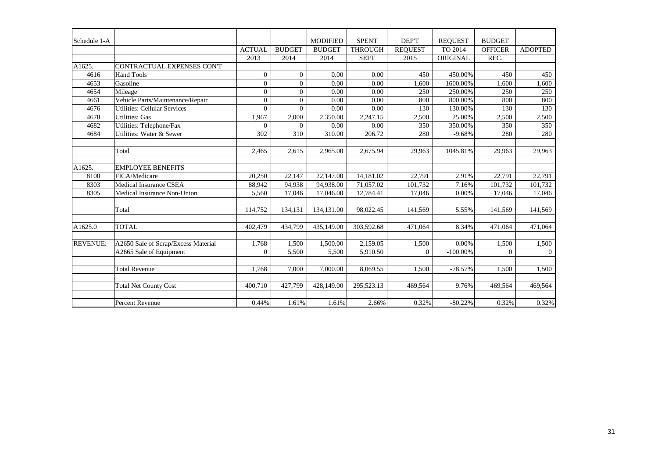| Schedule 1-A    |                                     |                |                | <b>MODIFIED</b> | <b>SPENT</b>   | DEP'T          | <b>REQUEST</b> | <b>BUDGET</b>  |                |
|-----------------|-------------------------------------|----------------|----------------|-----------------|----------------|----------------|----------------|----------------|----------------|
|                 |                                     | <b>ACTUAL</b>  | <b>BUDGET</b>  | <b>BUDGET</b>   | <b>THROUGH</b> | <b>REQUEST</b> | TO 2014        | <b>OFFICER</b> | <b>ADOPTED</b> |
|                 |                                     | 2013           | 2014           | 2014            | <b>SEPT</b>    | 2015           | ORIGINAL       | REC.           |                |
| A1625.          | CONTRACTUAL EXPENSES CON'T          |                |                |                 |                |                |                |                |                |
| 4616            | <b>Hand Tools</b>                   | $\Omega$       | $\Omega$       | 0.00            | 0.00           | 450            | 450.00%        | 450            | 450            |
| 4653            | Gasoline                            | $\overline{0}$ | $\overline{0}$ | 0.00            | $0.00\,$       | 1,600          | 1600.00%       | 1,600          | 1,600          |
| 4654            | Mileage                             | $\overline{0}$ | $\theta$       | 0.00            | 0.00           | 250            | 250.00%        | 250            | 250            |
| 4661            | Vehicle Parts/Maintenance/Repair    | $\overline{0}$ | $\overline{0}$ | 0.00            | 0.00           | 800            | 800.00%        | 800            | 800            |
| 4676            | <b>Utilities: Cellular Services</b> | $\Omega$       | $\Omega$       | 0.00            | 0.00           | 130            | 130.00%        | 130            | 130            |
| 4678            | <b>Utilities: Gas</b>               | 1,967          | 2,000          | 2,350.00        | 2,247.15       | 2,500          | 25.00%         | 2,500          | 2,500          |
| 4682            | Utilities: Telephone/Fax            | $\Omega$       | $\overline{0}$ | 0.00            | 0.00           | 350            | 350.00%        | 350            | 350            |
| 4684            | Utilities: Water & Sewer            | 302            | 310            | 310.00          | 206.72         | 280            | $-9.68%$       | 280            | 280            |
|                 |                                     |                |                |                 |                |                |                |                |                |
|                 | Total                               | 2,465          | 2,615          | 2,965.00        | 2,675.94       | 29,963         | 1045.81%       | 29,963         | 29,963         |
|                 |                                     |                |                |                 |                |                |                |                |                |
| A1625.          | <b>EMPLOYEE BENEFITS</b>            |                |                |                 |                |                |                |                |                |
| 8100            | FICA/Medicare                       | 20,250         | 22,147         | 22,147.00       | 14,181.02      | 22,791         | 2.91%          | 22,791         | 22,791         |
| 8303            | <b>Medical Insurance CSEA</b>       | 88,942         | 94,938         | 94,938.00       | 71.057.02      | 101,732        | 7.16%          | 101,732        | 101,732        |
| 8305            | Medical Insurance Non-Union         | 5,560          | 17,046         | 17,046.00       | 12,784.41      | 17,046         | 0.00%          | 17,046         | 17,046         |
|                 |                                     |                |                |                 |                |                |                |                |                |
|                 | Total                               | 114,752        | 134,131        | 134,131.00      | 98,022.45      | 141,569        | 5.55%          | 141,569        | 141,569        |
|                 |                                     |                |                |                 |                |                |                |                |                |
| A1625.0         | <b>TOTAL</b>                        | 402,479        | 434,799        | 435,149.00      | 303,592.68     | 471,064        | 8.34%          | 471,064        | 471,064        |
|                 |                                     |                |                |                 |                |                |                |                |                |
| <b>REVENUE:</b> | A2650 Sale of Scrap/Excess Material | 1,768          | 1,500          | 1,500.00        | 2,159.05       | 1,500          | 0.00%          | 1,500          | 1,500          |
|                 | A2665 Sale of Equipment             | $\Omega$       | 5,500          | 5,500           | 5,910.50       | $\mathbf{0}$   | $-100.00\%$    | $\theta$       | $\Omega$       |
|                 |                                     |                |                |                 |                |                |                |                |                |
|                 | <b>Total Revenue</b>                | 1.768          | 7.000          | 7,000.00        | 8,069.55       | 1,500          | $-78.57%$      | 1.500          | 1,500          |
|                 |                                     |                |                |                 |                |                |                |                |                |
|                 | <b>Total Net County Cost</b>        | 400.710        | 427,799        | 428,149.00      | 295,523.13     | 469,564        | 9.76%          | 469,564        | 469,564        |
|                 |                                     |                |                |                 |                |                |                |                |                |
|                 | Percent Revenue                     | 0.44%          | 1.61%          | 1.61%           | 2.66%          | 0.32%          | $-80.22%$      | 0.32%          | 0.32%          |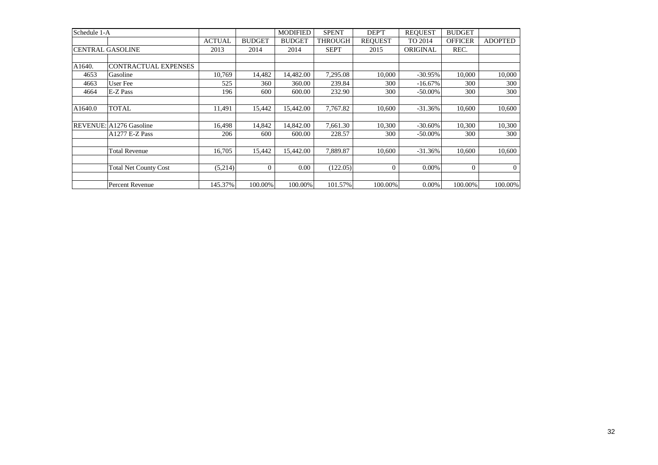| Schedule 1-A |                              |               |                | <b>MODIFIED</b> | <b>SPENT</b>   | DEP'T          | <b>REQUEST</b> | <b>BUDGET</b>  |                |
|--------------|------------------------------|---------------|----------------|-----------------|----------------|----------------|----------------|----------------|----------------|
|              |                              | <b>ACTUAL</b> | <b>BUDGET</b>  | <b>BUDGET</b>   | <b>THROUGH</b> | <b>REOUEST</b> | TO 2014        | <b>OFFICER</b> | <b>ADOPTED</b> |
|              | <b>CENTRAL GASOLINE</b>      | 2013          | 2014           | 2014            | <b>SEPT</b>    | 2015           | ORIGINAL       | REC.           |                |
|              |                              |               |                |                 |                |                |                |                |                |
| A1640.       | CONTRACTUAL EXPENSES         |               |                |                 |                |                |                |                |                |
| 4653         | Gasoline                     | 10.769        | 14,482         | 14.482.00       | 7.295.08       | 10.000         | $-30.95%$      | 10.000         | 10,000         |
| 4663         | User Fee                     | 525           | 360            | 360.00          | 239.84         | 300            | $-16.67%$      | 300            | 300            |
| 4664         | E-Z Pass                     | 196           | 600            | 600.00          | 232.90         | 300            | $-50.00\%$     | 300            | 300            |
|              |                              |               |                |                 |                |                |                |                |                |
| A1640.0      | <b>TOTAL</b>                 | 11,491        | 15,442         | 15,442.00       | 7,767.82       | 10,600         | $-31.36%$      | 10.600         | 10,600         |
|              |                              |               |                |                 |                |                |                |                |                |
|              | REVENUE: A1276 Gasoline      | 16,498        | 14,842         | 14,842.00       | 7,661.30       | 10,300         | $-30.60\%$     | 10,300         | 10,300         |
|              | $A1277 E-Z Pass$             | 206           | 600            | 600.00          | 228.57         | 300            | $-50.00\%$     | 300            | 300            |
|              |                              |               |                |                 |                |                |                |                |                |
|              | <b>Total Revenue</b>         | 16.705        | 15.442         | 15.442.00       | 7,889.87       | 10.600         | $-31.36%$      | 10.600         | 10,600         |
|              |                              |               |                |                 |                |                |                |                |                |
|              | <b>Total Net County Cost</b> | (5,214)       | $\overline{0}$ | 0.00            | (122.05)       | $\theta$       | 0.00%          |                | $\overline{0}$ |
|              |                              |               |                |                 |                |                |                |                |                |
|              | Percent Revenue              | 145.37%       | 100.00%        | 100.00%         | 101.57%        | 100.00%        | 0.00%          | 100.00%        | 100.00%        |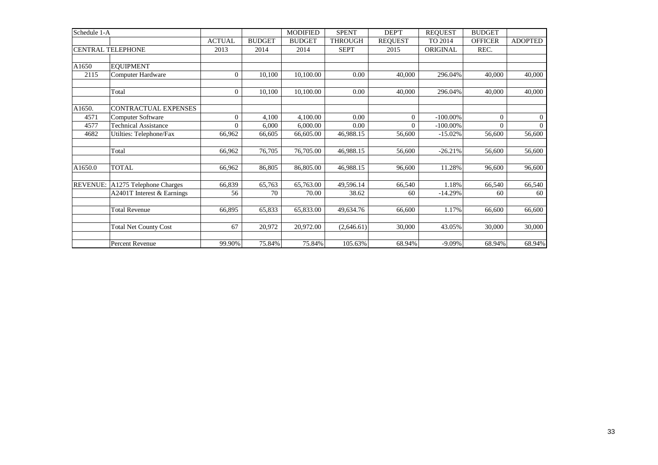| Schedule 1-A    |                              |               |               | <b>MODIFIED</b> | <b>SPENT</b>   | DEP'T          | <b>REOUEST</b> | <b>BUDGET</b>  |                |
|-----------------|------------------------------|---------------|---------------|-----------------|----------------|----------------|----------------|----------------|----------------|
|                 |                              | <b>ACTUAL</b> | <b>BUDGET</b> | <b>BUDGET</b>   | <b>THROUGH</b> | <b>REQUEST</b> | TO 2014        | <b>OFFICER</b> | <b>ADOPTED</b> |
|                 | <b>CENTRAL TELEPHONE</b>     | 2013          | 2014          | 2014            | <b>SEPT</b>    | 2015           | ORIGINAL       | REC.           |                |
|                 |                              |               |               |                 |                |                |                |                |                |
| A1650           | <b>EOUIPMENT</b>             |               |               |                 |                |                |                |                |                |
| 2115            | <b>Computer Hardware</b>     | $\theta$      | 10,100        | 10,100.00       | 0.00           | 40,000         | 296.04%        | 40,000         | 40,000         |
|                 |                              |               |               |                 |                |                |                |                |                |
|                 | Total                        | $\theta$      | 10,100        | 10,100.00       | 0.00           | 40,000         | 296.04%        | 40,000         | 40,000         |
|                 |                              |               |               |                 |                |                |                |                |                |
| A1650.          | <b>CONTRACTUAL EXPENSES</b>  |               |               |                 |                |                |                |                |                |
| 4571            | <b>Computer Software</b>     | $\Omega$      | 4,100         | 4,100.00        | 0.00           | $\Omega$       | $-100.00\%$    | $\Omega$       | $\overline{0}$ |
| 4577            | <b>Technical Assistance</b>  | $\Omega$      | 6,000         | 6,000.00        | 0.00           | $\Omega$       | $-100.00\%$    | $\Omega$       | $\Omega$       |
| 4682            | Utilties: Telephone/Fax      | 66,962        | 66,605        | 66,605.00       | 46,988.15      | 56,600         | $-15.02%$      | 56,600         | 56,600         |
|                 |                              |               |               |                 |                |                |                |                |                |
|                 | Total                        | 66,962        | 76,705        | 76,705.00       | 46,988.15      | 56,600         | $-26.21%$      | 56,600         | 56,600         |
|                 |                              |               |               |                 |                |                |                |                |                |
| A1650.0         | <b>TOTAL</b>                 | 66,962        | 86,805        | 86,805.00       | 46,988.15      | 96,600         | 11.28%         | 96.600         | 96,600         |
|                 |                              |               |               |                 |                |                |                |                |                |
| <b>REVENUE:</b> | A1275 Telephone Charges      | 66,839        | 65,763        | 65,763.00       | 49,596.14      | 66,540         | 1.18%          | 66,540         | 66,540         |
|                 | A2401T Interest & Earnings   | 56            | 70            | 70.00           | 38.62          | 60             | $-14.29%$      | 60             | 60             |
|                 |                              |               |               |                 |                |                |                |                |                |
|                 | <b>Total Revenue</b>         | 66,895        | 65,833        | 65,833.00       | 49,634.76      | 66,600         | 1.17%          | 66,600         | 66,600         |
|                 |                              |               |               |                 |                |                |                |                |                |
|                 | <b>Total Net County Cost</b> | 67            | 20,972        | 20,972.00       | (2,646.61)     | 30,000         | 43.05%         | 30,000         | 30,000         |
|                 |                              |               |               |                 |                |                |                |                |                |
|                 | Percent Revenue              | 99.90%        | 75.84%        | 75.84%          | 105.63%        | 68.94%         | $-9.09%$       | 68.94%         | 68.94%         |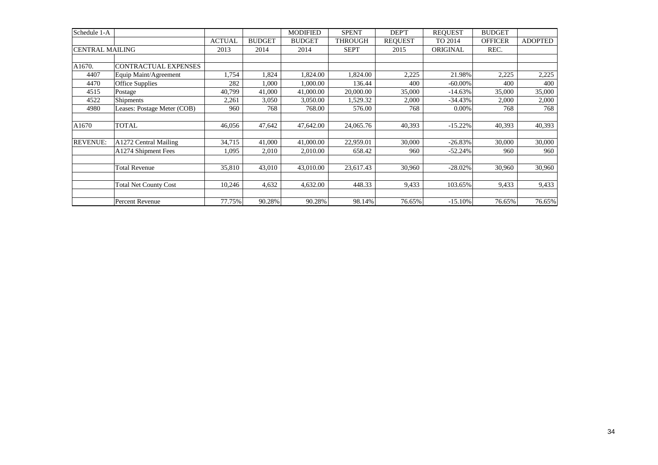| Schedule 1-A           |                              |               |               | <b>MODIFIED</b> | <b>SPENT</b>   | DEP'T          | <b>REQUEST</b> | <b>BUDGET</b>  |                |
|------------------------|------------------------------|---------------|---------------|-----------------|----------------|----------------|----------------|----------------|----------------|
|                        |                              | <b>ACTUAL</b> | <b>BUDGET</b> | <b>BUDGET</b>   | <b>THROUGH</b> | <b>REOUEST</b> | TO 2014        | <b>OFFICER</b> | <b>ADOPTED</b> |
| <b>CENTRAL MAILING</b> |                              | 2013          | 2014          | 2014            | <b>SEPT</b>    | 2015           | ORIGINAL       | REC.           |                |
|                        |                              |               |               |                 |                |                |                |                |                |
| A1670.                 | CONTRACTUAL EXPENSES         |               |               |                 |                |                |                |                |                |
| 4407                   | Equip Maint/Agreement        | 1,754         | 1,824         | 1,824.00        | 1,824.00       | 2,225          | 21.98%         | 2,225          | 2,225          |
| 4470                   | Office Supplies              | 282           | 1,000         | 1,000.00        | 136.44         | 400            | $-60.00\%$     | 400            | 400            |
| 4515                   | Postage                      | 40,799        | 41,000        | 41,000.00       | 20,000.00      | 35,000         | $-14.63%$      | 35,000         | 35,000         |
| 4522                   | <b>Shipments</b>             | 2,261         | 3,050         | 3,050.00        | 1,529.32       | 2,000          | $-34.43%$      | 2,000          | 2,000          |
| 4980                   | Leases: Postage Meter (COB)  | 960           | 768           | 768.00          | 576.00         | 768            | 0.00%          | 768            | 768            |
|                        |                              |               |               |                 |                |                |                |                |                |
| A1670                  | <b>TOTAL</b>                 | 46,056        | 47,642        | 47,642.00       | 24,065.76      | 40,393         | $-15.22%$      | 40,393         | 40,393         |
|                        |                              |               |               |                 |                |                |                |                |                |
| <b>REVENUE:</b>        | A1272 Central Mailing        | 34,715        | 41,000        | 41,000.00       | 22,959.01      | 30,000         | $-26.83%$      | 30,000         | 30,000         |
|                        | A1274 Shipment Fees          | 1,095         | 2,010         | 2,010.00        | 658.42         | 960            | $-52.24%$      | 960            | 960            |
|                        |                              |               |               |                 |                |                |                |                |                |
|                        | <b>Total Revenue</b>         | 35,810        | 43,010        | 43,010.00       | 23,617.43      | 30,960         | $-28.02%$      | 30,960         | 30,960         |
|                        |                              |               |               |                 |                |                |                |                |                |
|                        | <b>Total Net County Cost</b> | 10,246        | 4,632         | 4,632.00        | 448.33         | 9,433          | 103.65%        | 9,433          | 9,433          |
|                        |                              |               |               |                 |                |                |                |                |                |
|                        | Percent Revenue              | 77.75%        | 90.28%        | 90.28%          | 98.14%         | 76.65%         | $-15.10%$      | 76.65%         | 76.65%         |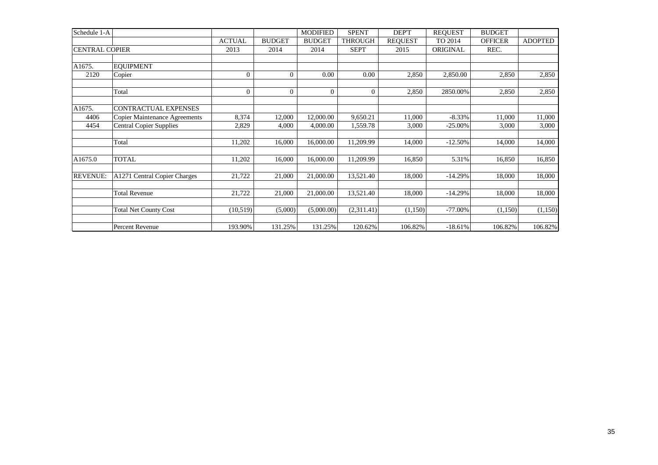| Schedule 1-A          |                                      |                |                | <b>MODIFIED</b> | <b>SPENT</b>   | DEP'T          | <b>REQUEST</b> | <b>BUDGET</b>  |                |
|-----------------------|--------------------------------------|----------------|----------------|-----------------|----------------|----------------|----------------|----------------|----------------|
|                       |                                      | <b>ACTUAL</b>  | <b>BUDGET</b>  | <b>BUDGET</b>   | <b>THROUGH</b> | <b>REOUEST</b> | TO 2014        | <b>OFFICER</b> | <b>ADOPTED</b> |
| <b>CENTRAL COPIER</b> |                                      | 2013           | 2014           | 2014            | <b>SEPT</b>    | 2015           | ORIGINAL       | REC.           |                |
| A1675.                | <b>EOUIPMENT</b>                     |                |                |                 |                |                |                |                |                |
| 2120                  | Copier                               | $\overline{0}$ | $\overline{0}$ | 0.00            | 0.00           | 2,850          | 2,850.00       | 2,850          | 2,850          |
|                       | Total                                | $\overline{0}$ | $\mathbf{0}$   | $\Omega$        | $\theta$       | 2,850          | 2850.00%       | 2,850          | 2,850          |
| A1675.                | <b>CONTRACTUAL EXPENSES</b>          |                |                |                 |                |                |                |                |                |
| 4406                  | <b>Copier Maintenance Agreements</b> | 8,374          | 12,000         | 12,000.00       | 9,650.21       | 11,000         | $-8.33%$       | 11,000         | 11,000         |
| 4454                  | <b>Central Copier Supplies</b>       | 2,829          | 4,000          | 4,000.00        | 1,559.78       | 3,000          | $-25.00%$      | 3,000          | 3,000          |
|                       | Total                                | 11,202         | 16,000         | 16,000.00       | 11,209.99      | 14,000         | $-12.50%$      | 14,000         | 14,000         |
| A1675.0               | <b>TOTAL</b>                         | 11,202         | 16,000         | 16,000.00       | 11,209.99      | 16,850         | 5.31%          | 16,850         | 16,850         |
| <b>REVENUE:</b>       | A1271 Central Copier Charges         | 21,722         | 21,000         | 21,000.00       | 13,521.40      | 18,000         | $-14.29%$      | 18,000         | 18,000         |
|                       | <b>Total Revenue</b>                 | 21,722         | 21,000         | 21,000.00       | 13,521.40      | 18,000         | $-14.29%$      | 18,000         | 18,000         |
|                       | <b>Total Net County Cost</b>         | (10,519)       | (5,000)        | (5,000.00)      | (2,311.41)     | (1,150)        | $-77.00%$      | (1,150)        | (1,150)        |
|                       | Percent Revenue                      | 193.90%        | 131.25%        | 131.25%         | 120.62%        | 106.82%        | $-18.61%$      | 106.82%        | 106.82%        |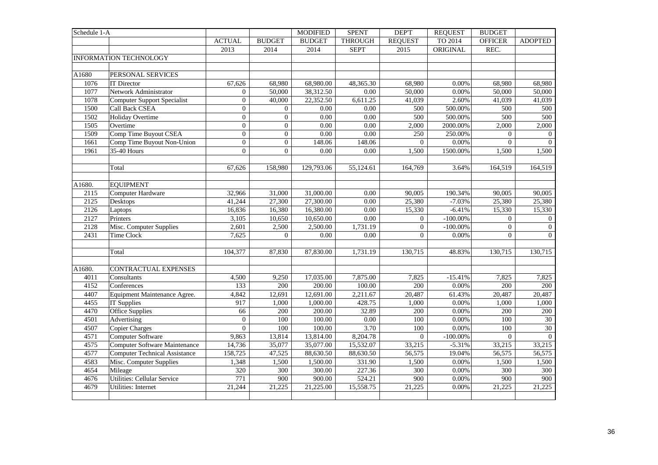| Schedule 1-A |                                      |                  |                     | <b>MODIFIED</b> | <b>SPENT</b>      | <b>DEPT</b>    | <b>REQUEST</b> | <b>BUDGET</b>  |                  |
|--------------|--------------------------------------|------------------|---------------------|-----------------|-------------------|----------------|----------------|----------------|------------------|
|              |                                      | <b>ACTUAL</b>    | <b>BUDGET</b>       | <b>BUDGET</b>   | <b>THROUGH</b>    | <b>REQUEST</b> | TO 2014        | <b>OFFICER</b> | <b>ADOPTED</b>   |
|              |                                      | 2013             | 2014                | 2014            | <b>SEPT</b>       | 2015           | ORIGINAL       | REC.           |                  |
|              | <b>INFORMATION TECHNOLOGY</b>        |                  |                     |                 |                   |                |                |                |                  |
|              |                                      |                  |                     |                 |                   |                |                |                |                  |
| A1680        | PERSONAL SERVICES                    |                  |                     |                 |                   |                |                |                |                  |
| 1076         | <b>IT Director</b>                   | 67,626           | 68,980              | 68,980.00       | 48,365.30         | 68,980         | 0.00%          | 68,980         | 68,980           |
| 1077         | Network Administrator                | $\mathbf{0}$     | 50,000              | 38,312.50       | $0.00\,$          | 50,000         | 0.00%          | 50,000         | 50,000           |
| 1078         | Computer Support Specialist          | $\boldsymbol{0}$ | 40,000              | 22,352.50       | 6,611.25          | 41,039         | 2.60%          | 41,039         | 41,039           |
| 1500         | <b>Call Back CSEA</b>                | $\boldsymbol{0}$ | $\mathbf{0}$        | $0.00\,$        | 0.00              | 500            | 500.00%        | 500            | 500              |
| 1502         | <b>Holiday Overtime</b>              | $\mathbf{0}$     | $\Omega$            | 0.00            | 0.00              | 500            | 500.00%        | 500            | 500              |
| 1505         | Overtime                             | $\boldsymbol{0}$ | $\overline{0}$      | 0.00            | 0.00              | 2,000          | 2000.00%       | 2,000          | 2,000            |
| 1509         | Comp Time Buyout CSEA                | $\boldsymbol{0}$ | $\overline{0}$      | 0.00            | 0.00              | 250            | 250.00%        | $\overline{0}$ | $\mathbf{0}$     |
| 1661         | Comp Time Buyout Non-Union           | $\boldsymbol{0}$ | $\mathbf{0}$        | 148.06          | 148.06            | $\overline{0}$ | 0.00%          | $\theta$       | $\boldsymbol{0}$ |
| 1961         | 35-40 Hours                          | $\overline{0}$   | $\mathbf{0}$        | 0.00            | $0.00\,$          | 1,500          | 1500.00%       | 1,500          | 1,500            |
|              |                                      |                  |                     |                 |                   |                |                |                |                  |
|              | Total                                | 67,626           | 158,980             | 129,793.06      | 55,124.61         | 164,769        | 3.64%          | 164,519        | 164,519          |
|              |                                      |                  |                     |                 |                   |                |                |                |                  |
| A1680.       | <b>EQUIPMENT</b>                     |                  |                     |                 |                   |                |                |                |                  |
| 2115         | Computer Hardware                    | 32,966           | 31,000              | 31,000.00       | 0.00              | 90,005         | 190.34%        | 90,005         | 90,005           |
| 2125         | Desktops                             | 41,244           | 27,300              | 27,300.00       | $\overline{0.00}$ | 25,380         | $-7.03%$       | 25,380         | 25,380           |
| 2126         | Laptops                              | 16,836           | 16,380              | 16,380.00       | 0.00              | 15,330         | $-6.41%$       | 15,330         | 15,330           |
| 2127         | Printers                             | 3,105            | 10,650              | 10,650.00       | $0.00\,$          | $\overline{0}$ | $-100.00\%$    | $\theta$       | $\overline{0}$   |
| 2128         | Misc. Computer Supplies              | 2,601            | 2,500               | 2,500.00        | 1,731.19          | $\overline{0}$ | $-100.00\%$    | $\theta$       | $\boldsymbol{0}$ |
| 2431         | Time Clock                           | 7,625            | $\overline{0}$      | 0.00            | 0.00              | $\Omega$       | 0.00%          | $\theta$       | $\overline{0}$   |
|              |                                      |                  |                     |                 |                   |                |                |                |                  |
|              | Total                                | 104,377          | 87,830              | 87,830.00       | 1,731.19          | 130,715        | 48.83%         | 130,715        | 130,715          |
|              |                                      |                  |                     |                 |                   |                |                |                |                  |
| A1680.       | CONTRACTUAL EXPENSES                 |                  |                     |                 |                   |                |                |                |                  |
| 4011         | Consultants                          | 4,500            | 9,250               | 17,035.00       | 7,875.00          | 7,825          | $-15.41%$      | 7,825          | 7,825            |
| 4152         | Conferences                          | 133              | 200                 | 200.00          | 100.00            | 200            | 0.00%          | 200            | 200              |
| 4407         | Equipment Maintenance Agree.         | 4,842            | 12,691              | 12,691.00       | 2,211.67          | 20,487         | 61.43%         | 20,487         | 20,487           |
| 4455         | IT Supplies                          | 917              | 1,000               | 1,000.00        | 428.75            | 1,000          | 0.00%          | 1,000          | 1,000            |
| 4470         | <b>Office Supplies</b>               | 66               | 200                 | 200.00          | 32.89             | 200            | 0.00%          | 200            | 200              |
| 4501         | Advertising                          | $\mathbf{0}$     | 100                 | 100.00          | 0.00              | 100            | 0.00%          | 100            | 30               |
| 4507         | <b>Copier Charges</b>                | $\boldsymbol{0}$ | 100                 | 100.00          | 3.70              | 100            | 0.00%          | 100            | $\overline{30}$  |
| 4571         | <b>Computer Software</b>             | 9,863            | 13,814              | 13,814.00       | 8,204.78          | $\overline{0}$ | $-100.00\%$    | $\Omega$       | $\overline{0}$   |
| 4575         | <b>Computer Software Maintenance</b> | 14,736           | 35,077              | 35,077.00       | 15,532.07         | 33,215         | $-5.31%$       | 33,215         | 33,215           |
| 4577         | <b>Computer Technical Assistance</b> | 158,725          | 47,525              | 88,630.50       | 88,630.50         | 56,575         | 19.04%         | 56,575         | 56,575           |
| 4583         | Misc. Computer Supplies              | 1,348            | 1,500               | 1,500.00        | 331.90            | 1,500          | 0.00%          | 1,500          | 1,500            |
| 4654         | Mileage                              | 320              | 300                 | 300.00          | 227.36            | 300            | $0.00\%$       | 300            | 300              |
| 4676         | Utilities: Cellular Service          | 771              | 900                 | 900.00          | 524.21            | 900            | $0.00\%$       | 900            | 900              |
| 4679         | Utilities: Internet                  | 21,244           | $\overline{2}1,225$ | 21,225.00       | 15,558.75         | 21,225         | 0.00%          | 21,225         | 21,225           |
|              |                                      |                  |                     |                 |                   |                |                |                |                  |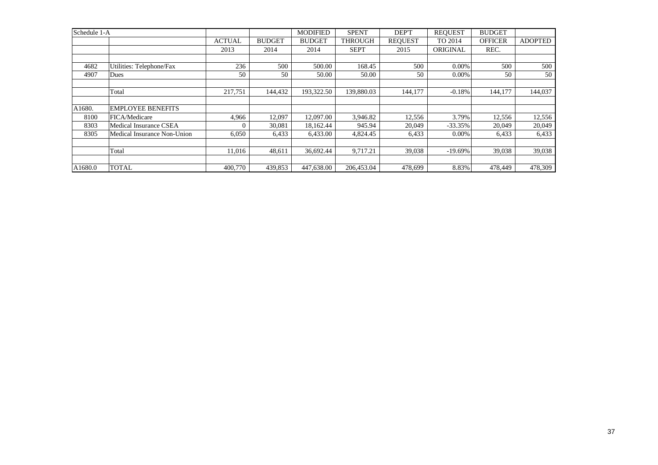| Schedule 1-A |                             |               |               | <b>MODIFIED</b> | <b>SPENT</b>   | DEP'T          | <b>REOUEST</b> | <b>BUDGET</b>  |                |
|--------------|-----------------------------|---------------|---------------|-----------------|----------------|----------------|----------------|----------------|----------------|
|              |                             | <b>ACTUAL</b> | <b>BUDGET</b> | <b>BUDGET</b>   | <b>THROUGH</b> | <b>REOUEST</b> | TO 2014        | <b>OFFICER</b> | <b>ADOPTED</b> |
|              |                             | 2013          | 2014          | 2014            | <b>SEPT</b>    | 2015           | ORIGINAL       | REC.           |                |
|              |                             |               |               |                 |                |                |                |                |                |
| 4682         | Utilities: Telephone/Fax    | 236           | 500           | 500.00          | 168.45         | 500            | $0.00\%$       | 500            | 500            |
| 4907         | Dues                        | 50            | 50            | 50.00           | 50.00          | 50             | $0.00\%$       | 50             | 50             |
|              |                             |               |               |                 |                |                |                |                |                |
|              | Total                       | 217,751       | 144,432       | 193,322.50      | 139,880.03     | 144,177        | $-0.18%$       | 144,177        | 144,037        |
|              |                             |               |               |                 |                |                |                |                |                |
| A1680.       | <b>EMPLOYEE BENEFITS</b>    |               |               |                 |                |                |                |                |                |
| 8100         | FICA/Medicare               | 4,966         | 12,097        | 12,097.00       | 3,946.82       | 12,556         | 3.79%          | 12,556         | 12,556         |
| 8303         | Medical Insurance CSEA      | $\Omega$      | 30.081        | 18,162.44       | 945.94         | 20.049         | $-33.35%$      | 20,049         | 20,049         |
| 8305         | Medical Insurance Non-Union | 6,050         | 6,433         | 6,433.00        | 4,824.45       | 6,433          | $0.00\%$       | 6,433          | 6,433          |
|              |                             |               |               |                 |                |                |                |                |                |
|              | Total                       | 11.016        | 48.611        | 36,692.44       | 9.717.21       | 39,038         | $-19.69\%$     | 39,038         | 39,038         |
|              |                             |               |               |                 |                |                |                |                |                |
| A1680.0      | <b>TOTAL</b>                | 400,770       | 439,853       | 447,638.00      | 206,453.04     | 478,699        | 8.83%          | 478,449        | 478,309        |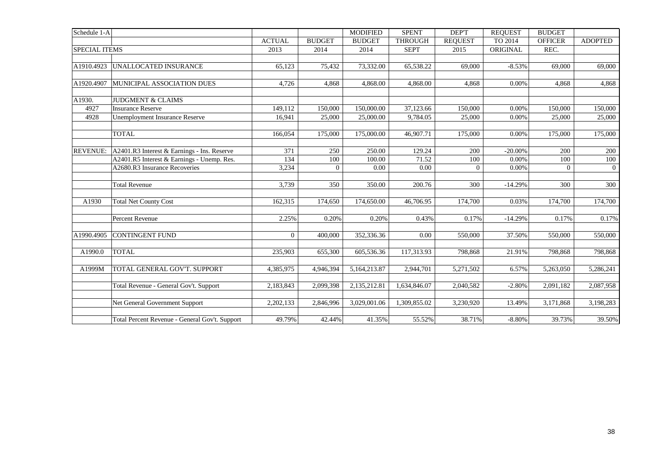| Schedule 1-A         |                                                |                |                | <b>MODIFIED</b> | <b>SPENT</b>   | <b>DEPT</b>    | <b>REQUEST</b> | <b>BUDGET</b>  |                |
|----------------------|------------------------------------------------|----------------|----------------|-----------------|----------------|----------------|----------------|----------------|----------------|
|                      |                                                | <b>ACTUAL</b>  | <b>BUDGET</b>  | <b>BUDGET</b>   | <b>THROUGH</b> | <b>REOUEST</b> | TO 2014        | <b>OFFICER</b> | <b>ADOPTED</b> |
| <b>SPECIAL ITEMS</b> |                                                | 2013           | 2014           | 2014            | <b>SEPT</b>    | 2015           | ORIGINAL       | REC.           |                |
|                      |                                                |                |                |                 |                |                |                |                |                |
| A1910.4923           | UNALLOCATED INSURANCE                          | 65,123         | 75,432         | 73,332.00       | 65,538.22      | 69,000         | $-8.53%$       | 69,000         | 69,000         |
|                      |                                                |                |                |                 |                |                |                |                |                |
| A1920.4907           | MUNICIPAL ASSOCIATION DUES                     | 4,726          | 4,868          | 4,868.00        | 4,868.00       | 4,868          | 0.00%          | 4,868          | 4,868          |
|                      |                                                |                |                |                 |                |                |                |                |                |
| A1930.               | <b>JUDGMENT &amp; CLAIMS</b>                   |                |                |                 |                |                |                |                |                |
| 4927                 | <b>Insurance Reserve</b>                       | 149,112        | 150,000        | 150,000.00      | 37,123.66      | 150,000        | 0.00%          | 150,000        | 150,000        |
| 4928                 | Unemployment Insurance Reserve                 | 16,941         | 25,000         | 25,000.00       | 9,784.05       | 25,000         | 0.00%          | 25,000         | 25,000         |
|                      |                                                |                |                |                 |                |                | 0.00%          |                |                |
|                      | <b>TOTAL</b>                                   | 166,054        | 175,000        | 175,000.00      | 46,907.71      | 175,000        |                | 175,000        | 175,000        |
| <b>REVENUE:</b>      | A2401.R3 Interest & Earnings - Ins. Reserve    | 371            | 250            | 250.00          | 129.24         | 200            | $-20.00\%$     | 200            | 200            |
|                      | A2401.R5 Interest & Earnings - Unemp. Res.     | 134            | 100            | 100.00          | 71.52          | 100            | 0.00%          | 100            | $100\,$        |
|                      | A2680.R3 Insurance Recoveries                  | 3,234          | $\overline{0}$ | 0.00            | $0.00\,$       | $\Omega$       | 0.00%          | $\Omega$       | $\overline{0}$ |
|                      |                                                |                |                |                 |                |                |                |                |                |
|                      | Total Revenue                                  | 3,739          | 350            | 350.00          | 200.76         | 300            | $-14.29%$      | 300            | 300            |
|                      |                                                |                |                |                 |                |                |                |                |                |
| A1930                | <b>Total Net County Cost</b>                   | 162,315        | 174,650        | 174,650.00      | 46,706.95      | 174,700        | 0.03%          | 174,700        | 174,700        |
|                      | Percent Revenue                                | 2.25%          | 0.20%          | 0.20%           | 0.43%          | 0.17%          | $-14.29%$      | 0.17%          | 0.17%          |
|                      |                                                |                |                |                 |                |                |                |                |                |
| A1990.4905           | <b>CONTINGENT FUND</b>                         | $\overline{0}$ | 400,000        | 352,336.36      | 0.00           | 550,000        | 37.50%         | 550,000        | 550,000        |
|                      |                                                |                |                |                 |                |                |                |                |                |
| A1990.0              | <b>TOTAL</b>                                   | 235,903        | 655,300        | 605,536.36      | 117,313.93     | 798,868        | 21.91%         | 798,868        | 798,868        |
| A1999M               | TOTAL GENERAL GOV'T. SUPPORT                   | 4,385,975      | 4,946,394      | 5,164,213.87    | 2,944,701      | 5,271,502      | 6.57%          | 5,263,050      | 5,286,241      |
|                      |                                                |                |                |                 |                |                |                |                |                |
|                      | Total Revenue - General Gov't. Support         | 2,183,843      | 2,099,398      | 2,135,212.81    | 1,634,846.07   | 2,040,582      | $-2.80%$       | 2,091,182      | 2,087,958      |
|                      | Net General Government Support                 | 2,202,133      | 2,846,996      | 3,029,001.06    | 1,309,855.02   | 3,230,920      | 13.49%         | 3,171,868      | 3,198,283      |
|                      |                                                |                |                |                 |                |                |                |                |                |
|                      | Total Percent Revenue - General Gov't. Support | 49.79%         | 42.44%         | 41.35%          | 55.52%         | 38.71%         | $-8.80%$       | 39.73%         | 39.50%         |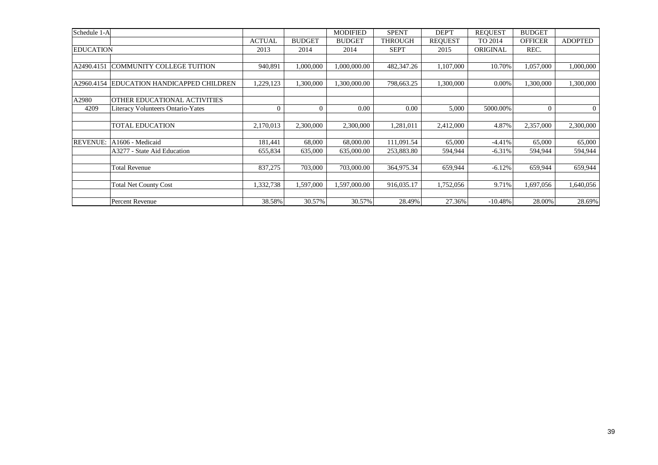| Schedule 1-A     |                                          |                |                | <b>MODIFIED</b> | <b>SPENT</b>   | DEP'T          | <b>REQUEST</b> | <b>BUDGET</b>  |                |
|------------------|------------------------------------------|----------------|----------------|-----------------|----------------|----------------|----------------|----------------|----------------|
|                  |                                          | <b>ACTUAL</b>  | <b>BUDGET</b>  | <b>BUDGET</b>   | <b>THROUGH</b> | <b>REOUEST</b> | TO 2014        | <b>OFFICER</b> | <b>ADOPTED</b> |
| <b>EDUCATION</b> |                                          | 2013           | 2014           | 2014            | <b>SEPT</b>    | 2015           | ORIGINAL       | REC.           |                |
|                  |                                          |                |                |                 |                |                |                |                |                |
| A2490.4151       | COMMUNITY COLLEGE TUITION                | 940,891        | 1,000,000      | 1,000,000.00    | 482,347.26     | 1,107,000      | 10.70%         | 1,057,000      | 1,000,000      |
|                  |                                          |                |                |                 |                |                |                |                |                |
| A2960.4154       | EDUCATION HANDICAPPED CHILDREN           | 1,229,123      | 1,300,000      | 1,300,000.00    | 798,663.25     | 1,300,000      | 0.00%          | 1,300,000      | 1,300,000      |
|                  |                                          |                |                |                 |                |                |                |                |                |
| A2980            | OTHER EDUCATIONAL ACTIVITIES             |                |                |                 |                |                |                |                |                |
| 4209             | <b>Literacy Volunteers Ontario-Yates</b> | $\overline{0}$ | $\overline{0}$ | 0.00            | 0.00           | 5,000          | 5000.00%       | $\Omega$       | $\overline{0}$ |
|                  |                                          |                |                |                 |                |                |                |                |                |
|                  | <b>TOTAL EDUCATION</b>                   | 2,170,013      | 2,300,000      | 2,300,000       | 1,281,011      | 2,412,000      | 4.87%          | 2,357,000      | 2,300,000      |
|                  |                                          |                |                |                 |                |                |                |                |                |
| <b>REVENUE:</b>  | A1606 - Medicaid                         | 181,441        | 68,000         | 68,000.00       | 111,091.54     | 65,000         | $-4.41%$       | 65,000         | 65,000         |
|                  | A3277 - State Aid Education              | 655,834        | 635,000        | 635,000.00      | 253,883.80     | 594,944        | $-6.31%$       | 594,944        | 594,944        |
|                  |                                          |                |                |                 |                |                |                |                |                |
|                  | <b>Total Revenue</b>                     | 837,275        | 703,000        | 703,000.00      | 364,975.34     | 659,944        | $-6.12%$       | 659,944        | 659,944        |
|                  |                                          |                |                |                 |                |                |                |                |                |
|                  | <b>Total Net County Cost</b>             | 1,332,738      | 1,597,000      | 1,597,000.00    | 916.035.17     | 1,752,056      | 9.71%          | 1,697,056      | 1,640,056      |
|                  |                                          |                |                |                 |                |                |                |                |                |
|                  | Percent Revenue                          | 38.58%         | 30.57%         | 30.57%          | 28.49%         | 27.36%         | $-10.48%$      | 28.00%         | 28.69%         |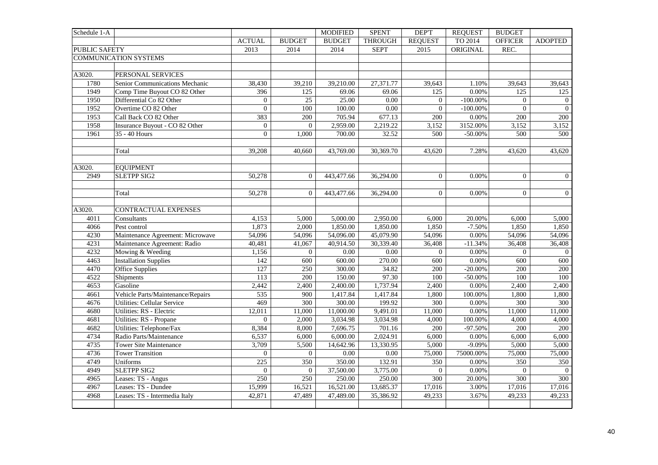| Schedule 1-A         |                                    |                     |                | <b>MODIFIED</b>        | <b>SPENT</b>      | <b>DEPT</b>      | <b>REQUEST</b> | <b>BUDGET</b>  |                |
|----------------------|------------------------------------|---------------------|----------------|------------------------|-------------------|------------------|----------------|----------------|----------------|
|                      |                                    | <b>ACTUAL</b>       | <b>BUDGET</b>  | <b>BUDGET</b>          | <b>THROUGH</b>    | <b>REQUEST</b>   | TO 2014        | <b>OFFICER</b> | <b>ADOPTED</b> |
| <b>PUBLIC SAFETY</b> |                                    | 2013                | 2014           | 2014                   | <b>SEPT</b>       | 2015             | ORIGINAL       | REC.           |                |
|                      | <b>COMMUNICATION SYSTEMS</b>       |                     |                |                        |                   |                  |                |                |                |
|                      |                                    |                     |                |                        |                   |                  |                |                |                |
| A3020.               | PERSONAL SERVICES                  |                     |                |                        |                   |                  |                |                |                |
| 1780                 | Senior Communications Mechanic     | 38,430              | 39,210         | 39,210.00              | 27,371.77         | 39,643           | 1.10%          | 39,643         | 39,643         |
| 1949                 | Comp Time Buyout CO 82 Other       | 396                 | 125            | 69.06                  | 69.06             | 125              | 0.00%          | 125            | 125            |
| 1950                 | Differential Co 82 Other           | $\overline{0}$      | 25             | 25.00                  | 0.00              | $\overline{0}$   | $-100.00\%$    | $\Omega$       | $\overline{0}$ |
| 1952                 | Overtime CO 82 Other               | $\overline{0}$      | 100            | 100.00                 | $\overline{0.00}$ | $\mathbf{0}$     | $-100.00\%$    | $\Omega$       | $\overline{0}$ |
| 1953                 | Call Back CO 82 Other              | 383                 | 200            | 705.94                 | 677.13            | 200              | 0.00%          | 200            | 200            |
| 1958                 | Insurance Buyout - CO 82 Other     | $\boldsymbol{0}$    | $\overline{0}$ | 2,959.00               | 2,219.22          | 3,152            | 3152.00%       | 3,152          | 3,152          |
| 1961                 | 35 - 40 Hours                      | $\overline{0}$      | 1,000          | 700.00                 | 32.52             | 500              | $-50.00\%$     | 500            | 500            |
|                      |                                    |                     |                |                        |                   |                  |                |                |                |
|                      | Total                              | 39,208              | 40,660         | 43,769.00              | 30,369.70         | 43,620           | 7.28%          | 43,620         | 43,620         |
|                      |                                    |                     |                |                        |                   |                  |                |                |                |
| A3020.               | <b>EOUIPMENT</b>                   |                     |                |                        |                   |                  |                |                |                |
| 2949                 | <b>SLETPP SIG2</b>                 | 50,278              | $\theta$       | 443,477.66             | 36,294.00         | $\theta$         | 0.00%          | $\Omega$       | $\overline{0}$ |
|                      |                                    |                     |                |                        |                   |                  |                |                |                |
|                      | Total                              | 50,278              | $\Omega$       | 443,477.66             | 36,294.00         | $\overline{0}$   | 0.00%          | $\overline{0}$ | $\overline{0}$ |
|                      |                                    |                     |                |                        |                   |                  |                |                |                |
| A3020.               | CONTRACTUAL EXPENSES               |                     |                |                        |                   |                  |                |                |                |
| 4011                 | Consultants                        | 4,153               | 5,000          | 5,000.00               | 2,950.00          | 6,000            | 20.00%         | 6,000          | 5,000          |
| 4066                 | Pest control                       | 1,873               | 2,000          | 1,850.00               | 1,850.00          | 1,850            | $-7.50%$       | 1,850          | 1,850          |
| 4230                 | Maintenance Agreement: Microwave   | $\overline{54,096}$ | 54,096         | 54,096.00              | 45,079.90         | 54,096           | 0.00%          | 54,096         | 54,096         |
| 4231                 | Maintenance Agreement: Radio       | 40,481              | 41,067         | $\overline{40,91}4.50$ | 30,339.40         | 36,408           | $-11.34%$      | 36,408         | 36,408         |
| 4232                 | Mowing & Weeding                   | 1,156               | $\overline{0}$ | 0.00                   | 0.00              | $\overline{0}$   | 0.00%          | $\theta$       | $\overline{0}$ |
| 4463                 | <b>Installation Supplies</b>       | 142                 | 600            | 600.00                 | 270.00            | 600              | 0.00%          | 600            | 600            |
| 4470                 | <b>Office Supplies</b>             | $\overline{127}$    | 250            | 300.00                 | 34.82             | 200              | $-20.00\%$     | 200            | 200            |
| 4522                 | Shipments                          | 113                 | 200            | 150.00                 | 97.30             | 100              | $-50.00%$      | 100            | 100            |
| 4653                 | Gasoline                           | 2,442               | 2,400          | 2,400.00               | 1,737.94          | 2,400            | 0.00%          | 2,400          | 2,400          |
| 4661                 | Vehicle Parts/Maintenance/Repairs  | 535                 | 900            | 1,417.84               | 1,417.84          | 1,800            | 100.00%        | 1,800          | 1,800          |
| 4676                 | <b>Utilities: Cellular Service</b> | 469                 | 300            | 300.00                 | 199.92            | 300              | 0.00%          | 300            | 300            |
| 4680                 | Utilities: RS - Electric           | 12,011              | 11,000         | 11,000.00              | 9,491.01          | 11,000           | 0.00%          | 11,000         | 11,000         |
| 4681                 | Utilities: RS - Propane            | $\overline{0}$      | 2,000          | 3,034.98               | 3,034.98          | 4,000            | 100.00%        | 4,000          | 4,000          |
| 4682                 | Utilities: Telephone/Fax           | 8,384               | 8,000          | 7,696.75               | 701.16            | 200              | $-97.50%$      | 200            | 200            |
| 4734                 | Radio Parts/Maintenance            | 6,537               | 6,000          | 6,000.00               | 2,024.91          | 6,000            | 0.00%          | 6,000          | 6,000          |
| 4735                 | <b>Tower Site Maintenance</b>      | 3,709               | 5,500          | 14,642.96              | 13,330.95         | 5,000            | $-9.09%$       | 5,000          | 5,000          |
| 4736                 | <b>Tower Transition</b>            | $\overline{0}$      | $\Omega$       | 0.00                   | 0.00              | 75,000           | 75000.00%      | 75,000         | 75,000         |
| 4749                 | Uniforms                           | $\overline{225}$    | 350            | 350.00                 | 132.91            | 350              | 0.00%          | 350            | 350            |
| 4949                 | <b>SLETPP SIG2</b>                 | $\overline{0}$      | $\overline{0}$ | 37,500.00              | 3,775.00          | $\overline{0}$   | $0.00\%$       | $\overline{0}$ | $\overline{0}$ |
| 4965                 | Leases: TS - Angus                 | 250                 | 250            | 250.00                 | 250.00            | $\overline{300}$ | 20.00%         | 300            | 300            |
| 4967                 | Leases: TS - Dundee                | 15,999              | 16,521         | 16,521.00              | 13,685.37         | 17,016           | 3.00%          | 17,016         | 17,016         |
| 4968                 | Leases: TS - Intermedia Italy      | 42,871              | 47,489         | 47,489.00              | 35,386.92         | 49,233           | 3.67%          | 49,233         | 49,233         |
|                      |                                    |                     |                |                        |                   |                  |                |                |                |
|                      |                                    |                     |                |                        |                   |                  |                |                |                |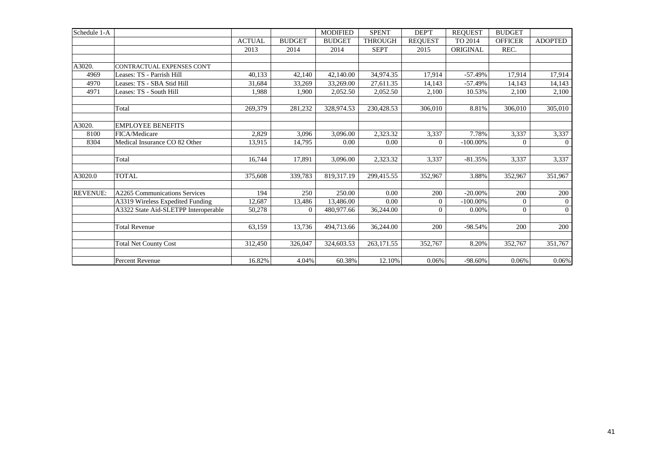| Schedule 1-A    |                                      |               |               | <b>MODIFIED</b> | <b>SPENT</b>   | DEP'T          | <b>REQUEST</b> | <b>BUDGET</b>  |                |
|-----------------|--------------------------------------|---------------|---------------|-----------------|----------------|----------------|----------------|----------------|----------------|
|                 |                                      | <b>ACTUAL</b> | <b>BUDGET</b> | <b>BUDGET</b>   | <b>THROUGH</b> | <b>REOUEST</b> | TO 2014        | <b>OFFICER</b> | <b>ADOPTED</b> |
|                 |                                      | 2013          | 2014          | 2014            | <b>SEPT</b>    | 2015           | ORIGINAL       | REC.           |                |
|                 |                                      |               |               |                 |                |                |                |                |                |
| A3020.          | CONTRACTUAL EXPENSES CONT            |               |               |                 |                |                |                |                |                |
| 4969            | Leases: TS - Parrish Hill            | 40,133        | 42,140        | 42,140.00       | 34,974.35      | 17,914         | $-57.49%$      | 17,914         | 17,914         |
| 4970            | Leases: TS - SBA Stid Hill           | 31,684        | 33,269        | 33,269.00       | 27,611.35      | 14,143         | $-57.49%$      | 14,143         | 14,143         |
| 4971            | Leases: TS - South Hill              | 1,988         | 1,900         | 2,052.50        | 2,052.50       | 2,100          | 10.53%         | 2,100          | 2,100          |
|                 | Total                                | 269,379       | 281,232       | 328,974.53      | 230,428.53     | 306,010        | 8.81%          | 306,010        | 305,010        |
| A3020.          | <b>EMPLOYEE BENEFITS</b>             |               |               |                 |                |                |                |                |                |
| 8100            | FICA/Medicare                        | 2,829         | 3,096         | 3,096.00        | 2,323.32       | 3,337          | 7.78%          | 3,337          | 3,337          |
| 8304            | Medical Insurance CO 82 Other        | 13,915        | 14,795        | 0.00            | 0.00           | $\overline{0}$ | $-100.00\%$    | $\theta$       | $\overline{0}$ |
|                 | Total                                | 16,744        | 17,891        | 3,096.00        | 2,323.32       | 3,337          | $-81.35%$      | 3,337          | 3,337          |
| A3020.0         | <b>TOTAL</b>                         | 375,608       | 339,783       | 819,317.19      | 299,415.55     | 352,967        | 3.88%          | 352,967        | 351,967        |
| <b>REVENUE:</b> | A2265 Communications Services        | 194           | 250           | 250.00          | 0.00           | 200            | $-20.00\%$     | 200            | 200            |
|                 | A3319 Wireless Expedited Funding     | 12,687        | 13,486        | 13,486.00       | 0.00           | $\overline{0}$ | $-100.00\%$    | $\Omega$       | $\overline{0}$ |
|                 | A3322 State Aid-SLETPP Interoperable | 50,278        | $\Omega$      | 480,977.66      | 36,244.00      | $\Omega$       | 0.00%          | $\overline{0}$ | $\overline{0}$ |
|                 | <b>Total Revenue</b>                 | 63,159        | 13,736        | 494,713.66      | 36,244.00      | 200            | $-98.54%$      | 200            | 200            |
|                 | <b>Total Net County Cost</b>         | 312,450       | 326,047       | 324,603.53      | 263,171.55     | 352,767        | 8.20%          | 352,767        | 351,767        |
|                 | Percent Revenue                      | 16.82%        | 4.04%         | 60.38%          | 12.10%         | 0.06%          | $-98.60%$      | 0.06%          | $0.06\%$       |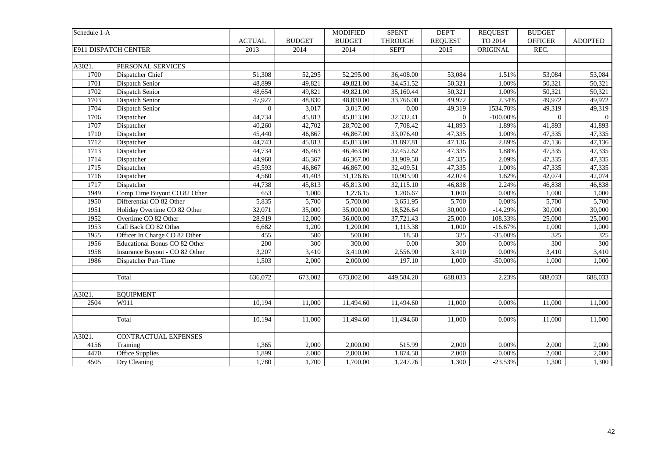| Schedule 1-A         |                                |               |               | <b>MODIFIED</b> | <b>SPENT</b>   | <b>DEPT</b>    | <b>REQUEST</b> | <b>BUDGET</b>  |                |
|----------------------|--------------------------------|---------------|---------------|-----------------|----------------|----------------|----------------|----------------|----------------|
|                      |                                | <b>ACTUAL</b> | <b>BUDGET</b> | <b>BUDGET</b>   | <b>THROUGH</b> | <b>REQUEST</b> | TO 2014        | <b>OFFICER</b> | <b>ADOPTED</b> |
| E911 DISPATCH CENTER |                                | 2013          | 2014          | 2014            | <b>SEPT</b>    | 2015           | ORIGINAL       | REC.           |                |
|                      |                                |               |               |                 |                |                |                |                |                |
| A3021.               | PERSONAL SERVICES              |               |               |                 |                |                |                |                |                |
| 1700                 | Dispatcher Chief               | 51.308        | 52,295        | 52,295.00       | 36,408.00      | 53,084         | 1.51%          | 53.084         | 53,084         |
| 1701                 | Dispatch Senior                | 48,899        | 49,821        | 49,821.00       | 34,451.52      | 50,321         | 1.00%          | 50,321         | 50,321         |
| 1702                 | Dispatch Senior                | 48,654        | 49,821        | 49,821.00       | 35,160.44      | 50,321         | $1.00\%$       | 50,321         | 50,321         |
| 1703                 | Dispatch Senior                | 47,927        | 48,830        | 48,830.00       | 33,766.00      | 49,972         | 2.34%          | 49,972         | 49,972         |
| 1704                 | Dispatch Senior                | $\mathbf{0}$  | 3,017         | 3,017.00        | 0.00           | 49,319         | 1534.70%       | 49,319         | 49,319         |
| 1706                 | Dispatcher                     | 44,734        | 45,813        | 45,813.00       | 32,332.41      | $\overline{0}$ | $-100.00\%$    | $\Omega$       | $\Omega$       |
| 1707                 | Dispatcher                     | 40,260        | 42,702        | 28,702.00       | 7,708.42       | 41,893         | $-1.89%$       | 41,893         | 41,893         |
| 1710                 | Dispatcher                     | 45,440        | 46,867        | 46,867.00       | 33,076.40      | 47,335         | 1.00%          | 47,335         | 47,335         |
| 1712                 | Dispatcher                     | 44,743        | 45,813        | 45,813.00       | 31,897.81      | 47,136         | 2.89%          | 47,136         | 47,136         |
| 1713                 | Dispatcher                     | 44,734        | 46,463        | 46,463.00       | 32,452.62      | 47,335         | 1.88%          | 47,335         | 47,335         |
| 1714                 | Dispatcher                     | 44,960        | 46,367        | 46,367.00       | 31,909.50      | 47,335         | 2.09%          | 47,335         | 47,335         |
| 1715                 | Dispatcher                     | 45,593        | 46,867        | 46,867.00       | 32,409.51      | 47,335         | 1.00%          | 47,335         | 47,335         |
| 1716                 | Dispatcher                     | 4,560         | 41,403        | 31,126.85       | 10,903.90      | 42,074         | 1.62%          | 42,074         | 42,074         |
| 1717                 | Dispatcher                     | 44,738        | 45,813        | 45,813.00       | 32,115.10      | 46,838         | 2.24%          | 46,838         | 46,838         |
| 1949                 | Comp Time Buyout CO 82 Other   | 653           | 1,000         | 1,276.15        | 1,206.67       | 1,000          | 0.00%          | 1,000          | 1,000          |
| 1950                 | Differential CO 82 Other       | 5,835         | 5,700         | 5,700.00        | 3,651.95       | 5,700          | 0.00%          | 5,700          | 5,700          |
| 1951                 | Holiday Overtime CO 82 Other   | 32,071        | 35,000        | 35,000.00       | 18,526.64      | 30,000         | $-14.29%$      | 30,000         | 30,000         |
| 1952                 | Overtime CO 82 Other           | 28,919        | 12,000        | 36,000.00       | 37,721.43      | 25,000         | 108.33%        | 25,000         | 25,000         |
| 1953                 | Call Back CO 82 Other          | 6,682         | 1,200         | 1,200.00        | 1,113.38       | 1,000          | $-16.67%$      | 1,000          | 1,000          |
| 1955                 | Officer In Charge CO 82 Other  | 455           | 500           | 500.00          | 18.50          | 325            | $-35.00%$      | 325            | 325            |
| 1956                 | Educational Bonus CO 82 Other  | 200           | 300           | 300.00          | $0.00\,$       | 300            | 0.00%          | 300            | 300            |
| 1958                 | Insurance Buyout - CO 82 Other | 3,207         | 3,410         | 3,410.00        | 2,556.90       | 3,410          | 0.00%          | 3,410          | 3,410          |
| 1986                 | Dispatcher Part-Time           | 1,503         | 2,000         | 2,000.00        | 197.10         | 1,000          | $-50.00\%$     | 1,000          | 1,000          |
|                      |                                |               |               |                 |                |                |                |                |                |
|                      | Total                          | 636,072       | 673,002       | 673,002.00      | 449,584.20     | 688,033        | 2.23%          | 688,033        | 688,033        |
| A3021.               | <b>EQUIPMENT</b>               |               |               |                 |                |                |                |                |                |
| 2504                 | W911                           | 10,194        | 11,000        | 11,494.60       | 11,494.60      | 11,000         | 0.00%          | 11,000         | 11,000         |
|                      |                                |               |               |                 |                |                |                |                |                |
|                      | Total                          | 10,194        | 11,000        | 11,494.60       | 11,494.60      | 11,000         | 0.00%          | 11,000         | 11,000         |
| A3021.               | CONTRACTUAL EXPENSES           |               |               |                 |                |                |                |                |                |
| 4156                 | Training                       | 1,365         | 2,000         | 2,000.00        | 515.99         | 2,000          | 0.00%          | 2,000          | 2,000          |
| 4470                 | <b>Office Supplies</b>         | 1,899         | 2,000         | 2,000.00        | 1,874.50       | 2,000          | $0.00\%$       | 2,000          | 2,000          |
| 4505                 | Dry Cleaning                   | 1,780         | 1,700         | 1,700.00        | 1,247.76       | 1,300          | $-23.53%$      | 1,300          | 1,300          |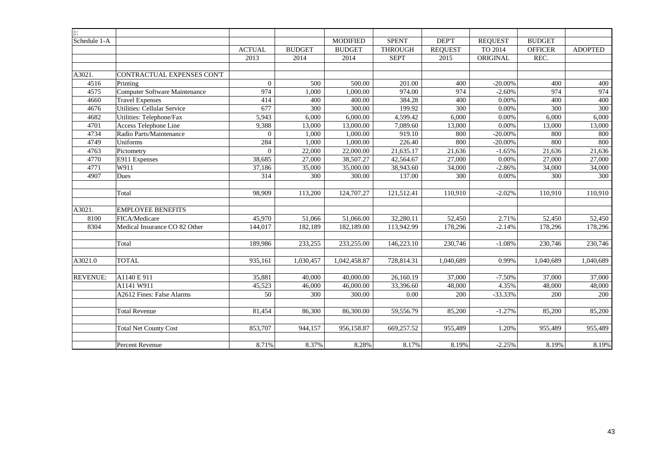| $\mathbf{L}$    |                                      |                 |                  |                 |                   |                |                |                |                |
|-----------------|--------------------------------------|-----------------|------------------|-----------------|-------------------|----------------|----------------|----------------|----------------|
| Schedule 1-A    |                                      |                 |                  | <b>MODIFIED</b> | <b>SPENT</b>      | DEP'T          | <b>REQUEST</b> | <b>BUDGET</b>  |                |
|                 |                                      | <b>ACTUAL</b>   | <b>BUDGET</b>    | <b>BUDGET</b>   | <b>THROUGH</b>    | <b>REQUEST</b> | TO 2014        | <b>OFFICER</b> | <b>ADOPTED</b> |
|                 |                                      | 2013            | 2014             | 2014            | <b>SEPT</b>       | 2015           | ORIGINAL       | REC.           |                |
|                 |                                      |                 |                  |                 |                   |                |                |                |                |
| A3021.          | CONTRACTUAL EXPENSES CON'T           |                 |                  |                 |                   |                |                |                |                |
| 4516            | Printing                             | $\overline{0}$  | 500              | 500.00          | 201.00            | 400            | $-20.00\%$     | 400            | 400            |
| 4575            | <b>Computer Software Maintenance</b> | 974             | 1,000            | 1,000.00        | 974.00            | 974            | $-2.60%$       | 974            | 974            |
| 4660            | <b>Travel Expenses</b>               | 414             | 400              | 400.00          | 384.28            | 400            | $0.00\%$       | 400            | 400            |
| 4676            | <b>Utilities: Cellular Service</b>   | 677             | 300              | 300.00          | 199.92            | 300            | 0.00%          | 300            | 300            |
| 4682            | Utilities: Telephone/Fax             | 5,943           | 6,000            | 6,000.00        | 4,599.42          | 6,000          | 0.00%          | 6,000          | 6,000          |
| 4701            | Access Telephone Line                | 9,388           | 13,000           | 13,000.00       | 7,089.60          | 13,000         | 0.00%          | 13,000         | 13,000         |
| 4734            | Radio Parts/Maintenance              | $\overline{0}$  | 1,000            | 1,000.00        | 919.10            | 800            | $-20.00\%$     | 800            | 800            |
| 4749            | Uniforms                             | 284             | 1,000            | 1,000.00        | 226.40            | 800            | $-20.00\%$     | 800            | 800            |
| 4763            | Pictometry                           | $\Omega$        | 22,000           | 22,000.00       | 21,635.17         | 21,636         | $-1.65%$       | 21,636         | 21,636         |
| 4770            | E911 Expenses                        | 38,685          | 27,000           | 38,507.27       | 42,564.67         | 27,000         | 0.00%          | 27,000         | 27,000         |
| 4771            | W911                                 | 37,186          | 35,000           | 35,000.00       | 38,943.60         | 34,000         | $-2.86%$       | 34,000         | 34,000         |
| 4907            | Dues                                 | 314             | 300              | 300.00          | 137.00            | 300            | 0.00%          | 300            | 300            |
|                 |                                      |                 |                  |                 |                   |                |                |                |                |
|                 | Total                                | 98,909          | 113,200          | 124,707.27      | 121,512.41        | 110,910        | $-2.02%$       | 110,910        | 110,910        |
|                 |                                      |                 |                  |                 |                   |                |                |                |                |
| A3021.          | <b>EMPLOYEE BENEFITS</b>             |                 |                  |                 |                   |                |                |                |                |
| 8100            | FICA/Medicare                        | 45,970          | 51,066           | 51,066.00       | 32,280.11         | 52,450         | 2.71%          | 52,450         | 52,450         |
| 8304            | Medical Insurance CO 82 Other        | 144,017         | 182,189          | 182,189.00      | 113,942.99        | 178,296        | $-2.14%$       | 178,296        | 178,296        |
|                 |                                      |                 |                  |                 |                   |                |                |                |                |
|                 | Total                                | 189,986         | 233,255          | 233,255.00      | 146,223.10        | 230,746        | $-1.08%$       | 230,746        | 230,746        |
|                 |                                      |                 |                  |                 |                   |                |                |                |                |
| A3021.0         | <b>TOTAL</b>                         | 935,161         | 1,030,457        | 1,042,458.87    | 728,814.31        | 1,040,689      | 0.99%          | 1,040,689      | 1,040,689      |
| <b>REVENUE:</b> | A1140 E 911                          | 35,881          | 40,000           | 40,000.00       | 26,160.19         | 37,000         | $-7.50%$       | 37,000         | 37,000         |
|                 | A1141 W911                           | 45,523          | 46,000           | 46,000.00       | 33,396.60         | 48,000         | 4.35%          | 48,000         | 48,000         |
|                 | A2612 Fines: False Alarms            | $\overline{50}$ | $\overline{300}$ | 300.00          | $\overline{0.00}$ | 200            | $-33.33%$      | 200            | 200            |
|                 |                                      |                 |                  |                 |                   |                |                |                |                |
|                 | <b>Total Revenue</b>                 | 81,454          | 86,300           | 86,300.00       | 59,556.79         | 85,200         | $-1.27%$       | 85,200         | 85,200         |
|                 |                                      |                 |                  |                 |                   |                |                |                |                |
|                 | <b>Total Net County Cost</b>         | 853,707         | 944,157          | 956,158.87      | 669,257.52        | 955,489        | 1.20%          | 955,489        | 955,489        |
|                 |                                      |                 |                  |                 |                   |                |                |                |                |
|                 | Percent Revenue                      | 8.71%           | 8.37%            | 8.28%           | 8.17%             | 8.19%          | $-2.25%$       | 8.19%          | 8.19%          |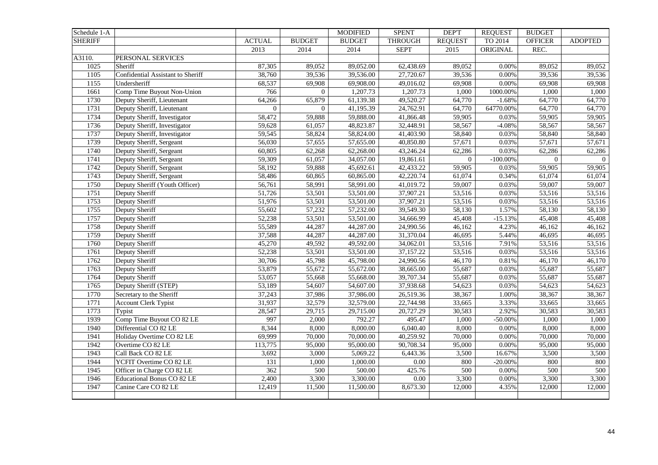| Schedule 1-A   |                                   |                |                  | <b>MODIFIED</b> | <b>SPENT</b>   | DEP'T          | <b>REQUEST</b> | <b>BUDGET</b>  |                     |
|----------------|-----------------------------------|----------------|------------------|-----------------|----------------|----------------|----------------|----------------|---------------------|
| <b>SHERIFF</b> |                                   | <b>ACTUAL</b>  | <b>BUDGET</b>    | <b>BUDGET</b>   | <b>THROUGH</b> | <b>REQUEST</b> | TO 2014        | <b>OFFICER</b> | <b>ADOPTED</b>      |
|                |                                   | 2013           | 2014             | 2014            | <b>SEPT</b>    | 2015           | ORIGINAL       | REC.           |                     |
| A3110.         | PERSONAL SERVICES                 |                |                  |                 |                |                |                |                |                     |
| 1025           | Sheriff                           | 87,305         | 89,052           | 89,052.00       | 62,438.69      | 89,052         | 0.00%          | 89,052         | 89,052              |
| 1105           | Confidential Assistant to Sheriff | 38,760         | 39,536           | 39,536.00       | 27,720.67      | 39,536         | 0.00%          | 39,536         | 39,536              |
| 1155           | Undersheriff                      | 68,537         | 69,908           | 69,908.00       | 49,016.02      | 69,908         | 0.00%          | 69,908         | 69,908              |
| 1661           | Comp Time Buyout Non-Union        | 766            | $\overline{0}$   | 1,207.73        | 1,207.73       | 1,000          | 1000.00%       | 1,000          | 1,000               |
| 1730           | Deputy Sheriff, Lieutenant        | 64,266         | 65,879           | 61,139.38       | 49,520.27      | 64,770         | $-1.68%$       | 64,770         | 64,770              |
| 1731           | Deputy Sheriff, Lieutenant        | $\overline{0}$ | $\boldsymbol{0}$ | 41,195.39       | 24,762.91      | 64,770         | 64770.00%      | 64,770         | 64,770              |
| 1734           | Deputy Sheriff, Investigator      | 58,472         | 59,888           | 59,888.00       | 41,866.48      | 59,905         | 0.03%          | 59,905         | 59,905              |
| 1736           | Deputy Sheriff, Investigator      | 59,628         | 61,057           | 48,823.87       | 32,448.91      | 58,567         | $-4.08%$       | 58,567         | 58,567              |
| 1737           | Deputy Sheriff, Investigator      | 59,545         | 58,824           | 58,824.00       | 41,403.90      | 58,840         | 0.03%          | 58,840         | 58,840              |
| 1739           | Deputy Sheriff, Sergeant          | 56,030         | 57,655           | 57,655.00       | 40,850.80      | 57,671         | 0.03%          | 57,671         | 57,671              |
| 1740           | Deputy Sheriff, Sergeant          | 60,805         | 62,268           | 62,268.00       | 43,246.24      | 62,286         | 0.03%          | 62,286         | 62,286              |
| 1741           | Deputy Sheriff, Sergeant          | 59,309         | 61,057           | 34,057.00       | 19,861.61      | $\mathbf{0}$   | $-100.00\%$    | $\overline{0}$ | $\overline{0}$      |
| 1742           | Deputy Sheriff, Sergeant          | 58,192         | 59,888           | 45,692.61       | 42,433.22      | 59,905         | 0.03%          | 59,905         | $\overline{59,905}$ |
| 1743           | Deputy Sheriff, Sergeant          | 58,486         | 60,865           | 60,865.00       | 42,220.74      | 61,074         | 0.34%          | 61,074         | 61,074              |
| 1750           | Deputy Sheriff (Youth Officer)    | 56,761         | 58,991           | 58,991.00       | 41,019.72      | 59,007         | 0.03%          | 59,007         | 59,007              |
| 1751           | Deputy Sheriff                    | 51,726         | 53,501           | 53,501.00       | 37,907.21      | 53,516         | 0.03%          | 53,516         | 53,516              |
| 1753           | Deputy Sheriff                    | 51,976         | 53,501           | 53,501.00       | 37,907.21      | 53,516         | 0.03%          | 53,516         | 53,516              |
| 1755           | Deputy Sheriff                    | 55,602         | 57,232           | 57,232.00       | 39,549.30      | 58,130         | 1.57%          | 58,130         | 58,130              |
| 1757           | Deputy Sheriff                    | 52,238         | 53,501           | 53,501.00       | 34,666.99      | 45,408         | $-15.13%$      | 45,408         | 45,408              |
| 1758           | Deputy Sheriff                    | 55,589         | 44,287           | 44,287.00       | 24,990.56      | 46,162         | 4.23%          | 46,162         | 46,162              |
| 1759           | Deputy Sheriff                    | 37,588         | 44,287           | 44,287.00       | 31,370.04      | 46,695         | 5.44%          | 46,695         | 46,695              |
| 1760           | Deputy Sheriff                    | 45,270         | 49,592           | 49,592.00       | 34,062.01      | 53,516         | 7.91%          | 53,516         | 53,516              |
| 1761           | Deputy Sheriff                    | 52,238         | 53,501           | 53,501.00       | 37,157.22      | 53,516         | 0.03%          | 53,516         | 53,516              |
| 1762           | Deputy Sheriff                    | 30,706         | 45,798           | 45,798.00       | 24,990.56      | 46,170         | 0.81%          | 46,170         | 46,170              |
| 1763           | Deputy Sheriff                    | 53,879         | 55,672           | 55,672.00       | 38,665.00      | 55,687         | 0.03%          | 55,687         | 55,687              |
| 1764           | Deputy Sheriff                    | 53,057         | 55,668           | 55,668.00       | 39,707.34      | 55,687         | 0.03%          | 55,687         | 55,687              |
| 1765           | Deputy Sheriff (STEP)             | 53,189         | 54,607           | 54,607.00       | 37,938.68      | 54,623         | 0.03%          | 54,623         | 54,623              |
| 1770           | Secretary to the Sheriff          | 37,243         | 37,986           | 37,986.00       | 26,519.36      | 38,367         | 1.00%          | 38,367         | 38,367              |
| 1771           | <b>Account Clerk Typist</b>       | 31,937         | 32,579           | 32,579.00       | 22,744.98      | 33,665         | 3.33%          | 33,665         | 33,665              |
| 1773           | Typist                            | 28,547         | 29,715           | 29,715.00       | 20,727.29      | 30,583         | 2.92%          | 30,583         | 30,583              |
| 1939           | Comp Time Buyout CO 82 LE         | 997            | 2,000            | 792.27          | 495.47         | 1,000          | $-50.00\%$     | 1,000          | 1,000               |
| 1940           | Differential CO 82 LE             | 8,344          | 8,000            | 8,000.00        | 6,040.40       | 8,000          | 0.00%          | 8,000          | 8,000               |
| 1941           | Holiday Overtime CO 82 LE         | 69,999         | 70,000           | 70,000.00       | 40,259.92      | 70,000         | 0.00%          | 70,000         | 70,000              |
| 1942           | Overtime CO 82 LE                 | 113,775        | 95,000           | 95,000.00       | 90,708.34      | 95,000         | 0.00%          | 95,000         | 95,000              |
| 1943           | Call Back CO 82 LE                | 3,692          | 3,000            | 5,069.22        | 6,443.36       | 3,500          | 16.67%         | 3,500          | 3,500               |
| 1944           | YCFIT Overtime CO 82 LE           | 131            | 1,000            | 1,000.00        | $0.00\,$       | 800            | $-20.00\%$     | 800            | 800                 |
| 1945           | Officer in Charge CO 82 LE        | 362            | 500              | 500.00          | 425.76         | 500            | 0.00%          | 500            | 500                 |
| 1946           | <b>Educational Bonus CO 82 LE</b> | 2,400          | 3,300            | 3,300.00        | 0.00           | 3,300          | 0.00%          | 3,300          | 3,300               |
| 1947           | Canine Care CO 82 LE              | 12,419         | 11,500           | 11,500.00       | 8,673.30       | 12,000         | 4.35%          | 12,000         | 12,000              |
|                |                                   |                |                  |                 |                |                |                |                |                     |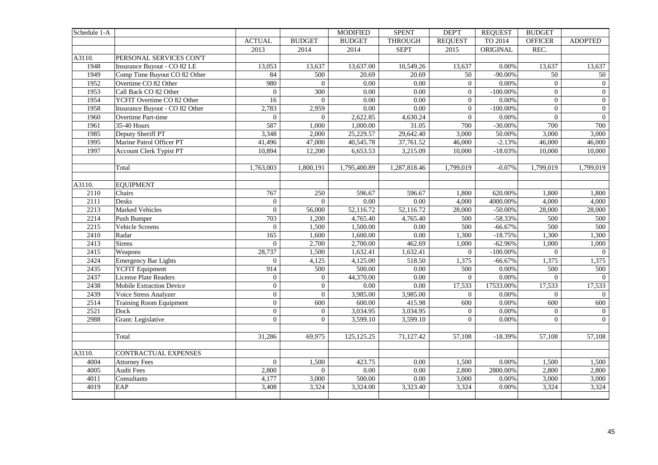| Schedule 1-A |                                 |                  |                | <b>MODIFIED</b>   | <b>SPENT</b>      | DEP'T          | <b>REQUEST</b> | <b>BUDGET</b>  |                |
|--------------|---------------------------------|------------------|----------------|-------------------|-------------------|----------------|----------------|----------------|----------------|
|              |                                 | <b>ACTUAL</b>    | <b>BUDGET</b>  | <b>BUDGET</b>     | <b>THROUGH</b>    | <b>REQUEST</b> | TO 2014        | <b>OFFICER</b> | <b>ADOPTED</b> |
|              |                                 | 2013             | 2014           | 2014              | <b>SEPT</b>       | 2015           | ORIGINAL       | REC.           |                |
| A3110.       | PERSONAL SERVICES CON'T         |                  |                |                   |                   |                |                |                |                |
| 1948         | Insurance Buyout - CO 82 LE     | 13,053           | 13,637         | 13,637.00         | 10,549.26         | 13,637         | 0.00%          | 13,637         | 13,637         |
| 1949         | Comp Time Buyout CO 82 Other    | 84               | 500            | 20.69             | 20.69             | 50             | $-90.00\%$     | 50             | 50             |
| 1952         | Overtime CO 82 Other            | 980              | $\mathbf{0}$   | 0.00              | 0.00              | $\overline{0}$ | 0.00%          | $\overline{0}$ | $\overline{0}$ |
| 1953         | Call Back CO 82 Other           | $\boldsymbol{0}$ | 300            | $\overline{0.00}$ | $\overline{0.00}$ | $\Omega$       | $-100.00\%$    | $\Omega$       | $\overline{0}$ |
| 1954         | YCFIT Overtime CO 82 Other      | 16               | $\Omega$       | 0.00              | 0.00              | $\Omega$       | 0.00%          | $\Omega$       | $\overline{0}$ |
| 1958         | Insurance Buyout - CO 82 Other  | 2,783            | 2,959          | $0.00\,$          | $0.00\,$          | $\overline{0}$ | $-100.00\%$    | $\overline{0}$ | $\overline{0}$ |
| 1960         | Overtime Part-time              | $\overline{0}$   | $\mathbf{0}$   | 2,622.85          | 4,630.24          | $\overline{0}$ | 0.00%          | $\overline{0}$ | $\overline{0}$ |
| 1961         | 35-40 Hours                     | 587              | 1,000          | 1,000.00          | 31.05             | 700            | $-30.00\%$     | 700            | 700            |
| 1985         | Deputy Sheriff PT               | 3,348            | 2,000          | 25,229.57         | 29,642.40         | 3,000          | 50.00%         | 3,000          | 3,000          |
| 1995         | Marine Patrol Officer PT        | 41,496           | 47,000         | 40,545.78         | 37,761.52         | 46,000         | $-2.13%$       | 46,000         | 46,000         |
| 1997         | <b>Account Clerk Typist PT</b>  | 10,894           | 12,200         | 6,653.53          | 3,215.09          | 10,000         | $-18.03%$      | 10,000         | 10,000         |
|              |                                 |                  |                |                   |                   |                |                |                |                |
|              | Total                           | 1,763,003        | 1,800,191      | 1,795,400.89      | 1,287,818.46      | 1,799,019      | $-0.07%$       | 1,799,019      | 1,799,019      |
|              |                                 |                  |                |                   |                   |                |                |                |                |
| A3110.       | <b>EQUIPMENT</b>                |                  |                |                   |                   |                |                |                |                |
| 2110         | Chairs                          | 767              | 250            | 596.67            | 596.67            | 1,800          | 620.00%        | 1,800          | 1,800          |
| 2111         | Desks                           | $\overline{0}$   | $\theta$       | $\overline{0.00}$ | $\overline{0.00}$ | 4,000          | 4000.00%       | 4,000          | 4,000          |
| 2213         | <b>Marked Vehicles</b>          | $\overline{0}$   | 56,000         | 52,116.72         | 52,116.72         | 28,000         | $-50.00\%$     | 28,000         | 28,000         |
| 2214         | Push Bumper                     | 703              | 1,200          | 4,765.40          | 4,765.40          | 500            | $-58.33%$      | 500            | 500            |
| 2215         | Vehicle Screens                 | $\overline{0}$   | 1,500          | 1,500.00          | $\overline{0.00}$ | 500            | $-66.67%$      | 500            | 500            |
| 2410         | Radar                           | 165              | 1,600          | 1,600.00          | $0.00\,$          | 1,300          | $-18.75%$      | 1,300          | 1,300          |
| 2413         | Sirens                          | $\Omega$         | 2,700          | 2,700.00          | 462.69            | 1,000          | $-62.96%$      | 1,000          | 1,000          |
| 2415         | Weapons                         | 28,737           | 1,500          | 1,632.41          | 1,632.41          | $\mathbf{0}$   | $-100.00\%$    | $\overline{0}$ | $\overline{0}$ |
| 2424         | <b>Emergency Bar Lights</b>     | $\overline{0}$   | 4,125          | 4,125.00          | 518.50            | 1,375          | $-66.67%$      | 1,375          | 1,375          |
| 2435         | <b>YCFIT</b> Equipment          | 914              | 500            | 500.00            | $0.00\,$          | 500            | 0.00%          | 500            | 500            |
| 2437         | License Plate Readers           | $\mathbf{0}$     | $\overline{0}$ | 44,370.00         | 0.00              | $\overline{0}$ | 0.00%          | $\overline{0}$ | $\overline{0}$ |
| 2438         | <b>Mobile Extraction Device</b> | $\overline{0}$   | $\overline{0}$ | $0.00\,$          | 0.00              | 17,533         | 17533.00%      | 17,533         | 17,533         |
| 2439         | Voice Stress Analyzer           | $\overline{0}$   | $\overline{0}$ | 3,985.00          | 3,985.00          | $\overline{0}$ | 0.00%          | $\overline{0}$ | $\overline{0}$ |
| 2514         | <b>Training Room Equipment</b>  | $\boldsymbol{0}$ | 600            | 600.00            | 415.98            | 600            | $0.00\%$       | 600            | 600            |
| 2521         | Dock                            | $\overline{0}$   | $\overline{0}$ | 3,034.95          | 3,034.95          | $\overline{0}$ | 0.00%          | $\Omega$       | $\overline{0}$ |
| 2988         | Grant: Legislative              | $\overline{0}$   | $\overline{0}$ | 3,599.10          | 3,599.10          | $\Omega$       | 0.00%          | $\Omega$       | $\overline{0}$ |
|              |                                 |                  |                |                   |                   |                |                |                |                |
|              | Total                           | 31,286           | 69,975         | 125, 125. 25      | 71,127.42         | 57,108         | $-18.39%$      | 57,108         | 57,108         |
|              |                                 |                  |                |                   |                   |                |                |                |                |
| A3110.       | <b>CONTRACTUAL EXPENSES</b>     |                  |                |                   |                   |                |                |                |                |
| 4004         | <b>Attorney Fees</b>            | $\mathbf{0}$     | 1,500          | 423.75            | 0.00              | 1,500          | $0.00\%$       | 1,500          | 1,500          |
| 4005         | <b>Audit Fees</b>               | 2,800            | $\overline{0}$ | $\overline{0.00}$ | $\overline{0.00}$ | 2,800          | 2800.00%       | 2,800          | 2,800          |
| 4011         | Consultants                     | 4,177            | 3,000          | 500.00            | $\overline{0.00}$ | 3,000          | 0.00%          | 3,000          | 3,000          |
| 4019         | EAP                             | 3,408            | 3,324          | 3,324.00          | 3,323.40          | 3,324          | 0.00%          | 3,324          | 3,324          |
|              |                                 |                  |                |                   |                   |                |                |                |                |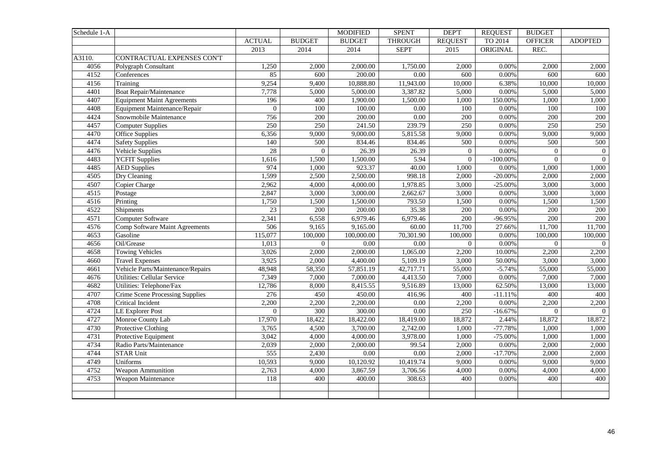| Schedule 1-A |                                        |                |                  | <b>MODIFIED</b> | <b>SPENT</b>      | DEP'T            | <b>REQUEST</b> | <b>BUDGET</b>  |                  |
|--------------|----------------------------------------|----------------|------------------|-----------------|-------------------|------------------|----------------|----------------|------------------|
|              |                                        | <b>ACTUAL</b>  | <b>BUDGET</b>    | <b>BUDGET</b>   | <b>THROUGH</b>    | <b>REQUEST</b>   | TO 2014        | <b>OFFICER</b> | <b>ADOPTED</b>   |
|              |                                        | 2013           | 2014             | 2014            | <b>SEPT</b>       | 2015             | ORIGINAL       | REC.           |                  |
| A3110.       | CONTRACTUAL EXPENSES CON'T             |                |                  |                 |                   |                  |                |                |                  |
| 4056         | Polygraph Consultant                   | 1,250          | 2,000            | 2,000.00        | 1,750.00          | 2,000            | 0.00%          | 2,000          | 2,000            |
| 4152         | Conferences                            | 85             | 600              | 200.00          | 0.00              | 600              | 0.00%          | 600            | 600              |
| 4156         | Training                               | 9,254          | 9,400            | 10,888.80       | 11,943.00         | 10,000           | 6.38%          | 10,000         | 10,000           |
| 4401         | <b>Boat Repair/Maintenance</b>         | 7,778          | 5,000            | 5,000.00        | 3,387.82          | 5,000            | 0.00%          | 5,000          | 5,000            |
| 4407         | <b>Equipment Maint Agreements</b>      | 196            | 400              | 1,900.00        | 1,500.00          | 1,000            | 150.00%        | 1,000          | 1,000            |
| 4408         | Equipment Maintenance/Repair           | $\overline{0}$ | 100              | 100.00          | 0.00              | 100              | 0.00%          | 100            | 100              |
| 4424         | Snowmobile Maintenance                 | 756            | 200              | 200.00          | 0.00              | 200              | 0.00%          | 200            | 200              |
| 4457         | <b>Computer Supplies</b>               | 250            | 250              | 241.50          | 239.79            | 250              | 0.00%          | 250            | 250              |
| 4470         | <b>Office Supplies</b>                 | 6,356          | 9,000            | 9,000.00        | 5,815.58          | 9,000            | 0.00%          | 9,000          | 9,000            |
| 4474         | <b>Safety Supplies</b>                 | 140            | 500              | 834.46          | 834.46            | 500              | $0.00\%$       | 500            | 500              |
| 4476         | Vehicle Supplies                       | 28             | $\overline{0}$   | 26.39           | 26.39             | $\boldsymbol{0}$ | 0.00%          | $\overline{0}$ | $\boldsymbol{0}$ |
| 4483         | <b>YCFIT Supplies</b>                  | 1,616          | 1,500            | 1,500.00        | 5.94              | $\boldsymbol{0}$ | $-100.00\%$    | $\Omega$       | $\overline{0}$   |
| 4485         | <b>AED Supplies</b>                    | 974            | 1,000            | 923.37          | 40.00             | 1,000            | 0.00%          | 1,000          | 1,000            |
| 4505         | Dry Cleaning                           | 1,599          | 2,500            | 2,500.00        | 998.18            | 2,000            | $-20.00\%$     | 2,000          | 2,000            |
| 4507         | Copier Charge                          | 2,962          | 4,000            | 4,000.00        | 1,978.85          | 3,000            | $-25.00\%$     | 3,000          | 3,000            |
| 4515         | Postage                                | 2,847          | 3,000            | 3,000.00        | 2,662.67          | 3,000            | 0.00%          | 3,000          | 3,000            |
| 4516         | Printing                               | 1,750          | 1,500            | 1,500.00        | 793.50            | 1,500            | 0.00%          | 1,500          | 1,500            |
| 4522         | Shipments                              | 23             | 200              | 200.00          | 35.38             | 200              | 0.00%          | 200            | 200              |
| 4571         | Computer Software                      | 2,341          | 6,558            | 6,979.46        | 6,979.46          | 200              | -96.95%        | 200            | 200              |
| 4576         | Comp Software Maint Agreements         | 506            | 9,165            | 9,165.00        | 60.00             | 11,700           | 27.66%         | 11,700         | 11,700           |
| 4653         | Gasoline                               | 115,077        | 100,000          | 100,000.00      | 70,301.90         | 100,000          | 0.00%          | 100,000        | 100,000          |
| 4656         | Oil/Grease                             | 1,013          | $\boldsymbol{0}$ | $0.00\,$        | 0.00              | $\Omega$         | 0.00%          | $\Omega$       | $\overline{0}$   |
| 4658         | <b>Towing Vehicles</b>                 | 3,026          | 2,000            | 2,000.00        | 1,065.00          | 2,200            | 10.00%         | 2,200          | 2,200            |
| 4660         | <b>Travel Expenses</b>                 | 3,925          | 2,000            | 4,400.00        | 5,109.19          | 3,000            | 50.00%         | 3,000          | 3,000            |
| 4661         | Vehicle Parts/Maintenance/Repairs      | 48,948         | 58,350           | 57,851.19       | 42,717.71         | 55,000           | $-5.74%$       | 55,000         | 55,000           |
| 4676         | <b>Utilities: Cellular Service</b>     | 7,349          | 7,000            | 7,000.00        | 4,413.50          | 7,000            | 0.00%          | 7,000          | 7,000            |
| 4682         | Utilities: Telephone/Fax               | 12,786         | 8,000            | 8,415.55        | 9,516.89          | 13,000           | 62.50%         | 13,000         | 13,000           |
| 4707         | <b>Crime Scene Processing Supplies</b> | 276            | 450              | 450.00          | 416.96            | 400              | $-11.11%$      | 400            | 400              |
| 4708         | Critical Incident                      | 2,200          | 2,200            | 2,200.00        | $0.00\,$          | 2,200            | 0.00%          | 2,200          | 2,200            |
| 4724         | <b>LE Explorer Post</b>                | $\overline{0}$ | 300              | 300.00          | $\overline{0.00}$ | 250              | $-16.67%$      | $\overline{0}$ | $\Omega$         |
| 4727         | Monroe County Lab                      | 17,970         | 18,422           | 18,422.00       | 18,419.00         | 18,872           | 2.44%          | 18,872         | 18,872           |
| 4730         | Protective Clothing                    | 3,765          | 4,500            | 3,700.00        | 2,742.00          | 1,000            | $-77.78%$      | 1,000          | 1,000            |
| 4731         | Protective Equipment                   | 3,042          | 4,000            | 4,000.00        | 3,978.00          | 1,000            | $-75.00\%$     | 1,000          | 1,000            |
| 4734         | Radio Parts/Maintenance                | 2,039          | 2,000            | 2,000.00        | 99.54             | 2,000            | 0.00%          | 2,000          | 2,000            |
| 4744         | <b>STAR Unit</b>                       | 555            | 2,430            | $0.00\,$        | $0.00\,$          | 2,000            | $-17.70%$      | 2,000          | 2,000            |
| 4749         | Uniforms                               | 10,593         | 9,000            | 10,120.92       | 10,419.74         | 9,000            | 0.00%          | 9,000          | 9,000            |
| 4752         | Weapon Ammunition                      | 2,763          | 4,000            | 3,867.59        | 3,706.56          | 4,000            | 0.00%          | 4,000          | 4,000            |
| 4753         | Weapon Maintenance                     | 118            | 400              | 400.00          | 308.63            | 400              | 0.00%          | 400            | 400              |
|              |                                        |                |                  |                 |                   |                  |                |                |                  |
|              |                                        |                |                  |                 |                   |                  |                |                |                  |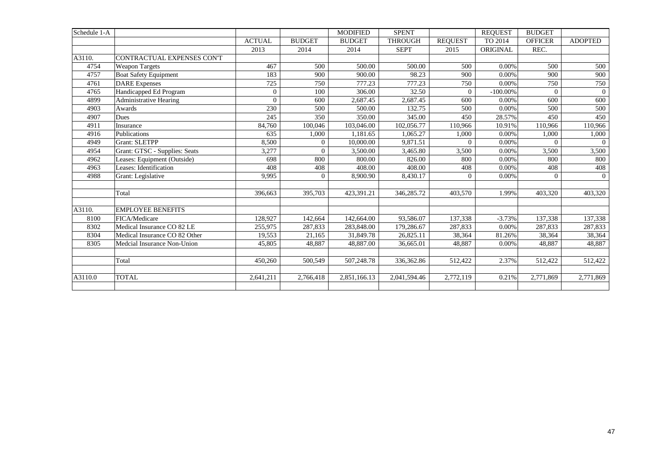| Schedule 1-A |                               |                |                | <b>MODIFIED</b> | <b>SPENT</b>   |                | <b>REOUEST</b> | <b>BUDGET</b>  |                |
|--------------|-------------------------------|----------------|----------------|-----------------|----------------|----------------|----------------|----------------|----------------|
|              |                               | <b>ACTUAL</b>  | <b>BUDGET</b>  | <b>BUDGET</b>   | <b>THROUGH</b> | <b>REQUEST</b> | TO 2014        | <b>OFFICER</b> | <b>ADOPTED</b> |
|              |                               | 2013           | 2014           | 2014            | <b>SEPT</b>    | 2015           | ORIGINAL       | REC.           |                |
| A3110.       | CONTRACTUAL EXPENSES CON'T    |                |                |                 |                |                |                |                |                |
| 4754         | <b>Weapon Targets</b>         | 467            | 500            | 500.00          | 500.00         | 500            | 0.00%          | 500            | 500            |
| 4757         | <b>Boat Safety Equipment</b>  | 183            | 900            | 900.00          | 98.23          | 900            | 0.00%          | 900            | 900            |
| 4761         | <b>DARE</b> Expenses          | 725            | 750            | 777.23          | 777.23         | 750            | 0.00%          | 750            | 750            |
| 4765         | Handicapped Ed Program        | $\overline{0}$ | 100            | 306.00          | 32.50          | $\theta$       | $-100.00\%$    | $\Omega$       | $\overline{0}$ |
| 4899         | <b>Administrative Hearing</b> | $\overline{0}$ | 600            | 2,687.45        | 2,687.45       | 600            | 0.00%          | 600            | 600            |
| 4903         | Awards                        | 230            | 500            | 500.00          | 132.75         | 500            | 0.00%          | 500            | 500            |
| 4907         | <b>Dues</b>                   | 245            | 350            | 350.00          | 345.00         | 450            | 28.57%         | 450            | 450            |
| 4911         | Insurance                     | 84,760         | 100,046        | 103,046.00      | 102,056.77     | 110,966        | 10.91%         | 110,966        | 110,966        |
| 4916         | Publications                  | 635            | 1,000          | 1.181.65        | 1.065.27       | 1,000          | 0.00%          | 1,000          | 1,000          |
| 4949         | <b>Grant: SLETPP</b>          | 8,500          | $\overline{0}$ | 10,000.00       | 9,871.51       | $\theta$       | 0.00%          | $\Omega$       | $\Omega$       |
| 4954         | Grant: GTSC - Supplies: Seats | 3,277          | $\Omega$       | 3,500.00        | 3,465.80       | 3,500          | 0.00%          | 3,500          | 3,500          |
| 4962         | Leases: Equipment (Outside)   | 698            | 800            | 800.00          | 826.00         | 800            | 0.00%          | 800            | 800            |
| 4963         | Leases: Identification        | 408            | 408            | 408.00          | 408.00         | 408            | 0.00%          | 408            | 408            |
| 4988         | Grant: Legislative            | 9.995          | $\Omega$       | 8,900.90        | 8,430.17       | $\Omega$       | 0.00%          | $\Omega$       | $\Omega$       |
|              | Total                         | 396.663        | 395,703        | 423,391.21      | 346.285.72     | 403,570        | 1.99%          | 403,320        | 403,320        |
|              |                               |                |                |                 |                |                |                |                |                |
| A3110.       | <b>EMPLOYEE BENEFITS</b>      |                |                |                 |                |                |                |                |                |
| 8100         | FICA/Medicare                 | 128,927        | 142,664        | 142,664.00      | 93,586.07      | 137,338        | $-3.73%$       | 137,338        | 137,338        |
| 8302         | Medical Insurance CO 82 LE    | 255,975        | 287,833        | 283,848.00      | 179,286.67     | 287,833        | 0.00%          | 287,833        | 287,833        |
| 8304         | Medical Insurance CO 82 Other | 19,553         | 21,165         | 31,849.78       | 26,825.11      | 38,364         | 81.26%         | 38,364         | 38,364         |
| 8305         | Medcial Insurance Non-Union   | 45,805         | 48,887         | 48,887.00       | 36,665.01      | 48,887         | 0.00%          | 48,887         | 48,887         |
|              | Total                         | 450,260        | 500,549        | 507,248.78      | 336,362.86     | 512,422        | 2.37%          | 512,422        | 512,422        |
|              |                               |                |                |                 |                |                |                |                |                |
| A3110.0      | <b>TOTAL</b>                  | 2,641,211      | 2,766,418      | 2,851,166.13    | 2,041,594.46   | 2,772,119      | 0.21%          | 2,771,869      | 2,771,869      |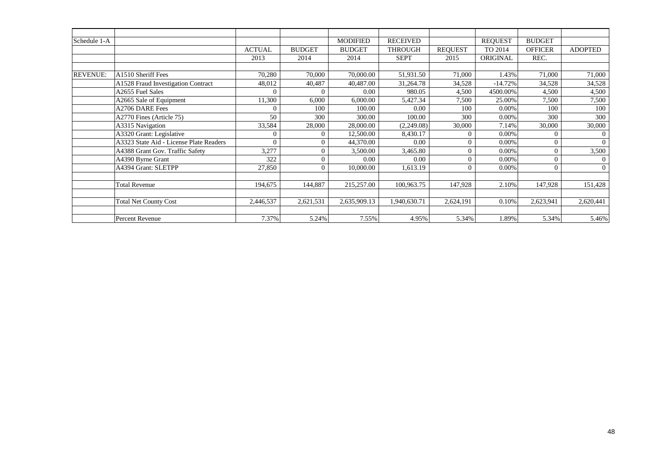| Schedule 1-A    |                                         |               |               | <b>MODIFIED</b> | <b>RECEIVED</b> |                | <b>REQUEST</b> | <b>BUDGET</b>  |                |
|-----------------|-----------------------------------------|---------------|---------------|-----------------|-----------------|----------------|----------------|----------------|----------------|
|                 |                                         | <b>ACTUAL</b> | <b>BUDGET</b> | <b>BUDGET</b>   | <b>THROUGH</b>  | <b>REQUEST</b> | TO 2014        | <b>OFFICER</b> | <b>ADOPTED</b> |
|                 |                                         | 2013          | 2014          | 2014            | <b>SEPT</b>     | 2015           | ORIGINAL       | REC.           |                |
|                 |                                         |               |               |                 |                 |                |                |                |                |
| <b>REVENUE:</b> | A1510 Sheriff Fees                      | 70,280        | 70,000        | 70,000.00       | 51,931.50       | 71,000         | 1.43%          | 71,000         | 71,000         |
|                 | A1528 Fraud Investigation Contract      | 48,012        | 40,487        | 40,487.00       | 31,264.78       | 34,528         | $-14.72%$      | 34,528         | 34,528         |
|                 | A2655 Fuel Sales                        | $\Omega$      |               | 0.00            | 980.05          | 4,500          | 4500.00%       | 4,500          | 4,500          |
|                 | A2665 Sale of Equipment                 | 11,300        | 6,000         | 6,000.00        | 5,427.34        | 7,500          | 25.00%         | 7,500          | 7,500          |
|                 | A2706 DARE Fees                         | $\Omega$      | 100           | 100.00          | 0.00            | 100            | 0.00%          | 100            | 100            |
|                 | A2770 Fines (Article 75)                | 50            | 300           | 300.00          | 100.00          | 300            | 0.00%          | 300            | 300            |
|                 | A3315 Navigation                        | 33,584        | 28,000        | 28,000.00       | (2,249.08)      | 30,000         | 7.14%          | 30,000         | 30,000         |
|                 | A3320 Grant: Legislative                | $\theta$      | $\Omega$      | 12,500.00       | 8,430.17        | $\theta$       | 0.00%          | $\Omega$       | $\mathbf{0}$   |
|                 | A3323 State Aid - License Plate Readers | $\Omega$      | $\Omega$      | 44,370.00       | 0.00            | $\Omega$       | 0.00%          | $\theta$       | $\overline{0}$ |
|                 | A4388 Grant Gov. Traffic Safety         | 3,277         |               | 3,500.00        | 3,465.80        | $\theta$       | 0.00%          | $\overline{0}$ | 3,500          |
|                 | A4390 Byrne Grant                       | 322           | $\Omega$      | 0.00            | 0.00            | $\theta$       | 0.00%          | $\Omega$       | $\mathbf{0}$   |
|                 | A4394 Grant: SLETPP                     | 27,850        | $\Omega$      | 10,000.00       | 1,613.19        | $\theta$       | 0.00%          | $\overline{0}$ | $\overline{0}$ |
|                 |                                         |               |               |                 |                 |                |                |                |                |
|                 | <b>Total Revenue</b>                    | 194,675       | 144,887       | 215,257.00      | 100,963.75      | 147,928        | 2.10%          | 147,928        | 151,428        |
|                 |                                         |               |               |                 |                 |                |                |                |                |
|                 | <b>Total Net County Cost</b>            | 2,446,537     | 2,621,531     | 2,635,909.13    | 1,940,630.71    | 2,624,191      | 0.10%          | 2,623,941      | 2,620,441      |
|                 |                                         |               |               |                 |                 |                |                |                |                |
|                 | Percent Revenue                         | 7.37%         | 5.24%         | 7.55%           | 4.95%           | 5.34%          | 1.89%          | 5.34%          | 5.46%          |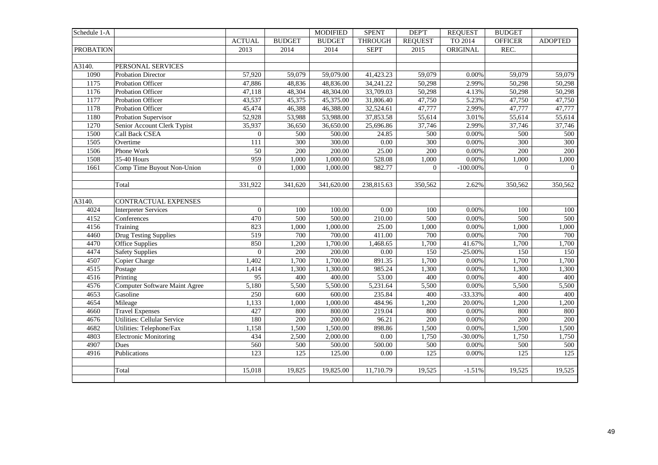| Schedule 1-A     |                                      |                  |               | <b>MODIFIED</b> | <b>SPENT</b>   | DEP'T          | <b>REQUEST</b> | <b>BUDGET</b>  |                |
|------------------|--------------------------------------|------------------|---------------|-----------------|----------------|----------------|----------------|----------------|----------------|
|                  |                                      | <b>ACTUAL</b>    | <b>BUDGET</b> | <b>BUDGET</b>   | <b>THROUGH</b> | <b>REQUEST</b> | TO 2014        | <b>OFFICER</b> | <b>ADOPTED</b> |
| <b>PROBATION</b> |                                      | 2013             | 2014          | 2014            | <b>SEPT</b>    | 2015           | ORIGINAL       | REC.           |                |
|                  |                                      |                  |               |                 |                |                |                |                |                |
| A3140.           | PERSONAL SERVICES                    |                  |               |                 |                |                |                |                |                |
| 1090             | <b>Probation Director</b>            | 57,920           | 59,079        | 59,079.00       | 41,423.23      | 59,079         | 0.00%          | 59,079         | 59,079         |
| 1175             | Probation Officer                    | 47,886           | 48,836        | 48,836.00       | 34,241.22      | 50,298         | 2.99%          | 50,298         | 50,298         |
| 1176             | Probation Officer                    | 47,118           | 48,304        | 48,304.00       | 33,709.03      | 50,298         | 4.13%          | 50,298         | 50,298         |
| 1177             | Probation Officer                    | 43,537           | 45,375        | 45,375.00       | 31,806.40      | 47,750         | 5.23%          | 47,750         | 47,750         |
| 1178             | Probation Officer                    | 45,474           | 46,388        | 46,388.00       | 32,524.61      | 47,777         | 2.99%          | 47,777         | 47,777         |
| 1180             | Probation Supervisor                 | 52,928           | 53,988        | 53,988.00       | 37,853.58      | 55,614         | 3.01%          | 55,614         | 55,614         |
| 1270             | Senior Account Clerk Typist          | 35,937           | 36,650        | 36,650.00       | 25,696.86      | 37,746         | 2.99%          | 37,746         | 37,746         |
| 1500             | Call Back CSEA                       | $\overline{0}$   | 500           | 500.00          | 24.85          | 500            | 0.00%          | 500            | 500            |
| 1505             | Overtime                             | 111              | 300           | 300.00          | 0.00           | 300            | 0.00%          | 300            | 300            |
| 1506             | Phone Work                           | 50               | 200           | 200.00          | 25.00          | 200            | 0.00%          | 200            | 200            |
| 1508             | 35-40 Hours                          | 959              | 1,000         | 1,000.00        | 528.08         | 1,000          | 0.00%          | 1,000          | 1,000          |
| 1661             | Comp Time Buyout Non-Union           | $\overline{0}$   | 1,000         | 1,000.00        | 982.77         | $\Omega$       | $-100.00\%$    | $\overline{0}$ | $\overline{0}$ |
|                  |                                      |                  |               |                 |                |                |                |                |                |
|                  | Total                                | 331,922          | 341,620       | 341,620.00      | 238,815.63     | 350,562        | 2.62%          | 350,562        | 350,562        |
|                  |                                      |                  |               |                 |                |                |                |                |                |
| A3140.           | CONTRACTUAL EXPENSES                 |                  |               |                 |                |                |                |                |                |
| 4024             | <b>Interpreter Services</b>          | $\Omega$         | 100           | 100.00          | 0.00           | 100            | 0.00%          | 100            | 100            |
| 4152             | Conferences                          | 470              | 500           | 500.00          | 210.00         | 500            | $0.00\%$       | 500            | 500            |
| 4156             | Training                             | 823              | 1,000         | 1,000.00        | 25.00          | 1,000          | 0.00%          | 1,000          | 1,000          |
| 4460             | <b>Drug Testing Supplies</b>         | $\overline{519}$ | 700           | 700.00          | 411.00         | 700            | 0.00%          | 700            | 700            |
| 4470             | Office Supplies                      | 850              | 1,200         | 1,700.00        | 1,468.65       | 1,700          | 41.67%         | 1,700          | 1,700          |
| 4474             | <b>Safety Supplies</b>               | $\overline{0}$   | 200           | 200.00          | 0.00           | 150            | $-25.00\%$     | 150            | 150            |
| 4507             | Copier Charge                        | 1,402            | 1,700         | 1,700.00        | 891.35         | 1,700          | 0.00%          | 1,700          | 1,700          |
| 4515             | Postage                              | 1,414            | 1,300         | 1,300.00        | 985.24         | 1,300          | $0.00\%$       | 1,300          | 1,300          |
| 4516             | Printing                             | $\overline{95}$  | 400           | 400.00          | 53.00          | 400            | 0.00%          | 400            | 400            |
| 4576             | <b>Computer Software Maint Agree</b> | 5,180            | 5,500         | 5,500.00        | 5,231.64       | 5,500          | $0.00\%$       | 5,500          | 5,500          |
| 4653             | Gasoline                             | $\overline{250}$ | 600           | 600.00          | 235.84         | 400            | $-33.33%$      | 400            | 400            |
| 4654             | Mileage                              | 1,133            | 1,000         | 1,000.00        | 484.96         | 1,200          | 20.00%         | 1,200          | 1,200          |
| 4660             | <b>Travel Expenses</b>               | 427              | 800           | 800.00          | 219.04         | 800            | 0.00%          | 800            | 800            |
| 4676             | Utilities: Cellular Service          | 180              | 200           | 200.00          | 96.21          | 200            | 0.00%          | 200            | 200            |
| 4682             | Utilities: Telephone/Fax             | 1,158            | 1,500         | 1,500.00        | 898.86         | 1,500          | 0.00%          | 1,500          | 1,500          |
| 4803             | <b>Electronic Monitoring</b>         | 434              | 2,500         | 2,000.00        | 0.00           | 1,750          | $-30.00\%$     | 1,750          | 1,750          |
| 4907             | Dues                                 | 560              | 500           | 500.00          | 500.00         | 500            | 0.00%          | 500            | 500            |
| 4916             | Publications                         | 123              | 125           | 125.00          | 0.00           | 125            | 0.00%          | 125            | 125            |
|                  |                                      |                  |               |                 |                |                |                |                |                |
|                  | Total                                | 15,018           | 19,825        | 19,825.00       | 11,710.79      | 19,525         | $-1.51%$       | 19,525         | 19,525         |
|                  |                                      |                  |               |                 |                |                |                |                |                |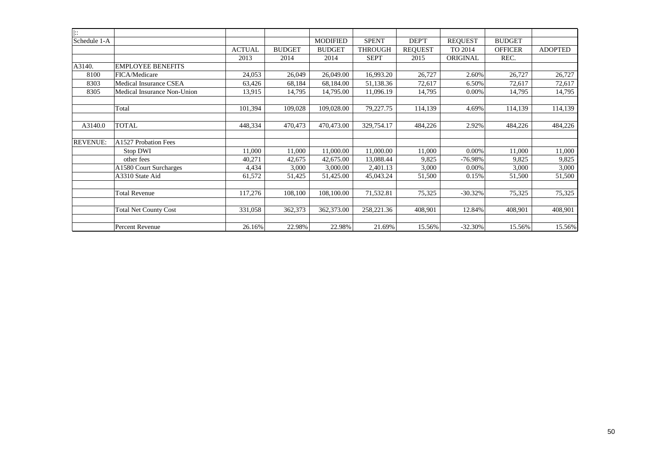| $\overline{\mathbb{R}}$ |                              |               |               |                 |                |                |                |                |                |
|-------------------------|------------------------------|---------------|---------------|-----------------|----------------|----------------|----------------|----------------|----------------|
| Schedule 1-A            |                              |               |               | <b>MODIFIED</b> | <b>SPENT</b>   | DEP'T          | <b>REQUEST</b> | <b>BUDGET</b>  |                |
|                         |                              | <b>ACTUAL</b> | <b>BUDGET</b> | <b>BUDGET</b>   | <b>THROUGH</b> | <b>REQUEST</b> | TO 2014        | <b>OFFICER</b> | <b>ADOPTED</b> |
|                         |                              | 2013          | 2014          | 2014            | <b>SEPT</b>    | 2015           | ORIGINAL       | REC.           |                |
| A3140.                  | <b>EMPLOYEE BENEFITS</b>     |               |               |                 |                |                |                |                |                |
| 8100                    | FICA/Medicare                | 24,053        | 26,049        | 26,049.00       | 16,993.20      | 26,727         | 2.60%          | 26,727         | 26,727         |
| 8303                    | Medical Insurance CSEA       | 63,426        | 68,184        | 68,184.00       | 51,138.36      | 72,617         | 6.50%          | 72,617         | 72,617         |
| 8305                    | Medical Insurance Non-Union  | 13,915        | 14,795        | 14,795.00       | 11,096.19      | 14,795         | 0.00%          | 14,795         | 14,795         |
|                         | Total                        | 101,394       | 109,028       | 109,028.00      | 79,227.75      | 114,139        | 4.69%          | 114,139        | 114,139        |
| A3140.0                 | <b>TOTAL</b>                 | 448,334       | 470,473       | 470,473.00      | 329,754.17     | 484,226        | 2.92%          | 484,226        | 484,226        |
| <b>REVENUE:</b>         | A1527 Probation Fees         |               |               |                 |                |                |                |                |                |
|                         | Stop DWI                     | 11,000        | 11,000        | 11,000.00       | 11,000.00      | 11,000         | 0.00%          | 11,000         | 11,000         |
|                         | other fees                   | 40,271        | 42,675        | 42,675.00       | 13,088.44      | 9,825          | $-76.98%$      | 9,825          | 9,825          |
|                         | A1580 Court Surcharges       | 4,434         | 3,000         | 3,000.00        | 2,401.13       | 3,000          | 0.00%          | 3,000          | 3,000          |
|                         | A3310 State Aid              | 61,572        | 51,425        | 51,425.00       | 45,043.24      | 51,500         | 0.15%          | 51,500         | 51,500         |
|                         | <b>Total Revenue</b>         | 117,276       | 108,100       | 108,100.00      | 71,532.81      | 75,325         | $-30.32%$      | 75,325         | 75,325         |
|                         | <b>Total Net County Cost</b> | 331,058       | 362,373       | 362,373.00      | 258, 221. 36   | 408,901        | 12.84%         | 408,901        | 408,901        |
|                         | Percent Revenue              | 26.16%        | 22.98%        | 22.98%          | 21.69%         | 15.56%         | $-32.30%$      | 15.56%         | 15.56%         |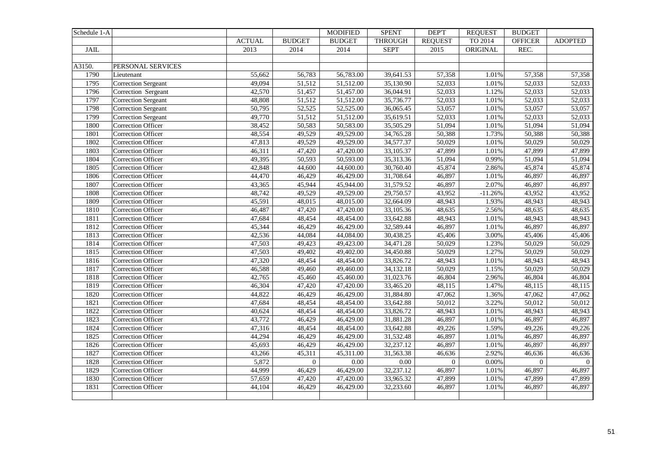| Schedule 1-A |                            |               |               | <b>MODIFIED</b> | <b>SPENT</b>   | DEP'T          | <b>REQUEST</b> | <b>BUDGET</b>  |                |
|--------------|----------------------------|---------------|---------------|-----------------|----------------|----------------|----------------|----------------|----------------|
|              |                            | <b>ACTUAL</b> | <b>BUDGET</b> | <b>BUDGET</b>   | <b>THROUGH</b> | <b>REQUEST</b> | TO 2014        | <b>OFFICER</b> | <b>ADOPTED</b> |
| <b>JAIL</b>  |                            | 2013          | 2014          | 2014            | <b>SEPT</b>    | 2015           | ORIGINAL       | REC.           |                |
|              |                            |               |               |                 |                |                |                |                |                |
| A3150.       | PERSONAL SERVICES          |               |               |                 |                |                |                |                |                |
| 1790         | Lieutenant                 | 55,662        | 56,783        | 56,783.00       | 39,641.53      | 57,358         | 1.01%          | 57,358         | 57,358         |
| 1795         | Correction Sergeant        | 49,094        | 51,512        | 51,512.00       | 35,130.90      | 52,033         | 1.01%          | 52,033         | 52,033         |
| 1796         | Correction Sergeant        | 42,570        | 51,457        | 51,457.00       | 36,044.91      | 52,033         | 1.12%          | 52,033         | 52,033         |
| 1797         | <b>Correction Sergeant</b> | 48,808        | 51,512        | 51,512.00       | 35,736.77      | 52,033         | 1.01%          | 52,033         | 52,033         |
| 1798         | <b>Correction Sergeant</b> | 50,795        | 52,525        | 52,525.00       | 36,065.45      | 53,057         | 1.01%          | 53,057         | 53,057         |
| 1799         | <b>Correction Sergeant</b> | 49,770        | 51,512        | 51,512.00       | 35,619.51      | 52,033         | 1.01%          | 52,033         | 52,033         |
| 1800         | Correction Officer         | 38,452        | 50,583        | 50,583.00       | 35,505.29      | 51,094         | 1.01%          | 51,094         | 51,094         |
| 1801         | Correction Officer         | 48,554        | 49,529        | 49,529.00       | 34,765.28      | 50,388         | 1.73%          | 50,388         | 50,388         |
| 1802         | Correction Officer         | 47,813        | 49,529        | 49,529.00       | 34,577.37      | 50,029         | 1.01%          | 50,029         | 50,029         |
| 1803         | <b>Correction Officer</b>  | 46,311        | 47,420        | 47,420.00       | 33,105.37      | 47,899         | 1.01%          | 47,899         | 47,899         |
| 1804         | <b>Correction Officer</b>  | 49,395        | 50,593        | 50,593.00       | 35,313.36      | 51,094         | 0.99%          | 51,094         | 51,094         |
| 1805         | Correction Officer         | 42,848        | 44,600        | 44,600.00       | 30,760.40      | 45,874         | 2.86%          | 45,874         | 45,874         |
| 1806         | <b>Correction Officer</b>  | 44,470        | 46,429        | 46,429.00       | 31,708.64      | 46,897         | 1.01%          | 46,897         | 46,897         |
| 1807         | Correction Officer         | 43,365        | 45,944        | 45,944.00       | 31,579.52      | 46,897         | 2.07%          | 46,897         | 46,897         |
| 1808         | <b>Correction Officer</b>  | 48,742        | 49,529        | 49,529.00       | 29,750.57      | 43,952         | $-11.26%$      | 43,952         | 43,952         |
| 1809         | <b>Correction Officer</b>  | 45,591        | 48,015        | 48,015.00       | 32,664.09      | 48,943         | 1.93%          | 48,943         | 48,943         |
| 1810         | Correction Officer         | 46,487        | 47,420        | 47,420.00       | 33,105.36      | 48,635         | 2.56%          | 48,635         | 48,635         |
| 1811         | <b>Correction Officer</b>  | 47,684        | 48,454        | 48,454.00       | 33,642.88      | 48,943         | 1.01%          | 48,943         | 48,943         |
| 1812         | <b>Correction Officer</b>  | 45,344        | 46,429        | 46,429.00       | 32,589.44      | 46,897         | 1.01%          | 46,897         | 46,897         |
| 1813         | Correction Officer         | 42,536        | 44,084        | 44,084.00       | 30,438.25      | 45,406         | 3.00%          | 45,406         | 45,406         |
| 1814         | <b>Correction Officer</b>  | 47,503        | 49,423        | 49,423.00       | 34,471.28      | 50,029         | 1.23%          | 50,029         | 50,029         |
| 1815         | Correction Officer         | 47,503        | 49,402        | 49,402.00       | 34,450.88      | 50,029         | 1.27%          | 50,029         | 50,029         |
| 1816         | <b>Correction Officer</b>  | 47,320        | 48,454        | 48,454.00       | 33,826.72      | 48,943         | 1.01%          | 48,943         | 48,943         |
| 1817         | <b>Correction Officer</b>  | 46,588        | 49,460        | 49,460.00       | 34,132.18      | 50,029         | 1.15%          | 50,029         | 50,029         |
| 1818         | Correction Officer         | 42,765        | 45,460        | 45,460.00       | 31,023.76      | 46,804         | 2.96%          | 46,804         | 46,804         |
| 1819         | Correction Officer         | 46,304        | 47,420        | 47,420.00       | 33,465.20      | 48,115         | 1.47%          | 48,115         | 48,115         |
| 1820         | <b>Correction Officer</b>  | 44,822        | 46,429        | 46,429.00       | 31,884.80      | 47,062         | 1.36%          | 47,062         | 47,062         |
| 1821         | Correction Officer         | 47,684        | 48,454        | 48,454.00       | 33,642.88      | 50,012         | 3.22%          | 50,012         | 50,012         |
| 1822         | <b>Correction Officer</b>  | 40,624        | 48,454        | 48,454.00       | 33,826.72      | 48,943         | 1.01%          | 48,943         | 48,943         |
| 1823         | Correction Officer         | 43,772        | 46,429        | 46,429.00       | 31,881.28      | 46,897         | 1.01%          | 46,897         | 46,897         |
| 1824         | Correction Officer         | 47,316        | 48,454        | 48,454.00       | 33,642.88      | 49,226         | 1.59%          | 49,226         | 49,226         |
| 1825         | <b>Correction Officer</b>  | 44,294        | 46,429        | 46,429.00       | 31,532.48      | 46,897         | 1.01%          | 46,897         | 46,897         |
| 1826         | Correction Officer         | 45,693        | 46,429        | 46,429.00       | 32,237.12      | 46,897         | 1.01%          | 46,897         | 46,897         |
| 1827         | Correction Officer         | 43,266        | 45,311        | 45,311.00       | 31,563.38      | 46,636         | 2.92%          | 46,636         | 46,636         |
| 1828         | Correction Officer         | 5,872         | $\mathbf{0}$  | $0.00\,$        | $0.00\,$       | $\overline{0}$ | $0.00\%$       | $\overline{0}$ | $\Omega$       |
| 1829         | <b>Correction Officer</b>  | 44,999        | 46,429        | 46,429.00       | 32,237.12      | 46,897         | 1.01%          | 46,897         | 46,897         |
| 1830         | <b>Correction Officer</b>  | 57,659        | 47,420        | 47,420.00       | 33,965.32      | 47,899         | 1.01%          | 47,899         | 47,899         |
| 1831         | Correction Officer         | 44,104        | 46,429        | 46,429.00       | 32,233.60      | 46,897         | 1.01%          | 46,897         | 46,897         |
|              |                            |               |               |                 |                |                |                |                |                |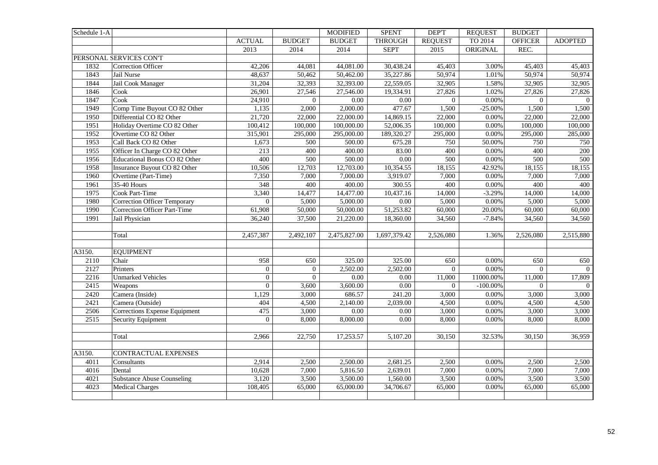| Schedule 1-A |                                     |                |                | <b>MODIFIED</b>   | <b>SPENT</b>      | <b>DEPT</b>    | <b>REQUEST</b> | <b>BUDGET</b>  |                |
|--------------|-------------------------------------|----------------|----------------|-------------------|-------------------|----------------|----------------|----------------|----------------|
|              |                                     | <b>ACTUAL</b>  | <b>BUDGET</b>  | <b>BUDGET</b>     | <b>THROUGH</b>    | <b>REQUEST</b> | TO 2014        | <b>OFFICER</b> | <b>ADOPTED</b> |
|              |                                     | 2013           | 2014           | 2014              | <b>SEPT</b>       | 2015           | ORIGINAL       | REC.           |                |
|              | PERSONAL SERVICES CON'T             |                |                |                   |                   |                |                |                |                |
| 1832         | Correction Officer                  | 42,206         | 44,081         | 44,081.00         | 30,438.24         | 45,403         | 3.00%          | 45,403         | 45,403         |
| 1843         | Jail Nurse                          | 48,637         | 50,462         | 50,462.00         | 35,227.86         | 50,974         | 1.01%          | 50,974         | 50,974         |
| 1844         | Jail Cook Manager                   | 31,204         | 32,393         | 32,393.00         | 22,559.05         | 32,905         | 1.58%          | 32,905         | 32,905         |
| 1846         | Cook                                | 26,901         | 27,546         | 27,546.00         | 19,334.91         | 27,826         | 1.02%          | 27,826         | 27,826         |
| 1847         | Cook                                | 24,910         | $\overline{0}$ | 0.00              | $0.00\,$          | $\overline{0}$ | 0.00%          | $\overline{0}$ | $\overline{0}$ |
| 1949         | Comp Time Buyout CO 82 Other        | 1,135          | 2,000          | 2,000.00          | 477.67            | 1,500          | $-25.00\%$     | 1,500          | 1,500          |
| 1950         | Differential CO 82 Other            | 21,720         | 22,000         | 22,000.00         | 14,869.15         | 22,000         | 0.00%          | 22,000         | 22,000         |
| 1951         | Holiday Overtime CO 82 Other        | 100,412        | 100,000        | 100,000.00        | 52,006.35         | 100,000        | 0.00%          | 100,000        | 100,000        |
| 1952         | Overtime CO 82 Other                | 315,901        | 295,000        | 295,000.00        | 189,320.27        | 295,000        | $0.00\%$       | 295,000        | 285,000        |
| 1953         | Call Back CO 82 Other               | 1,673          | 500            | 500.00            | 675.28            | 750            | 50.00%         | 750            | 750            |
| 1955         | Officer In Charge CO 82 Other       | 213            | 400            | 400.00            | 83.00             | 400            | $0.00\%$       | 400            | 200            |
| 1956         | Educational Bonus CO 82 Other       | 400            | 500            | 500.00            | $\overline{0.00}$ | 500            | 0.00%          | 500            | 500            |
| 1958         | Insurance Buyout CO 82 Other        | 10,506         | 12,703         | 12,703.00         | 10,354.55         | 18,155         | 42.92%         | 18,155         | 18,155         |
| 1960         | Overtime (Part-Time)                | 7,350          | 7,000          | 7,000.00          | 3,919.07          | 7,000          | 0.00%          | 7,000          | 7,000          |
| 1961         | 35-40 Hours                         | 348            | 400            | 400.00            | 300.55            | 400            | 0.00%          | 400            | 400            |
| 1975         | Cook Part-Time                      | 3,340          | 14,477         | 14,477.00         | 10,437.16         | 14,000         | $-3.29%$       | 14,000         | 14,000         |
| 1980         | <b>Correction Officer Temporary</b> | $\overline{0}$ | 5,000          | 5,000.00          | 0.00              | 5,000          | $0.00\%$       | 5,000          | 5,000          |
| 1990         | <b>Correction Officer Part-Time</b> | 61,908         | 50,000         | 50,000.00         | 51,253.82         | 60,000         | 20.00%         | 60,000         | 60,000         |
| 1991         | Jail Physician                      | 36,240         | 37,500         | 21,220.00         | 18,360.00         | 34,560         | $-7.84%$       | 34,560         | 34,560         |
|              |                                     |                |                |                   |                   |                |                |                |                |
|              | Total                               | 2,457,387      | 2,492,107      | 2,475,827.00      | 1,697,379.42      | 2,526,080      | 1.36%          | 2,526,080      | 2,515,880      |
|              |                                     |                |                |                   |                   |                |                |                |                |
| A3150.       | <b>EQUIPMENT</b>                    |                |                |                   |                   |                |                |                |                |
| 2110         | Chair                               | 958            | 650            | 325.00            | 325.00            | 650            | 0.00%          | 650            | 650            |
| 2127         | Printers                            | $\overline{0}$ | $\overline{0}$ | 2,502.00          | 2,502.00          | $\overline{0}$ | $0.00\%$       | $\overline{0}$ | $\overline{0}$ |
| 2216         | <b>Unmarked Vehicles</b>            | $\overline{0}$ | $\overline{0}$ | 0.00              | 0.00              | 11,000         | 11000.00%      | 11,000         | 17,809         |
| 2415         | Weapons                             | $\overline{0}$ | 3,600          | 3,600.00          | $0.00\,$          | $\overline{0}$ | $-100.00\%$    | $\Omega$       | $\Omega$       |
| 2420         | Camera (Inside)                     | 1,129          | 3,000          | 686.57            | 241.20            | 3,000          | 0.00%          | 3,000          | 3,000          |
| 2421         | Camera (Outside)                    | 404            | 4,500          | 2,140.00          | 2,039.00          | 4,500          | 0.00%          | 4,500          | 4,500          |
| 2506         | Corrections Expense Equipment       | 475            | 3,000          | $\overline{0.00}$ | $0.00\,$          | 3,000          | 0.00%          | 3,000          | 3,000          |
| 2515         | Security Equipment                  | $\Omega$       | 8,000          | 8,000.00          | 0.00              | 8,000          | 0.00%          | 8,000          | 8,000          |
|              |                                     |                |                |                   |                   |                |                |                |                |
|              | Total                               | 2,966          | 22,750         | 17,253.57         | 5,107.20          | 30,150         | 32.53%         | 30,150         | 36,959         |
|              |                                     |                |                |                   |                   |                |                |                |                |
| A3150.       | CONTRACTUAL EXPENSES                |                |                |                   |                   |                |                |                |                |
| 4011         | Consultants                         | 2,914          | 2,500          | 2,500.00          | 2,681.25          | 2,500          | 0.00%          | 2,500          | 2,500          |
| 4016         | Dental                              | 10,628         | 7,000          | 5,816.50          | 2,639.01          | 7,000          | 0.00%          | 7,000          | 7,000          |
| 4021         | <b>Substance Abuse Counseling</b>   | 3,120          | 3,500          | 3,500.00          | 1,560.00          | 3,500          | $0.00\%$       | 3,500          | 3,500          |
| 4023         | <b>Medical Charges</b>              | 108,405        | 65,000         | 65,000.00         | 34,706.67         | 65,000         | 0.00%          | 65,000         | 65,000         |
|              |                                     |                |                |                   |                   |                |                |                |                |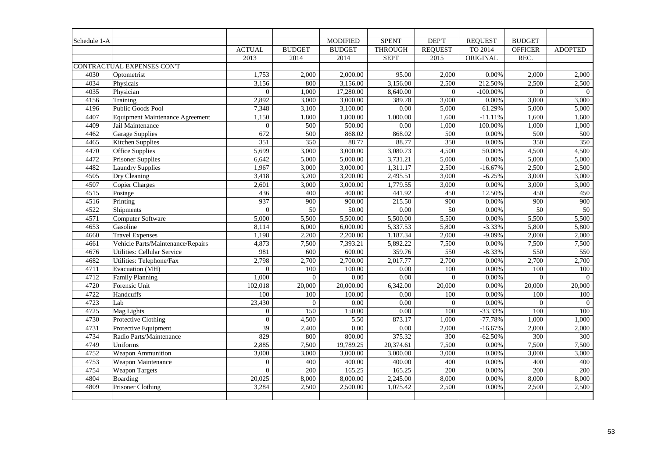| Schedule 1-A |                                        |                  |                  | <b>MODIFIED</b> | <b>SPENT</b>   | DEP'T           | <b>REQUEST</b> | <b>BUDGET</b>    |                  |
|--------------|----------------------------------------|------------------|------------------|-----------------|----------------|-----------------|----------------|------------------|------------------|
|              |                                        | <b>ACTUAL</b>    | <b>BUDGET</b>    | <b>BUDGET</b>   | <b>THROUGH</b> | <b>REQUEST</b>  | TO 2014        | <b>OFFICER</b>   | <b>ADOPTED</b>   |
|              |                                        | 2013             | 2014             | 2014            | <b>SEPT</b>    | 2015            | ORIGINAL       | REC.             |                  |
|              | CONTRACTUAL EXPENSES CON'T             |                  |                  |                 |                |                 |                |                  |                  |
| 4030         | Optometrist                            | 1,753            | 2,000            | 2,000.00        | 95.00          | 2,000           | 0.00%          | 2,000            | 2,000            |
| 4034         | Physicals                              | 3,156            | 800              | 3,156.00        | 3,156.00       | 2,500           | 212.50%        | 2,500            | 2,500            |
| 4035         | Physician                              | $\overline{0}$   | 1,000            | 17,280.00       | 8,640.00       | $\mathbf{0}$    | $-100.00\%$    | $\Omega$         | $\mathbf{0}$     |
| 4156         | Training                               | 2,892            | 3,000            | 3,000.00        | 389.78         | 3,000           | 0.00%          | 3,000            | 3,000            |
| 4196         | Public Goods Pool                      | 7,348            | 3,100            | 3,100.00        | 0.00           | 5,000           | 61.29%         | 5,000            | 5,000            |
| 4407         | <b>Equipment Maintenance Agreement</b> | 1,150            | 1,800            | 1,800.00        | 1,000.00       | 1,600           | $-11.11%$      | 1,600            | 1,600            |
| 4409         | Jail Maintenance                       | $\overline{0}$   | 500              | 500.00          | 0.00           | 1,000           | 100.00%        | 1,000            | 1,000            |
| 4462         | <b>Garage Supplies</b>                 | 672              | 500              | 868.02          | 868.02         | 500             | 0.00%          | 500              | 500              |
| 4465         | Kitchen Supplies                       | 351              | 350              | 88.77           | 88.77          | 350             | 0.00%          | 350              | 350              |
| 4470         | Office Supplies                        | 5,699            | 3,000            | 3,000.00        | 3,080.73       | 4,500           | 50.00%         | 4,500            | 4,500            |
| 4472         | Prisoner Supplies                      | 6,642            | 5,000            | 5,000.00        | 3,731.21       | 5,000           | 0.00%          | 5,000            | 5,000            |
| 4482         | <b>Laundry Supplies</b>                | 1,967            | 3,000            | 3,000.00        | 1,311.17       | 2,500           | $-16.67%$      | 2,500            | 2,500            |
| 4505         | Dry Cleaning                           | 3,418            | 3,200            | 3,200.00        | 2,495.51       | 3,000           | $-6.25%$       | 3,000            | 3,000            |
| 4507         | <b>Copier Charges</b>                  | 2,601            | 3,000            | 3,000.00        | 1,779.55       | 3,000           | 0.00%          | 3,000            | 3,000            |
| 4515         | Postage                                | 436              | 400              | 400.00          | 441.92         | 450             | 12.50%         | 450              | 450              |
| 4516         | Printing                               | 937              | 900              | 900.00          | 215.50         | 900             | 0.00%          | $\overline{900}$ | 900              |
| 4522         | Shipments                              | $\boldsymbol{0}$ | $\overline{50}$  | 50.00           | 0.00           | $\overline{50}$ | 0.00%          | $\overline{50}$  | 50               |
| 4571         | Computer Software                      | 5,000            | 5,500            | 5,500.00        | 5,500.00       | 5,500           | 0.00%          | 5,500            | 5,500            |
| 4653         | Gasoline                               | 8,114            | 6,000            | 6,000.00        | 5,337.53       | 5,800           | $-3.33%$       | 5,800            | 5,800            |
| 4660         | <b>Travel Expenses</b>                 | 1,198            | 2,200            | 2,200.00        | 1,187.34       | 2,000           | $-9.09%$       | 2,000            | 2,000            |
| 4661         | Vehicle Parts/Maintenance/Repairs      | 4,873            | 7,500            | 7,393.21        | 5,892.22       | 7,500           | $0.00\%$       | 7,500            | 7,500            |
| 4676         | <b>Utilities: Cellular Service</b>     | 981              | $\overline{600}$ | 600.00          | 359.76         | 550             | $-8.33%$       | 550              | 550              |
| 4682         | Utilities: Telephone/Fax               | 2,798            | 2,700            | 2,700.00        | 2,017.77       | 2,700           | 0.00%          | 2,700            | 2,700            |
| 4711         | Evacuation (MH)                        | $\overline{0}$   | 100              | 100.00          | 0.00           | 100             | 0.00%          | 100              | 100              |
| 4712         | Family Planning                        | 1,000            | $\mathbf{0}$     | $0.00\,$        | 0.00           | $\mathbf{0}$    | $0.00\%$       | $\mathbf{0}$     | $\overline{0}$   |
| 4720         | Forensic Unit                          | 102,018          | 20,000           | 20,000.00       | 6,342.00       | 20,000          | 0.00%          | 20,000           | 20,000           |
| 4722         | Handcuffs                              | 100              | 100              | 100.00          | 0.00           | 100             | 0.00%          | 100              | 100              |
| 4723         | Lab                                    | 23,430           | $\boldsymbol{0}$ | $0.00\,$        | 0.00           | $\mathbf{0}$    | 0.00%          | $\boldsymbol{0}$ | $\mathbf{0}$     |
| 4725         | Mag Lights                             | $\overline{0}$   | 150              | 150.00          | 0.00           | 100             | $-33.33%$      | 100              | 100              |
| 4730         | Protective Clothing                    | $\theta$         | 4,500            | 5.50            | 873.17         | 1,000           | $-77.78%$      | 1,000            | 1,000            |
| 4731         | Protective Equipment                   | $\overline{39}$  | 2,400            | $0.00\,$        | 0.00           | 2,000           | $-16.67%$      | 2,000            | 2,000            |
| 4734         | Radio Parts/Maintenance                | 829              | 800              | 800.00          | 375.32         | 300             | $-62.50%$      | 300              | $\overline{300}$ |
| 4749         | Uniforms                               | 2,885            | 7,500            | 19,789.25       | 20,374.61      | 7,500           | 0.00%          | 7,500            | 7,500            |
| 4752         | Weapon Ammunition                      | 3,000            | 3,000            | 3,000.00        | 3,000.00       | 3,000           | $0.00\%$       | 3,000            | 3,000            |
| 4753         | Weapon Maintenance                     | $\overline{0}$   | 400              | 400.00          | 400.00         | 400             | 0.00%          | 400              | 400              |
| 4754         | <b>Weapon Targets</b>                  | $\Omega$         | 200              | 165.25          | 165.25         | 200             | 0.00%          | 200              | 200              |
| 4804         | Boarding                               | 20,025           | 8,000            | 8,000.00        | 2,245.00       | 8,000           | $0.00\%$       | 8,000            | 8,000            |
| 4809         | Prisoner Clothing                      | 3,284            | 2,500            | 2,500.00        | 1,075.42       | 2,500           | 0.00%          | 2,500            | 2,500            |
|              |                                        |                  |                  |                 |                |                 |                |                  |                  |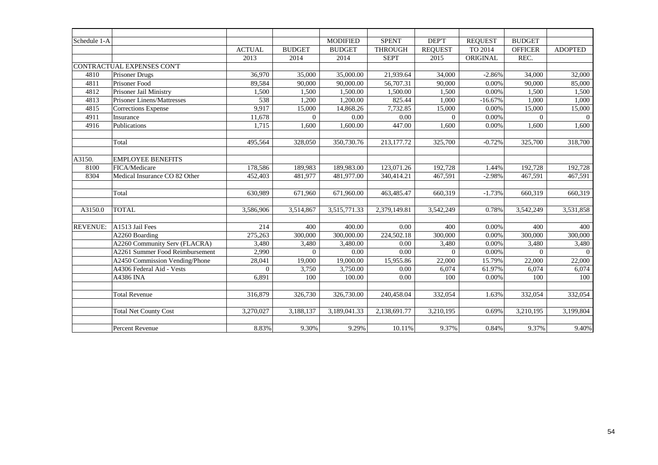| Schedule 1-A    |                                 |               |               | <b>MODIFIED</b> | <b>SPENT</b>      | DEP'T          | <b>REQUEST</b> | <b>BUDGET</b>  |                |
|-----------------|---------------------------------|---------------|---------------|-----------------|-------------------|----------------|----------------|----------------|----------------|
|                 |                                 | <b>ACTUAL</b> | <b>BUDGET</b> | <b>BUDGET</b>   | <b>THROUGH</b>    | <b>REQUEST</b> | TO 2014        | <b>OFFICER</b> | <b>ADOPTED</b> |
|                 |                                 | 2013          | 2014          | 2014            | <b>SEPT</b>       | 2015           | ORIGINAL       | REC.           |                |
|                 | CONTRACTUAL EXPENSES CON'T      |               |               |                 |                   |                |                |                |                |
| 4810            | <b>Prisoner Drugs</b>           | 36,970        | 35,000        | 35,000.00       | 21,939.64         | 34,000         | $-2.86%$       | 34,000         | 32,000         |
| 4811            | Prisoner Food                   | 89,584        | 90,000        | 90,000.00       | 56,707.31         | 90,000         | 0.00%          | 90,000         | 85,000         |
| 4812            | Prisoner Jail Ministry          | 1,500         | 1,500         | 1,500.00        | 1,500.00          | 1,500          | 0.00%          | 1,500          | 1,500          |
| 4813            | Prisoner Linens/Mattresses      | 538           | 1,200         | 1,200.00        | 825.44            | 1,000          | $-16.67%$      | 1,000          | 1,000          |
| 4815            | Corrections Expense             | 9,917         | 15,000        | 14,868.26       | 7,732.85          | 15,000         | 0.00%          | 15,000         | 15,000         |
| 4911            | Insurance                       | 11,678        | $\theta$      | 0.00            | 0.00              | $\Omega$       | 0.00%          | $\Omega$       | $\theta$       |
| 4916            | Publications                    | 1,715         | 1,600         | 1,600.00        | 447.00            | 1,600          | 0.00%          | 1,600          | 1,600          |
|                 |                                 |               |               |                 |                   |                |                |                |                |
|                 | Total                           | 495,564       | 328,050       | 350,730.76      | 213,177.72        | 325,700        | $-0.72%$       | 325,700        | 318,700        |
|                 |                                 |               |               |                 |                   |                |                |                |                |
| A3150.          | <b>EMPLOYEE BENEFITS</b>        |               |               |                 |                   |                |                |                |                |
| 8100            | FICA/Medicare                   | 178,586       | 189,983       | 189,983.00      | 123,071.26        | 192,728        | 1.44%          | 192,728        | 192,728        |
| 8304            | Medical Insurance CO 82 Other   | 452,403       | 481,977       | 481,977.00      | 340,414.21        | 467,591        | $-2.98%$       | 467,591        | 467,591        |
|                 |                                 |               |               |                 |                   |                |                |                |                |
|                 | Total                           | 630,989       | 671,960       | 671,960.00      | 463,485.47        | 660,319        | $-1.73%$       | 660,319        | 660,319        |
|                 |                                 |               |               |                 |                   |                |                |                |                |
| A3150.0         | <b>TOTAL</b>                    | 3,586,906     | 3,514,867     | 3,515,771.33    | 2,379,149.81      | 3,542,249      | 0.78%          | 3,542,249      | 3,531,858      |
|                 |                                 |               |               |                 |                   |                |                |                |                |
| <b>REVENUE:</b> | A1513 Jail Fees                 | 214           | 400           | 400.00          | 0.00              | 400            | 0.00%          | 400            | 400            |
|                 | A2260 Boarding                  | 275,263       | 300,000       | 300,000.00      | 224,502.18        | 300,000        | 0.00%          | 300,000        | 300,000        |
|                 | A2260 Community Serv (FLACRA)   | 3,480         | 3,480         | 3,480.00        | 0.00              | 3,480          | 0.00%          | 3,480          | 3,480          |
|                 | A2261 Summer Food Reimbursement | 2,990         | $\Omega$      | 0.00            | $\overline{0.00}$ | $\Omega$       | 0.00%          | $\Omega$       | $\Omega$       |
|                 | A2450 Commission Vending/Phone  | 28,041        | 19,000        | 19,000.00       | 15,955.86         | 22,000         | 15.79%         | 22,000         | 22,000         |
|                 | A4306 Federal Aid - Vests       | $\Omega$      | 3,750         | 3,750.00        | 0.00              | 6,074          | 61.97%         | 6,074          | 6,074          |
|                 | A4386 INA                       | 6,891         | 100           | 100.00          | 0.00              | 100            | 0.00%          | 100            | 100            |
|                 |                                 |               |               |                 |                   |                |                |                |                |
|                 | <b>Total Revenue</b>            | 316,879       | 326,730       | 326,730.00      | 240,458.04        | 332,054        | 1.63%          | 332,054        | 332,054        |
|                 |                                 |               |               |                 |                   |                |                |                |                |
|                 | <b>Total Net County Cost</b>    | 3,270,027     | 3,188,137     | 3,189,041.33    | 2,138,691.77      | 3,210,195      | 0.69%          | 3,210,195      | 3,199,804      |
|                 |                                 |               |               |                 |                   |                |                |                |                |
|                 | Percent Revenue                 | 8.83%         | 9.30%         | 9.29%           | 10.11%            | 9.37%          | 0.84%          | 9.37%          | 9.40%          |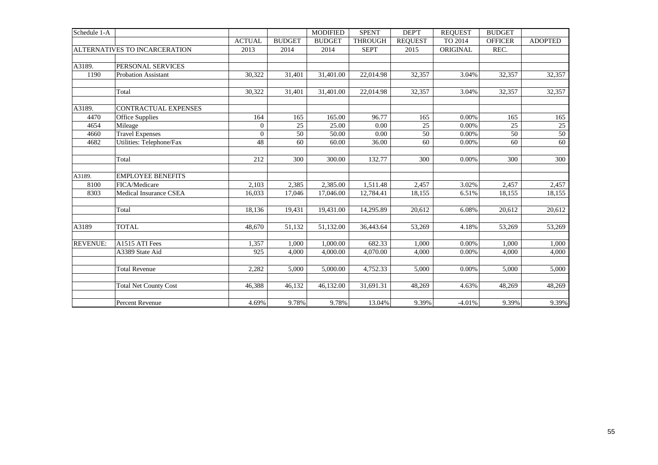| Schedule 1-A    |                               |                |               | <b>MODIFIED</b> | <b>SPENT</b>   | DEP'T          | <b>REOUEST</b> | <b>BUDGET</b>  |                |
|-----------------|-------------------------------|----------------|---------------|-----------------|----------------|----------------|----------------|----------------|----------------|
|                 |                               | <b>ACTUAL</b>  | <b>BUDGET</b> | <b>BUDGET</b>   | <b>THROUGH</b> | <b>REQUEST</b> | TO 2014        | <b>OFFICER</b> | <b>ADOPTED</b> |
|                 | ALTERNATIVES TO INCARCERATION | 2013           | 2014          | 2014            | <b>SEPT</b>    | 2015           | ORIGINAL       | REC.           |                |
|                 |                               |                |               |                 |                |                |                |                |                |
| A3189.          | PERSONAL SERVICES             |                |               |                 |                |                |                |                |                |
| 1190            | <b>Probation Assistant</b>    | 30,322         | 31,401        | 31,401.00       | 22,014.98      | 32,357         | 3.04%          | 32,357         | 32,357         |
|                 | Total                         | 30,322         | 31,401        | 31,401.00       | 22,014.98      | 32,357         | 3.04%          | 32,357         | 32,357         |
| A3189.          | CONTRACTUAL EXPENSES          |                |               |                 |                |                |                |                |                |
| 4470            | Office Supplies               | 164            | 165           | 165.00          | 96.77          | 165            | 0.00%          | 165            | 165            |
| 4654            | Mileage                       | $\overline{0}$ | 25            | 25.00           | 0.00           | 25             | 0.00%          | 25             | 25             |
| 4660            | <b>Travel Expenses</b>        | $\overline{0}$ | 50            | 50.00           | 0.00           | 50             | 0.00%          | 50             | 50             |
| 4682            | Utilities: Telephone/Fax      | 48             | 60            | 60.00           | 36.00          | 60             | 0.00%          | 60             | 60             |
|                 | Total                         | 212            | 300           | 300.00          | 132.77         | 300            | 0.00%          | 300            | 300            |
| A3189.          | <b>EMPLOYEE BENEFITS</b>      |                |               |                 |                |                |                |                |                |
| 8100            | FICA/Medicare                 | 2,103          | 2,385         | 2,385.00        | 1,511.48       | 2,457          | 3.02%          | 2,457          | 2,457          |
| 8303            | <b>Medical Insurance CSEA</b> | 16.033         | 17.046        | 17,046.00       | 12,784.41      | 18,155         | 6.51%          | 18,155         | 18,155         |
|                 | Total                         | 18,136         | 19,431        | 19,431.00       | 14,295.89      | 20,612         | 6.08%          | 20,612         | 20,612         |
| A3189           | <b>TOTAL</b>                  | 48,670         | 51,132        | 51,132.00       | 36,443.64      | 53,269         | 4.18%          | 53,269         | 53,269         |
| <b>REVENUE:</b> | A1515 ATI Fees                | 1,357          | 1,000         | 1,000.00        | 682.33         | 1,000          | 0.00%          | 1,000          | 1,000          |
|                 | A3389 State Aid               | 925            | 4,000         | 4,000.00        | 4,070.00       | 4,000          | 0.00%          | 4,000          | 4,000          |
|                 | <b>Total Revenue</b>          | 2,282          | 5.000         | 5,000.00        | 4,752.33       | 5,000          | 0.00%          | 5,000          | 5,000          |
|                 | <b>Total Net County Cost</b>  | 46,388         | 46,132        | 46,132.00       | 31,691.31      | 48,269         | 4.63%          | 48,269         | 48,269         |
|                 | Percent Revenue               | 4.69%          | 9.78%         | 9.78%           | 13.04%         | 9.39%          | $-4.01%$       | 9.39%          | 9.39%          |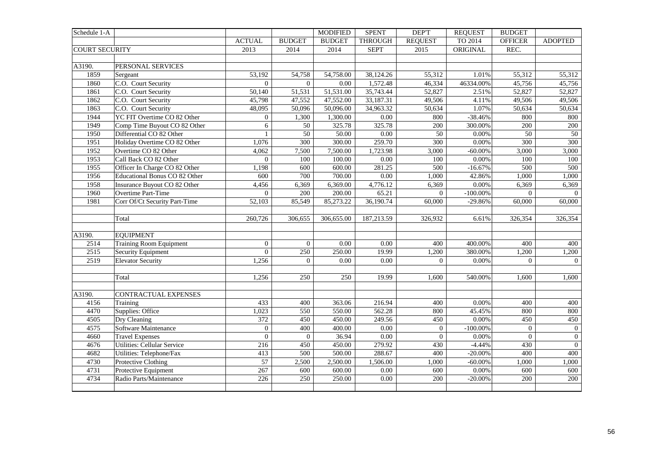| Schedule 1-A          |                                    |                  |                 | <b>MODIFIED</b> | <b>SPENT</b>      | <b>DEPT</b>      | <b>REQUEST</b> | <b>BUDGET</b>   |                  |
|-----------------------|------------------------------------|------------------|-----------------|-----------------|-------------------|------------------|----------------|-----------------|------------------|
|                       |                                    | <b>ACTUAL</b>    | <b>BUDGET</b>   | <b>BUDGET</b>   | <b>THROUGH</b>    | <b>REQUEST</b>   | TO 2014        | <b>OFFICER</b>  | <b>ADOPTED</b>   |
| <b>COURT SECURITY</b> |                                    | 2013             | 2014            | 2014            | <b>SEPT</b>       | 2015             | ORIGINAL       | REC.            |                  |
|                       |                                    |                  |                 |                 |                   |                  |                |                 |                  |
| A3190.                | PERSONAL SERVICES                  |                  |                 |                 |                   |                  |                |                 |                  |
| 1859                  | Sergeant                           | 53,192           | 54,758          | 54,758.00       | 38,124.26         | 55,312           | 1.01%          | 55,312          | 55,312           |
| 1860                  | C.O. Court Security                | $\Omega$         | $\Omega$        | 0.00            | 1,572.48          | 46,334           | 46334.00%      | 45,756          | 45,756           |
| 1861                  | C.O. Court Security                | 50,140           | 51,531          | 51,531.00       | 35,743.44         | 52,827           | 2.51%          | 52,827          | 52,827           |
| 1862                  | C.O. Court Security                | 45,798           | 47,552          | 47,552.00       | 33,187.31         | 49,506           | 4.11%          | 49,506          | 49,506           |
| 1863                  | C.O. Court Security                | 48,095           | 50,096          | 50,096.00       | 34,963.32         | 50,634           | 1.07%          | 50,634          | 50,634           |
| 1944                  | YC FIT Overtime CO 82 Other        | $\mathbf{0}$     | 1,300           | 1,300.00        | $\overline{0.00}$ | 800              | $-38.46%$      | 800             | 800              |
| 1949                  | Comp Time Buyout CO 82 Other       | 6                | $\overline{50}$ | 325.78          | 325.78            | 200              | 300.00%        | 200             | 200              |
| 1950                  | Differential CO 82 Other           | $\mathbf{1}$     | 50              | 50.00           | $\overline{0.00}$ | $\overline{50}$  | 0.00%          | $\overline{50}$ | $\overline{50}$  |
| 1951                  | Holiday Overtime CO 82 Other       | 1,076            | 300             | 300.00          | 259.70            | $\overline{300}$ | 0.00%          | 300             | 300              |
| 1952                  | Overtime CO 82 Other               | 4,062            | 7,500           | 7,500.00        | 1,723.98          | 3,000            | $-60.00\%$     | 3,000           | 3,000            |
| 1953                  | Call Back CO 82 Other              | $\boldsymbol{0}$ | 100             | 100.00          | $\overline{0.00}$ | 100              | 0.00%          | 100             | 100              |
| 1955                  | Officer In Charge CO 82 Other      | 1,198            | 600             | 600.00          | 281.25            | 500              | $-16.67%$      | 500             | 500              |
| 1956                  | Educational Bonus CO 82 Other      | 600              | 700             | 700.00          | $0.00\,$          | 1,000            | 42.86%         | 1,000           | 1,000            |
| 1958                  | Insurance Buyout CO 82 Other       | 4,456            | 6,369           | 6,369.00        | 4,776.12          | 6,369            | 0.00%          | 6,369           | 6,369            |
| 1960                  | Overtime Part-Time                 | $\overline{0}$   | 200             | 200.00          | 65.21             | $\boldsymbol{0}$ | $-100.00\%$    | $\overline{0}$  | $\overline{0}$   |
| 1981                  | Corr Of/Ct Security Part-Time      | 52,103           | 85,549          | 85,273.22       | 36,190.74         | 60,000           | $-29.86%$      | 60,000          | 60,000           |
|                       |                                    |                  |                 |                 |                   |                  |                |                 |                  |
|                       | Total                              | 260,726          | 306.655         | 306,655.00      | 187,213.59        | 326,932          | 6.61%          | 326,354         | 326,354          |
|                       |                                    |                  |                 |                 |                   |                  |                |                 |                  |
| A3190.                | <b>EQUIPMENT</b>                   |                  |                 |                 |                   |                  |                |                 |                  |
| 2514                  | <b>Training Room Equipment</b>     | $\mathbf{0}$     | $\overline{0}$  | 0.00            | 0.00              | 400              | 400.00%        | 400             | 400              |
| 2515                  | Security Equipment                 | $\overline{0}$   | 250             | 250.00          | 19.99             | 1,200            | 380.00%        | 1,200           | 1,200            |
| 2519                  | <b>Elevator Security</b>           | 1,256            | $\Omega$        | 0.00            | $\overline{0.00}$ | $\overline{0}$   | 0.00%          | $\Omega$        | $\overline{0}$   |
|                       |                                    |                  |                 |                 |                   |                  |                |                 |                  |
|                       | Total                              | 1,256            | 250             | 250             | 19.99             | 1,600            | 540.00%        | 1,600           | 1,600            |
|                       |                                    |                  |                 |                 |                   |                  |                |                 |                  |
| A3190.                | CONTRACTUAL EXPENSES               |                  |                 |                 |                   |                  |                |                 |                  |
| 4156                  | Training                           | 433              | 400             | 363.06          | 216.94            | 400              | 0.00%          | 400             | 400              |
| 4470                  | Supplies: Office                   | 1,023            | 550             | 550.00          | 562.28            | 800              | 45.45%         | 800             | 800              |
| 4505                  | Dry Cleaning                       | 372              | 450             | 450.00          | 249.56            | 450              | 0.00%          | 450             | 450              |
| 4575                  | Software Maintenance               | $\mathbf{0}$     | 400             | 400.00          | $0.00\,$          | $\boldsymbol{0}$ | $-100.00\%$    | $\overline{0}$  | $\boldsymbol{0}$ |
| 4660                  | <b>Travel Expenses</b>             | $\overline{0}$   | $\overline{0}$  | 36.94           | $\overline{0.00}$ | $\overline{0}$   | 0.00%          | $\mathbf{0}$    | $\boldsymbol{0}$ |
| 4676                  | <b>Utilities: Cellular Service</b> | 216              | 450             | 450.00          | 279.92            | 430              | $-4.44%$       | 430             | $\mathbf{0}$     |
| 4682                  | Utilities: Telephone/Fax           | 413              | 500             | 500.00          | 288.67            | 400              | $-20.00\%$     | 400             | 400              |
| 4730                  | Protective Clothing                | 57               | 2,500           | 2,500.00        | 1,506.00          | 1,000            | $-60.00\%$     | 1,000           | 1,000            |
| 4731                  | Protective Equipment               | 267              | 600             | 600.00          | $0.00\,$          | 600              | 0.00%          | 600             | 600              |
| 4734                  | Radio Parts/Maintenance            | 226              | 250             | 250.00          | 0.00              | 200              | $-20.00\%$     | 200             | 200              |
|                       |                                    |                  |                 |                 |                   |                  |                |                 |                  |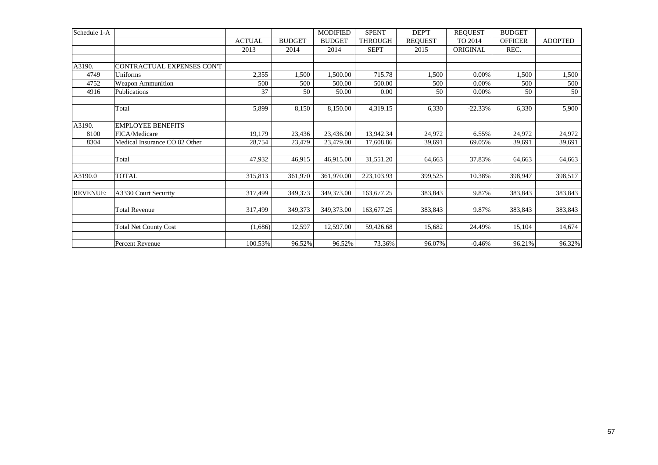| Schedule 1-A    |                               |               |               | <b>MODIFIED</b> | <b>SPENT</b>   | DEP'T          | <b>REQUEST</b> | <b>BUDGET</b>  |                |
|-----------------|-------------------------------|---------------|---------------|-----------------|----------------|----------------|----------------|----------------|----------------|
|                 |                               | <b>ACTUAL</b> | <b>BUDGET</b> | <b>BUDGET</b>   | <b>THROUGH</b> | <b>REQUEST</b> | TO 2014        | <b>OFFICER</b> | <b>ADOPTED</b> |
|                 |                               | 2013          | 2014          | 2014            | <b>SEPT</b>    | 2015           | ORIGINAL       | REC.           |                |
|                 |                               |               |               |                 |                |                |                |                |                |
| A3190.          | CONTRACTUAL EXPENSES CON'T    |               |               |                 |                |                |                |                |                |
| 4749            | Uniforms                      | 2,355         | 1,500         | 1,500.00        | 715.78         | 1,500          | 0.00%          | 1,500          | 1,500          |
| 4752            | <b>Weapon Ammunition</b>      | 500           | 500           | 500.00          | 500.00         | 500            | 0.00%          | 500            | 500            |
| 4916            | Publications                  | 37            | 50            | 50.00           | 0.00           | 50             | 0.00%          | 50             | 50             |
|                 | Total                         | 5,899         | 8,150         | 8,150.00        | 4,319.15       | 6,330          | $-22.33%$      | 6,330          | 5,900          |
| A3190.          | <b>EMPLOYEE BENEFITS</b>      |               |               |                 |                |                |                |                |                |
| 8100            | FICA/Medicare                 | 19,179        | 23,436        | 23,436.00       | 13,942.34      | 24,972         | 6.55%          | 24,972         | 24,972         |
| 8304            | Medical Insurance CO 82 Other | 28,754        | 23,479        | 23,479.00       | 17,608.86      | 39,691         | 69.05%         | 39,691         | 39,691         |
|                 | Total                         | 47,932        | 46,915        | 46,915.00       | 31,551.20      | 64,663         | 37.83%         | 64,663         | 64,663         |
| A3190.0         | <b>TOTAL</b>                  | 315,813       | 361,970       | 361,970.00      | 223,103.93     | 399,525        | 10.38%         | 398,947        | 398,517        |
| <b>REVENUE:</b> | A3330 Court Security          | 317,499       | 349,373       | 349,373.00      | 163,677.25     | 383,843        | 9.87%          | 383,843        | 383,843        |
|                 | <b>Total Revenue</b>          | 317,499       | 349,373       | 349,373.00      | 163,677.25     | 383,843        | 9.87%          | 383,843        | 383,843        |
|                 | <b>Total Net County Cost</b>  | (1,686)       | 12,597        | 12,597.00       | 59,426.68      | 15,682         | 24.49%         | 15,104         | 14,674         |
|                 | Percent Revenue               | 100.53%       | 96.52%        | 96.52%          | 73.36%         | 96.07%         | $-0.46%$       | 96.21%         | 96.32%         |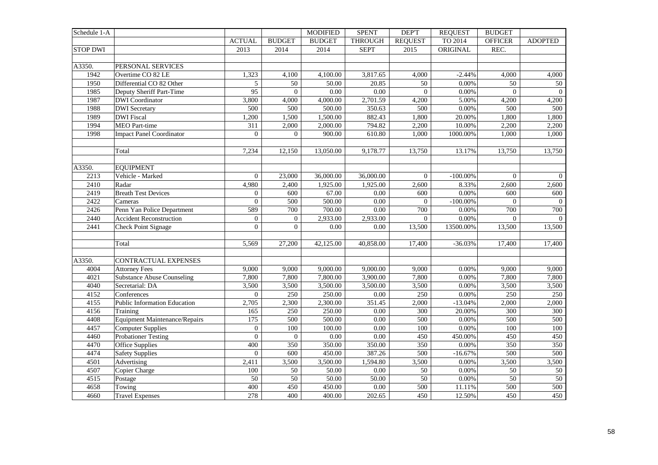| Schedule 1-A    |                                      |                 |                  | <b>MODIFIED</b> | <b>SPENT</b>   | DEP'T            | <b>REQUEST</b> | <b>BUDGET</b>    |                |
|-----------------|--------------------------------------|-----------------|------------------|-----------------|----------------|------------------|----------------|------------------|----------------|
|                 |                                      | <b>ACTUAL</b>   | <b>BUDGET</b>    | <b>BUDGET</b>   | <b>THROUGH</b> | <b>REQUEST</b>   | TO 2014        | <b>OFFICER</b>   | <b>ADOPTED</b> |
| <b>STOP DWI</b> |                                      | 2013            | 2014             | 2014            | <b>SEPT</b>    | 2015             | ORIGINAL       | REC.             |                |
|                 |                                      |                 |                  |                 |                |                  |                |                  |                |
| A3350.          | PERSONAL SERVICES                    |                 |                  |                 |                |                  |                |                  |                |
| 1942            | Overtime CO 82 LE                    | 1,323           | 4,100            | 4,100.00        | 3,817.65       | 4,000            | $-2.44%$       | 4,000            | 4,000          |
| 1950            | Differential CO 82 Other             | $\mathfrak{S}$  | $\overline{50}$  | 50.00           | 20.85          | 50               | 0.00%          | $\overline{50}$  | 50             |
| 1985            | Deputy Sheriff Part-Time             | $\overline{95}$ | $\mathbf{0}$     | 0.00            | 0.00           | $\overline{0}$   | 0.00%          | $\overline{0}$   | $\overline{0}$ |
| 1987            | <b>DWI</b> Coordinator               | 3,800           | 4,000            | 4,000.00        | 2,701.59       | 4,200            | 5.00%          | 4,200            | 4,200          |
| 1988            | <b>DWI</b> Secretary                 | 500             | 500              | 500.00          | 350.63         | 500              | $0.00\%$       | 500              | 500            |
| 1989            | <b>DWI</b> Fiscal                    | 1,200           | 1,500            | 1,500.00        | 882.43         | 1,800            | 20.00%         | 1,800            | 1,800          |
| 1994            | <b>MEO</b> Part-time                 | 311             | 2,000            | 2,000.00        | 794.82         | 2,200            | 10.00%         | 2,200            | 2,200          |
| 1998            | <b>Impact Panel Coordinator</b>      | $\mathbf{0}$    | $\mathbf{0}$     | 900.00          | 610.80         | 1,000            | 1000.00%       | 1,000            | 1,000          |
|                 |                                      |                 |                  |                 |                |                  |                |                  |                |
|                 | Total                                | 7,234           | 12,150           | 13,050.00       | 9,178.77       | 13,750           | 13.17%         | 13,750           | 13,750         |
|                 |                                      |                 |                  |                 |                |                  |                |                  |                |
| A3350.          | <b>EQUIPMENT</b>                     |                 |                  |                 |                |                  |                |                  |                |
| 2213            | Vehicle - Marked                     | $\overline{0}$  | 23,000           | 36,000.00       | 36,000.00      | $\Omega$         | $-100.00\%$    | $\overline{0}$   | $\overline{0}$ |
| 2410            | Radar                                | 4,980           | 2,400            | 1,925.00        | 1,925.00       | 2,600            | 8.33%          | 2,600            | 2,600          |
| 2419            | <b>Breath Test Devices</b>           | $\overline{0}$  | 600              | 67.00           | 0.00           | 600              | 0.00%          | 600              | 600            |
| 2422            | Cameras                              | $\overline{0}$  | 500              | 500.00          | 0.00           | $\theta$         | $-100.00\%$    | $\overline{0}$   | $\theta$       |
| 2426            | Penn Yan Police Department           | 589             | 700              | 700.00          | 0.00           | 700              | 0.00%          | 700              | 700            |
| 2440            | <b>Accident Reconstruction</b>       | $\mathbf{0}$    | $\mathbf{0}$     | 2,933.00        | 2,933.00       | $\overline{0}$   | 0.00%          | $\mathbf{0}$     | $\Omega$       |
| 2441            | <b>Check Point Signage</b>           | $\overline{0}$  | $\Omega$         | 0.00            | 0.00           | 13,500           | 13500.00%      | 13,500           | 13,500         |
|                 |                                      |                 |                  |                 |                |                  |                |                  |                |
|                 | Total                                | 5,569           | 27,200           | 42,125.00       | 40,858.00      | 17,400           | $-36.03%$      | 17,400           | 17,400         |
|                 |                                      |                 |                  |                 |                |                  |                |                  |                |
| A3350.          | <b>CONTRACTUAL EXPENSES</b>          |                 |                  |                 |                |                  |                |                  |                |
| 4004            | <b>Attorney Fees</b>                 | 9,000           | 9,000            | 9,000.00        | 9,000.00       | 9,000            | 0.00%          | 9.000            | 9,000          |
| 4021            | <b>Substance Abuse Counseling</b>    | 7,800           | 7,800            | 7,800.00        | 3,900.00       | 7,800            | 0.00%          | 7,800            | 7,800          |
| 4040            | Secretarial: DA                      | 3,500           | 3,500            | 3,500.00        | 3,500.00       | 3,500            | 0.00%          | 3,500            | 3,500          |
| 4152            | Conferences                          | $\overline{0}$  | $\overline{250}$ | 250.00          | 0.00           | 250              | 0.00%          | $\overline{250}$ | 250            |
| 4155            | Public Information Education         | 2,705           | 2,300            | 2,300.00        | 351.45         | 2,000            | $-13.04%$      | 2,000            | 2,000          |
| 4156            | Training                             | 165             | 250              | 250.00          | 0.00           | $\overline{300}$ | 20.00%         | 300              | 300            |
| 4408            | <b>Equipment Maintenance/Repairs</b> | 175             | 500              | 500.00          | 0.00           | 500              | 0.00%          | 500              | 500            |
| 4457            | <b>Computer Supplies</b>             | $\mathbf{0}$    | 100              | 100.00          | 0.00           | 100              | 0.00%          | 100              | 100            |
| 4460            | <b>Probationer Testing</b>           | $\overline{0}$  | $\mathbf{0}$     | 0.00            | 0.00           | 450              | 450.00%        | 450              | 450            |
| 4470            | <b>Office Supplies</b>               | 400             | 350              | 350.00          | 350.00         | 350              | 0.00%          | 350              | 350            |
| 4474            | <b>Safety Supplies</b>               | $\mathbf{0}$    | 600              | 450.00          | 387.26         | 500              | $-16.67%$      | 500              | 500            |
| 4501            | Advertising                          | 2,411           | 3,500            | 3,500.00        | 1,594.80       | 3,500            | 0.00%          | 3,500            | 3,500          |
| 4507            | Copier Charge                        | 100             | $\overline{50}$  | 50.00           | 0.00           | 50               | 0.00%          | $\overline{50}$  | 50             |
| 4515            | Postage                              | 50              | 50               | 50.00           | 50.00          | 50               | 0.00%          | 50               | 50             |
| 4658            | Towing                               | 400             | 450              | 450.00          | 0.00           | 500              | 11.11%         | 500              | 500            |
| 4660            | <b>Travel Expenses</b>               | 278             | 400              | 400.00          | 202.65         | 450              | 12.50%         | 450              | 450            |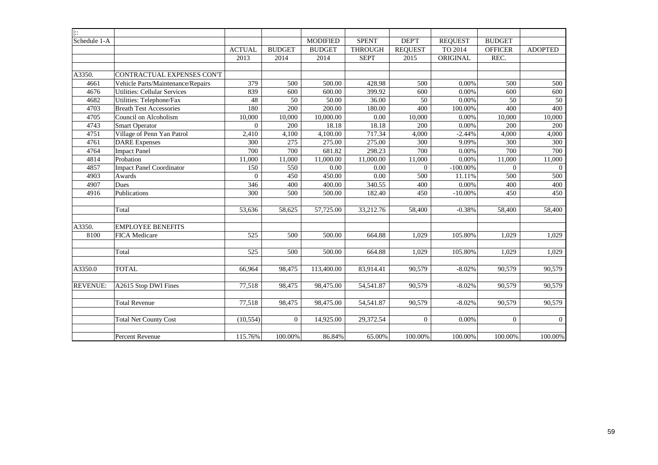| $ \cdot $       |                                   |                |                |                 |                |                |                |                |                |
|-----------------|-----------------------------------|----------------|----------------|-----------------|----------------|----------------|----------------|----------------|----------------|
| Schedule 1-A    |                                   |                |                | <b>MODIFIED</b> | <b>SPENT</b>   | DEP'T          | <b>REQUEST</b> | <b>BUDGET</b>  |                |
|                 |                                   | <b>ACTUAL</b>  | <b>BUDGET</b>  | <b>BUDGET</b>   | <b>THROUGH</b> | <b>REQUEST</b> | TO 2014        | <b>OFFICER</b> | <b>ADOPTED</b> |
|                 |                                   | 2013           | 2014           | 2014            | <b>SEPT</b>    | 2015           | ORIGINAL       | REC.           |                |
|                 |                                   |                |                |                 |                |                |                |                |                |
| A3350.          | CONTRACTUAL EXPENSES CON'T        |                |                |                 |                |                |                |                |                |
| 4661            | Vehicle Parts/Maintenance/Repairs | 379            | 500            | 500.00          | 428.98         | 500            | 0.00%          | 500            | 500            |
| 4676            | Utilities: Cellular Services      | 839            | 600            | 600.00          | 399.92         | 600            | 0.00%          | 600            | 600            |
| 4682            | Utilities: Telephone/Fax          | 48             | 50             | 50.00           | 36.00          | 50             | 0.00%          | 50             | 50             |
| 4703            | <b>Breath Test Accessories</b>    | 180            | 200            | 200.00          | 180.00         | 400            | 100.00%        | 400            | 400            |
| 4705            | Council on Alcoholism             | 10,000         | 10,000         | 10,000.00       | 0.00           | 10,000         | 0.00%          | 10,000         | 10,000         |
| 4743            | <b>Smart Operator</b>             | $\overline{0}$ | 200            | 18.18           | 18.18          | 200            | 0.00%          | 200            | 200            |
| 4751            | Village of Penn Yan Patrol        | 2,410          | 4,100          | 4,100.00        | 717.34         | 4,000          | $-2.44%$       | 4,000          | 4,000          |
| 4761            | <b>DARE</b> Expenses              | 300            | 275            | 275.00          | 275.00         | 300            | 9.09%          | 300            | 300            |
| 4764            | <b>Impact Panel</b>               | 700            | 700            | 681.82          | 298.23         | 700            | 0.00%          | 700            | 700            |
| 4814            | Probation                         | 11,000         | 11,000         | 11,000.00       | 11,000.00      | 11,000         | 0.00%          | 11,000         | 11,000         |
| 4857            | <b>Impact Panel Coordinator</b>   | 150            | 550            | 0.00            | 0.00           | $\mathbf{0}$   | $-100.00\%$    | $\Omega$       | $\overline{0}$ |
| 4903            | Awards                            | $\Omega$       | 450            | 450.00          | 0.00           | 500            | 11.11%         | 500            | 500            |
| 4907            | Dues                              | 346            | 400            | 400.00          | 340.55         | 400            | 0.00%          | 400            | 400            |
| 4916            | Publications                      | 300            | 500            | 500.00          | 182.40         | 450            | $-10.00%$      | 450            | 450            |
|                 | Total                             | 53,636         | 58,625         | 57,725.00       | 33,212.76      | 58,400         | $-0.38%$       | 58,400         | 58,400         |
| A3350.          | <b>EMPLOYEE BENEFITS</b>          |                |                |                 |                |                |                |                |                |
| 8100            | FICA Medicare                     | 525            | 500            | 500.00          | 664.88         | 1,029          | 105.80%        | 1,029          | 1,029          |
|                 | Total                             | 525            | 500            | 500.00          | 664.88         | 1,029          | 105.80%        | 1,029          | 1,029          |
| A3350.0         | <b>TOTAL</b>                      | 66,964         | 98,475         | 113,400.00      | 83,914.41      | 90,579         | $-8.02%$       | 90,579         | 90,579         |
| <b>REVENUE:</b> | A2615 Stop DWI Fines              | 77,518         | 98,475         | 98,475.00       | 54,541.87      | 90,579         | $-8.02%$       | 90,579         | 90,579         |
|                 | <b>Total Revenue</b>              | 77,518         | 98,475         | 98,475.00       | 54,541.87      | 90,579         | $-8.02%$       | 90,579         | 90,579         |
|                 | <b>Total Net County Cost</b>      | (10, 554)      | $\overline{0}$ | 14,925.00       | 29,372.54      | $\overline{0}$ | 0.00%          | $\overline{0}$ | $\overline{0}$ |
|                 | Percent Revenue                   | 115.76%        | 100.00%        | 86.84%          | 65.00%         | 100.00%        | 100.00%        | 100.00%        | 100.00%        |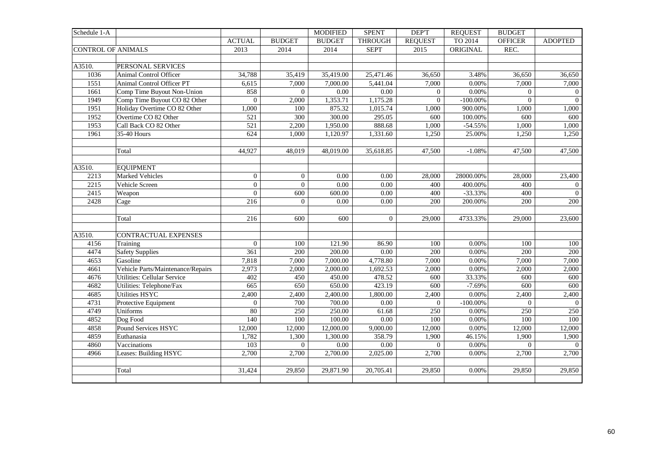| TO 2014<br><b>BUDGET</b><br><b>BUDGET</b><br><b>THROUGH</b><br><b>OFFICER</b><br><b>ACTUAL</b><br><b>REQUEST</b><br>ORIGINAL<br><b>CONTROL OF ANIMALS</b><br>2013<br>2014<br>2014<br><b>SEPT</b><br>2015<br>REC.<br>A3510.<br>PERSONAL SERVICES<br>1036<br>Animal Control Officer<br>34,788<br>35,419.00<br>25,471.46<br>3.48%<br>35,419<br>36,650<br>36,650<br>0.00%<br>1551<br>Animal Control Officer PT<br>6,615<br>7,000<br>7,000.00<br>5,441.04<br>7,000<br>7,000 | <b>ADOPTED</b><br>36,650<br>7,000<br>$\overline{0}$<br>$\overline{0}$<br>1,000 |
|------------------------------------------------------------------------------------------------------------------------------------------------------------------------------------------------------------------------------------------------------------------------------------------------------------------------------------------------------------------------------------------------------------------------------------------------------------------------|--------------------------------------------------------------------------------|
|                                                                                                                                                                                                                                                                                                                                                                                                                                                                        |                                                                                |
|                                                                                                                                                                                                                                                                                                                                                                                                                                                                        |                                                                                |
|                                                                                                                                                                                                                                                                                                                                                                                                                                                                        |                                                                                |
|                                                                                                                                                                                                                                                                                                                                                                                                                                                                        |                                                                                |
|                                                                                                                                                                                                                                                                                                                                                                                                                                                                        |                                                                                |
|                                                                                                                                                                                                                                                                                                                                                                                                                                                                        |                                                                                |
| 1661<br>Comp Time Buyout Non-Union<br>858<br>$0.00\,$<br>$0.00\,$<br>0.00%<br>$\overline{0}$<br>$\Omega$<br>$\overline{0}$                                                                                                                                                                                                                                                                                                                                             |                                                                                |
| 1949<br>Comp Time Buyout CO 82 Other<br>2,000<br>1,353.71<br>1,175.28<br>$-100.00\%$<br>$\overline{0}$<br>$\mathbf{0}$<br>$\theta$                                                                                                                                                                                                                                                                                                                                     |                                                                                |
| Holiday Overtime CO 82 Other<br>1951<br>1,000<br>100<br>875.32<br>1,015.74<br>900.00%<br>1,000<br>1,000                                                                                                                                                                                                                                                                                                                                                                |                                                                                |
| 295.05<br>1952<br>Overtime CO 82 Other<br>$\overline{300}$<br>300.00<br>100.00%<br>600<br>600<br>521                                                                                                                                                                                                                                                                                                                                                                   | 600                                                                            |
| 1953<br>Call Back CO 82 Other<br>$\overline{521}$<br>2,200<br>1,950.00<br>888.68<br>1,000<br>$-54.55%$<br>1,000                                                                                                                                                                                                                                                                                                                                                        | 1,000                                                                          |
| 1961<br>624<br>1,331.60<br>25.00%<br>35-40 Hours<br>1,000<br>1,120.97<br>1,250<br>1,250                                                                                                                                                                                                                                                                                                                                                                                | 1,250                                                                          |
|                                                                                                                                                                                                                                                                                                                                                                                                                                                                        |                                                                                |
| 35,618.85<br>Total<br>44,927<br>48,019<br>48,019.00<br>47,500<br>$-1.08%$<br>47,500                                                                                                                                                                                                                                                                                                                                                                                    | 47,500                                                                         |
|                                                                                                                                                                                                                                                                                                                                                                                                                                                                        |                                                                                |
| A3510.<br><b>EQUIPMENT</b>                                                                                                                                                                                                                                                                                                                                                                                                                                             |                                                                                |
| 2213<br>Marked Vehicles<br>$\mathbf{0}$<br>$0.00\,$<br>$\mathbf{0}$<br>0.00<br>28,000<br>28000.00%<br>28,000                                                                                                                                                                                                                                                                                                                                                           | 23,400                                                                         |
| $\mathbf{0}$<br>2215<br>$\mathbf{0}$<br>$0.00\,$<br>0.00<br>400<br>Vehicle Screen<br>400<br>400.00%                                                                                                                                                                                                                                                                                                                                                                    | $\overline{0}$                                                                 |
| 2415<br>600.00<br>0.00<br>$-33.33%$<br>400<br>$\overline{0}$<br>600<br>400<br>Weapon                                                                                                                                                                                                                                                                                                                                                                                   | $\overline{0}$                                                                 |
| 2428<br>216<br>$\overline{0}$<br>0.00<br>0.00<br>200<br>200.00%<br>200<br>Cage                                                                                                                                                                                                                                                                                                                                                                                         | 200                                                                            |
|                                                                                                                                                                                                                                                                                                                                                                                                                                                                        |                                                                                |
| Total<br>216<br>600<br>600<br>$\overline{0}$<br>29,000<br>4733.33%<br>29,000                                                                                                                                                                                                                                                                                                                                                                                           | 23,600                                                                         |
|                                                                                                                                                                                                                                                                                                                                                                                                                                                                        |                                                                                |
| A3510.<br>CONTRACTUAL EXPENSES                                                                                                                                                                                                                                                                                                                                                                                                                                         |                                                                                |
| Training<br>$\Omega$<br>100<br>121.90<br>86.90<br>100<br>0.00%<br>100<br>4156                                                                                                                                                                                                                                                                                                                                                                                          | 100                                                                            |
| <b>Safety Supplies</b><br>4474<br>$\overline{361}$<br>200<br>200.00<br>$\overline{0.00}$<br>200<br>0.00%<br>200                                                                                                                                                                                                                                                                                                                                                        | 200                                                                            |
| Gasoline<br>0.00%<br>4653<br>7,818<br>7,000<br>7,000.00<br>4,778.80<br>7,000<br>7,000                                                                                                                                                                                                                                                                                                                                                                                  | 7,000                                                                          |
| 0.00%<br>4661<br>Vehicle Parts/Maintenance/Repairs<br>2,973<br>2,000<br>2,000.00<br>1,692.53<br>2,000<br>2,000                                                                                                                                                                                                                                                                                                                                                         | 2,000                                                                          |
| 478.52<br>4676<br><b>Utilities: Cellular Service</b><br>402<br>450<br>450.00<br>600<br>33.33%<br>600                                                                                                                                                                                                                                                                                                                                                                   | 600                                                                            |
| Utilities: Telephone/Fax<br>650.00<br>423.19<br>4682<br>665<br>650<br>600<br>$-7.69%$<br>600                                                                                                                                                                                                                                                                                                                                                                           | 600                                                                            |
| 4685<br><b>Utilities HSYC</b><br>2,400.00<br>1,800.00<br>0.00%<br>2,400<br>2,400<br>2,400<br>2,400                                                                                                                                                                                                                                                                                                                                                                     | 2,400                                                                          |
| 700.00<br>0.00<br>$-100.00\%$<br>$\overline{0}$<br>4731<br>Protective Equipment<br>$\overline{0}$<br>700<br>$\overline{0}$                                                                                                                                                                                                                                                                                                                                             | $\overline{0}$                                                                 |
| 80<br>4749<br>Uniforms<br>250<br>250.00<br>61.68<br>0.00%<br>250<br>250                                                                                                                                                                                                                                                                                                                                                                                                | 250                                                                            |
| 4852<br>Dog Food<br>100<br>100.00<br>$0.00\,$<br>0.00%<br>140<br>100<br>100                                                                                                                                                                                                                                                                                                                                                                                            | 100                                                                            |
| Pound Services HSYC<br>0.00%<br>4858<br>12,000<br>12,000<br>12,000.00<br>9,000.00<br>12,000<br>12,000                                                                                                                                                                                                                                                                                                                                                                  | 12,000                                                                         |
| 4859<br>Euthanasia<br>1,782<br>1,300<br>1,300.00<br>358.79<br>1,900<br>46.15%<br>1,900                                                                                                                                                                                                                                                                                                                                                                                 | 1,900                                                                          |
| $\overline{0.00}$<br>0.00%<br>4860<br>103<br>$\mathbf{0}$<br>$0.00\,$<br>$\Omega$<br>$\overline{0}$<br>Vaccinations                                                                                                                                                                                                                                                                                                                                                    | $\overline{0}$                                                                 |
| 4966<br>Leases: Building HSYC<br>2,700<br>2,700<br>2,700.00<br>2,025.00<br>2,700<br>0.00%<br>2,700                                                                                                                                                                                                                                                                                                                                                                     | 2,700                                                                          |
|                                                                                                                                                                                                                                                                                                                                                                                                                                                                        |                                                                                |
| 31,424<br>Total<br>29,850<br>29,871.90<br>20,705.41<br>29,850<br>0.00%<br>29,850                                                                                                                                                                                                                                                                                                                                                                                       | 29,850                                                                         |
|                                                                                                                                                                                                                                                                                                                                                                                                                                                                        |                                                                                |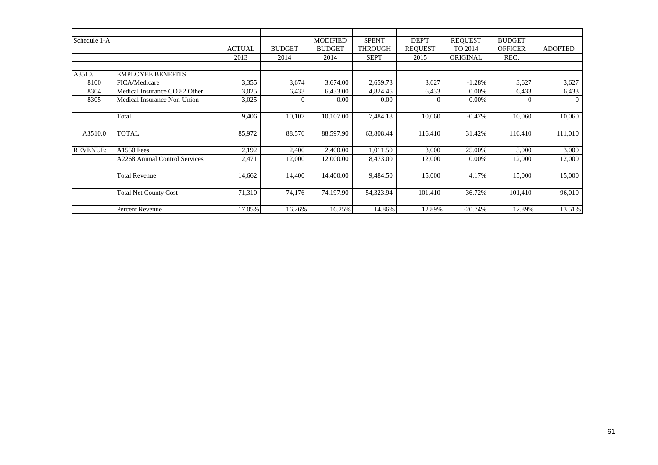| Schedule 1-A    |                               |               |               | <b>MODIFIED</b> | <b>SPENT</b>   | DEP'T          | <b>REQUEST</b> | <b>BUDGET</b>  |                |
|-----------------|-------------------------------|---------------|---------------|-----------------|----------------|----------------|----------------|----------------|----------------|
|                 |                               | <b>ACTUAL</b> | <b>BUDGET</b> | <b>BUDGET</b>   | <b>THROUGH</b> | <b>REQUEST</b> | TO 2014        | <b>OFFICER</b> | <b>ADOPTED</b> |
|                 |                               | 2013          | 2014          | 2014            | <b>SEPT</b>    | 2015           | ORIGINAL       | REC.           |                |
|                 |                               |               |               |                 |                |                |                |                |                |
| A3510.          | <b>EMPLOYEE BENEFITS</b>      |               |               |                 |                |                |                |                |                |
| 8100            | FICA/Medicare                 | 3,355         | 3,674         | 3,674.00        | 2,659.73       | 3,627          | $-1.28%$       | 3,627          | 3,627          |
| 8304            | Medical Insurance CO 82 Other | 3,025         | 6,433         | 6,433.00        | 4,824.45       | 6,433          | 0.00%          | 6,433          | 6,433          |
| 8305            | Medical Insurance Non-Union   | 3,025         |               | 0.00            | 0.00           | $\Omega$       | 0.00%          | $\Omega$       | $\Omega$       |
|                 |                               |               |               |                 |                |                |                |                |                |
|                 | Total                         | 9,406         | 10,107        | 10,107.00       | 7,484.18       | 10,060         | $-0.47%$       | 10,060         | 10,060         |
|                 |                               |               |               |                 |                |                |                |                |                |
| A3510.0         | <b>TOTAL</b>                  | 85,972        | 88,576        | 88,597.90       | 63,808.44      | 116,410        | 31.42%         | 116,410        | 111,010        |
|                 |                               |               |               |                 |                |                |                |                |                |
| <b>REVENUE:</b> | A1550 Fees                    | 2,192         | 2,400         | 2,400.00        | 1,011.50       | 3,000          | 25.00%         | 3,000          | 3,000          |
|                 | A2268 Animal Control Services | 12,471        | 12,000        | 12,000.00       | 8,473.00       | 12,000         | 0.00%          | 12,000         | 12,000         |
|                 |                               |               |               |                 |                |                |                |                |                |
|                 | <b>Total Revenue</b>          | 14,662        | 14,400        | 14,400.00       | 9,484.50       | 15,000         | 4.17%          | 15,000         | 15,000         |
|                 |                               |               |               |                 |                |                |                |                |                |
|                 | <b>Total Net County Cost</b>  | 71,310        | 74,176        | 74,197.90       | 54,323.94      | 101,410        | 36.72%         | 101,410        | 96,010         |
|                 |                               |               |               |                 |                |                |                |                |                |
|                 | Percent Revenue               | 17.05%        | 16.26%        | 16.25%          | 14.86%         | 12.89%         | $-20.74%$      | 12.89%         | 13.51%         |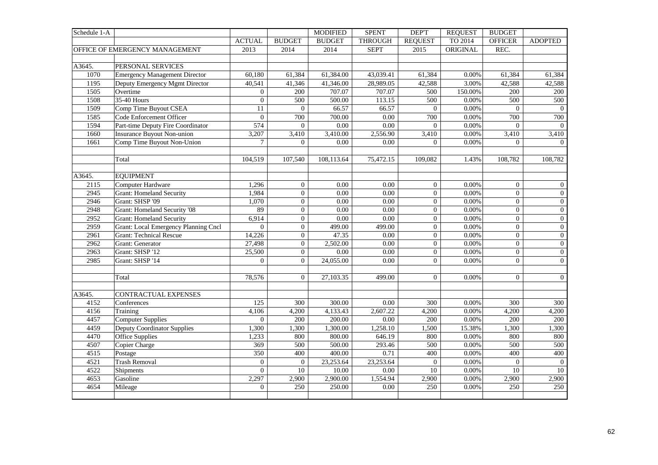| <b>THROUGH</b><br>TO 2014<br><b>ACTUAL</b><br><b>BUDGET</b><br><b>BUDGET</b><br><b>REQUEST</b><br><b>OFFICER</b><br><b>ADOPTED</b><br>OFFICE OF EMERGENCY MANAGEMENT<br>2014<br><b>SEPT</b><br>ORIGINAL<br>REC.<br>2013<br>2014<br>2015<br>A3645.<br>PERSONAL SERVICES<br><b>Emergency Management Director</b><br>1070<br>60,180<br>61,384<br>61,384.00<br>43,039.41<br>61,384<br>0.00%<br>61,384<br>61,384<br>41,346.00<br>28,989.05<br>3.00%<br>1195<br>Deputy Emergency Mgmt Director<br>40,541<br>41,346<br>42,588<br>42,588<br>42,588<br>707.07<br>707.07<br>1505<br>Overtime<br>$\overline{0}$<br>200<br>500<br>150.00%<br>200<br>200<br>1508<br>35-40 Hours<br>$\overline{0}$<br>500.00<br>113.15<br>500<br>0.00%<br>500<br>500<br>500<br>1509<br>Comp Time Buyout CSEA<br>66.57<br>66.57<br>$0.00\%$<br>11<br>$\overline{0}$<br>$\overline{0}$<br>$\overline{0}$<br>$\overline{0}$<br>0.00<br>0.00%<br>1585<br>Code Enforcement Officer<br>$\overline{0}$<br>700<br>700.00<br>700<br>700<br>700<br>1594<br>574<br>$\overline{0}$<br>$\overline{0.00}$<br>0.00<br>0.00%<br>$\Omega$<br>Part-time Deputy Fire Coordinator<br>$\overline{0}$<br>$\overline{0}$<br>1660<br><b>Insurance Buyout Non-union</b><br>3,207<br>3,410.00<br>2,556.90<br>$0.00\%$<br>3,410<br>3,410<br>3,410<br>3,410<br>0.00<br>0.00%<br>1661<br>Comp Time Buyout Non-Union<br>$\tau$<br>$\Omega$<br>0.00<br>$\Omega$<br>$\Omega$<br>$\Omega$<br>Total<br>104,519<br>107,540<br>108,113.64<br>75,472.15<br>109,082<br>1.43%<br>108,782<br>108,782<br><b>EQUIPMENT</b><br>Computer Hardware<br>1,296<br>$\overline{0}$<br>0.00<br>0.00<br>0.00%<br>$\overline{0}$<br>2115<br>$\overline{0}$<br>$\overline{0}$<br>2945<br><b>Grant: Homeland Security</b><br>1,984<br>$\overline{0}$<br>$\boldsymbol{0}$<br>0.00%<br>$\Omega$<br>$0.00\,$<br>$0.00\,$<br>$\boldsymbol{0}$<br>2946<br>Grant: SHSP '09<br>$\overline{0}$<br>0.00%<br>$\boldsymbol{0}$<br>1,070<br>0.00<br>0.00<br>$\overline{0}$<br>$\Omega$<br>2948<br><b>Grant: Homeland Security '08</b><br>89<br>$\overline{0.00}$<br>0.00%<br>$\boldsymbol{0}$<br>$\overline{0}$<br>0.00<br>$\overline{0}$<br>$\overline{0}$<br>2952<br>$\boldsymbol{0}$<br>$\boldsymbol{0}$<br><b>Grant: Homeland Security</b><br>6,914<br>0.00<br>0.00<br>$\mathbf{0}$<br>0.00%<br>$\overline{0}$<br>2959<br>$\Omega$<br>$\boldsymbol{0}$<br>$\boldsymbol{0}$<br>0.00%<br>$\Omega$<br>$\boldsymbol{0}$<br>Grant: Local Emergency Planning Cncl<br>499.00<br>499.00<br>2961<br><b>Grant: Technical Rescue</b><br>$\overline{0}$<br>47.35<br>$\overline{0}$<br>0.00%<br>$\overline{0}$<br>$\boldsymbol{0}$<br>14,226<br>0.00<br>Grant: Generator<br>$\boldsymbol{0}$<br>2,502.00<br>0.00<br>$\overline{0}$<br>$0.00\%$<br>$\overline{0}$<br>$\boldsymbol{0}$<br>2962<br>27,498<br>Grant: SHSP '12<br>25,500<br>$\boldsymbol{0}$<br>0.00<br>0.00%<br>$\Omega$<br>$\boldsymbol{0}$<br>2963<br>0.00<br>$\overline{0}$<br>$\overline{0}$<br>$\overline{0}$<br>24,055.00<br>$\overline{0}$<br>$\Omega$<br>$\overline{0}$<br>2985<br>Grant: SHSP '14<br>0.00<br>0.00%<br>$\overline{0}$<br>$\boldsymbol{0}$<br>Total<br>78,576<br>$\overline{0}$<br>27,103.35<br>$\overline{0}$<br>0.00%<br>499.00<br>CONTRACTUAL EXPENSES<br>125<br>300.00<br>4152<br>Conferences<br>300<br>0.00<br>300<br>0.00%<br>300<br>300<br>2,607.22<br>4156<br>4,106<br>4,133.43<br>0.00%<br>4,200<br>4,200<br>Training<br>4,200<br>4,200<br>4457<br><b>Computer Supplies</b><br>200.00<br>0.00%<br>200<br>$\overline{0}$<br>200<br>0.00<br>200<br>200<br>Deputy Coordinator Supplies<br>4459<br>1,300<br>1,300<br>1,300.00<br>1,258.10<br>1,500<br>15.38%<br>1,300<br>1,300<br>800.00<br>0.00%<br>4470<br><b>Office Supplies</b><br>1,233<br>800<br>646.19<br>800<br>800<br>800<br>4507<br>Copier Charge<br>369<br>500.00<br>293.46<br>0.00%<br>500<br>500<br>500<br>500<br>350<br>400.00<br>400<br>4515<br>Postage<br>400<br>0.71<br>400<br>$0.00\%$<br>400<br><b>Trash Removal</b><br>23,253.64<br>0.00%<br>4521<br>$\overline{0}$<br>$\mathbf{0}$<br>23,253.64<br>$\mathbf{0}$<br>$\mathbf{0}$<br>$\overline{0}$<br>4522<br>$\Omega$<br>0.00%<br>Shipments<br>10<br>10.00<br>0.00<br>10<br>10<br>$10\,$<br>4653<br>Gasoline<br>2,900.00<br>2,297<br>2,900<br>1,554.94<br>2,900<br>$0.00\%$<br>2,900<br>2,900<br>250<br>4654<br>$\overline{0}$<br>250<br>250.00<br>0.00<br>250<br>0.00%<br>250<br>Mileage | Schedule 1-A |  | <b>MODIFIED</b> | <b>SPENT</b> | DEP'T | <b>REQUEST</b> | <b>BUDGET</b> |  |
|----------------------------------------------------------------------------------------------------------------------------------------------------------------------------------------------------------------------------------------------------------------------------------------------------------------------------------------------------------------------------------------------------------------------------------------------------------------------------------------------------------------------------------------------------------------------------------------------------------------------------------------------------------------------------------------------------------------------------------------------------------------------------------------------------------------------------------------------------------------------------------------------------------------------------------------------------------------------------------------------------------------------------------------------------------------------------------------------------------------------------------------------------------------------------------------------------------------------------------------------------------------------------------------------------------------------------------------------------------------------------------------------------------------------------------------------------------------------------------------------------------------------------------------------------------------------------------------------------------------------------------------------------------------------------------------------------------------------------------------------------------------------------------------------------------------------------------------------------------------------------------------------------------------------------------------------------------------------------------------------------------------------------------------------------------------------------------------------------------------------------------------------------------------------------------------------------------------------------------------------------------------------------------------------------------------------------------------------------------------------------------------------------------------------------------------------------------------------------------------------------------------------------------------------------------------------------------------------------------------------------------------------------------------------------------------------------------------------------------------------------------------------------------------------------------------------------------------------------------------------------------------------------------------------------------------------------------------------------------------------------------------------------------------------------------------------------------------------------------------------------------------------------------------------------------------------------------------------------------------------------------------------------------------------------------------------------------------------------------------------------------------------------------------------------------------------------------------------------------------------------------------------------------------------------------------------------------------------------------------------------------------------------------------------------------------------------------------------------------------------------------------------------------------------------------------------------------------------------------------------------------------------------------------------------------------------------------------------------------------------------------------------------------------------------------------------------------------------------------------------------------------------------------------------------------------------------------------------------------------------------------------------------------------------------------------------------------------------------------------------------------------------|--------------|--|-----------------|--------------|-------|----------------|---------------|--|
|                                                                                                                                                                                                                                                                                                                                                                                                                                                                                                                                                                                                                                                                                                                                                                                                                                                                                                                                                                                                                                                                                                                                                                                                                                                                                                                                                                                                                                                                                                                                                                                                                                                                                                                                                                                                                                                                                                                                                                                                                                                                                                                                                                                                                                                                                                                                                                                                                                                                                                                                                                                                                                                                                                                                                                                                                                                                                                                                                                                                                                                                                                                                                                                                                                                                                                                                                                                                                                                                                                                                                                                                                                                                                                                                                                                                                                                                                                                                                                                                                                                                                                                                                                                                                                                                                                                                                                                              |              |  |                 |              |       |                |               |  |
|                                                                                                                                                                                                                                                                                                                                                                                                                                                                                                                                                                                                                                                                                                                                                                                                                                                                                                                                                                                                                                                                                                                                                                                                                                                                                                                                                                                                                                                                                                                                                                                                                                                                                                                                                                                                                                                                                                                                                                                                                                                                                                                                                                                                                                                                                                                                                                                                                                                                                                                                                                                                                                                                                                                                                                                                                                                                                                                                                                                                                                                                                                                                                                                                                                                                                                                                                                                                                                                                                                                                                                                                                                                                                                                                                                                                                                                                                                                                                                                                                                                                                                                                                                                                                                                                                                                                                                                              |              |  |                 |              |       |                |               |  |
|                                                                                                                                                                                                                                                                                                                                                                                                                                                                                                                                                                                                                                                                                                                                                                                                                                                                                                                                                                                                                                                                                                                                                                                                                                                                                                                                                                                                                                                                                                                                                                                                                                                                                                                                                                                                                                                                                                                                                                                                                                                                                                                                                                                                                                                                                                                                                                                                                                                                                                                                                                                                                                                                                                                                                                                                                                                                                                                                                                                                                                                                                                                                                                                                                                                                                                                                                                                                                                                                                                                                                                                                                                                                                                                                                                                                                                                                                                                                                                                                                                                                                                                                                                                                                                                                                                                                                                                              |              |  |                 |              |       |                |               |  |
|                                                                                                                                                                                                                                                                                                                                                                                                                                                                                                                                                                                                                                                                                                                                                                                                                                                                                                                                                                                                                                                                                                                                                                                                                                                                                                                                                                                                                                                                                                                                                                                                                                                                                                                                                                                                                                                                                                                                                                                                                                                                                                                                                                                                                                                                                                                                                                                                                                                                                                                                                                                                                                                                                                                                                                                                                                                                                                                                                                                                                                                                                                                                                                                                                                                                                                                                                                                                                                                                                                                                                                                                                                                                                                                                                                                                                                                                                                                                                                                                                                                                                                                                                                                                                                                                                                                                                                                              |              |  |                 |              |       |                |               |  |
|                                                                                                                                                                                                                                                                                                                                                                                                                                                                                                                                                                                                                                                                                                                                                                                                                                                                                                                                                                                                                                                                                                                                                                                                                                                                                                                                                                                                                                                                                                                                                                                                                                                                                                                                                                                                                                                                                                                                                                                                                                                                                                                                                                                                                                                                                                                                                                                                                                                                                                                                                                                                                                                                                                                                                                                                                                                                                                                                                                                                                                                                                                                                                                                                                                                                                                                                                                                                                                                                                                                                                                                                                                                                                                                                                                                                                                                                                                                                                                                                                                                                                                                                                                                                                                                                                                                                                                                              |              |  |                 |              |       |                |               |  |
|                                                                                                                                                                                                                                                                                                                                                                                                                                                                                                                                                                                                                                                                                                                                                                                                                                                                                                                                                                                                                                                                                                                                                                                                                                                                                                                                                                                                                                                                                                                                                                                                                                                                                                                                                                                                                                                                                                                                                                                                                                                                                                                                                                                                                                                                                                                                                                                                                                                                                                                                                                                                                                                                                                                                                                                                                                                                                                                                                                                                                                                                                                                                                                                                                                                                                                                                                                                                                                                                                                                                                                                                                                                                                                                                                                                                                                                                                                                                                                                                                                                                                                                                                                                                                                                                                                                                                                                              |              |  |                 |              |       |                |               |  |
|                                                                                                                                                                                                                                                                                                                                                                                                                                                                                                                                                                                                                                                                                                                                                                                                                                                                                                                                                                                                                                                                                                                                                                                                                                                                                                                                                                                                                                                                                                                                                                                                                                                                                                                                                                                                                                                                                                                                                                                                                                                                                                                                                                                                                                                                                                                                                                                                                                                                                                                                                                                                                                                                                                                                                                                                                                                                                                                                                                                                                                                                                                                                                                                                                                                                                                                                                                                                                                                                                                                                                                                                                                                                                                                                                                                                                                                                                                                                                                                                                                                                                                                                                                                                                                                                                                                                                                                              |              |  |                 |              |       |                |               |  |
|                                                                                                                                                                                                                                                                                                                                                                                                                                                                                                                                                                                                                                                                                                                                                                                                                                                                                                                                                                                                                                                                                                                                                                                                                                                                                                                                                                                                                                                                                                                                                                                                                                                                                                                                                                                                                                                                                                                                                                                                                                                                                                                                                                                                                                                                                                                                                                                                                                                                                                                                                                                                                                                                                                                                                                                                                                                                                                                                                                                                                                                                                                                                                                                                                                                                                                                                                                                                                                                                                                                                                                                                                                                                                                                                                                                                                                                                                                                                                                                                                                                                                                                                                                                                                                                                                                                                                                                              |              |  |                 |              |       |                |               |  |
|                                                                                                                                                                                                                                                                                                                                                                                                                                                                                                                                                                                                                                                                                                                                                                                                                                                                                                                                                                                                                                                                                                                                                                                                                                                                                                                                                                                                                                                                                                                                                                                                                                                                                                                                                                                                                                                                                                                                                                                                                                                                                                                                                                                                                                                                                                                                                                                                                                                                                                                                                                                                                                                                                                                                                                                                                                                                                                                                                                                                                                                                                                                                                                                                                                                                                                                                                                                                                                                                                                                                                                                                                                                                                                                                                                                                                                                                                                                                                                                                                                                                                                                                                                                                                                                                                                                                                                                              |              |  |                 |              |       |                |               |  |
|                                                                                                                                                                                                                                                                                                                                                                                                                                                                                                                                                                                                                                                                                                                                                                                                                                                                                                                                                                                                                                                                                                                                                                                                                                                                                                                                                                                                                                                                                                                                                                                                                                                                                                                                                                                                                                                                                                                                                                                                                                                                                                                                                                                                                                                                                                                                                                                                                                                                                                                                                                                                                                                                                                                                                                                                                                                                                                                                                                                                                                                                                                                                                                                                                                                                                                                                                                                                                                                                                                                                                                                                                                                                                                                                                                                                                                                                                                                                                                                                                                                                                                                                                                                                                                                                                                                                                                                              |              |  |                 |              |       |                |               |  |
|                                                                                                                                                                                                                                                                                                                                                                                                                                                                                                                                                                                                                                                                                                                                                                                                                                                                                                                                                                                                                                                                                                                                                                                                                                                                                                                                                                                                                                                                                                                                                                                                                                                                                                                                                                                                                                                                                                                                                                                                                                                                                                                                                                                                                                                                                                                                                                                                                                                                                                                                                                                                                                                                                                                                                                                                                                                                                                                                                                                                                                                                                                                                                                                                                                                                                                                                                                                                                                                                                                                                                                                                                                                                                                                                                                                                                                                                                                                                                                                                                                                                                                                                                                                                                                                                                                                                                                                              |              |  |                 |              |       |                |               |  |
|                                                                                                                                                                                                                                                                                                                                                                                                                                                                                                                                                                                                                                                                                                                                                                                                                                                                                                                                                                                                                                                                                                                                                                                                                                                                                                                                                                                                                                                                                                                                                                                                                                                                                                                                                                                                                                                                                                                                                                                                                                                                                                                                                                                                                                                                                                                                                                                                                                                                                                                                                                                                                                                                                                                                                                                                                                                                                                                                                                                                                                                                                                                                                                                                                                                                                                                                                                                                                                                                                                                                                                                                                                                                                                                                                                                                                                                                                                                                                                                                                                                                                                                                                                                                                                                                                                                                                                                              |              |  |                 |              |       |                |               |  |
|                                                                                                                                                                                                                                                                                                                                                                                                                                                                                                                                                                                                                                                                                                                                                                                                                                                                                                                                                                                                                                                                                                                                                                                                                                                                                                                                                                                                                                                                                                                                                                                                                                                                                                                                                                                                                                                                                                                                                                                                                                                                                                                                                                                                                                                                                                                                                                                                                                                                                                                                                                                                                                                                                                                                                                                                                                                                                                                                                                                                                                                                                                                                                                                                                                                                                                                                                                                                                                                                                                                                                                                                                                                                                                                                                                                                                                                                                                                                                                                                                                                                                                                                                                                                                                                                                                                                                                                              |              |  |                 |              |       |                |               |  |
|                                                                                                                                                                                                                                                                                                                                                                                                                                                                                                                                                                                                                                                                                                                                                                                                                                                                                                                                                                                                                                                                                                                                                                                                                                                                                                                                                                                                                                                                                                                                                                                                                                                                                                                                                                                                                                                                                                                                                                                                                                                                                                                                                                                                                                                                                                                                                                                                                                                                                                                                                                                                                                                                                                                                                                                                                                                                                                                                                                                                                                                                                                                                                                                                                                                                                                                                                                                                                                                                                                                                                                                                                                                                                                                                                                                                                                                                                                                                                                                                                                                                                                                                                                                                                                                                                                                                                                                              |              |  |                 |              |       |                |               |  |
|                                                                                                                                                                                                                                                                                                                                                                                                                                                                                                                                                                                                                                                                                                                                                                                                                                                                                                                                                                                                                                                                                                                                                                                                                                                                                                                                                                                                                                                                                                                                                                                                                                                                                                                                                                                                                                                                                                                                                                                                                                                                                                                                                                                                                                                                                                                                                                                                                                                                                                                                                                                                                                                                                                                                                                                                                                                                                                                                                                                                                                                                                                                                                                                                                                                                                                                                                                                                                                                                                                                                                                                                                                                                                                                                                                                                                                                                                                                                                                                                                                                                                                                                                                                                                                                                                                                                                                                              |              |  |                 |              |       |                |               |  |
|                                                                                                                                                                                                                                                                                                                                                                                                                                                                                                                                                                                                                                                                                                                                                                                                                                                                                                                                                                                                                                                                                                                                                                                                                                                                                                                                                                                                                                                                                                                                                                                                                                                                                                                                                                                                                                                                                                                                                                                                                                                                                                                                                                                                                                                                                                                                                                                                                                                                                                                                                                                                                                                                                                                                                                                                                                                                                                                                                                                                                                                                                                                                                                                                                                                                                                                                                                                                                                                                                                                                                                                                                                                                                                                                                                                                                                                                                                                                                                                                                                                                                                                                                                                                                                                                                                                                                                                              |              |  |                 |              |       |                |               |  |
|                                                                                                                                                                                                                                                                                                                                                                                                                                                                                                                                                                                                                                                                                                                                                                                                                                                                                                                                                                                                                                                                                                                                                                                                                                                                                                                                                                                                                                                                                                                                                                                                                                                                                                                                                                                                                                                                                                                                                                                                                                                                                                                                                                                                                                                                                                                                                                                                                                                                                                                                                                                                                                                                                                                                                                                                                                                                                                                                                                                                                                                                                                                                                                                                                                                                                                                                                                                                                                                                                                                                                                                                                                                                                                                                                                                                                                                                                                                                                                                                                                                                                                                                                                                                                                                                                                                                                                                              | A3645.       |  |                 |              |       |                |               |  |
|                                                                                                                                                                                                                                                                                                                                                                                                                                                                                                                                                                                                                                                                                                                                                                                                                                                                                                                                                                                                                                                                                                                                                                                                                                                                                                                                                                                                                                                                                                                                                                                                                                                                                                                                                                                                                                                                                                                                                                                                                                                                                                                                                                                                                                                                                                                                                                                                                                                                                                                                                                                                                                                                                                                                                                                                                                                                                                                                                                                                                                                                                                                                                                                                                                                                                                                                                                                                                                                                                                                                                                                                                                                                                                                                                                                                                                                                                                                                                                                                                                                                                                                                                                                                                                                                                                                                                                                              |              |  |                 |              |       |                |               |  |
|                                                                                                                                                                                                                                                                                                                                                                                                                                                                                                                                                                                                                                                                                                                                                                                                                                                                                                                                                                                                                                                                                                                                                                                                                                                                                                                                                                                                                                                                                                                                                                                                                                                                                                                                                                                                                                                                                                                                                                                                                                                                                                                                                                                                                                                                                                                                                                                                                                                                                                                                                                                                                                                                                                                                                                                                                                                                                                                                                                                                                                                                                                                                                                                                                                                                                                                                                                                                                                                                                                                                                                                                                                                                                                                                                                                                                                                                                                                                                                                                                                                                                                                                                                                                                                                                                                                                                                                              |              |  |                 |              |       |                |               |  |
|                                                                                                                                                                                                                                                                                                                                                                                                                                                                                                                                                                                                                                                                                                                                                                                                                                                                                                                                                                                                                                                                                                                                                                                                                                                                                                                                                                                                                                                                                                                                                                                                                                                                                                                                                                                                                                                                                                                                                                                                                                                                                                                                                                                                                                                                                                                                                                                                                                                                                                                                                                                                                                                                                                                                                                                                                                                                                                                                                                                                                                                                                                                                                                                                                                                                                                                                                                                                                                                                                                                                                                                                                                                                                                                                                                                                                                                                                                                                                                                                                                                                                                                                                                                                                                                                                                                                                                                              |              |  |                 |              |       |                |               |  |
|                                                                                                                                                                                                                                                                                                                                                                                                                                                                                                                                                                                                                                                                                                                                                                                                                                                                                                                                                                                                                                                                                                                                                                                                                                                                                                                                                                                                                                                                                                                                                                                                                                                                                                                                                                                                                                                                                                                                                                                                                                                                                                                                                                                                                                                                                                                                                                                                                                                                                                                                                                                                                                                                                                                                                                                                                                                                                                                                                                                                                                                                                                                                                                                                                                                                                                                                                                                                                                                                                                                                                                                                                                                                                                                                                                                                                                                                                                                                                                                                                                                                                                                                                                                                                                                                                                                                                                                              |              |  |                 |              |       |                |               |  |
|                                                                                                                                                                                                                                                                                                                                                                                                                                                                                                                                                                                                                                                                                                                                                                                                                                                                                                                                                                                                                                                                                                                                                                                                                                                                                                                                                                                                                                                                                                                                                                                                                                                                                                                                                                                                                                                                                                                                                                                                                                                                                                                                                                                                                                                                                                                                                                                                                                                                                                                                                                                                                                                                                                                                                                                                                                                                                                                                                                                                                                                                                                                                                                                                                                                                                                                                                                                                                                                                                                                                                                                                                                                                                                                                                                                                                                                                                                                                                                                                                                                                                                                                                                                                                                                                                                                                                                                              |              |  |                 |              |       |                |               |  |
|                                                                                                                                                                                                                                                                                                                                                                                                                                                                                                                                                                                                                                                                                                                                                                                                                                                                                                                                                                                                                                                                                                                                                                                                                                                                                                                                                                                                                                                                                                                                                                                                                                                                                                                                                                                                                                                                                                                                                                                                                                                                                                                                                                                                                                                                                                                                                                                                                                                                                                                                                                                                                                                                                                                                                                                                                                                                                                                                                                                                                                                                                                                                                                                                                                                                                                                                                                                                                                                                                                                                                                                                                                                                                                                                                                                                                                                                                                                                                                                                                                                                                                                                                                                                                                                                                                                                                                                              |              |  |                 |              |       |                |               |  |
|                                                                                                                                                                                                                                                                                                                                                                                                                                                                                                                                                                                                                                                                                                                                                                                                                                                                                                                                                                                                                                                                                                                                                                                                                                                                                                                                                                                                                                                                                                                                                                                                                                                                                                                                                                                                                                                                                                                                                                                                                                                                                                                                                                                                                                                                                                                                                                                                                                                                                                                                                                                                                                                                                                                                                                                                                                                                                                                                                                                                                                                                                                                                                                                                                                                                                                                                                                                                                                                                                                                                                                                                                                                                                                                                                                                                                                                                                                                                                                                                                                                                                                                                                                                                                                                                                                                                                                                              |              |  |                 |              |       |                |               |  |
|                                                                                                                                                                                                                                                                                                                                                                                                                                                                                                                                                                                                                                                                                                                                                                                                                                                                                                                                                                                                                                                                                                                                                                                                                                                                                                                                                                                                                                                                                                                                                                                                                                                                                                                                                                                                                                                                                                                                                                                                                                                                                                                                                                                                                                                                                                                                                                                                                                                                                                                                                                                                                                                                                                                                                                                                                                                                                                                                                                                                                                                                                                                                                                                                                                                                                                                                                                                                                                                                                                                                                                                                                                                                                                                                                                                                                                                                                                                                                                                                                                                                                                                                                                                                                                                                                                                                                                                              |              |  |                 |              |       |                |               |  |
|                                                                                                                                                                                                                                                                                                                                                                                                                                                                                                                                                                                                                                                                                                                                                                                                                                                                                                                                                                                                                                                                                                                                                                                                                                                                                                                                                                                                                                                                                                                                                                                                                                                                                                                                                                                                                                                                                                                                                                                                                                                                                                                                                                                                                                                                                                                                                                                                                                                                                                                                                                                                                                                                                                                                                                                                                                                                                                                                                                                                                                                                                                                                                                                                                                                                                                                                                                                                                                                                                                                                                                                                                                                                                                                                                                                                                                                                                                                                                                                                                                                                                                                                                                                                                                                                                                                                                                                              |              |  |                 |              |       |                |               |  |
|                                                                                                                                                                                                                                                                                                                                                                                                                                                                                                                                                                                                                                                                                                                                                                                                                                                                                                                                                                                                                                                                                                                                                                                                                                                                                                                                                                                                                                                                                                                                                                                                                                                                                                                                                                                                                                                                                                                                                                                                                                                                                                                                                                                                                                                                                                                                                                                                                                                                                                                                                                                                                                                                                                                                                                                                                                                                                                                                                                                                                                                                                                                                                                                                                                                                                                                                                                                                                                                                                                                                                                                                                                                                                                                                                                                                                                                                                                                                                                                                                                                                                                                                                                                                                                                                                                                                                                                              |              |  |                 |              |       |                |               |  |
|                                                                                                                                                                                                                                                                                                                                                                                                                                                                                                                                                                                                                                                                                                                                                                                                                                                                                                                                                                                                                                                                                                                                                                                                                                                                                                                                                                                                                                                                                                                                                                                                                                                                                                                                                                                                                                                                                                                                                                                                                                                                                                                                                                                                                                                                                                                                                                                                                                                                                                                                                                                                                                                                                                                                                                                                                                                                                                                                                                                                                                                                                                                                                                                                                                                                                                                                                                                                                                                                                                                                                                                                                                                                                                                                                                                                                                                                                                                                                                                                                                                                                                                                                                                                                                                                                                                                                                                              |              |  |                 |              |       |                |               |  |
|                                                                                                                                                                                                                                                                                                                                                                                                                                                                                                                                                                                                                                                                                                                                                                                                                                                                                                                                                                                                                                                                                                                                                                                                                                                                                                                                                                                                                                                                                                                                                                                                                                                                                                                                                                                                                                                                                                                                                                                                                                                                                                                                                                                                                                                                                                                                                                                                                                                                                                                                                                                                                                                                                                                                                                                                                                                                                                                                                                                                                                                                                                                                                                                                                                                                                                                                                                                                                                                                                                                                                                                                                                                                                                                                                                                                                                                                                                                                                                                                                                                                                                                                                                                                                                                                                                                                                                                              |              |  |                 |              |       |                |               |  |
|                                                                                                                                                                                                                                                                                                                                                                                                                                                                                                                                                                                                                                                                                                                                                                                                                                                                                                                                                                                                                                                                                                                                                                                                                                                                                                                                                                                                                                                                                                                                                                                                                                                                                                                                                                                                                                                                                                                                                                                                                                                                                                                                                                                                                                                                                                                                                                                                                                                                                                                                                                                                                                                                                                                                                                                                                                                                                                                                                                                                                                                                                                                                                                                                                                                                                                                                                                                                                                                                                                                                                                                                                                                                                                                                                                                                                                                                                                                                                                                                                                                                                                                                                                                                                                                                                                                                                                                              |              |  |                 |              |       |                |               |  |
|                                                                                                                                                                                                                                                                                                                                                                                                                                                                                                                                                                                                                                                                                                                                                                                                                                                                                                                                                                                                                                                                                                                                                                                                                                                                                                                                                                                                                                                                                                                                                                                                                                                                                                                                                                                                                                                                                                                                                                                                                                                                                                                                                                                                                                                                                                                                                                                                                                                                                                                                                                                                                                                                                                                                                                                                                                                                                                                                                                                                                                                                                                                                                                                                                                                                                                                                                                                                                                                                                                                                                                                                                                                                                                                                                                                                                                                                                                                                                                                                                                                                                                                                                                                                                                                                                                                                                                                              | A3645.       |  |                 |              |       |                |               |  |
|                                                                                                                                                                                                                                                                                                                                                                                                                                                                                                                                                                                                                                                                                                                                                                                                                                                                                                                                                                                                                                                                                                                                                                                                                                                                                                                                                                                                                                                                                                                                                                                                                                                                                                                                                                                                                                                                                                                                                                                                                                                                                                                                                                                                                                                                                                                                                                                                                                                                                                                                                                                                                                                                                                                                                                                                                                                                                                                                                                                                                                                                                                                                                                                                                                                                                                                                                                                                                                                                                                                                                                                                                                                                                                                                                                                                                                                                                                                                                                                                                                                                                                                                                                                                                                                                                                                                                                                              |              |  |                 |              |       |                |               |  |
|                                                                                                                                                                                                                                                                                                                                                                                                                                                                                                                                                                                                                                                                                                                                                                                                                                                                                                                                                                                                                                                                                                                                                                                                                                                                                                                                                                                                                                                                                                                                                                                                                                                                                                                                                                                                                                                                                                                                                                                                                                                                                                                                                                                                                                                                                                                                                                                                                                                                                                                                                                                                                                                                                                                                                                                                                                                                                                                                                                                                                                                                                                                                                                                                                                                                                                                                                                                                                                                                                                                                                                                                                                                                                                                                                                                                                                                                                                                                                                                                                                                                                                                                                                                                                                                                                                                                                                                              |              |  |                 |              |       |                |               |  |
|                                                                                                                                                                                                                                                                                                                                                                                                                                                                                                                                                                                                                                                                                                                                                                                                                                                                                                                                                                                                                                                                                                                                                                                                                                                                                                                                                                                                                                                                                                                                                                                                                                                                                                                                                                                                                                                                                                                                                                                                                                                                                                                                                                                                                                                                                                                                                                                                                                                                                                                                                                                                                                                                                                                                                                                                                                                                                                                                                                                                                                                                                                                                                                                                                                                                                                                                                                                                                                                                                                                                                                                                                                                                                                                                                                                                                                                                                                                                                                                                                                                                                                                                                                                                                                                                                                                                                                                              |              |  |                 |              |       |                |               |  |
|                                                                                                                                                                                                                                                                                                                                                                                                                                                                                                                                                                                                                                                                                                                                                                                                                                                                                                                                                                                                                                                                                                                                                                                                                                                                                                                                                                                                                                                                                                                                                                                                                                                                                                                                                                                                                                                                                                                                                                                                                                                                                                                                                                                                                                                                                                                                                                                                                                                                                                                                                                                                                                                                                                                                                                                                                                                                                                                                                                                                                                                                                                                                                                                                                                                                                                                                                                                                                                                                                                                                                                                                                                                                                                                                                                                                                                                                                                                                                                                                                                                                                                                                                                                                                                                                                                                                                                                              |              |  |                 |              |       |                |               |  |
|                                                                                                                                                                                                                                                                                                                                                                                                                                                                                                                                                                                                                                                                                                                                                                                                                                                                                                                                                                                                                                                                                                                                                                                                                                                                                                                                                                                                                                                                                                                                                                                                                                                                                                                                                                                                                                                                                                                                                                                                                                                                                                                                                                                                                                                                                                                                                                                                                                                                                                                                                                                                                                                                                                                                                                                                                                                                                                                                                                                                                                                                                                                                                                                                                                                                                                                                                                                                                                                                                                                                                                                                                                                                                                                                                                                                                                                                                                                                                                                                                                                                                                                                                                                                                                                                                                                                                                                              |              |  |                 |              |       |                |               |  |
|                                                                                                                                                                                                                                                                                                                                                                                                                                                                                                                                                                                                                                                                                                                                                                                                                                                                                                                                                                                                                                                                                                                                                                                                                                                                                                                                                                                                                                                                                                                                                                                                                                                                                                                                                                                                                                                                                                                                                                                                                                                                                                                                                                                                                                                                                                                                                                                                                                                                                                                                                                                                                                                                                                                                                                                                                                                                                                                                                                                                                                                                                                                                                                                                                                                                                                                                                                                                                                                                                                                                                                                                                                                                                                                                                                                                                                                                                                                                                                                                                                                                                                                                                                                                                                                                                                                                                                                              |              |  |                 |              |       |                |               |  |
|                                                                                                                                                                                                                                                                                                                                                                                                                                                                                                                                                                                                                                                                                                                                                                                                                                                                                                                                                                                                                                                                                                                                                                                                                                                                                                                                                                                                                                                                                                                                                                                                                                                                                                                                                                                                                                                                                                                                                                                                                                                                                                                                                                                                                                                                                                                                                                                                                                                                                                                                                                                                                                                                                                                                                                                                                                                                                                                                                                                                                                                                                                                                                                                                                                                                                                                                                                                                                                                                                                                                                                                                                                                                                                                                                                                                                                                                                                                                                                                                                                                                                                                                                                                                                                                                                                                                                                                              |              |  |                 |              |       |                |               |  |
|                                                                                                                                                                                                                                                                                                                                                                                                                                                                                                                                                                                                                                                                                                                                                                                                                                                                                                                                                                                                                                                                                                                                                                                                                                                                                                                                                                                                                                                                                                                                                                                                                                                                                                                                                                                                                                                                                                                                                                                                                                                                                                                                                                                                                                                                                                                                                                                                                                                                                                                                                                                                                                                                                                                                                                                                                                                                                                                                                                                                                                                                                                                                                                                                                                                                                                                                                                                                                                                                                                                                                                                                                                                                                                                                                                                                                                                                                                                                                                                                                                                                                                                                                                                                                                                                                                                                                                                              |              |  |                 |              |       |                |               |  |
|                                                                                                                                                                                                                                                                                                                                                                                                                                                                                                                                                                                                                                                                                                                                                                                                                                                                                                                                                                                                                                                                                                                                                                                                                                                                                                                                                                                                                                                                                                                                                                                                                                                                                                                                                                                                                                                                                                                                                                                                                                                                                                                                                                                                                                                                                                                                                                                                                                                                                                                                                                                                                                                                                                                                                                                                                                                                                                                                                                                                                                                                                                                                                                                                                                                                                                                                                                                                                                                                                                                                                                                                                                                                                                                                                                                                                                                                                                                                                                                                                                                                                                                                                                                                                                                                                                                                                                                              |              |  |                 |              |       |                |               |  |
|                                                                                                                                                                                                                                                                                                                                                                                                                                                                                                                                                                                                                                                                                                                                                                                                                                                                                                                                                                                                                                                                                                                                                                                                                                                                                                                                                                                                                                                                                                                                                                                                                                                                                                                                                                                                                                                                                                                                                                                                                                                                                                                                                                                                                                                                                                                                                                                                                                                                                                                                                                                                                                                                                                                                                                                                                                                                                                                                                                                                                                                                                                                                                                                                                                                                                                                                                                                                                                                                                                                                                                                                                                                                                                                                                                                                                                                                                                                                                                                                                                                                                                                                                                                                                                                                                                                                                                                              |              |  |                 |              |       |                |               |  |
|                                                                                                                                                                                                                                                                                                                                                                                                                                                                                                                                                                                                                                                                                                                                                                                                                                                                                                                                                                                                                                                                                                                                                                                                                                                                                                                                                                                                                                                                                                                                                                                                                                                                                                                                                                                                                                                                                                                                                                                                                                                                                                                                                                                                                                                                                                                                                                                                                                                                                                                                                                                                                                                                                                                                                                                                                                                                                                                                                                                                                                                                                                                                                                                                                                                                                                                                                                                                                                                                                                                                                                                                                                                                                                                                                                                                                                                                                                                                                                                                                                                                                                                                                                                                                                                                                                                                                                                              |              |  |                 |              |       |                |               |  |
|                                                                                                                                                                                                                                                                                                                                                                                                                                                                                                                                                                                                                                                                                                                                                                                                                                                                                                                                                                                                                                                                                                                                                                                                                                                                                                                                                                                                                                                                                                                                                                                                                                                                                                                                                                                                                                                                                                                                                                                                                                                                                                                                                                                                                                                                                                                                                                                                                                                                                                                                                                                                                                                                                                                                                                                                                                                                                                                                                                                                                                                                                                                                                                                                                                                                                                                                                                                                                                                                                                                                                                                                                                                                                                                                                                                                                                                                                                                                                                                                                                                                                                                                                                                                                                                                                                                                                                                              |              |  |                 |              |       |                |               |  |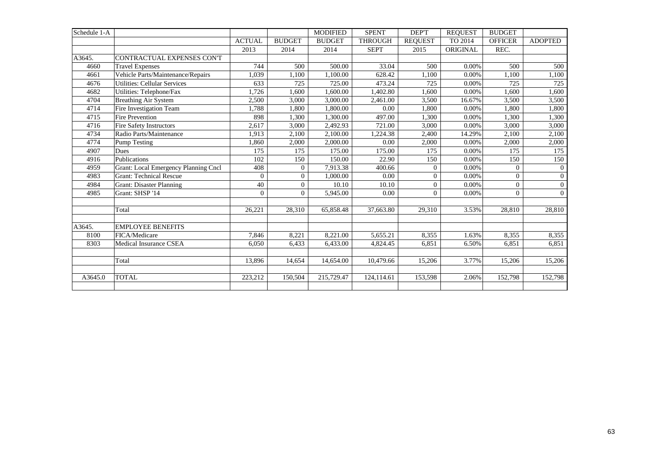| Schedule 1-A |                                             |               |                  | <b>MODIFIED</b> | <b>SPENT</b>   | DEP'T          | <b>REQUEST</b> | <b>BUDGET</b>  |                |
|--------------|---------------------------------------------|---------------|------------------|-----------------|----------------|----------------|----------------|----------------|----------------|
|              |                                             | <b>ACTUAL</b> | <b>BUDGET</b>    | <b>BUDGET</b>   | <b>THROUGH</b> | <b>REQUEST</b> | TO 2014        | <b>OFFICER</b> | <b>ADOPTED</b> |
|              |                                             | 2013          | 2014             | 2014            | <b>SEPT</b>    | 2015           | ORIGINAL       | REC.           |                |
| A3645.       | CONTRACTUAL EXPENSES CON'T                  |               |                  |                 |                |                |                |                |                |
| 4660         | <b>Travel Expenses</b>                      | 744           | 500              | 500.00          | 33.04          | 500            | 0.00%          | 500            | 500            |
| 4661         | Vehicle Parts/Maintenance/Repairs           | 1,039         | 1,100            | 1,100.00        | 628.42         | 1,100          | 0.00%          | 1,100          | 1,100          |
| 4676         | <b>Utilities: Cellular Services</b>         | 633           | 725              | 725.00          | 473.24         | 725            | 0.00%          | 725            | 725            |
| 4682         | Utilities: Telephone/Fax                    | 1,726         | 1,600            | 1,600.00        | 1,402.80       | 1,600          | 0.00%          | 1,600          | 1,600          |
| 4704         | <b>Breathing Air System</b>                 | 2.500         | 3,000            | 3,000.00        | 2,461.00       | 3,500          | 16.67%         | 3,500          | 3,500          |
| 4714         | Fire Investigation Team                     | 1,788         | 1,800            | 1,800.00        | 0.00           | 1,800          | 0.00%          | 1,800          | 1,800          |
| 4715         | Fire Prevention                             | 898           | 1,300            | 1,300.00        | 497.00         | 1,300          | 0.00%          | 1,300          | 1,300          |
| 4716         | Fire Safety Instructors                     | 2,617         | 3,000            | 2,492.93        | 721.00         | 3,000          | 0.00%          | 3,000          | 3,000          |
| 4734         | Radio Parts/Maintenance                     | 1,913         | 2,100            | 2,100.00        | 1,224.38       | 2,400          | 14.29%         | 2,100          | 2,100          |
| 4774         | <b>Pump Testing</b>                         | 1,860         | 2,000            | 2,000.00        | 0.00           | 2,000          | 0.00%          | 2,000          | 2,000          |
| 4907         | <b>Dues</b>                                 | 175           | 175              | 175.00          | 175.00         | 175            | 0.00%          | 175            | 175            |
| 4916         | Publications                                | 102           | 150              | 150.00          | 22.90          | 150            | 0.00%          | 150            | 150            |
| 4959         | <b>Grant: Local Emergency Planning Cncl</b> | 408           | $\boldsymbol{0}$ | 7,913.38        | 400.66         | $\overline{0}$ | 0.00%          | $\mathbf{0}$   | $\overline{0}$ |
| 4983         | <b>Grant: Technical Rescue</b>              | $\Omega$      | $\overline{0}$   | 1.000.00        | 0.00           | $\overline{0}$ | 0.00%          | $\Omega$       | $\overline{0}$ |
| 4984         | <b>Grant: Disaster Planning</b>             | 40            | $\theta$         | 10.10           | 10.10          | $\Omega$       | 0.00%          | $\Omega$       | $\overline{0}$ |
| 4985         | Grant: SHSP '14                             | $\theta$      | $\Omega$         | 5,945.00        | 0.00           | $\Omega$       | 0.00%          | $\mathbf{0}$   | $\Omega$       |
|              |                                             |               |                  |                 |                |                |                |                |                |
|              | Total                                       | 26,221        | 28,310           | 65,858.48       | 37,663.80      | 29,310         | 3.53%          | 28,810         | 28,810         |
|              |                                             |               |                  |                 |                |                |                |                |                |
| A3645.       | <b>EMPLOYEE BENEFITS</b>                    |               |                  |                 |                |                |                |                |                |
| 8100         | FICA/Medicare                               | 7,846         | 8,221            | 8,221.00        | 5,655.21       | 8,355          | 1.63%          | 8,355          | 8,355          |
| 8303         | Medical Insurance CSEA                      | 6,050         | 6,433            | 6,433.00        | 4,824.45       | 6,851          | 6.50%          | 6,851          | 6,851          |
|              |                                             |               |                  |                 |                |                |                |                |                |
|              | Total                                       | 13,896        | 14,654           | 14,654.00       | 10,479.66      | 15,206         | 3.77%          | 15,206         | 15,206         |
|              |                                             |               |                  |                 |                |                |                |                |                |
| A3645.0      | <b>TOTAL</b>                                | 223,212       | 150,504          | 215,729.47      | 124,114.61     | 153,598        | 2.06%          | 152,798        | 152,798        |
|              |                                             |               |                  |                 |                |                |                |                |                |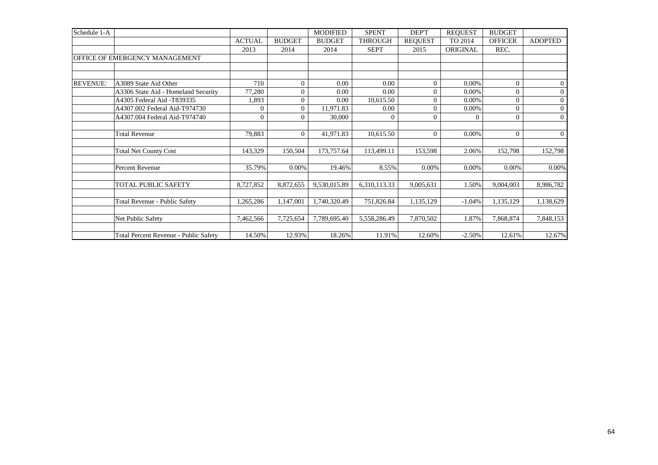| Schedule 1-A    |                                       |               |                | <b>MODIFIED</b> | <b>SPENT</b>   | DEP'T          | <b>REQUEST</b> | <b>BUDGET</b>  |                |
|-----------------|---------------------------------------|---------------|----------------|-----------------|----------------|----------------|----------------|----------------|----------------|
|                 |                                       | <b>ACTUAL</b> | <b>BUDGET</b>  | <b>BUDGET</b>   | <b>THROUGH</b> | <b>REQUEST</b> | TO 2014        | <b>OFFICER</b> | <b>ADOPTED</b> |
|                 |                                       | 2013          | 2014           | 2014            | <b>SEPT</b>    | 2015           | ORIGINAL       | REC.           |                |
|                 | OFFICE OF EMERGENCY MANAGEMENT        |               |                |                 |                |                |                |                |                |
|                 |                                       |               |                |                 |                |                |                |                |                |
| <b>REVENUE:</b> | A3089 State Aid Other                 | 710           | $\Omega$       | 0.00            | 0.00           | $\Omega$       | 0.00%          | $\Omega$       | $\overline{0}$ |
|                 | A3306 State Aid - Homeland Security   | 77,280        | 0              | 0.00            | 0.00           | $\Omega$       | 0.00%          | $\Omega$       | $\overline{0}$ |
|                 | A4305 Federal Aid -T839335            | 1,893         | $\overline{0}$ | 0.00            | 10,615.50      | $\Omega$       | 0.00%          | $\Omega$       | $\overline{0}$ |
|                 | A4307.002 Federal Aid-T974730         | $\Omega$      | $\overline{0}$ | 11,971.83       | 0.00           | $\Omega$       | 0.00%          | $\Omega$       | $\overline{0}$ |
|                 | A4307.004 Federal Aid-T974740         | $\theta$      | $\theta$       | 30,000          | $\theta$       | $\Omega$       | $\overline{0}$ | $\overline{0}$ | $\mathbf{0}$   |
|                 |                                       |               |                |                 |                |                |                |                |                |
|                 | <b>Total Revenue</b>                  | 79,883        | $\overline{0}$ | 41,971.83       | 10,615.50      | $\Omega$       | 0.00%          | $\overline{0}$ | $\overline{0}$ |
|                 |                                       |               |                |                 |                |                |                |                |                |
|                 | <b>Total Net County Cost</b>          | 143,329       | 150,504        | 173,757.64      | 113,499.11     | 153,598        | 2.06%          | 152,798        | 152,798        |
|                 |                                       |               |                |                 |                |                |                |                |                |
|                 | Percent Revenue                       | 35.79%        | 0.00%          | 19.46%          | 8.55%          | 0.00%          | 0.00%          | 0.00%          | $0.00\%$       |
|                 |                                       |               |                |                 |                |                |                |                |                |
|                 | TOTAL PUBLIC SAFETY                   | 8,727,852     | 8,872,655      | 9,530,015.89    | 6,310,113.33   | 9,005,631      | 1.50%          | 9,004,003      | 8,986,782      |
|                 |                                       |               |                |                 |                |                |                |                |                |
|                 | Total Revenue - Public Safety         | 1,265,286     | 1,147,001      | 1,740,320.49    | 751,826.84     | 1,135,129      | $-1.04%$       | 1,135,129      | 1,138,629      |
|                 | Net Public Safety                     | 7,462,566     | 7,725,654      | 7,789,695.40    | 5,558,286.49   | 7,870,502      | 1.87%          | 7,868,874      | 7,848,153      |
|                 | Total Percent Revenue - Public Safety | 14.50%        | 12.93%         | 18.26%          | 11.91%         | 12.60%         | $-2.50%$       | 12.61%         | 12.67%         |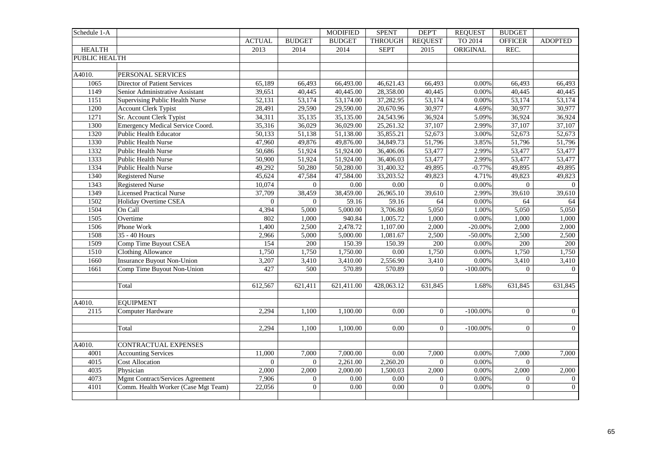| TO 2014<br><b>ACTUAL</b><br><b>BUDGET</b><br><b>BUDGET</b><br><b>THROUGH</b><br><b>REQUEST</b><br><b>OFFICER</b><br><b>ADOPTED</b><br><b>HEALTH</b><br><b>SEPT</b><br>ORIGINAL<br>REC.<br>2013<br>2014<br>2014<br>2015<br>PUBLIC HEALTH<br>A4010.<br>PERSONAL SERVICES<br>1065<br>Director of Patient Services<br>65,189<br>66,493.00<br>46,621.43<br>66,493<br>66,493<br>66,493<br>0.00%<br>66,493<br>1149<br>40,445<br>40,445.00<br>28,358.00<br>40,445<br>0.00%<br>40,445<br>Senior Administrative Assistant<br>39,651<br>40,445<br>1151<br>$\overline{53,174}$<br>53,174.00<br>37,282.95<br>53,174<br>0.00%<br>Supervising Public Health Nurse<br>52,131<br>53,174<br>53,174<br>1200<br><b>Account Clerk Typist</b><br>29,590.00<br>20,670.96<br>30,977<br>28,491<br>29,590<br>4.69%<br>30,977<br>30,977<br>1271<br>Sr. Account Clerk Typist<br>36,924<br>34,311<br>35,135<br>35,135.00<br>24,543.96<br>5.09%<br>36,924<br>36,924<br>Emergency Medical Service Coord.<br>1300<br>35,316<br>36,029.00<br>25,261.32<br>37,107<br>2.99%<br>37,107<br>37,107<br>36,029<br>1320<br><b>Public Health Educator</b><br>50,133<br>51,138<br>51,138.00<br>35,855.21<br>52,673<br>3.00%<br>52,673<br>52,673<br>1330<br>51,796<br><b>Public Health Nurse</b><br>49,876<br>49,876.00<br>34,849.73<br>3.85%<br>51,796<br>47,960<br>51,796<br>1332<br>51,924.00<br>36,406.06<br>53,477<br>2.99%<br>Public Health Nurse<br>50,686<br>51,924<br>53,477<br>53,477<br>1333<br>50,900<br>$\overline{51,924}$<br>36,406.03<br>53,477<br>2.99%<br>53,477<br><b>Public Health Nurse</b><br>51,924.00<br>53,477<br>1334<br>49,292<br>50,280.00<br>31,400.32<br>49,895<br>$-0.77%$<br>49,895<br>Public Health Nurse<br>50,280<br>49,895<br>1340<br>47,584<br>47,584.00<br>33,203.52<br>49,823<br>4.71%<br>49,823<br>49,823<br><b>Registered Nurse</b><br>45,624<br>1343<br><b>Registered Nurse</b><br>10,074<br>0.00<br>0.00<br>0.00%<br>$\Omega$<br>$\mathbf{0}$<br>$\Omega$<br>$\overline{0}$<br>1349<br><b>Licensed Practical Nurse</b><br>39,610<br>$\overline{39,610}$<br>37,709<br>38,459<br>38,459.00<br>26,965.10<br>2.99%<br>39,610<br>1502<br>$\Omega$<br>59.16<br>59.16<br>0.00%<br>Holiday Overtime CSEA<br>$\Omega$<br>64<br>64<br>64<br>1504<br>$\overline{5,000.00}$<br>3,706.80<br>5,050<br>5,050<br>On Call<br>4,394<br>5,000<br>1.00%<br>5,050<br>1505<br>802<br>940.84<br>Overtime<br>1,000<br>1,005.72<br>1,000<br>$0.00\%$<br>1,000<br>1,000<br>1,107.00<br>1506<br>Phone Work<br>1,400<br>2,500<br>2,478.72<br>2,000<br>$-20.00\%$<br>2,000<br>2,000<br>1508<br>35 - 40 Hours<br>5,000<br>5,000.00<br>1,081.67<br>2,500<br>2,500<br>2,966<br>$-50.00\%$<br>2,500<br>1509<br>Comp Time Buyout CSEA<br>200<br>150.39<br>150.39<br>200<br>0.00%<br>200<br>200<br>154<br>$\frac{1510}{25}$<br><b>Clothing Allowance</b><br>1,750<br>1,750<br>1,750.00<br>0.00<br>1,750<br>1,750<br>0.00%<br>1,750<br>1660<br><b>Insurance Buyout Non-Union</b><br>2,556.90<br>3,207<br>3,410<br>3,410.00<br>3,410<br>$0.00\%$<br>3,410<br>3,410<br>1661<br>Comp Time Buyout Non-Union<br>570.89<br>570.89<br>$-100.00\%$<br>427<br>500<br>$\overline{0}$<br>$\Omega$<br>$\overline{0}$<br>612,567<br>621,411<br>621,411.00<br>428,063.12<br>631,845<br>631,845<br>631,845<br>Total<br>1.68%<br>A4010.<br><b>EQUIPMENT</b><br>2115<br>0.00<br>$\overline{0}$<br>$\Omega$<br>$\overline{0}$<br>Computer Hardware<br>2,294<br>1,100<br>1,100.00<br>$-100.00\%$<br>$\overline{0}$<br>Total<br>2,294<br>1,100<br>1,100.00<br>0.00<br>$\overline{0}$<br>$-100.00\%$<br>$\overline{0}$<br>A4010.<br><b>CONTRACTUAL EXPENSES</b><br>4001<br><b>Accounting Services</b><br>11,000<br>7,000<br>7,000.00<br>0.00<br>7,000<br>0.00%<br>7,000<br>7,000<br>4015<br><b>Cost Allocation</b><br>$\Omega$<br>2,261.00<br>2,260.20<br>$\overline{0}$<br>0.00%<br>$\mathbf{0}$<br>$\mathbf{0}$<br>4035<br>2,000<br>2,000<br>2,000<br>Physician<br>2,000<br>2,000.00<br>1,500.03<br>$0.00\%$<br>2,000<br>4073<br>Mgmt Contract/Services Agreement<br>0.00%<br>7,906<br>0.00<br>0.00<br>$\overline{0}$<br>$\overline{0}$<br>$\mathbf{0}$<br>$\overline{0}$<br>0.00<br>0.00<br>$\overline{0}$<br>0.00%<br>$\overline{0}$<br>$\boldsymbol{0}$<br>4101<br>Comm. Health Worker (Case Mgt Team)<br>22,056<br>$\overline{0}$ | Schedule 1-A |  | <b>MODIFIED</b> | <b>SPENT</b> | <b>DEPT</b> | <b>REQUEST</b> | <b>BUDGET</b> |  |
|-------------------------------------------------------------------------------------------------------------------------------------------------------------------------------------------------------------------------------------------------------------------------------------------------------------------------------------------------------------------------------------------------------------------------------------------------------------------------------------------------------------------------------------------------------------------------------------------------------------------------------------------------------------------------------------------------------------------------------------------------------------------------------------------------------------------------------------------------------------------------------------------------------------------------------------------------------------------------------------------------------------------------------------------------------------------------------------------------------------------------------------------------------------------------------------------------------------------------------------------------------------------------------------------------------------------------------------------------------------------------------------------------------------------------------------------------------------------------------------------------------------------------------------------------------------------------------------------------------------------------------------------------------------------------------------------------------------------------------------------------------------------------------------------------------------------------------------------------------------------------------------------------------------------------------------------------------------------------------------------------------------------------------------------------------------------------------------------------------------------------------------------------------------------------------------------------------------------------------------------------------------------------------------------------------------------------------------------------------------------------------------------------------------------------------------------------------------------------------------------------------------------------------------------------------------------------------------------------------------------------------------------------------------------------------------------------------------------------------------------------------------------------------------------------------------------------------------------------------------------------------------------------------------------------------------------------------------------------------------------------------------------------------------------------------------------------------------------------------------------------------------------------------------------------------------------------------------------------------------------------------------------------------------------------------------------------------------------------------------------------------------------------------------------------------------------------------------------------------------------------------------------------------------------------------------------------------------------------------------------------------------------------------------------------------------------------------------------------------------------------------------------------------------------------------------------------------------------------------------------------------------------------------------------------------------------------------------------------------------------------------------------------------------------------------------------------------------------------------------------------------------------------------------------------------------------------------------------------------------------------------------------------------|--------------|--|-----------------|--------------|-------------|----------------|---------------|--|
|                                                                                                                                                                                                                                                                                                                                                                                                                                                                                                                                                                                                                                                                                                                                                                                                                                                                                                                                                                                                                                                                                                                                                                                                                                                                                                                                                                                                                                                                                                                                                                                                                                                                                                                                                                                                                                                                                                                                                                                                                                                                                                                                                                                                                                                                                                                                                                                                                                                                                                                                                                                                                                                                                                                                                                                                                                                                                                                                                                                                                                                                                                                                                                                                                                                                                                                                                                                                                                                                                                                                                                                                                                                                                                                                                                                                                                                                                                                                                                                                                                                                                                                                                                                                                                                                               |              |  |                 |              |             |                |               |  |
|                                                                                                                                                                                                                                                                                                                                                                                                                                                                                                                                                                                                                                                                                                                                                                                                                                                                                                                                                                                                                                                                                                                                                                                                                                                                                                                                                                                                                                                                                                                                                                                                                                                                                                                                                                                                                                                                                                                                                                                                                                                                                                                                                                                                                                                                                                                                                                                                                                                                                                                                                                                                                                                                                                                                                                                                                                                                                                                                                                                                                                                                                                                                                                                                                                                                                                                                                                                                                                                                                                                                                                                                                                                                                                                                                                                                                                                                                                                                                                                                                                                                                                                                                                                                                                                                               |              |  |                 |              |             |                |               |  |
|                                                                                                                                                                                                                                                                                                                                                                                                                                                                                                                                                                                                                                                                                                                                                                                                                                                                                                                                                                                                                                                                                                                                                                                                                                                                                                                                                                                                                                                                                                                                                                                                                                                                                                                                                                                                                                                                                                                                                                                                                                                                                                                                                                                                                                                                                                                                                                                                                                                                                                                                                                                                                                                                                                                                                                                                                                                                                                                                                                                                                                                                                                                                                                                                                                                                                                                                                                                                                                                                                                                                                                                                                                                                                                                                                                                                                                                                                                                                                                                                                                                                                                                                                                                                                                                                               |              |  |                 |              |             |                |               |  |
|                                                                                                                                                                                                                                                                                                                                                                                                                                                                                                                                                                                                                                                                                                                                                                                                                                                                                                                                                                                                                                                                                                                                                                                                                                                                                                                                                                                                                                                                                                                                                                                                                                                                                                                                                                                                                                                                                                                                                                                                                                                                                                                                                                                                                                                                                                                                                                                                                                                                                                                                                                                                                                                                                                                                                                                                                                                                                                                                                                                                                                                                                                                                                                                                                                                                                                                                                                                                                                                                                                                                                                                                                                                                                                                                                                                                                                                                                                                                                                                                                                                                                                                                                                                                                                                                               |              |  |                 |              |             |                |               |  |
|                                                                                                                                                                                                                                                                                                                                                                                                                                                                                                                                                                                                                                                                                                                                                                                                                                                                                                                                                                                                                                                                                                                                                                                                                                                                                                                                                                                                                                                                                                                                                                                                                                                                                                                                                                                                                                                                                                                                                                                                                                                                                                                                                                                                                                                                                                                                                                                                                                                                                                                                                                                                                                                                                                                                                                                                                                                                                                                                                                                                                                                                                                                                                                                                                                                                                                                                                                                                                                                                                                                                                                                                                                                                                                                                                                                                                                                                                                                                                                                                                                                                                                                                                                                                                                                                               |              |  |                 |              |             |                |               |  |
|                                                                                                                                                                                                                                                                                                                                                                                                                                                                                                                                                                                                                                                                                                                                                                                                                                                                                                                                                                                                                                                                                                                                                                                                                                                                                                                                                                                                                                                                                                                                                                                                                                                                                                                                                                                                                                                                                                                                                                                                                                                                                                                                                                                                                                                                                                                                                                                                                                                                                                                                                                                                                                                                                                                                                                                                                                                                                                                                                                                                                                                                                                                                                                                                                                                                                                                                                                                                                                                                                                                                                                                                                                                                                                                                                                                                                                                                                                                                                                                                                                                                                                                                                                                                                                                                               |              |  |                 |              |             |                |               |  |
|                                                                                                                                                                                                                                                                                                                                                                                                                                                                                                                                                                                                                                                                                                                                                                                                                                                                                                                                                                                                                                                                                                                                                                                                                                                                                                                                                                                                                                                                                                                                                                                                                                                                                                                                                                                                                                                                                                                                                                                                                                                                                                                                                                                                                                                                                                                                                                                                                                                                                                                                                                                                                                                                                                                                                                                                                                                                                                                                                                                                                                                                                                                                                                                                                                                                                                                                                                                                                                                                                                                                                                                                                                                                                                                                                                                                                                                                                                                                                                                                                                                                                                                                                                                                                                                                               |              |  |                 |              |             |                |               |  |
|                                                                                                                                                                                                                                                                                                                                                                                                                                                                                                                                                                                                                                                                                                                                                                                                                                                                                                                                                                                                                                                                                                                                                                                                                                                                                                                                                                                                                                                                                                                                                                                                                                                                                                                                                                                                                                                                                                                                                                                                                                                                                                                                                                                                                                                                                                                                                                                                                                                                                                                                                                                                                                                                                                                                                                                                                                                                                                                                                                                                                                                                                                                                                                                                                                                                                                                                                                                                                                                                                                                                                                                                                                                                                                                                                                                                                                                                                                                                                                                                                                                                                                                                                                                                                                                                               |              |  |                 |              |             |                |               |  |
|                                                                                                                                                                                                                                                                                                                                                                                                                                                                                                                                                                                                                                                                                                                                                                                                                                                                                                                                                                                                                                                                                                                                                                                                                                                                                                                                                                                                                                                                                                                                                                                                                                                                                                                                                                                                                                                                                                                                                                                                                                                                                                                                                                                                                                                                                                                                                                                                                                                                                                                                                                                                                                                                                                                                                                                                                                                                                                                                                                                                                                                                                                                                                                                                                                                                                                                                                                                                                                                                                                                                                                                                                                                                                                                                                                                                                                                                                                                                                                                                                                                                                                                                                                                                                                                                               |              |  |                 |              |             |                |               |  |
|                                                                                                                                                                                                                                                                                                                                                                                                                                                                                                                                                                                                                                                                                                                                                                                                                                                                                                                                                                                                                                                                                                                                                                                                                                                                                                                                                                                                                                                                                                                                                                                                                                                                                                                                                                                                                                                                                                                                                                                                                                                                                                                                                                                                                                                                                                                                                                                                                                                                                                                                                                                                                                                                                                                                                                                                                                                                                                                                                                                                                                                                                                                                                                                                                                                                                                                                                                                                                                                                                                                                                                                                                                                                                                                                                                                                                                                                                                                                                                                                                                                                                                                                                                                                                                                                               |              |  |                 |              |             |                |               |  |
|                                                                                                                                                                                                                                                                                                                                                                                                                                                                                                                                                                                                                                                                                                                                                                                                                                                                                                                                                                                                                                                                                                                                                                                                                                                                                                                                                                                                                                                                                                                                                                                                                                                                                                                                                                                                                                                                                                                                                                                                                                                                                                                                                                                                                                                                                                                                                                                                                                                                                                                                                                                                                                                                                                                                                                                                                                                                                                                                                                                                                                                                                                                                                                                                                                                                                                                                                                                                                                                                                                                                                                                                                                                                                                                                                                                                                                                                                                                                                                                                                                                                                                                                                                                                                                                                               |              |  |                 |              |             |                |               |  |
|                                                                                                                                                                                                                                                                                                                                                                                                                                                                                                                                                                                                                                                                                                                                                                                                                                                                                                                                                                                                                                                                                                                                                                                                                                                                                                                                                                                                                                                                                                                                                                                                                                                                                                                                                                                                                                                                                                                                                                                                                                                                                                                                                                                                                                                                                                                                                                                                                                                                                                                                                                                                                                                                                                                                                                                                                                                                                                                                                                                                                                                                                                                                                                                                                                                                                                                                                                                                                                                                                                                                                                                                                                                                                                                                                                                                                                                                                                                                                                                                                                                                                                                                                                                                                                                                               |              |  |                 |              |             |                |               |  |
|                                                                                                                                                                                                                                                                                                                                                                                                                                                                                                                                                                                                                                                                                                                                                                                                                                                                                                                                                                                                                                                                                                                                                                                                                                                                                                                                                                                                                                                                                                                                                                                                                                                                                                                                                                                                                                                                                                                                                                                                                                                                                                                                                                                                                                                                                                                                                                                                                                                                                                                                                                                                                                                                                                                                                                                                                                                                                                                                                                                                                                                                                                                                                                                                                                                                                                                                                                                                                                                                                                                                                                                                                                                                                                                                                                                                                                                                                                                                                                                                                                                                                                                                                                                                                                                                               |              |  |                 |              |             |                |               |  |
|                                                                                                                                                                                                                                                                                                                                                                                                                                                                                                                                                                                                                                                                                                                                                                                                                                                                                                                                                                                                                                                                                                                                                                                                                                                                                                                                                                                                                                                                                                                                                                                                                                                                                                                                                                                                                                                                                                                                                                                                                                                                                                                                                                                                                                                                                                                                                                                                                                                                                                                                                                                                                                                                                                                                                                                                                                                                                                                                                                                                                                                                                                                                                                                                                                                                                                                                                                                                                                                                                                                                                                                                                                                                                                                                                                                                                                                                                                                                                                                                                                                                                                                                                                                                                                                                               |              |  |                 |              |             |                |               |  |
|                                                                                                                                                                                                                                                                                                                                                                                                                                                                                                                                                                                                                                                                                                                                                                                                                                                                                                                                                                                                                                                                                                                                                                                                                                                                                                                                                                                                                                                                                                                                                                                                                                                                                                                                                                                                                                                                                                                                                                                                                                                                                                                                                                                                                                                                                                                                                                                                                                                                                                                                                                                                                                                                                                                                                                                                                                                                                                                                                                                                                                                                                                                                                                                                                                                                                                                                                                                                                                                                                                                                                                                                                                                                                                                                                                                                                                                                                                                                                                                                                                                                                                                                                                                                                                                                               |              |  |                 |              |             |                |               |  |
|                                                                                                                                                                                                                                                                                                                                                                                                                                                                                                                                                                                                                                                                                                                                                                                                                                                                                                                                                                                                                                                                                                                                                                                                                                                                                                                                                                                                                                                                                                                                                                                                                                                                                                                                                                                                                                                                                                                                                                                                                                                                                                                                                                                                                                                                                                                                                                                                                                                                                                                                                                                                                                                                                                                                                                                                                                                                                                                                                                                                                                                                                                                                                                                                                                                                                                                                                                                                                                                                                                                                                                                                                                                                                                                                                                                                                                                                                                                                                                                                                                                                                                                                                                                                                                                                               |              |  |                 |              |             |                |               |  |
|                                                                                                                                                                                                                                                                                                                                                                                                                                                                                                                                                                                                                                                                                                                                                                                                                                                                                                                                                                                                                                                                                                                                                                                                                                                                                                                                                                                                                                                                                                                                                                                                                                                                                                                                                                                                                                                                                                                                                                                                                                                                                                                                                                                                                                                                                                                                                                                                                                                                                                                                                                                                                                                                                                                                                                                                                                                                                                                                                                                                                                                                                                                                                                                                                                                                                                                                                                                                                                                                                                                                                                                                                                                                                                                                                                                                                                                                                                                                                                                                                                                                                                                                                                                                                                                                               |              |  |                 |              |             |                |               |  |
|                                                                                                                                                                                                                                                                                                                                                                                                                                                                                                                                                                                                                                                                                                                                                                                                                                                                                                                                                                                                                                                                                                                                                                                                                                                                                                                                                                                                                                                                                                                                                                                                                                                                                                                                                                                                                                                                                                                                                                                                                                                                                                                                                                                                                                                                                                                                                                                                                                                                                                                                                                                                                                                                                                                                                                                                                                                                                                                                                                                                                                                                                                                                                                                                                                                                                                                                                                                                                                                                                                                                                                                                                                                                                                                                                                                                                                                                                                                                                                                                                                                                                                                                                                                                                                                                               |              |  |                 |              |             |                |               |  |
|                                                                                                                                                                                                                                                                                                                                                                                                                                                                                                                                                                                                                                                                                                                                                                                                                                                                                                                                                                                                                                                                                                                                                                                                                                                                                                                                                                                                                                                                                                                                                                                                                                                                                                                                                                                                                                                                                                                                                                                                                                                                                                                                                                                                                                                                                                                                                                                                                                                                                                                                                                                                                                                                                                                                                                                                                                                                                                                                                                                                                                                                                                                                                                                                                                                                                                                                                                                                                                                                                                                                                                                                                                                                                                                                                                                                                                                                                                                                                                                                                                                                                                                                                                                                                                                                               |              |  |                 |              |             |                |               |  |
|                                                                                                                                                                                                                                                                                                                                                                                                                                                                                                                                                                                                                                                                                                                                                                                                                                                                                                                                                                                                                                                                                                                                                                                                                                                                                                                                                                                                                                                                                                                                                                                                                                                                                                                                                                                                                                                                                                                                                                                                                                                                                                                                                                                                                                                                                                                                                                                                                                                                                                                                                                                                                                                                                                                                                                                                                                                                                                                                                                                                                                                                                                                                                                                                                                                                                                                                                                                                                                                                                                                                                                                                                                                                                                                                                                                                                                                                                                                                                                                                                                                                                                                                                                                                                                                                               |              |  |                 |              |             |                |               |  |
|                                                                                                                                                                                                                                                                                                                                                                                                                                                                                                                                                                                                                                                                                                                                                                                                                                                                                                                                                                                                                                                                                                                                                                                                                                                                                                                                                                                                                                                                                                                                                                                                                                                                                                                                                                                                                                                                                                                                                                                                                                                                                                                                                                                                                                                                                                                                                                                                                                                                                                                                                                                                                                                                                                                                                                                                                                                                                                                                                                                                                                                                                                                                                                                                                                                                                                                                                                                                                                                                                                                                                                                                                                                                                                                                                                                                                                                                                                                                                                                                                                                                                                                                                                                                                                                                               |              |  |                 |              |             |                |               |  |
|                                                                                                                                                                                                                                                                                                                                                                                                                                                                                                                                                                                                                                                                                                                                                                                                                                                                                                                                                                                                                                                                                                                                                                                                                                                                                                                                                                                                                                                                                                                                                                                                                                                                                                                                                                                                                                                                                                                                                                                                                                                                                                                                                                                                                                                                                                                                                                                                                                                                                                                                                                                                                                                                                                                                                                                                                                                                                                                                                                                                                                                                                                                                                                                                                                                                                                                                                                                                                                                                                                                                                                                                                                                                                                                                                                                                                                                                                                                                                                                                                                                                                                                                                                                                                                                                               |              |  |                 |              |             |                |               |  |
|                                                                                                                                                                                                                                                                                                                                                                                                                                                                                                                                                                                                                                                                                                                                                                                                                                                                                                                                                                                                                                                                                                                                                                                                                                                                                                                                                                                                                                                                                                                                                                                                                                                                                                                                                                                                                                                                                                                                                                                                                                                                                                                                                                                                                                                                                                                                                                                                                                                                                                                                                                                                                                                                                                                                                                                                                                                                                                                                                                                                                                                                                                                                                                                                                                                                                                                                                                                                                                                                                                                                                                                                                                                                                                                                                                                                                                                                                                                                                                                                                                                                                                                                                                                                                                                                               |              |  |                 |              |             |                |               |  |
|                                                                                                                                                                                                                                                                                                                                                                                                                                                                                                                                                                                                                                                                                                                                                                                                                                                                                                                                                                                                                                                                                                                                                                                                                                                                                                                                                                                                                                                                                                                                                                                                                                                                                                                                                                                                                                                                                                                                                                                                                                                                                                                                                                                                                                                                                                                                                                                                                                                                                                                                                                                                                                                                                                                                                                                                                                                                                                                                                                                                                                                                                                                                                                                                                                                                                                                                                                                                                                                                                                                                                                                                                                                                                                                                                                                                                                                                                                                                                                                                                                                                                                                                                                                                                                                                               |              |  |                 |              |             |                |               |  |
|                                                                                                                                                                                                                                                                                                                                                                                                                                                                                                                                                                                                                                                                                                                                                                                                                                                                                                                                                                                                                                                                                                                                                                                                                                                                                                                                                                                                                                                                                                                                                                                                                                                                                                                                                                                                                                                                                                                                                                                                                                                                                                                                                                                                                                                                                                                                                                                                                                                                                                                                                                                                                                                                                                                                                                                                                                                                                                                                                                                                                                                                                                                                                                                                                                                                                                                                                                                                                                                                                                                                                                                                                                                                                                                                                                                                                                                                                                                                                                                                                                                                                                                                                                                                                                                                               |              |  |                 |              |             |                |               |  |
|                                                                                                                                                                                                                                                                                                                                                                                                                                                                                                                                                                                                                                                                                                                                                                                                                                                                                                                                                                                                                                                                                                                                                                                                                                                                                                                                                                                                                                                                                                                                                                                                                                                                                                                                                                                                                                                                                                                                                                                                                                                                                                                                                                                                                                                                                                                                                                                                                                                                                                                                                                                                                                                                                                                                                                                                                                                                                                                                                                                                                                                                                                                                                                                                                                                                                                                                                                                                                                                                                                                                                                                                                                                                                                                                                                                                                                                                                                                                                                                                                                                                                                                                                                                                                                                                               |              |  |                 |              |             |                |               |  |
|                                                                                                                                                                                                                                                                                                                                                                                                                                                                                                                                                                                                                                                                                                                                                                                                                                                                                                                                                                                                                                                                                                                                                                                                                                                                                                                                                                                                                                                                                                                                                                                                                                                                                                                                                                                                                                                                                                                                                                                                                                                                                                                                                                                                                                                                                                                                                                                                                                                                                                                                                                                                                                                                                                                                                                                                                                                                                                                                                                                                                                                                                                                                                                                                                                                                                                                                                                                                                                                                                                                                                                                                                                                                                                                                                                                                                                                                                                                                                                                                                                                                                                                                                                                                                                                                               |              |  |                 |              |             |                |               |  |
|                                                                                                                                                                                                                                                                                                                                                                                                                                                                                                                                                                                                                                                                                                                                                                                                                                                                                                                                                                                                                                                                                                                                                                                                                                                                                                                                                                                                                                                                                                                                                                                                                                                                                                                                                                                                                                                                                                                                                                                                                                                                                                                                                                                                                                                                                                                                                                                                                                                                                                                                                                                                                                                                                                                                                                                                                                                                                                                                                                                                                                                                                                                                                                                                                                                                                                                                                                                                                                                                                                                                                                                                                                                                                                                                                                                                                                                                                                                                                                                                                                                                                                                                                                                                                                                                               |              |  |                 |              |             |                |               |  |
|                                                                                                                                                                                                                                                                                                                                                                                                                                                                                                                                                                                                                                                                                                                                                                                                                                                                                                                                                                                                                                                                                                                                                                                                                                                                                                                                                                                                                                                                                                                                                                                                                                                                                                                                                                                                                                                                                                                                                                                                                                                                                                                                                                                                                                                                                                                                                                                                                                                                                                                                                                                                                                                                                                                                                                                                                                                                                                                                                                                                                                                                                                                                                                                                                                                                                                                                                                                                                                                                                                                                                                                                                                                                                                                                                                                                                                                                                                                                                                                                                                                                                                                                                                                                                                                                               |              |  |                 |              |             |                |               |  |
|                                                                                                                                                                                                                                                                                                                                                                                                                                                                                                                                                                                                                                                                                                                                                                                                                                                                                                                                                                                                                                                                                                                                                                                                                                                                                                                                                                                                                                                                                                                                                                                                                                                                                                                                                                                                                                                                                                                                                                                                                                                                                                                                                                                                                                                                                                                                                                                                                                                                                                                                                                                                                                                                                                                                                                                                                                                                                                                                                                                                                                                                                                                                                                                                                                                                                                                                                                                                                                                                                                                                                                                                                                                                                                                                                                                                                                                                                                                                                                                                                                                                                                                                                                                                                                                                               |              |  |                 |              |             |                |               |  |
|                                                                                                                                                                                                                                                                                                                                                                                                                                                                                                                                                                                                                                                                                                                                                                                                                                                                                                                                                                                                                                                                                                                                                                                                                                                                                                                                                                                                                                                                                                                                                                                                                                                                                                                                                                                                                                                                                                                                                                                                                                                                                                                                                                                                                                                                                                                                                                                                                                                                                                                                                                                                                                                                                                                                                                                                                                                                                                                                                                                                                                                                                                                                                                                                                                                                                                                                                                                                                                                                                                                                                                                                                                                                                                                                                                                                                                                                                                                                                                                                                                                                                                                                                                                                                                                                               |              |  |                 |              |             |                |               |  |
|                                                                                                                                                                                                                                                                                                                                                                                                                                                                                                                                                                                                                                                                                                                                                                                                                                                                                                                                                                                                                                                                                                                                                                                                                                                                                                                                                                                                                                                                                                                                                                                                                                                                                                                                                                                                                                                                                                                                                                                                                                                                                                                                                                                                                                                                                                                                                                                                                                                                                                                                                                                                                                                                                                                                                                                                                                                                                                                                                                                                                                                                                                                                                                                                                                                                                                                                                                                                                                                                                                                                                                                                                                                                                                                                                                                                                                                                                                                                                                                                                                                                                                                                                                                                                                                                               |              |  |                 |              |             |                |               |  |
|                                                                                                                                                                                                                                                                                                                                                                                                                                                                                                                                                                                                                                                                                                                                                                                                                                                                                                                                                                                                                                                                                                                                                                                                                                                                                                                                                                                                                                                                                                                                                                                                                                                                                                                                                                                                                                                                                                                                                                                                                                                                                                                                                                                                                                                                                                                                                                                                                                                                                                                                                                                                                                                                                                                                                                                                                                                                                                                                                                                                                                                                                                                                                                                                                                                                                                                                                                                                                                                                                                                                                                                                                                                                                                                                                                                                                                                                                                                                                                                                                                                                                                                                                                                                                                                                               |              |  |                 |              |             |                |               |  |
|                                                                                                                                                                                                                                                                                                                                                                                                                                                                                                                                                                                                                                                                                                                                                                                                                                                                                                                                                                                                                                                                                                                                                                                                                                                                                                                                                                                                                                                                                                                                                                                                                                                                                                                                                                                                                                                                                                                                                                                                                                                                                                                                                                                                                                                                                                                                                                                                                                                                                                                                                                                                                                                                                                                                                                                                                                                                                                                                                                                                                                                                                                                                                                                                                                                                                                                                                                                                                                                                                                                                                                                                                                                                                                                                                                                                                                                                                                                                                                                                                                                                                                                                                                                                                                                                               |              |  |                 |              |             |                |               |  |
|                                                                                                                                                                                                                                                                                                                                                                                                                                                                                                                                                                                                                                                                                                                                                                                                                                                                                                                                                                                                                                                                                                                                                                                                                                                                                                                                                                                                                                                                                                                                                                                                                                                                                                                                                                                                                                                                                                                                                                                                                                                                                                                                                                                                                                                                                                                                                                                                                                                                                                                                                                                                                                                                                                                                                                                                                                                                                                                                                                                                                                                                                                                                                                                                                                                                                                                                                                                                                                                                                                                                                                                                                                                                                                                                                                                                                                                                                                                                                                                                                                                                                                                                                                                                                                                                               |              |  |                 |              |             |                |               |  |
|                                                                                                                                                                                                                                                                                                                                                                                                                                                                                                                                                                                                                                                                                                                                                                                                                                                                                                                                                                                                                                                                                                                                                                                                                                                                                                                                                                                                                                                                                                                                                                                                                                                                                                                                                                                                                                                                                                                                                                                                                                                                                                                                                                                                                                                                                                                                                                                                                                                                                                                                                                                                                                                                                                                                                                                                                                                                                                                                                                                                                                                                                                                                                                                                                                                                                                                                                                                                                                                                                                                                                                                                                                                                                                                                                                                                                                                                                                                                                                                                                                                                                                                                                                                                                                                                               |              |  |                 |              |             |                |               |  |
|                                                                                                                                                                                                                                                                                                                                                                                                                                                                                                                                                                                                                                                                                                                                                                                                                                                                                                                                                                                                                                                                                                                                                                                                                                                                                                                                                                                                                                                                                                                                                                                                                                                                                                                                                                                                                                                                                                                                                                                                                                                                                                                                                                                                                                                                                                                                                                                                                                                                                                                                                                                                                                                                                                                                                                                                                                                                                                                                                                                                                                                                                                                                                                                                                                                                                                                                                                                                                                                                                                                                                                                                                                                                                                                                                                                                                                                                                                                                                                                                                                                                                                                                                                                                                                                                               |              |  |                 |              |             |                |               |  |
|                                                                                                                                                                                                                                                                                                                                                                                                                                                                                                                                                                                                                                                                                                                                                                                                                                                                                                                                                                                                                                                                                                                                                                                                                                                                                                                                                                                                                                                                                                                                                                                                                                                                                                                                                                                                                                                                                                                                                                                                                                                                                                                                                                                                                                                                                                                                                                                                                                                                                                                                                                                                                                                                                                                                                                                                                                                                                                                                                                                                                                                                                                                                                                                                                                                                                                                                                                                                                                                                                                                                                                                                                                                                                                                                                                                                                                                                                                                                                                                                                                                                                                                                                                                                                                                                               |              |  |                 |              |             |                |               |  |
|                                                                                                                                                                                                                                                                                                                                                                                                                                                                                                                                                                                                                                                                                                                                                                                                                                                                                                                                                                                                                                                                                                                                                                                                                                                                                                                                                                                                                                                                                                                                                                                                                                                                                                                                                                                                                                                                                                                                                                                                                                                                                                                                                                                                                                                                                                                                                                                                                                                                                                                                                                                                                                                                                                                                                                                                                                                                                                                                                                                                                                                                                                                                                                                                                                                                                                                                                                                                                                                                                                                                                                                                                                                                                                                                                                                                                                                                                                                                                                                                                                                                                                                                                                                                                                                                               |              |  |                 |              |             |                |               |  |
|                                                                                                                                                                                                                                                                                                                                                                                                                                                                                                                                                                                                                                                                                                                                                                                                                                                                                                                                                                                                                                                                                                                                                                                                                                                                                                                                                                                                                                                                                                                                                                                                                                                                                                                                                                                                                                                                                                                                                                                                                                                                                                                                                                                                                                                                                                                                                                                                                                                                                                                                                                                                                                                                                                                                                                                                                                                                                                                                                                                                                                                                                                                                                                                                                                                                                                                                                                                                                                                                                                                                                                                                                                                                                                                                                                                                                                                                                                                                                                                                                                                                                                                                                                                                                                                                               |              |  |                 |              |             |                |               |  |
|                                                                                                                                                                                                                                                                                                                                                                                                                                                                                                                                                                                                                                                                                                                                                                                                                                                                                                                                                                                                                                                                                                                                                                                                                                                                                                                                                                                                                                                                                                                                                                                                                                                                                                                                                                                                                                                                                                                                                                                                                                                                                                                                                                                                                                                                                                                                                                                                                                                                                                                                                                                                                                                                                                                                                                                                                                                                                                                                                                                                                                                                                                                                                                                                                                                                                                                                                                                                                                                                                                                                                                                                                                                                                                                                                                                                                                                                                                                                                                                                                                                                                                                                                                                                                                                                               |              |  |                 |              |             |                |               |  |
|                                                                                                                                                                                                                                                                                                                                                                                                                                                                                                                                                                                                                                                                                                                                                                                                                                                                                                                                                                                                                                                                                                                                                                                                                                                                                                                                                                                                                                                                                                                                                                                                                                                                                                                                                                                                                                                                                                                                                                                                                                                                                                                                                                                                                                                                                                                                                                                                                                                                                                                                                                                                                                                                                                                                                                                                                                                                                                                                                                                                                                                                                                                                                                                                                                                                                                                                                                                                                                                                                                                                                                                                                                                                                                                                                                                                                                                                                                                                                                                                                                                                                                                                                                                                                                                                               |              |  |                 |              |             |                |               |  |
|                                                                                                                                                                                                                                                                                                                                                                                                                                                                                                                                                                                                                                                                                                                                                                                                                                                                                                                                                                                                                                                                                                                                                                                                                                                                                                                                                                                                                                                                                                                                                                                                                                                                                                                                                                                                                                                                                                                                                                                                                                                                                                                                                                                                                                                                                                                                                                                                                                                                                                                                                                                                                                                                                                                                                                                                                                                                                                                                                                                                                                                                                                                                                                                                                                                                                                                                                                                                                                                                                                                                                                                                                                                                                                                                                                                                                                                                                                                                                                                                                                                                                                                                                                                                                                                                               |              |  |                 |              |             |                |               |  |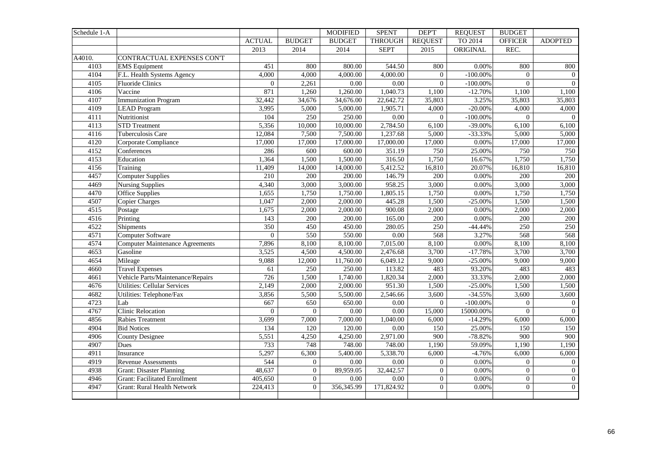| Schedule 1-A      |                                      |                |                | <b>MODIFIED</b>   | <b>SPENT</b>      | <b>DEPT</b>    | <b>REQUEST</b> | <b>BUDGET</b>    |                  |
|-------------------|--------------------------------------|----------------|----------------|-------------------|-------------------|----------------|----------------|------------------|------------------|
|                   |                                      | <b>ACTUAL</b>  | <b>BUDGET</b>  | <b>BUDGET</b>     | <b>THROUGH</b>    | <b>REQUEST</b> | TO 2014        | <b>OFFICER</b>   | <b>ADOPTED</b>   |
|                   |                                      | 2013           | 2014           | 2014              | <b>SEPT</b>       | 2015           | ORIGINAL       | REC.             |                  |
| A4010.            | CONTRACTUAL EXPENSES CON'T           |                |                |                   |                   |                |                |                  |                  |
| 4103              | <b>EMS</b> Equipment                 | 451            | 800            | 800.00            | 544.50            | 800            | 0.00%          | 800              | 800              |
| 4104              | F.L. Health Systems Agency           | 4,000          | 4,000          | 4,000.00          | 4,000.00          | $\overline{0}$ | $-100.00\%$    | $\mathbf{0}$     | $\overline{0}$   |
| 4105              | <b>Fluoride Clinics</b>              | $\overline{0}$ | 2,261          | $\overline{0.00}$ | $\overline{0.00}$ | $\overline{0}$ | $-100.00\%$    | $\theta$         | $\overline{0}$   |
| 4106              | Vaccine                              | 871            | 1,260          | 1,260.00          | 1,040.73          | 1,100          | $-12.70%$      | 1,100            | 1,100            |
| 4107              | <b>Immunization Program</b>          | 32,442         | 34,676         | 34,676.00         | 22,642.72         | 35,803         | 3.25%          | 35,803           | 35,803           |
| $41\overline{09}$ | <b>LEAD Program</b>                  | 3,995          | 5,000          | 5,000.00          | 1,905.71          | 4,000          | $-20.00\%$     | 4,000            | 4,000            |
| 4111              | Nutritionist                         | 104            | 250            | 250.00            | 0.00              | $\overline{0}$ | $-100.00\%$    | $\Omega$         | $\overline{0}$   |
| 4113              | <b>STD</b> Treatment                 | 5,356          | 10,000         | 10,000.00         | 2,784.50          | 6,100          | $-39.00\%$     | 6,100            | 6,100            |
| 4116              | Tuberculosis Care                    | 12,084         | 7,500          | 7,500.00          | 1,237.68          | 5,000          | $-33.33%$      | 5,000            | 5,000            |
| 4120              | Corporate Compliance                 | 17,000         | 17,000         | 17,000.00         | 17,000.00         | 17,000         | 0.00%          | 17,000           | 17,000           |
| 4152              | Conferences                          | 286            | 600            | 600.00            | 351.19            | 750            | 25.00%         | 750              | 750              |
| 4153              | Education                            | 1,364          | 1,500          | 1,500.00          | 316.50            | 1,750          | 16.67%         | 1,750            | 1,750            |
| 4156              | Training                             | 11,409         | 14,000         | 14,000.00         | 5,412.52          | 16,810         | 20.07%         | 16,810           | 16,810           |
| 4457              | <b>Computer Supplies</b>             | 210            | 200            | 200.00            | 146.79            | 200            | 0.00%          | 200              | 200              |
| 4469              | <b>Nursing Supplies</b>              | 4,340          | 3,000          | 3,000.00          | 958.25            | 3,000          | 0.00%          | 3,000            | 3,000            |
| 4470              | <b>Office Supplies</b>               | 1,655          | 1,750          | 1,750.00          | 1,805.15          | 1,750          | $0.00\%$       | 1,750            | 1,750            |
| 4507              | Copier Charges                       | 1,047          | 2,000          | 2,000.00          | 445.28            | 1,500          | $-25.00\%$     | 1,500            | 1,500            |
| 4515              | Postage                              | 1,675          | 2,000          | 2,000.00          | 900.08            | 2,000          | 0.00%          | 2,000            | 2,000            |
| 4516              | Printing                             | 143            | 200            | 200.00            | 165.00            | 200            | 0.00%          | 200              | 200              |
| 4522              | Shipments                            | 350            | 450            | 450.00            | 280.05            | 250            | $-44.44%$      | 250              | 250              |
| 4571              | Computer Software                    | $\Omega$       | 550            | 550.00            | $0.00\,$          | 568            | 3.27%          | 568              | 568              |
| 4574              | Computer Maintenance Agreements      | 7,896          | 8,100          | 8,100.00          | 7,015.00          | 8,100          | 0.00%          | 8,100            | 8,100            |
| 4653              | Gasoline                             | 3,525          | 4,500          | 4,500.00          | 2,476.68          | 3,700          | $-17.78%$      | 3,700            | 3,700            |
| 4654              | Mileage                              | 9,088          | 12,000         | 11,760.00         | 6,049.12          | 9,000          | $-25.00\%$     | 9,000            | 9,000            |
| 4660              | <b>Travel Expenses</b>               | 61             | 250            | 250.00            | 113.82            | 483            | 93.20%         | 483              | 483              |
| 4661              | Vehicle Parts/Maintenance/Repairs    | 726            | 1,500          | 1,740.00          | 1,820.34          | 2,000          | 33.33%         | 2,000            | 2,000            |
| 4676              | <b>Utilities: Cellular Services</b>  | 2,149          | 2,000          | 2,000.00          | 951.30            | 1,500          | $-25.00%$      | 1,500            | 1,500            |
| 4682              | Utilities: Telephone/Fax             | 3,856          | 5,500          | 5,500.00          | 2,546.66          | 3,600          | $-34.55%$      | 3,600            | 3,600            |
| 4723              | Lab                                  | 667            | 650            | 650.00            | 0.00              | $\overline{0}$ | $-100.00\%$    | $\overline{0}$   | $\overline{0}$   |
| 4767              | <b>Clinic Relocation</b>             | $\overline{0}$ | $\overline{0}$ | 0.00              | 0.00              | 15,000         | 15000.00%      | $\mathbf{0}$     | $\overline{0}$   |
| 4856              | <b>Rabies Treatment</b>              | 3,699          | 7,000          | 7,000.00          | 1,040.00          | 6,000          | $-14.29%$      | 6,000            | 6,000            |
| 4904              | <b>Bid Notices</b>                   | 134            | 120            | 120.00            | $0.00\,$          | 150            | 25.00%         | 150              | 150              |
| 4906              | <b>County Designee</b>               | 5,551          | 4,250          | 4,250.00          | 2,971.00          | 900            | $-78.82%$      | $\overline{900}$ | 900              |
| 4907              | Dues                                 | 733            | 748            | 748.00            | 748.00            | 1,190          | 59.09%         | 1,190            | 1,190            |
| 4911              | Insurance                            | 5,297          | 6,300          | 5,400.00          | 5,338.70          | 6,000          | $-4.76%$       | 6,000            | 6,000            |
| 4919              | Revenue Assessments                  | 544            | $\overline{0}$ | 0.00              | $0.00\,$          | $\mathbf{0}$   | 0.00%          | $\overline{0}$   | $\mathbf{0}$     |
| 4938              | Grant: Disaster Planning             | 48,637         | $\overline{0}$ | 89,959.05         | 32,442.57         | $\mathbf{0}$   | 0.00%          | $\overline{0}$   | $\boldsymbol{0}$ |
| 4946              | <b>Grant: Facilitated Enrollment</b> | 405,650        | $\overline{0}$ | 0.00              | $\overline{0.00}$ | $\mathbf{0}$   | 0.00%          | $\overline{0}$   | $\mathbf{0}$     |
| 4947              | Grant: Rural Health Network          | 224,413        | $\overline{0}$ | 356,345.99        | 171,824.92        | $\overline{0}$ | 0.00%          | $\Omega$         | $\overline{0}$   |
|                   |                                      |                |                |                   |                   |                |                |                  |                  |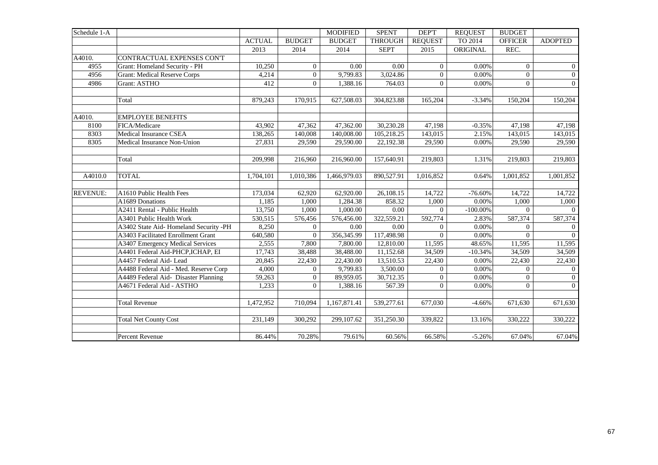| Schedule 1-A    |                                       |               |                | <b>MODIFIED</b> | <b>SPENT</b>   | <b>DEPT</b>    | <b>REQUEST</b> | <b>BUDGET</b>  |                |
|-----------------|---------------------------------------|---------------|----------------|-----------------|----------------|----------------|----------------|----------------|----------------|
|                 |                                       | <b>ACTUAL</b> | <b>BUDGET</b>  | <b>BUDGET</b>   | <b>THROUGH</b> | <b>REQUEST</b> | TO 2014        | <b>OFFICER</b> | <b>ADOPTED</b> |
|                 |                                       | 2013          | 2014           | 2014            | <b>SEPT</b>    | 2015           | ORIGINAL       | REC.           |                |
| A4010.          | CONTRACTUAL EXPENSES CON'T            |               |                |                 |                |                |                |                |                |
| 4955            | Grant: Homeland Security - PH         | 10,250        | $\Omega$       | 0.00            | 0.00           | $\overline{0}$ | $0.00\%$       | $\overline{0}$ | $\mathbf{0}$   |
| 4956            | <b>Grant: Medical Reserve Corps</b>   | 4,214         | $\overline{0}$ | 9,799.83        | 3,024.86       | $\overline{0}$ | $0.00\%$       | $\overline{0}$ | $\overline{0}$ |
| 4986            | Grant: ASTHO                          | 412           | $\Omega$       | 1,388.16        | 764.03         | $\theta$       | $0.00\%$       | $\Omega$       | $\overline{0}$ |
|                 |                                       |               |                |                 |                |                |                |                |                |
|                 | Total                                 | 879,243       | 170,915        | 627,508.03      | 304,823.88     | 165,204        | $-3.34%$       | 150,204        | 150,204        |
|                 |                                       |               |                |                 |                |                |                |                |                |
| A4010.          | <b>EMPLOYEE BENEFITS</b>              |               |                |                 |                |                |                |                |                |
| 8100            | FICA/Medicare                         | 43,902        | 47,362         | 47,362.00       | 30,230.28      | 47,198         | $-0.35%$       | 47,198         | 47,198         |
| 8303            | Medical Insurance CSEA                | 138,265       | 140,008        | 140,008.00      | 105,218.25     | 143,015        | 2.15%          | 143,015        | 143,015        |
| 8305            | Medical Insurance Non-Union           | 27,831        | 29,590         | 29,590.00       | 22,192.38      | 29,590         | 0.00%          | 29,590         | 29,590         |
|                 |                                       |               |                |                 |                |                |                |                |                |
|                 | Total                                 | 209,998       | 216,960        | 216,960.00      | 157,640.91     | 219,803        | 1.31%          | 219,803        | 219,803        |
|                 |                                       |               |                |                 |                |                |                |                |                |
| A4010.0         | <b>TOTAL</b>                          | 1,704,101     | 1,010,386      | 1,466,979.03    | 890,527.91     | 1,016,852      | 0.64%          | 1,001,852      | 1,001,852      |
|                 |                                       |               |                |                 |                |                |                |                |                |
| <b>REVENUE:</b> | A1610 Public Health Fees              | 173,034       | 62,920         | 62,920.00       | 26,108.15      | 14,722         | $-76.60%$      | 14,722         | 14,722         |
|                 | A1689 Donations                       | 1,185         | 1,000          | 1,284.38        | 858.32         | 1,000          | 0.00%          | 1,000          | 1,000          |
|                 | A2411 Rental - Public Health          | 13,750        | 1,000          | 1,000.00        | 0.00           | $\Omega$       | $-100.00\%$    | $\Omega$       | $\Omega$       |
|                 | A3401 Public Health Work              | 530,515       | 576,456        | 576,456.00      | 322,559.21     | 592,774        | 2.83%          | 587,374        | 587,374        |
|                 | A3402 State Aid-Homeland Security -PH | 8,250         | $\overline{0}$ | 0.00            | 0.00           | $\overline{0}$ | 0.00%          | $\Omega$       | $\overline{0}$ |
|                 | A3403 Facilitated Enrollment Grant    | 640,580       | $\Omega$       | 356,345.99      | 117,498.98     | $\Omega$       | 0.00%          | $\Omega$       | $\theta$       |
|                 | A3407 Emergency Medical Services      | 2,555         | 7,800          | 7,800.00        | 12,810.00      | 11,595         | 48.65%         | 11,595         | 11,595         |
|                 | A4401 Federal Aid-PHCP, ICHAP, EI     | 17,743        | 38,488         | 38,488.00       | 11,152.68      | 34,509         | $-10.34%$      | 34,509         | 34,509         |
|                 | A4457 Federal Aid-Lead                | 20,845        | 22,430         | 22,430.00       | 13,510.53      | 22,430         | 0.00%          | 22,430         | 22,430         |
|                 | A4488 Federal Aid - Med. Reserve Corp | 4,000         | $\overline{0}$ | 9,799.83        | 3,500.00       | $\overline{0}$ | $0.00\%$       | $\Omega$       | $\overline{0}$ |
|                 | A4489 Federal Aid- Disaster Planning  | 59,263        | $\overline{0}$ | 89,959.05       | 30,712.35      | $\overline{0}$ | 0.00%          | $\overline{0}$ | $\overline{0}$ |
|                 | A4671 Federal Aid - ASTHO             | 1,233         | $\overline{0}$ | 1,388.16        | 567.39         | $\overline{0}$ | 0.00%          | $\Omega$       | $\overline{0}$ |
|                 |                                       |               |                |                 |                |                |                |                |                |
|                 | <b>Total Revenue</b>                  | 1,472,952     | 710,094        | 1,167,871.41    | 539,277.61     | 677,030        | $-4.66%$       | 671,630        | 671,630        |
|                 |                                       |               |                |                 |                |                |                |                |                |
|                 | <b>Total Net County Cost</b>          | 231,149       | 300,292        | 299,107.62      | 351,250.30     | 339,822        | 13.16%         | 330,222        | 330,222        |
|                 |                                       |               |                |                 |                |                |                |                |                |
|                 | Percent Revenue                       | 86.44%        | 70.28%         | 79.61%          | 60.56%         | 66.58%         | $-5.26%$       | 67.04%         | 67.04%         |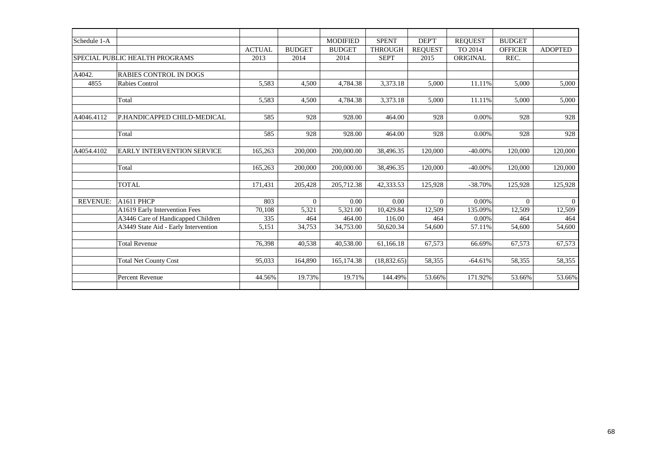| Schedule 1-A    |                                      |               |               | <b>MODIFIED</b> | <b>SPENT</b>   | DEP'T              | <b>REQUEST</b> | <b>BUDGET</b>  |                    |
|-----------------|--------------------------------------|---------------|---------------|-----------------|----------------|--------------------|----------------|----------------|--------------------|
|                 |                                      | <b>ACTUAL</b> | <b>BUDGET</b> | <b>BUDGET</b>   | <b>THROUGH</b> | <b>REOUEST</b>     | TO 2014        | <b>OFFICER</b> | <b>ADOPTED</b>     |
|                 | SPECIAL PUBLIC HEALTH PROGRAMS       | 2013          | 2014          | 2014            | <b>SEPT</b>    | 2015               | ORIGINAL       | REC.           |                    |
|                 |                                      |               |               |                 |                |                    |                |                |                    |
| A4042.          | RABIES CONTROL IN DOGS               |               |               |                 |                |                    |                |                |                    |
| 4855            | Rabies Control                       | 5,583         | 4,500         | 4,784.38        | 3,373.18       | 5,000              | 11.11%         | 5,000          | 5,000              |
|                 |                                      |               |               |                 |                |                    |                |                |                    |
|                 | Total                                | 5,583         | 4,500         | 4,784.38        | 3,373.18       | 5,000              | 11.11%         | 5,000          | 5,000              |
|                 |                                      |               |               |                 |                |                    |                |                |                    |
| A4046.4112      | P.HANDICAPPED CHILD-MEDICAL          | 585           | 928           | 928.00          | 464.00         | 928                | 0.00%          | 928            | 928                |
|                 |                                      |               |               |                 |                |                    |                |                |                    |
|                 | Total                                | 585           | 928           | 928.00          | 464.00         | 928                | 0.00%          | 928            | 928                |
|                 |                                      |               |               |                 |                |                    |                |                |                    |
| A4054.4102      | <b>EARLY INTERVENTION SERVICE</b>    | 165,263       | 200,000       | 200,000.00      | 38,496.35      | 120,000            | $-40.00\%$     | 120,000        | 120,000            |
|                 |                                      |               |               |                 |                |                    |                |                |                    |
|                 | Total                                | 165,263       | 200,000       | 200,000.00      | 38,496.35      | 120,000            | $-40.00\%$     | 120,000        | 120,000            |
|                 |                                      |               |               |                 |                |                    |                |                |                    |
|                 | <b>TOTAL</b>                         | 171,431       | 205,428       | 205,712.38      | 42,333.53      | 125,928            | $-38.70%$      | 125,928        | 125,928            |
| <b>REVENUE:</b> | A1611 PHCP                           | 803           | $\Omega$      | 0.00            | 0.00           |                    | 0.00%          |                |                    |
|                 | A1619 Early Intervention Fees        | 70,108        |               | 5,321.00        | 10,429.84      | $\Omega$<br>12,509 | 135.09%        | $\Omega$       | $\theta$<br>12,509 |
|                 | A3446 Care of Handicapped Children   | 335           | 5,321<br>464  | 464.00          | 116.00         | 464                | 0.00%          | 12,509<br>464  | 464                |
|                 | A3449 State Aid - Early Intervention | 5,151         | 34,753        | 34,753.00       | 50,620.34      | 54,600             | 57.11%         | 54,600         | 54,600             |
|                 |                                      |               |               |                 |                |                    |                |                |                    |
|                 | <b>Total Revenue</b>                 | 76,398        | 40,538        | 40,538.00       | 61,166.18      | 67,573             | 66.69%         | 67,573         | 67,573             |
|                 |                                      |               |               |                 |                |                    |                |                |                    |
|                 | <b>Total Net County Cost</b>         | 95.033        | 164,890       | 165,174.38      | (18, 832.65)   | 58,355             | $-64.61%$      | 58,355         | 58,355             |
|                 |                                      |               |               |                 |                |                    |                |                |                    |
|                 | <b>Percent Revenue</b>               | 44.56%        | 19.73%        | 19.71%          | 144.49%        | 53.66%             | 171.92%        | 53.66%         | 53.66%             |
|                 |                                      |               |               |                 |                |                    |                |                |                    |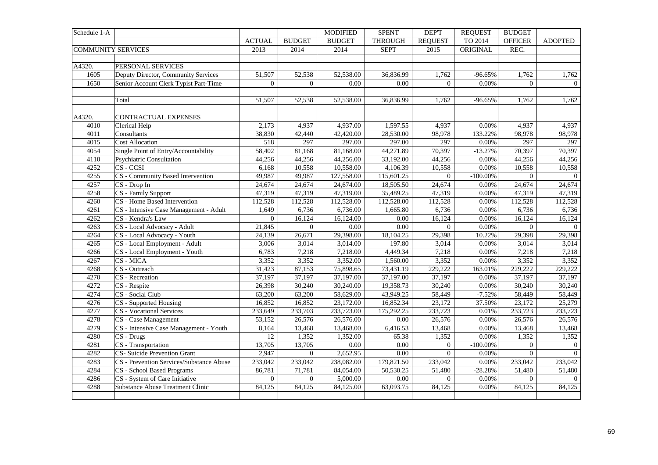| Schedule 1-A              |                                          |                 |                | <b>MODIFIED</b>   | <b>SPENT</b>   | <b>DEPT</b>      | <b>REQUEST</b> | <b>BUDGET</b>    |                  |
|---------------------------|------------------------------------------|-----------------|----------------|-------------------|----------------|------------------|----------------|------------------|------------------|
|                           |                                          | <b>ACTUAL</b>   | <b>BUDGET</b>  | <b>BUDGET</b>     | <b>THROUGH</b> | <b>REQUEST</b>   | TO 2014        | <b>OFFICER</b>   | <b>ADOPTED</b>   |
| <b>COMMUNITY SERVICES</b> |                                          | 2013            | 2014           | 2014              | <b>SEPT</b>    | 2015             | ORIGINAL       | REC.             |                  |
|                           |                                          |                 |                |                   |                |                  |                |                  |                  |
| A4320.                    | PERSONAL SERVICES                        |                 |                |                   |                |                  |                |                  |                  |
| 1605                      | Deputy Director, Community Services      | 51,507          | 52,538         | 52,538.00         | 36,836.99      | 1,762            | $-96.65%$      | 1,762            | 1,762            |
| 1650                      | Senior Account Clerk Typist Part-Time    | $\overline{0}$  | $\overline{0}$ | 0.00              | 0.00           | $\overline{0}$   | 0.00%          | $\mathbf{0}$     | $\overline{0}$   |
|                           |                                          |                 |                |                   |                |                  |                |                  |                  |
|                           | Total                                    | 51,507          | 52,538         | 52,538.00         | 36,836.99      | 1,762            | $-96.65%$      | 1,762            | 1,762            |
|                           |                                          |                 |                |                   |                |                  |                |                  |                  |
| A4320.                    | <b>CONTRACTUAL EXPENSES</b>              |                 |                |                   |                |                  |                |                  |                  |
| 4010                      | Clerical Help                            | 2,173           | 4,937          | 4,937.00          | 1,597.55       | 4.937            | 0.00%          | 4.937            | 4.937            |
| 4011                      | Consultants                              | 38,830          | 42,440         | 42,420.00         | 28,530.00      | 98,978           | 133.22%        | 98,978           | 98,978           |
| 4015                      | <b>Cost Allocation</b>                   | 518             | 297            | 297.00            | 297.00         | 297              | 0.00%          | 297              | 297              |
| 4054                      | Single Point of Entry/Accountability     | 58,402          | 81,168         | 81,168.00         | 44,271.89      | 70,397           | $-13.27%$      | 70,397           | 70,397           |
| 4110                      | Psychiatric Consultation                 | 44,256          | 44,256         | 44,256.00         | 33,192.00      | 44,256           | 0.00%          | 44,256           | 44,256           |
| 4252                      | $CS - CCSI$                              | 6,168           | 10,558         | 10,558.00         | 4,106.39       | 10,558           | 0.00%          | 10,558           | 10,558           |
| 4255                      | CS - Community Based Intervention        | 49,987          | 49,987         | 127,558.00        | 115,601.25     | $\overline{0}$   | $-100.00\%$    | $\overline{0}$   | $\overline{0}$   |
| 4257                      | CS - Drop In                             | 24,674          | 24,674         | 24,674.00         | 18,505.50      | 24,674           | 0.00%          | 24,674           | 24,674           |
| 4258                      | CS - Family Support                      | 47,319          | 47,319         | 47,319.00         | 35,489.25      | 47,319           | 0.00%          | 47,319           | 47,319           |
| 4260                      | CS - Home Based Intervention             | 112,528         | 112,528        | 112,528.00        | 112,528.00     | 112,528          | 0.00%          | 112,528          | 112,528          |
| 4261                      | CS - Intensive Case Management - Adult   | 1,649           | 6,736          | 6,736.00          | 1,665.80       | 6,736            | $0.00\%$       | 6,736            | 6,736            |
| 4262                      | CS - Kendra's Law                        | $\overline{0}$  | 16,124         | 16,124.00         | 0.00           | 16,124           | 0.00%          | 16,124           | 16,124           |
| 4263                      | CS - Local Advocacy - Adult              | 21,845          | $\Omega$       | $\overline{0.00}$ | 0.00           | $\boldsymbol{0}$ | 0.00%          | $\boldsymbol{0}$ | $\boldsymbol{0}$ |
| 4264                      | CS - Local Advocacy - Youth              | 24,139          | 26,671         | 29,398.00         | 18,104.25      | 29,398           | 10.22%         | 29,398           | 29,398           |
| 4265                      | CS - Local Employment - Adult            | 3,006           | 3,014          | 3,014.00          | 197.80         | 3,014            | 0.00%          | 3,014            | 3,014            |
| 4266                      | CS - Local Employment - Youth            | 6,783           | 7,218          | 7,218.00          | 4,449.34       | 7,218            | 0.00%          | 7,218            | 7,218            |
| 4267                      | CS - MICA                                | 3,352           | 3,352          | 3,352.00          | 1,560.00       | 3,352            | 0.00%          | 3,352            | 3,352            |
| 4268                      | CS - Outreach                            | 31,423          | 87,153         | 75,898.65         | 73,431.19      | 229,222          | 163.01%        | 229,222          | 229,222          |
| 4270                      | CS - Recreation                          | 37,197          | 37,197         | 37,197.00         | 37,197.00      | 37,197           | 0.00%          | 37,197           | 37,197           |
| 4272                      | CS - Respite                             | 26,398          | 30,240         | 30,240.00         | 19,358.73      | 30,240           | 0.00%          | 30,240           | 30,240           |
| 4274                      | CS - Social Club                         | 63,200          | 63,200         | 58,629.00         | 43,949.25      | 58,449           | $-7.52%$       | 58,449           | 58,449           |
| 4276                      | CS - Supported Housing                   | 16,852          | 16,852         | 23,172.00         | 16,852.34      | 23,172           | 37.50%         | 23,172           | 25,279           |
| 4277                      | <b>CS</b> - Vocational Services          | 233,649         | 233,703        | 233,723.00        | 175,292.25     | 233,723          | 0.01%          | 233,723          | 233,723          |
| 4278                      | $\overline{\text{CS}}$ - Case Management | 53,152          | 26,576         | 26,576.00         | 0.00           | 26,576           | $0.00\%$       | 26,576           | 26,576           |
| 4279                      | CS - Intensive Case Management - Youth   | 8,164           | 13,468         | 13,468.00         | 6,416.53       | 13,468           | $0.00\%$       | 13,468           | 13,468           |
| 4280                      | $\overline{\text{CS}}$ - Drugs           | $\overline{12}$ | 1,352          | 1,352.00          | 65.38          | 1,352            | 0.00%          | 1,352            | 1,352            |
| 4281                      | CS - Transportation                      | 13,705          | 13,705         | $0.00\,$          | 0.00           | $\theta$         | $-100.00\%$    | $\overline{0}$   | $\overline{0}$   |
| 4282                      | <b>CS-</b> Suicide Prevention Grant      | 2,947           | $\overline{0}$ | 2,652.95          | $0.00\,$       | $\mathbf{0}$     | 0.00%          | $\mathbf{0}$     | $\overline{0}$   |
| 4283                      | CS - Prevention Services/Substance Abuse | 233,042         | 233,042        | 238,082.00        | 179,821.50     | 233,042          | 0.00%          | 233,042          | 233,042          |
| 4284                      | CS - School Based Programs               | 86,781          | 71,781         | 84,054.00         | 50,530.25      | 51,480           | $-28.28%$      | 51,480           | 51,480           |
| 4286                      | CS - System of Care Initiative           | $\overline{0}$  | $\overline{0}$ | 5,000.00          | 0.00           | $\overline{0}$   | 0.00%          | $\mathbf{0}$     | $\overline{0}$   |
| 4288                      | <b>Substance Abuse Treatment Clinic</b>  | 84,125          | 84,125         | 84,125.00         | 63,093.75      | 84,125           | 0.00%          | 84,125           | 84,125           |
|                           |                                          |                 |                |                   |                |                  |                |                  |                  |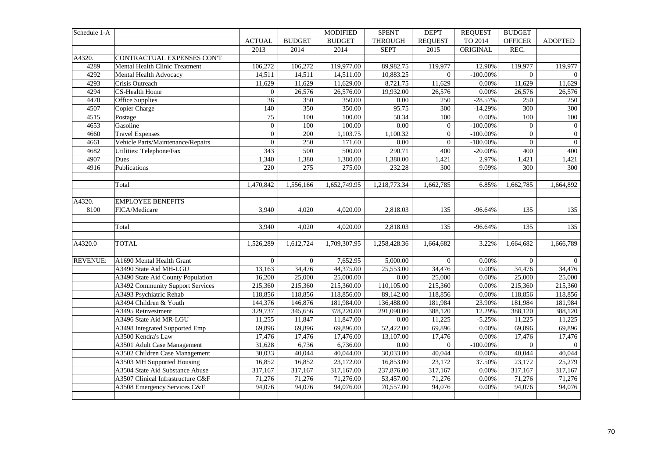| Schedule 1-A    |                                   |                  |                | <b>MODIFIED</b> | <b>SPENT</b>   | <b>DEPT</b>      | <b>REQUEST</b> | <b>BUDGET</b>  |                  |
|-----------------|-----------------------------------|------------------|----------------|-----------------|----------------|------------------|----------------|----------------|------------------|
|                 |                                   | <b>ACTUAL</b>    | <b>BUDGET</b>  | <b>BUDGET</b>   | <b>THROUGH</b> | <b>REQUEST</b>   | TO 2014        | <b>OFFICER</b> | <b>ADOPTED</b>   |
|                 |                                   | 2013             | 2014           | 2014            | <b>SEPT</b>    | 2015             | ORIGINAL       | REC.           |                  |
| A4320.          | CONTRACTUAL EXPENSES CON'T        |                  |                |                 |                |                  |                |                |                  |
| 4289            | Mental Health Clinic Treatment    | 106,272          | 106,272        | 119,977.00      | 89,982.75      | 119,977          | 12.90%         | 119,977        | 119,977          |
| 4292            | Mental Health Advocacy            | 14,511           | 14,511         | 14,511.00       | 10,883.25      | $\overline{0}$   | $-100.00\%$    | $\Omega$       | $\overline{0}$   |
| 4293            | Crisis Outreach                   | 11,629           | 11,629         | 11,629.00       | 8,721.75       | 11,629           | $0.00\%$       | 11,629         | 11,629           |
| 4294            | CS-Health Home                    | $\boldsymbol{0}$ | 26,576         | 26,576.00       | 19,932.00      | 26,576           | 0.00%          | 26,576         | 26,576           |
| 4470            | Office Supplies                   | $\overline{36}$  | 350            | 350.00          | 0.00           | 250              | $-28.57%$      | 250            | 250              |
| 4507            | Copier Charge                     | 140              | 350            | 350.00          | 95.75          | 300              | $-14.29%$      | 300            | 300              |
| 4515            | Postage                           | $\overline{75}$  | 100            | 100.00          | 50.34          | 100              | 0.00%          | 100            | 100              |
| 4653            | Gasoline                          | $\overline{0}$   | 100            | 100.00          | 0.00           | $\mathbf{0}$     | $-100.00\%$    | $\overline{0}$ | $\boldsymbol{0}$ |
| 4660            | <b>Travel Expenses</b>            | $\boldsymbol{0}$ | 200            | 1,103.75        | 1,100.32       | $\boldsymbol{0}$ | $-100.00\%$    | $\mathbf{0}$   | $\boldsymbol{0}$ |
| 4661            | Vehicle Parts/Maintenance/Repairs | $\boldsymbol{0}$ | 250            | 171.60          | $0.00\,$       | $\overline{0}$   | $-100.00\%$    | $\Omega$       | $\overline{0}$   |
| 4682            | Utilities: Telephone/Fax          | 343              | 500            | 500.00          | 290.71         | 400              | $-20.00\%$     | 400            | 400              |
| 4907            | Dues                              | 1,340            | 1,380          | 1,380.00        | 1,380.00       | 1,421            | 2.97%          | 1,421          | 1,421            |
| 4916            | Publications                      | 220              | 275            | 275.00          | 232.28         | 300              | 9.09%          | 300            | 300              |
|                 |                                   |                  |                |                 |                |                  |                |                |                  |
|                 | Total                             | 1,470,842        | 1,556,166      | 1,652,749.95    | 1,218,773.34   | 1,662,785        | 6.85%          | 1,662,785      | 1,664,892        |
|                 |                                   |                  |                |                 |                |                  |                |                |                  |
| A4320.          | <b>EMPLOYEE BENEFITS</b>          |                  |                |                 |                |                  |                |                |                  |
| 8100            | FICA/Medicare                     | 3,940            | 4,020          | 4,020.00        | 2,818.03       | 135              | $-96.64%$      | 135            | 135              |
|                 |                                   |                  |                |                 |                |                  |                |                |                  |
|                 | Total                             | 3,940            | 4,020          | 4,020.00        | 2,818.03       | 135              | $-96.64%$      | 135            | 135              |
|                 |                                   |                  |                |                 |                |                  |                |                |                  |
| A4320.0         | <b>TOTAL</b>                      | 1,526,289        | 1,612,724      | 1,709,307.95    | 1,258,428.36   | 1,664,682        | 3.22%          | 1,664,682      | 1,666,789        |
|                 |                                   |                  |                |                 |                |                  |                |                |                  |
| <b>REVENUE:</b> | A1690 Mental Health Grant         | $\Omega$         | $\overline{0}$ | 7,652.95        | 5,000.00       | $\overline{0}$   | 0.00%          | $\overline{0}$ | $\overline{0}$   |
|                 | A3490 State Aid MH-LGU            | 13,163           | 34,476         | 44,375.00       | 25,553.00      | 34,476           | 0.00%          | 34,476         | 34,476           |
|                 | A3490 State Aid County Population | 16,200           | 25,000         | 25,000.00       | 0.00           | 25,000           | 0.00%          | 25,000         | 25,000           |
|                 | A3492 Community Support Services  | 215,360          | 215,360        | 215,360.00      | 110,105.00     | 215,360          | 0.00%          | 215,360        | 215,360          |
|                 | A3493 Psychiatric Rehab           | 118,856          | 118,856        | 118,856.00      | 89,142.00      | 118,856          | 0.00%          | 118,856        | 118,856          |
|                 | A3494 Children & Youth            | 144,376          | 146,876        | 181,984.00      | 136,488.00     | 181,984          | 23.90%         | 181,984        | 181,984          |
|                 | A3495 Reinvestment                | 329,737          | 345,656        | 378,220.00      | 291,090.00     | 388,120          | 12.29%         | 388,120        | 388,120          |
|                 | A3496 State Aid MR-LGU            | 11,255           | 11,847         | 11,847.00       | $0.00\,$       | 11,225           | $-5.25%$       | 11,225         | 11,225           |
|                 | A3498 Integrated Supported Emp    | 69,896           | 69,896         | 69,896.00       | 52,422.00      | 69,896           | 0.00%          | 69,896         | 69,896           |
|                 | A3500 Kendra's Law                | 17,476           | 17,476         | 17,476.00       | 13,107.00      | 17,476           | 0.00%          | 17,476         | 17,476           |
|                 | A3501 Adult Case Management       | 31,628           | 6,736          | 6,736.00        | 0.00           | $\overline{0}$   | $-100.00\%$    | $\mathbf{0}$   | $\overline{0}$   |
|                 | A3502 Children Case Management    | 30,033           | 40,044         | 40,044.00       | 30,033.00      | 40,044           | $0.00\%$       | 40,044         | 40,044           |
|                 | A3503 MH Supported Housing        | 16,852           | 16,852         | 23,172.00       | 16,853.00      | 23,172           | 37.50%         | 23,172         | 25,279           |
|                 | A3504 State Aid Substance Abuse   | 317,167          | 317,167        | 317,167.00      | 237,876.00     | 317,167          | 0.00%          | 317,167        | 317,167          |
|                 | A3507 Clinical Infrastructure C&F | 71,276           | 71,276         | 71,276.00       | 53,457.00      | 71,276           | 0.00%          | 71,276         | 71,276           |
|                 | A3508 Emergency Services C&F      | 94,076           | 94,076         | 94,076.00       | 70,557.00      | 94,076           | 0.00%          | 94,076         | 94,076           |
|                 |                                   |                  |                |                 |                |                  |                |                |                  |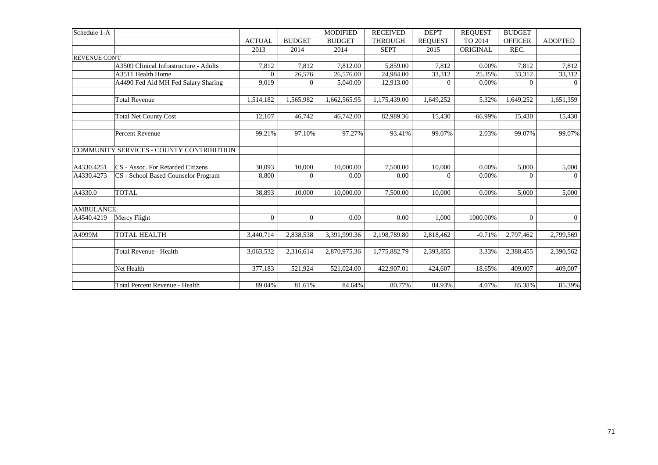| Schedule 1-A        |                                          |                |                | <b>MODIFIED</b> | <b>RECEIVED</b> | DEP'T            | <b>REOUEST</b> | <b>BUDGET</b>  |                |
|---------------------|------------------------------------------|----------------|----------------|-----------------|-----------------|------------------|----------------|----------------|----------------|
|                     |                                          | <b>ACTUAL</b>  | <b>BUDGET</b>  | <b>BUDGET</b>   | <b>THROUGH</b>  | <b>REQUEST</b>   | TO 2014        | <b>OFFICER</b> | <b>ADOPTED</b> |
|                     |                                          | 2013           | 2014           | 2014            | <b>SEPT</b>     | 2015             | ORIGINAL       | REC.           |                |
| <b>REVENUE CONT</b> |                                          |                |                |                 |                 |                  |                |                |                |
|                     | A3509 Clinical Infrastructure - Adults   | 7,812          | 7,812          | 7,812.00        | 5,859.00        | 7,812            | 0.00%          | 7,812          | 7,812          |
|                     | A3511 Health Home                        | $\Omega$       | 26,576         | 26,576.00       | 24.984.00       | 33,312           | 25.35%         | 33,312         | 33,312         |
|                     | A4490 Fed Aid MH Fed Salary Sharing      | 9,019          | $\overline{0}$ | 5,040.00        | 12,913.00       | $\boldsymbol{0}$ | 0.00%          | $\mathbf{0}$   | $\overline{0}$ |
|                     | <b>Total Revenue</b>                     | 1,514,182      | 1,565,982      | 1,662,565.95    | 1,175,439.00    | 1,649,252        | 5.32%          | 1,649,252      | 1,651,359      |
|                     |                                          |                |                |                 |                 |                  |                |                |                |
|                     | <b>Total Net County Cost</b>             | 12.107         | 46,742         | 46,742.00       | 82,989.36       | 15,430           | $-66.99%$      | 15,430         | 15,430         |
|                     | Percent Revenue                          | 99.21%         | 97.10%         | 97.27%          | 93.41%          | 99.07%           | 2.03%          | 99.07%         | 99.07%         |
|                     | COMMUNITY SERVICES - COUNTY CONTRIBUTION |                |                |                 |                 |                  |                |                |                |
| A4330.4251          | CS - Assoc. For Retarded Citizens        | 30,093         | 10,000         | 10,000.00       | 7,500.00        | 10,000           | 0.00%          | 5,000          | 5,000          |
| A4330.4273          | CS - School Based Counselor Program      | 8,800          | $\Omega$       | 0.00            | 0.00            | $\Omega$         | 0.00%          | $\theta$       | $\overline{0}$ |
| A4330.0             | <b>TOTAL</b>                             | 38,893         | 10,000         | 10,000.00       | 7,500.00        | 10.000           | 0.00%          | 5,000          | 5,000          |
| <b>AMBULANCE</b>    |                                          |                |                |                 |                 |                  |                |                |                |
| A4540.4219          | Mercy Flight                             | $\overline{0}$ | $\overline{0}$ | 0.00            | 0.00            | 1.000            | 1000.00%       | $\overline{0}$ | $\overline{0}$ |
| A4999M              | <b>TOTAL HEALTH</b>                      | 3,440,714      | 2,838,538      | 3,391,999.36    | 2,198,789.80    | 2,818,462        | $-0.71%$       | 2,797,462      | 2,799,569      |
|                     | Total Revenue - Health                   | 3,063,532      | 2,316,614      | 2,870,975.36    | 1,775,882.79    | 2,393,855        | 3.33%          | 2,388,455      | 2,390,562      |
|                     | Net Health                               | 377,183        | 521,924        | 521,024.00      | 422,907.01      | 424,607          | $-18.65%$      | 409,007        | 409,007        |
|                     | Total Percent Revenue - Health           | 89.04%         | 81.61%         | 84.64%          | 80.77%          | 84.93%           | 4.07%          | 85.38%         | 85.39%         |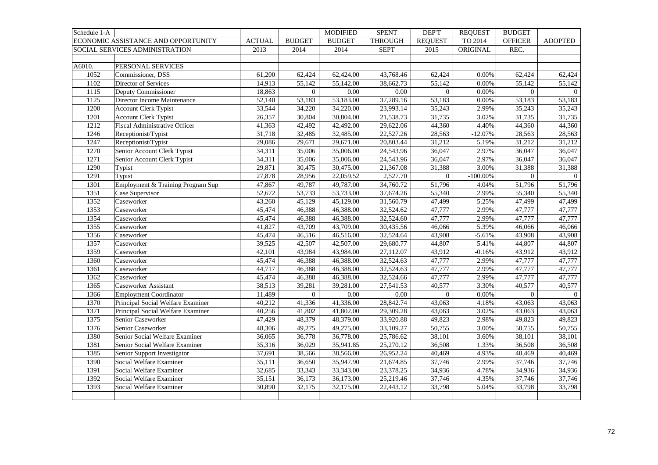| Schedule 1-A |                                      |               |                  | <b>MODIFIED</b>        | <b>SPENT</b>   | <b>DEPT</b>    | <b>REQUEST</b> | <b>BUDGET</b>  |                     |
|--------------|--------------------------------------|---------------|------------------|------------------------|----------------|----------------|----------------|----------------|---------------------|
|              | ECONOMIC ASSISTANCE AND OPPORTUNITY  | <b>ACTUAL</b> | <b>BUDGET</b>    | <b>BUDGET</b>          | <b>THROUGH</b> | <b>REQUEST</b> | TO 2014        | <b>OFFICER</b> | <b>ADOPTED</b>      |
|              | SOCIAL SERVICES ADMINISTRATION       | 2013          | 2014             | 2014                   | <b>SEPT</b>    | 2015           | ORIGINAL       | REC.           |                     |
|              |                                      |               |                  |                        |                |                |                |                |                     |
| A6010.       | PERSONAL SERVICES                    |               |                  |                        |                |                |                |                |                     |
| 1052         | Commissioner, DSS                    | 61,200        | 62,424           | 62,424.00              | 43,768.46      | 62,424         | 0.00%          | 62,424         | 62,424              |
| 1102         | Director of Services                 | 14,913        | 55,142           | 55,142.00              | 38,662.73      | 55,142         | 0.00%          | 55,142         | 55,142              |
| 1115         | Deputy Commissioner                  | 18,863        | $\boldsymbol{0}$ | 0.00                   | 0.00           | $\overline{0}$ | 0.00%          | $\overline{0}$ | $\overline{0}$      |
| 1125         | Director Income Maintenance          | 52,140        | 53,183           | 53,183.00              | 37,289.16      | 53,183         | 0.00%          | 53,183         | 53,183              |
| 1200         | <b>Account Clerk Typist</b>          | 33,544        | 34,220           | 34,220.00              | 23,993.14      | 35,243         | 2.99%          | 35,243         | 35,243              |
| 1201         | <b>Account Clerk Typist</b>          | 26,357        | 30,804           | 30,804.00              | 21,538.73      | 31,735         | 3.02%          | 31,735         | 31,735              |
| 1212         | <b>Fiscal Administrative Officer</b> | 41,363        | 42,492           | 42,492.00              | 29,622.06      | 44,360         | 4.40%          | 44,360         | 44,360              |
| 1246         | Receptionist/Typist                  | 31,718        | 32,485           | 32,485.00              | 22,527.26      | 28,563         | $-12.07%$      | 28,563         | 28,563              |
| 1247         | Receptionist/Typist                  | 29,086        | 29,671           | 29,671.00              | 20,803.44      | 31,212         | 5.19%          | 31,212         | 31,212              |
| 1270         | Senior Account Clerk Typist          | 34,311        | 35,006           | 35,006.00              | 24,543.96      | 36,047         | 2.97%          | 36,047         | 36,047              |
| 1271         | Senior Account Clerk Typist          | 34,311        | 35,006           | 35,006.00              | 24,543.96      | 36,047         | 2.97%          | 36,047         | 36,047              |
| 1290         | Typist                               | 29,871        | 30,475           | 30,475.00              | 21,367.08      | 31,388         | 3.00%          | 31,388         | 31,388              |
| 1291         | Typist                               | 27,878        | 28,956           | 22,059.52              | 2,527.70       | $\overline{0}$ | $-100.00\%$    | $\overline{0}$ | $\overline{0}$      |
| 1301         | Employment & Training Program Sup    | 47,867        | 49,787           | 49,787.00              | 34,760.72      | 51,796         | 4.04%          | 51,796         | 51,796              |
| 1351         | Case Supervisor                      | 52,672        | 53,733           | 53,733.00              | 37,674.26      | 55,340         | 2.99%          | 55,340         | 55,340              |
| 1352         | Caseworker                           | 43,260        | 45,129           | 45,129.00              | 31,560.79      | 47,499         | 5.25%          | 47,499         | 47,499              |
| 1353         | Caseworker                           | 45,474        | 46,388           | 46,388.00              | 32,524.62      | 47,777         | 2.99%          | 47,777         | 47,777              |
| 1354         | Caseworker                           | 45,474        | 46,388           | 46,388.00              | 32,524.60      | 47,777         | 2.99%          | 47,777         | 47,777              |
| 1355         | Caseworker                           | 41,827        | 43,709           | 43,709.00              | 30,435.56      | 46,066         | 5.39%          | 46,066         | 46,066              |
| 1356         | Caseworker                           | 45,474        | 46,516           | 46,516.00              | 32,524.64      | 43,908         | $-5.61%$       | 43,908         | 43,908              |
| 1357         | Caseworker                           | 39,525        | 42,507           | 42,507.00              | 29,680.77      | 44,807         | 5.41%          | 44,807         | 44,807              |
| 1359         | Caseworker                           | 42,101        | 43,984           | 43,984.00              | 27,112.07      | 43,912         | $-0.16%$       | 43,912         | 43,912              |
| 1360         | Caseworker                           | 45,474        | 46,388           | 46,388.00              | 32,524.63      | 47,777         | 2.99%          | 47,777         | 47,777              |
| 1361         | Caseworker                           | 44,717        | 46,388           | 46,388.00              | 32,524.63      | 47,777         | 2.99%          | 47,777         | 47,777              |
| 1362         | Caseworker                           | 45,474        | 46,388           | 46,388.00              | 32,524.66      | 47,777         | 2.99%          | 47,777         | 47,777              |
| 1365         | <b>Caseworker Assistant</b>          | 38,513        | 39,281           | $\overline{39,281.00}$ | 27,541.53      | 40,577         | 3.30%          | 40,577         | 40,577              |
| 1366         | <b>Employment Coordinator</b>        | 11,489        | $\boldsymbol{0}$ | 0.00                   | 0.00           | $\overline{0}$ | 0.00%          | $\mathbf{0}$   | $\overline{0}$      |
| 1370         | Principal Social Welfare Examiner    | 40,212        | 41,336           | 41,336.00              | 28,842.74      | 43,063         | 4.18%          | 43,063         | 43,063              |
| 1371         | Principal Social Welfare Examiner    | 40,256        | 41,802           | 41,802.00              | 29,309.28      | 43,063         | 3.02%          | 43,063         | 43,063              |
| 1375         | Senior Caseworker                    | 47,429        | 48,379           | 48,379.00              | 33,920.88      | 49,823         | 2.98%          | 49,823         | 49,823              |
| 1376         | Senior Caseworker                    | 48,306        | 49,275           | 49,275.00              | 33,109.27      | 50,755         | 3.00%          | 50,755         | 50,755              |
| 1380         | Senior Social Welfare Examiner       | 36,065        | 36,778           | 36,778.00              | 25,786.62      | 38,101         | 3.60%          | 38,101         | 38,101              |
| 1381         | Senior Social Welfare Examiner       | 35,316        | 36,029           | 35,941.85              | 25,270.12      | 36,508         | 1.33%          | 36,508         | 36,508              |
| 1385         | Senior Support Investigator          | 37,691        | 38,566           | 38,566.00              | 26,952.24      | 40,469         | 4.93%          | 40,469         | 40,469              |
| 1390         | Social Welfare Examiner              | 35,111        | 36,650           | 35,947.90              | 21,674.85      | 37,746         | 2.99%          | 37,746         | 37,746              |
| 1391         | Social Welfare Examiner              | 32,685        | 33,343           | 33,343.00              | 23,378.25      | 34,936         | 4.78%          | 34,936         | $\overline{3}4,936$ |
| 1392         | Social Welfare Examiner              | 35,151        | 36,173           | 36,173.00              | 25,219.46      | 37,746         | 4.35%          | 37,746         | $\overline{37,746}$ |
| 1393         | Social Welfare Examiner              | 30,890        | 32,175           | 32,175.00              | 22,443.12      | 33,798         | 5.04%          | 33,798         | 33,798              |
|              |                                      |               |                  |                        |                |                |                |                |                     |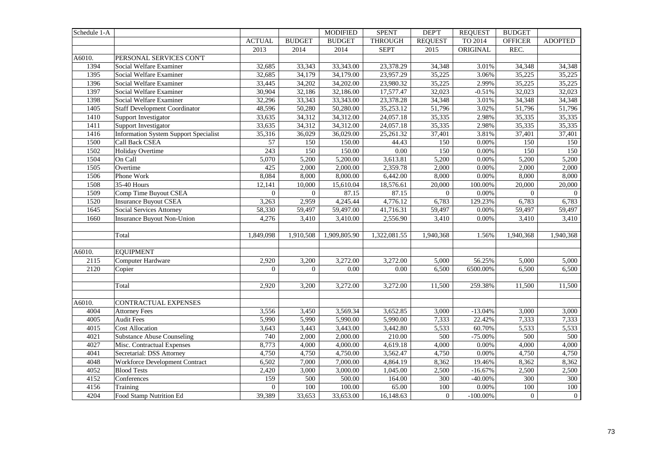| Schedule 1-A     |                                              |                 |                | <b>MODIFIED</b> | <b>SPENT</b>   | <b>DEPT</b>      | <b>REQUEST</b> | <b>BUDGET</b>    |                |
|------------------|----------------------------------------------|-----------------|----------------|-----------------|----------------|------------------|----------------|------------------|----------------|
|                  |                                              | <b>ACTUAL</b>   | <b>BUDGET</b>  | <b>BUDGET</b>   | <b>THROUGH</b> | <b>REQUEST</b>   | TO 2014        | <b>OFFICER</b>   | <b>ADOPTED</b> |
|                  |                                              | 2013            | 2014           | 2014            | <b>SEPT</b>    | 2015             | ORIGINAL       | REC.             |                |
| A6010.           | PERSONAL SERVICES CON'T                      |                 |                |                 |                |                  |                |                  |                |
| 1394             | Social Welfare Examiner                      | 32,685          | 33,343         | 33,343.00       | 23,378.29      | 34,348           | 3.01%          | 34,348           | 34,348         |
| 1395             | Social Welfare Examiner                      | 32,685          | 34,179         | 34,179.00       | 23,957.29      | 35,225           | 3.06%          | 35,225           | 35,225         |
| 1396             | Social Welfare Examiner                      | 33,445          | 34,202         | 34,202.00       | 23,980.32      | 35,225           | 2.99%          | 35,225           | 35,225         |
| 1397             | Social Welfare Examiner                      | 30,904          | 32,186         | 32,186.00       | 17,577.47      | 32,023           | $-0.51%$       | 32,023           | 32,023         |
| 1398             | Social Welfare Examiner                      | 32,296          | 33,343         | 33,343.00       | 23,378.28      | 34,348           | 3.01%          | 34,348           | 34,348         |
| 1405             | <b>Staff Development Coordinator</b>         | 48,596          | 50,280         | 50,280.00       | 35,253.12      | 51,796           | 3.02%          | 51,796           | 51,796         |
| $\frac{1410}{2}$ | Support Investigator                         | 33,635          | 34,312         | 34,312.00       | 24,057.18      | 35,335           | 2.98%          | 35,335           | 35,335         |
| 1411             | Support Investigator                         | 33,635          | 34,312         | 34,312.00       | 24,057.18      | 35,335           | 2.98%          | 35,335           | 35,335         |
| 1416             | <b>Information System Support Specialist</b> | 35,316          | 36,029         | 36,029.00       | 25,261.32      | 37,401           | 3.81%          | 37,401           | 37,401         |
| 1500             | Call Back CSEA                               | $\overline{57}$ | 150            | 150.00          | 44.43          | 150              | 0.00%          | 150              | 150            |
| 1502             | Holiday Overtime                             | 243             | 150            | 150.00          | 0.00           | 150              | 0.00%          | 150              | 150            |
| 1504             | On Call                                      | 5,070           | 5,200          | 5,200.00        | 3,613.81       | 5,200            | 0.00%          | 5,200            | 5,200          |
| 1505             | Overtime                                     | 425             | 2,000          | 2,000.00        | 2,359.78       | 2,000            | 0.00%          | 2,000            | 2,000          |
| 1506             | Phone Work                                   | 8,084           | 8,000          | 8,000.00        | 6,442.00       | 8,000            | 0.00%          | 8,000            | 8,000          |
| 1508             | $\overline{35}$ -40 Hours                    | 12,141          | 10,000         | 15,610.04       | 18,576.61      | 20,000           | 100.00%        | 20,000           | 20,000         |
| 1509             | Comp Time Buyout CSEA                        | $\mathbf{0}$    | $\overline{0}$ | 87.15           | 87.15          | $\overline{0}$   | 0.00%          | $\overline{0}$   | $\Omega$       |
| 1520             | <b>Insurance Buyout CSEA</b>                 | 3,263           | 2,959          | 4,245.44        | 4,776.12       | 6,783            | 129.23%        | 6,783            | 6,783          |
| 1645             | <b>Social Services Attorney</b>              | 58,330          | 59,497         | 59,497.00       | 41,716.31      | 59,497           | 0.00%          | 59,497           | 59,497         |
| 1660             | <b>Insurance Buyout Non-Union</b>            | 4,276           | 3,410          | 3,410.00        | 2,556.90       | 3,410            | 0.00%          | 3,410            | 3,410          |
|                  |                                              |                 |                |                 |                |                  |                |                  |                |
|                  | Total                                        | 1,849,098       | 1,910,508      | 1,909,805.90    | 1,322,081.55   | 1,940,368        | 1.56%          | 1,940,368        | 1,940,368      |
|                  |                                              |                 |                |                 |                |                  |                |                  |                |
| A6010.           | <b>EQUIPMENT</b>                             |                 |                |                 |                |                  |                |                  |                |
| 2115             | Computer Hardware                            | 2,920           | 3,200          | 3,272.00        | 3,272.00       | 5,000            | 56.25%         | 5,000            | 5,000          |
| 2120             | Copier                                       | $\overline{0}$  | $\mathbf{0}$   | 0.00            | 0.00           | 6,500            | 6500.00%       | 6,500            | 6,500          |
|                  |                                              |                 |                |                 |                |                  |                |                  |                |
|                  | Total                                        | 2,920           | 3,200          | 3,272.00        | 3,272.00       | 11,500           | 259.38%        | 11,500           | 11,500         |
|                  |                                              |                 |                |                 |                |                  |                |                  |                |
| A6010.           | CONTRACTUAL EXPENSES                         |                 |                |                 |                |                  |                |                  |                |
| 4004             | <b>Attorney Fees</b>                         | 3,556           | 3,450          | 3,569.34        | 3,652.85       | 3,000            | $-13.04%$      | 3,000            | 3,000          |
| 4005             | <b>Audit Fees</b>                            | 5,990           | 5,990          | 5,990.00        | 5,990.00       | 7,333            | 22.42%         | 7,333            | 7,333          |
| 4015             | <b>Cost Allocation</b>                       | 3,643           | 3,443          | 3,443.00        | 3,442.80       | 5,533            | 60.70%         | 5,533            | 5,533          |
| 4021             | <b>Substance Abuse Counseling</b>            | 740             | 2,000          | 2,000.00        | 210.00         | 500              | $-75.00%$      | 500              | 500            |
| 4027             | Misc. Contractual Expenses                   | 8,773           | 4,000          | 4,000.00        | 4,619.18       | 4,000            | 0.00%          | 4,000            | 4,000          |
| 4041             | Secretarial: DSS Attorney                    | 4,750           | 4,750          | 4,750.00        | 3,562.47       | 4,750            | 0.00%          | 4,750            | 4,750          |
| 4048             | Workforce Development Contract               | 6,502           | 7,000          | 7,000.00        | 4,864.19       | 8,362            | 19.46%         | 8,362            | 8,362          |
| 4052             | <b>Blood Tests</b>                           | 2,420           | 3,000          | 3,000.00        | 1,045.00       | 2,500            | $-16.67%$      | 2,500            | 2,500          |
| 4152             | Conferences                                  | 159             | 500            | 500.00          | 164.00         | 300              | $-40.00%$      | $\overline{300}$ | 300            |
| 4156             | Training                                     | $\overline{0}$  | 100            | 100.00          | 65.00          | 100              | 0.00%          | 100              | 100            |
| 4204             | Food Stamp Nutrition Ed                      | 39,389          | 33,653         | 33,653.00       | 16,148.63      | $\boldsymbol{0}$ | $-100.00\%$    | $\boldsymbol{0}$ | $\overline{0}$ |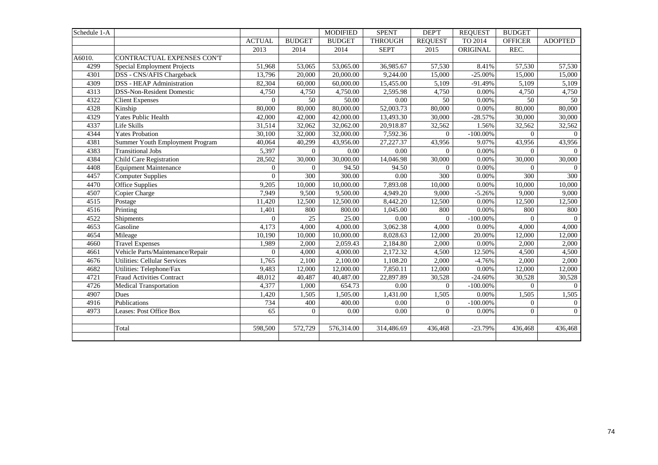| Schedule 1-A |                                     |                |               | <b>MODIFIED</b> | <b>SPENT</b>   | <b>DEPT</b>         | <b>REQUEST</b> | <b>BUDGET</b>  |                |
|--------------|-------------------------------------|----------------|---------------|-----------------|----------------|---------------------|----------------|----------------|----------------|
|              |                                     | <b>ACTUAL</b>  | <b>BUDGET</b> | <b>BUDGET</b>   | <b>THROUGH</b> | <b>REQUEST</b>      | TO 2014        | <b>OFFICER</b> | <b>ADOPTED</b> |
|              |                                     | 2013           | 2014          | 2014            | <b>SEPT</b>    | 2015                | ORIGINAL       | REC.           |                |
| A6010.       | CONTRACTUAL EXPENSES CON'T          |                |               |                 |                |                     |                |                |                |
| 4299         | Special Employment Projects         | 51,968         | 53,065        | 53,065.00       | 36,985.67      | 57,530              | 8.41%          | 57,530         | 57,530         |
| 4301         | DSS - CNS/AFIS Chargeback           | 13,796         | 20,000        | 20,000.00       | 9,244.00       | 15,000              | $-25.00%$      | 15,000         | 15,000         |
| 4309         | <b>DSS - HEAP Administration</b>    | 82,304         | 60,000        | 60,000.00       | 15,455.00      | 5,109               | $-91.49%$      | 5,109          | 5,109          |
| 4313         | <b>DSS-Non-Resident Domestic</b>    | 4,750          | 4,750         | 4,750.00        | 2,595.98       | 4,750               | 0.00%          | 4,750          | 4,750          |
| 4322         | <b>Client Expenses</b>              | $\Omega$       | 50            | 50.00           | 0.00           | 50                  | 0.00%          | 50             | 50             |
| 4328         | Kinship                             | 80,000         | 80,000        | 80,000.00       | 52,003.73      | 80,000              | 0.00%          | 80,000         | 80,000         |
| 4329         | <b>Yates Public Health</b>          | 42,000         | 42,000        | 42,000.00       | 13,493.30      | 30,000              | $-28.57%$      | 30,000         | 30,000         |
| 4337         | Life Skills                         | 31,514         | 32,062        | 32,062.00       | 20,918.87      | 32,562              | 1.56%          | 32,562         | 32,562         |
| 4344         | <b>Yates Probation</b>              | 30,100         | 32,000        | 32,000.00       | 7,592.36       | $\Omega$            | $-100.00\%$    | $\Omega$       | $\Omega$       |
| 4381         | Summer Youth Employment Program     | 40,064         | 40,299        | 43,956.00       | 27, 227. 37    | 43,956              | 9.07%          | 43,956         | 43,956         |
| 4383         | <b>Transitional Jobs</b>            | 5,397          | $\mathbf{0}$  | 0.00            | 0.00           | $\Omega$            | 0.00%          | $\Omega$       | $\Omega$       |
| 4384         | Child Care Registration             | 28,502         | 30,000        | 30,000.00       | 14,046.98      | $\overline{30,000}$ | 0.00%          | 30,000         | 30,000         |
| 4408         | <b>Equipment Maintenance</b>        | $\Omega$       | $\theta$      | 94.50           | 94.50          | $\Omega$            | 0.00%          | $\Omega$       | $\Omega$       |
| 4457         | <b>Computer Supplies</b>            | $\overline{0}$ | 300           | 300.00          | 0.00           | 300                 | 0.00%          | 300            | 300            |
| 4470         | Office Supplies                     | 9,205          | 10,000        | 10,000.00       | 7,893.08       | 10,000              | 0.00%          | 10,000         | 10,000         |
| 4507         | Copier Charge                       | 7,949          | 9,500         | 9,500.00        | 4,949.20       | 9,000               | $-5.26%$       | 9,000          | 9,000          |
| 4515         | Postage                             | 11,420         | 12,500        | 12,500.00       | 8,442.20       | 12,500              | 0.00%          | 12,500         | 12,500         |
| 4516         | Printing                            | 1,401          | 800           | 800.00          | 1,045.00       | 800                 | 0.00%          | 800            | 800            |
| 4522         | Shipments                           | $\Omega$       | 25            | 25.00           | 0.00           | $\Omega$            | $-100.00\%$    | $\overline{0}$ | $\overline{0}$ |
| 4653         | Gasoline                            | 4,173          | 4,000         | 4,000.00        | 3,062.38       | 4,000               | 0.00%          | 4,000          | 4,000          |
| 4654         | Mileage                             | 10,190         | 10,000        | 10,000.00       | 8,028.63       | 12,000              | 20.00%         | 12,000         | 12,000         |
| 4660         | Travel Expenses                     | 1,989          | 2,000         | 2,059.43        | 2,184.80       | 2,000               | 0.00%          | 2,000          | 2,000          |
| 4661         | Vehicle Parts/Maintenance/Repair    | $\Omega$       | 4,000         | 4,000.00        | 2,172.32       | 4,500               | 12.50%         | 4,500          | 4,500          |
| 4676         | <b>Utilities: Cellular Services</b> | 1,765          | 2,100         | 2,100.00        | 1,108.20       | 2,000               | $-4.76%$       | 2,000          | 2,000          |
| 4682         | Utilities: Telephone/Fax            | 9,483          | 12,000        | 12,000.00       | 7,850.11       | 12,000              | 0.00%          | 12,000         | 12,000         |
| 4721         | <b>Fraud Activities Contract</b>    | 48,012         | 40,487        | 40,487.00       | 22,897.89      | 30,528              | $-24.60%$      | 30,528         | 30,528         |
| 4726         | Medical Transportation              | 4,377          | 1,000         | 654.73          | 0.00           | $\overline{0}$      | $-100.00\%$    | $\overline{0}$ | $\overline{0}$ |
| 4907         | Dues                                | 1,420          | 1,505         | 1,505.00        | 1,431.00       | 1,505               | 0.00%          | 1,505          | 1,505          |
| 4916         | Publications                        | 734            | 400           | 400.00          | 0.00           | $\overline{0}$      | $-100.00\%$    | $\overline{0}$ | $\mathbf{0}$   |
| 4973         | Leases: Post Office Box             | 65             | $\mathbf{0}$  | 0.00            | 0.00           | $\mathbf{0}$        | 0.00%          | $\overline{0}$ | $\overline{0}$ |
|              |                                     |                |               |                 |                |                     |                |                |                |
|              | Total                               | 598,500        | 572,729       | 576,314.00      | 314,486.69     | 436,468             | $-23.79%$      | 436,468        | 436,468        |
|              |                                     |                |               |                 |                |                     |                |                |                |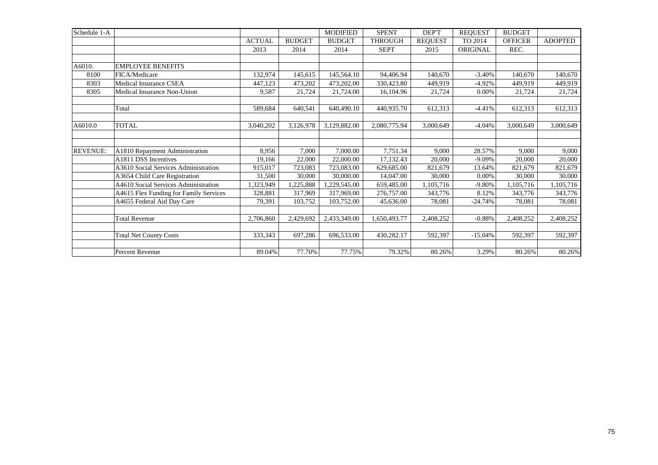| Schedule 1-A    |                                        |               |               | <b>MODIFIED</b> | <b>SPENT</b>   | DEP'T          | <b>REQUEST</b> | <b>BUDGET</b>  |                |
|-----------------|----------------------------------------|---------------|---------------|-----------------|----------------|----------------|----------------|----------------|----------------|
|                 |                                        | <b>ACTUAL</b> | <b>BUDGET</b> | <b>BUDGET</b>   | <b>THROUGH</b> | <b>REQUEST</b> | TO 2014        | <b>OFFICER</b> | <b>ADOPTED</b> |
|                 |                                        | 2013          | 2014          | 2014            | <b>SEPT</b>    | 2015           | ORIGINAL       | REC.           |                |
|                 |                                        |               |               |                 |                |                |                |                |                |
| A6010.          | <b>EMPLOYEE BENEFITS</b>               |               |               |                 |                |                |                |                |                |
| 8100            | FICA/Medicare                          | 132,974       | 145,615       | 145,564.10      | 94,406.94      | 140,670        | $-3.40%$       | 140,670        | 140,670        |
| 8303            | Medical Insurance CSEA                 | 447,123       | 473,202       | 473,202.00      | 330,423.80     | 449.919        | $-4.92%$       | 449.919        | 449,919        |
| 8305            | Medical Insurance Non-Union            | 9,587         | 21,724        | 21,724.00       | 16,104.96      | 21,724         | 0.00%          | 21,724         | 21,724         |
|                 |                                        |               |               |                 |                |                |                |                |                |
|                 | Total                                  | 589,684       | 640,541       | 640,490.10      | 440,935.70     | 612,313        | $-4.41%$       | 612,313        | 612,313        |
|                 |                                        |               |               |                 |                |                |                |                |                |
| A6010.0         | <b>TOTAL</b>                           | 3,040,202     | 3,126,978     | 3,129,882.00    | 2,080,775.94   | 3,000,649      | $-4.04%$       | 3,000,649      | 3,000,649      |
|                 |                                        |               |               |                 |                |                |                |                |                |
|                 |                                        |               |               |                 |                |                |                |                |                |
| <b>REVENUE:</b> | A1810 Repayment Administration         | 8,956         | 7,000         | 7,000.00        | 7,751.34       | 9,000          | 28.57%         | 9,000          | 9,000          |
|                 | A1811 DSS Incentives                   | 19,166        | 22,000        | 22,000.00       | 17,132.43      | 20,000         | $-9.09%$       | 20,000         | 20,000         |
|                 | A3610 Social Services Administration   | 915,017       | 723,083       | 723,083.00      | 629,685.00     | 821,679        | 13.64%         | 821,679        | 821,679        |
|                 | A3654 Child Care Registration          | 31,500        | 30,000        | 30,000.00       | 14,047.00      | 30,000         | 0.00%          | 30,000         | 30,000         |
|                 | A4610 Social Services Administration   | ,323,949      | 1,225,888     | 1,229,545.00    | 659,485.00     | 1,105,716      | $-9.80%$       | 1,105,716      | 1,105,716      |
|                 | A4615 Flex Funding for Family Services | 328,881       | 317,969       | 317,969.00      | 276,757.00     | 343,776        | 8.12%          | 343,776        | 343,776        |
|                 | A4655 Federal Aid Day Care             | 79,391        | 103,752       | 103,752.00      | 45,636.00      | 78,081         | $-24.74%$      | 78,081         | 78,081         |
|                 |                                        |               |               |                 |                |                |                |                |                |
|                 | <b>Total Revenue</b>                   | 2,706,860     | 2,429,692     | 2,433,349.00    | 1,650,493.77   | 2,408,252      | $-0.88%$       | 2,408,252      | 2,408,252      |
|                 |                                        |               |               |                 |                |                |                |                |                |
|                 | <b>Total Net County Costs</b>          | 333,343       | 697,286       | 696,533.00      | 430,282.17     | 592,397        | $-15.04%$      | 592,397        | 592,397        |
|                 |                                        |               |               |                 |                |                |                |                |                |
|                 | Percent Revenue                        | 89.04%        | 77.70%        | 77.75%          | 79.32%         | 80.26%         | 3.29%          | 80.26%         | 80.26%         |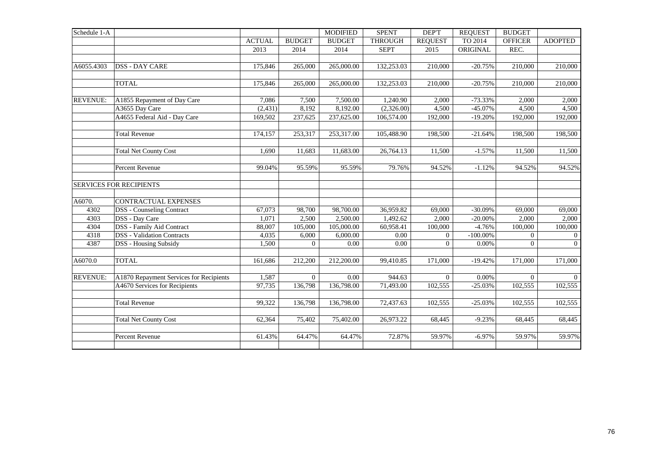| Schedule 1-A    |                                         |               |               | <b>MODIFIED</b> | <b>SPENT</b>   | DEP'T          | <b>REQUEST</b> | <b>BUDGET</b>  |                |
|-----------------|-----------------------------------------|---------------|---------------|-----------------|----------------|----------------|----------------|----------------|----------------|
|                 |                                         | <b>ACTUAL</b> | <b>BUDGET</b> | <b>BUDGET</b>   | <b>THROUGH</b> | <b>REQUEST</b> | TO 2014        | <b>OFFICER</b> | <b>ADOPTED</b> |
|                 |                                         | 2013          | 2014          | 2014            | <b>SEPT</b>    | 2015           | ORIGINAL       | REC.           |                |
|                 |                                         |               |               |                 |                |                |                |                |                |
| A6055.4303      | <b>DSS - DAY CARE</b>                   | 175,846       | 265,000       | 265,000.00      | 132,253.03     | 210,000        | $-20.75%$      | 210,000        | 210,000        |
|                 |                                         |               |               |                 |                |                |                |                |                |
|                 | <b>TOTAL</b>                            | 175,846       | 265,000       | 265,000.00      | 132,253.03     | 210,000        | $-20.75%$      | 210,000        | 210,000        |
|                 |                                         |               |               |                 |                |                |                |                |                |
| <b>REVENUE:</b> | A1855 Repayment of Day Care             | 7,086         | 7,500         | 7,500.00        | 1,240.90       | 2,000          | $-73.33%$      | 2,000          | 2,000          |
|                 | A3655 Day Care                          | (2, 431)      | 8,192         | 8,192.00        | (2,326.00)     | 4,500          | $-45.07%$      | 4,500          | 4,500          |
|                 | A4655 Federal Aid - Day Care            | 169,502       | 237,625       | 237,625.00      | 106,574.00     | 192,000        | $-19.20%$      | 192,000        | 192,000        |
|                 |                                         |               |               |                 |                |                |                |                |                |
|                 | <b>Total Revenue</b>                    | 174,157       | 253,317       | 253,317.00      | 105,488.90     | 198,500        | $-21.64%$      | 198,500        | 198,500        |
|                 |                                         |               |               |                 |                |                |                |                |                |
|                 | <b>Total Net County Cost</b>            | 1.690         | 11,683        | 11,683.00       | 26,764.13      | 11,500         | $-1.57%$       | 11,500         | 11,500         |
|                 |                                         |               |               |                 |                |                |                |                |                |
|                 | Percent Revenue                         | 99.04%        | 95.59%        | 95.59%          | 79.76%         | 94.52%         | $-1.12%$       | 94.52%         | 94.52%         |
|                 |                                         |               |               |                 |                |                |                |                |                |
|                 | <b>SERVICES FOR RECIPIENTS</b>          |               |               |                 |                |                |                |                |                |
|                 |                                         |               |               |                 |                |                |                |                |                |
| A6070.          | <b>CONTRACTUAL EXPENSES</b>             |               |               |                 |                |                |                |                |                |
| 4302            | <b>DSS</b> - Counseling Contract        | 67,073        | 98,700        | 98,700.00       | 36,959.82      | 69,000         | $-30.09%$      | 69,000         | 69,000         |
| 4303            | DSS - Day Care                          | 1,071         | 2,500         | 2,500.00        | 1,492.62       | 2,000          | $-20.00%$      | 2,000          | 2,000          |
| 4304            | <b>DSS</b> - Family Aid Contract        | 88,007        | 105,000       | 105,000.00      | 60,958.41      | 100,000        | $-4.76%$       | 100,000        | 100,000        |
| 4318            | <b>DSS</b> - Validation Contracts       | 4,035         | 6,000         | 6,000.00        | $0.00\,$       | $\overline{0}$ | $-100.00\%$    | $\mathbf{0}$   | $\overline{0}$ |
| 4387            | <b>DSS</b> - Housing Subsidy            | 1,500         | $\mathbf{0}$  | 0.00            | 0.00           | $\Omega$       | 0.00%          | $\overline{0}$ | $\overline{0}$ |
|                 |                                         |               |               |                 |                |                |                |                |                |
| A6070.0         | <b>TOTAL</b>                            | 161,686       | 212,200       | 212,200.00      | 99,410.85      | 171,000        | $-19.42%$      | 171,000        | 171,000        |
|                 |                                         |               |               |                 |                |                |                |                |                |
| <b>REVENUE:</b> | A1870 Repayment Services for Recipients | 1,587         | $\Omega$      | $0.00\,$        | 944.63         | $\overline{0}$ | 0.00%          | $\Omega$       | $\overline{0}$ |
|                 | A4670 Services for Recipients           | 97,735        | 136,798       | 136,798.00      | 71,493.00      | 102,555        | $-25.03%$      | 102,555        | 102,555        |
|                 |                                         |               |               |                 |                |                |                |                |                |
|                 | <b>Total Revenue</b>                    | 99,322        | 136,798       | 136,798.00      | 72,437.63      | 102,555        | $-25.03%$      | 102,555        | 102,555        |
|                 |                                         |               |               |                 |                |                |                |                |                |
|                 | <b>Total Net County Cost</b>            | 62,364        | 75,402        | 75,402.00       | 26,973.22      | 68,445         | $-9.23%$       | 68,445         | 68,445         |
|                 |                                         |               |               |                 |                |                |                |                |                |
|                 | Percent Revenue                         | 61.43%        | 64.47%        | 64.47%          | 72.87%         | 59.97%         | $-6.97%$       | 59.97%         | 59.97%         |
|                 |                                         |               |               |                 |                |                |                |                |                |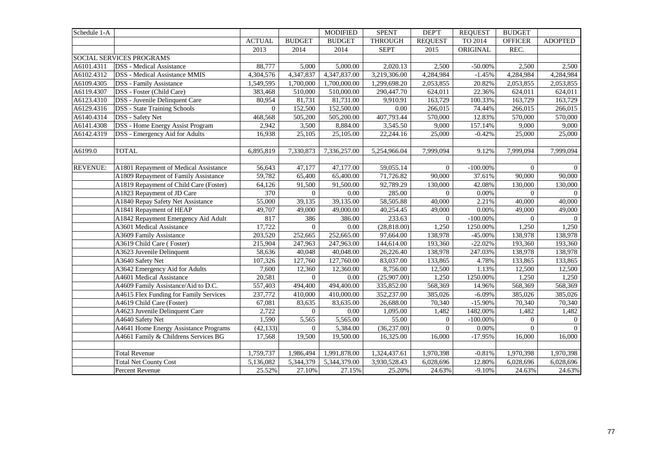| Schedule 1-A    |                                         |                |               | <b>MODIFIED</b> | <b>SPENT</b>   | <b>DEPT</b>    | <b>REQUEST</b> | <b>BUDGET</b>  |                |
|-----------------|-----------------------------------------|----------------|---------------|-----------------|----------------|----------------|----------------|----------------|----------------|
|                 |                                         | <b>ACTUAL</b>  | <b>BUDGET</b> | <b>BUDGET</b>   | <b>THROUGH</b> | <b>REQUEST</b> | TO 2014        | <b>OFFICER</b> | <b>ADOPTED</b> |
|                 |                                         | 2013           | 2014          | 2014            | <b>SEPT</b>    | 2015           | ORIGINAL       | REC.           |                |
|                 | <b>SOCIAL SERVICES PROGRAMS</b>         |                |               |                 |                |                |                |                |                |
| A6101.4311      | <b>DSS</b> - Medical Assistance         | 88,777         | 5,000         | 5,000.00        | 2,020.13       | 2,500          | $-50.00%$      | 2,500          | 2,500          |
| A6102.4312      | <b>DSS</b> - Medical Assistance MMIS    | 4,304,576      | 4,347,837     | 4,347,837.00    | 3,219,306.00   | 4,284,984      | $-1.45%$       | 4,284,984      | 4,284,984      |
| A6109.4305      | <b>DSS</b> - Family Assistance          | 1,549,595      | 1,700,000     | 1,700,000.00    | 1,299,698.20   | 2,053,855      | 20.82%         | 2,053,855      | 2,053,855      |
| A6119.4307      | DSS - Foster (Child Care)               | 383,468        | 510,000       | 510,000.00      | 290,447.70     | 624,011        | 22.36%         | 624,011        | 624,011        |
| A6123.4310      | DSS - Juvenile Delinquent Care          | 80,954         | 81,731        | 81,731.00       | 9,910.91       | 163,729        | 100.33%        | 163,729        | 163,729        |
| A6129.4316      | <b>DSS</b> - State Training Schools     | $\overline{0}$ | 152,500       | 152,500.00      | 0.00           | 266,015        | 74.44%         | 266,015        | 266,015        |
| A6140.4314      | DSS - Safety Net                        | 468,568        | 505,200       | 505,200.00      | 407,793.44     | 570,000        | 12.83%         | 570,000        | 570,000        |
| A6141.4308      | <b>DSS</b> - Home Energy Assist Program | 2,942          | 3,500         | 8,884.00        | 3,545.50       | 9,000          | 157.14%        | 9,000          | 9,000          |
| A6142.4319      | DSS - Emergency Aid for Adults          | 16,938         | 25,105        | 25,105.00       | 22,244.16      | 25,000         | $-0.42%$       | 25,000         | 25,000         |
|                 |                                         |                |               |                 |                |                |                |                |                |
| A6199.0         | <b>TOTAL</b>                            | 6,895,819      | 7,330,873     | 7,336,257.00    | 5,254,966.04   | 7,999,094      | 9.12%          | 7,999,094      | 7,999,094      |
|                 |                                         |                |               |                 |                |                |                |                |                |
| <b>REVENUE:</b> | A1801 Repayment of Medical Assistance   | 56,643         | 47,177        | 47,177.00       | 59,055.14      | $\overline{0}$ | $-100.00\%$    | $\overline{0}$ | $\overline{0}$ |
|                 | A1809 Repayment of Family Assistance    | 59,782         | 65,400        | 65,400.00       | 71,726.82      | 90,000         | 37.61%         | 90,000         | 90,000         |
|                 | A1819 Repayment of Child Care (Foster)  | 64,126         | 91,500        | 91,500.00       | 92,789.29      | 130,000        | 42.08%         | 130,000        | 130,000        |
|                 | A1823 Repayment of JD Care              | 370            | $\mathbf{0}$  | 0.00            | 285.00         | $\Omega$       | 0.00%          | $\overline{0}$ | $\overline{0}$ |
|                 | A1840 Repay Safety Net Assistance       | 55,000         | 39,135        | 39,135.00       | 58,505.88      | 40,000         | 2.21%          | 40,000         | 40,000         |
|                 | A1841 Repayment of HEAP                 | 49,707         | 49,000        | 49,000.00       | 40,254.45      | 49,000         | 0.00%          | 49,000         | 49,000         |
|                 | A1842 Repayment Emergency Aid Adult     | 817            | 386           | 386.00          | 233.63         | $\overline{0}$ | $-100.00\%$    | $\overline{0}$ | $\Omega$       |
|                 | A3601 Medical Assistance                | 17,722         | $\mathbf{0}$  | 0.00            | (28, 818.00)   | 1,250          | 1250.00%       | 1,250          | 1,250          |
|                 | A3609 Family Assistance                 | 203,520        | 252,665       | 252,665.00      | 97,664.00      | 138,978        | $-45.00%$      | 138,978        | 138,978        |
|                 | A3619 Child Care (Foster)               | 215,904        | 247,963       | 247,963.00      | 144,614.00     | 193,360        | $-22.02%$      | 193,360        | 193,360        |
|                 | A3623 Juvenile Delinquent               | 58,636         | 40,048        | 40,048.00       | 26,226.40      | 138,978        | 247.03%        | 138,978        | 138,978        |
|                 | A3640 Safety Net                        | 107,326        | 127,760       | 127,760.00      | 83,037.00      | 133,865        | 4.78%          | 133,865        | 133,865        |
|                 | A3642 Emergency Aid for Adults          | 7,600          | 12,360        | 12,360.00       | 8,756.00       | 12,500         | 1.13%          | 12,500         | 12,500         |
|                 | A4601 Medical Assistance                | 20,581         | $\mathbf{0}$  | 0.00            | (25,907.00)    | 1,250          | 1250.00%       | 1,250          | 1,250          |
|                 | A4609 Family Assistance/Aid to D.C.     | 557,403        | 494,400       | 494,400.00      | 335,852.00     | 568,369        | 14.96%         | 568,369        | 568,369        |
|                 | A4615 Flex Funding for Family Services  | 237,772        | 410,000       | 410,000.00      | 352,237.00     | 385,026        | $-6.09%$       | 385,026        | 385,026        |
|                 | A4619 Child Care (Foster)               | 67,081         | 83,635        | 83,635.00       | 26,688.00      | 70,340         | $-15.90%$      | 70,340         | 70,340         |
|                 | A4623 Juvenile Delinquent Care          | 2,722          | $\theta$      | 0.00            | 1,095.00       | 1,482          | 1482.00%       | 1,482          | 1,482          |
|                 | A4640 Safety Net                        | 1,590          | 5,565         | 5,565.00        | 55.00          | $\overline{0}$ | $-100.00\%$    | $\overline{0}$ | $\overline{0}$ |
|                 | A4641 Home Energy Assistance Programs   | (42, 133)      | $\Omega$      | 5,384.00        | (36, 237.00)   | $\Omega$       | 0.00%          | $\overline{0}$ | $\overline{0}$ |
|                 | A4661 Family & Childrens Services BG    | 17,568         | 19,500        | 19,500.00       | 16,325.00      | 16,000         | $-17.95%$      | 16,000         | 16,000         |
|                 |                                         |                |               |                 |                |                |                |                |                |
|                 | <b>Total Revenue</b>                    | 1,759,737      | 1,986,494     | 1,991,878.00    | 1,324,437.61   | 1,970,398      | $-0.81%$       | 1,970,398      | 1,970,398      |
|                 | <b>Total Net County Cost</b>            | 5,136,082      | 5,344,379     | 5,344,379.00    | 3,930,528.43   | 6,028,696      | 12.80%         | 6,028,696      | 6,028,696      |
|                 | Percent Revenue                         | 25.52%         | 27.10%        | 27.15%          | 25.20%         | 24.63%         | $-9.10%$       | 24.63%         | 24.63%         |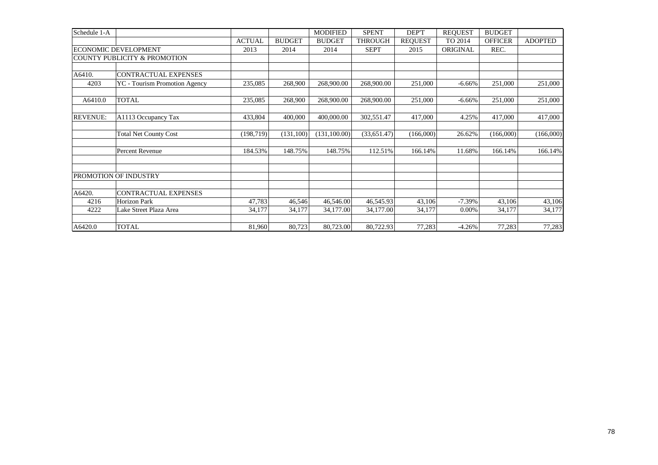| Schedule 1-A    |                                      |               |               | <b>MODIFIED</b> | <b>SPENT</b>   | DEP'T          | <b>REOUEST</b>  | <b>BUDGET</b>  |                |
|-----------------|--------------------------------------|---------------|---------------|-----------------|----------------|----------------|-----------------|----------------|----------------|
|                 |                                      | <b>ACTUAL</b> | <b>BUDGET</b> | <b>BUDGET</b>   | <b>THROUGH</b> | <b>REQUEST</b> | TO 2014         | <b>OFFICER</b> | <b>ADOPTED</b> |
|                 | <b>ECONOMIC DEVELOPMENT</b>          | 2013          | 2014          | 2014            | <b>SEPT</b>    | 2015           | <b>ORIGINAL</b> | REC.           |                |
|                 | COUNTY PUBLICITY & PROMOTION         |               |               |                 |                |                |                 |                |                |
|                 |                                      |               |               |                 |                |                |                 |                |                |
| A6410.          | <b>CONTRACTUAL EXPENSES</b>          |               |               |                 |                |                |                 |                |                |
| 4203            | <b>YC</b> - Tourism Promotion Agency | 235,085       | 268,900       | 268,900.00      | 268,900.00     | 251,000        | $-6.66%$        | 251,000        | 251,000        |
| A6410.0         | <b>TOTAL</b>                         | 235,085       | 268,900       | 268,900.00      | 268,900.00     | 251,000        | $-6.66%$        | 251,000        | 251,000        |
| <b>REVENUE:</b> | A1113 Occupancy Tax                  | 433,804       | 400,000       | 400,000.00      | 302,551.47     | 417,000        | 4.25%           | 417,000        | 417,000        |
|                 | <b>Total Net County Cost</b>         | (198, 719)    | (131,100)     | (131, 100.00)   | (33,651.47)    | (166,000)      | 26.62%          | (166,000)      | (166,000)      |
|                 | <b>Percent Revenue</b>               | 184.53%       | 148.75%       | 148.75%         | 112.51%        | 166.14%        | 11.68%          | 166.14%        | 166.14%        |
|                 |                                      |               |               |                 |                |                |                 |                |                |
|                 | PROMOTION OF INDUSTRY                |               |               |                 |                |                |                 |                |                |
| A6420.          | <b>CONTRACTUAL EXPENSES</b>          |               |               |                 |                |                |                 |                |                |
| 4216            | <b>Horizon Park</b>                  | 47,783        | 46,546        | 46,546.00       | 46,545.93      | 43,106         | $-7.39%$        | 43,106         | 43,106         |
| 4222            | Lake Street Plaza Area               | 34,177        | 34,177        | 34,177.00       | 34,177.00      | 34,177         | 0.00%           | 34,177         | 34,177         |
| A6420.0         | <b>TOTAL</b>                         | 81,960        | 80,723        | 80,723.00       | 80,722.93      | 77,283         | $-4.26%$        | 77,283         | 77,283         |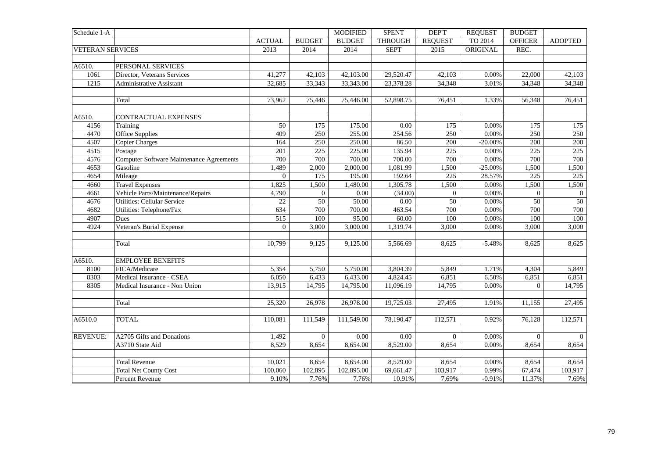| Schedule 1-A            |                                                 |                |                  | <b>MODIFIED</b> | <b>SPENT</b>   | DEP'T          | <b>REQUEST</b> | <b>BUDGET</b>  |                 |
|-------------------------|-------------------------------------------------|----------------|------------------|-----------------|----------------|----------------|----------------|----------------|-----------------|
|                         |                                                 | <b>ACTUAL</b>  | <b>BUDGET</b>    | <b>BUDGET</b>   | <b>THROUGH</b> | <b>REQUEST</b> | TO 2014        | <b>OFFICER</b> | <b>ADOPTED</b>  |
| <b>VETERAN SERVICES</b> |                                                 | 2013           | 2014             | 2014            | <b>SEPT</b>    | 2015           | ORIGINAL       | REC.           |                 |
|                         |                                                 |                |                  |                 |                |                |                |                |                 |
| A6510.                  | PERSONAL SERVICES                               |                |                  |                 |                |                |                |                |                 |
| 1061                    | Director, Veterans Services                     | 41,277         | 42,103           | 42,103.00       | 29,520.47      | 42,103         | 0.00%          | 22,000         | 42,103          |
| 1215                    | <b>Administrative Assistant</b>                 | 32,685         | 33,343           | 33,343.00       | 23,378.28      | 34,348         | 3.01%          | 34,348         | 34,348          |
|                         |                                                 |                |                  |                 |                |                |                |                |                 |
|                         | Total                                           | 73,962         | 75,446           | 75,446.00       | 52,898.75      | 76,451         | 1.33%          | 56,348         | 76,451          |
|                         |                                                 |                |                  |                 |                |                |                |                |                 |
| A6510.                  | CONTRACTUAL EXPENSES                            |                |                  |                 |                |                |                |                |                 |
| 4156                    | Training                                        | 50             | 175              | 175.00          | 0.00           | 175            | 0.00%          | 175            | 175             |
| 4470                    | Office Supplies                                 | 409            | 250              | 255.00          | 254.56         | 250            | 0.00%          | 250            | 250             |
| 4507                    | <b>Copier Charges</b>                           | 164            | 250              | 250.00          | 86.50          | 200            | $-20.00\%$     | 200            | 200             |
| 4515                    | Postage                                         | 201            | $\overline{225}$ | 225.00          | 135.94         | 225            | 0.00%          | 225            | 225             |
| 4576                    | <b>Computer Software Maintenance Agreements</b> | 700            | 700              | 700.00          | 700.00         | 700            | 0.00%          | 700            | 700             |
| 4653                    | Gasoline                                        | 1,489          | 2,000            | 2,000.00        | 1,081.99       | 1,500          | $-25.00\%$     | 1,500          | 1,500           |
| 4654                    | Mileage                                         | $\overline{0}$ | 175              | 195.00          | 192.64         | 225            | 28.57%         | 225            | 225             |
| 4660                    | <b>Travel Expenses</b>                          | 1,825          | 1,500            | 1,480.00        | 1,305.78       | 1,500          | 0.00%          | 1,500          | 1,500           |
| 4661                    | Vehicle Parts/Maintenance/Repairs               | 4,790          | $\mathbf{0}$     | 0.00            | (34.00)        | $\mathbf{0}$   | 0.00%          | $\overline{0}$ | $\overline{0}$  |
| 4676                    | <b>Utilities: Cellular Service</b>              | 22             | 50               | 50.00           | 0.00           | 50             | 0.00%          | 50             | $\overline{50}$ |
| 4682                    | Utilities: Telephone/Fax                        | 634            | 700              | 700.00          | 463.54         | 700            | 0.00%          | 700            | 700             |
| 4907                    | Dues                                            | 515            | 100              | 95.00           | 60.00          | 100            | 0.00%          | 100            | 100             |
| 4924                    | Veteran's Burial Expense                        | $\overline{0}$ | 3,000            | 3,000.00        | 1,319.74       | 3,000          | 0.00%          | 3,000          | 3,000           |
|                         |                                                 |                |                  |                 |                |                |                |                |                 |
|                         | Total                                           | 10,799         | 9,125            | 9,125.00        | 5,566.69       | 8,625          | $-5.48%$       | 8,625          | 8,625           |
|                         |                                                 |                |                  |                 |                |                |                |                |                 |
| A6510.                  | <b>EMPLOYEE BENEFITS</b>                        |                |                  |                 |                |                |                |                |                 |
| 8100                    | FICA/Medicare                                   | 5,354          | 5,750            | 5,750.00        | 3,804.39       | 5,849          | 1.71%          | 4,304          | 5,849           |
| 8303                    | Medical Insurance - CSEA                        | 6,050          | 6,433            | 6,433.00        | 4,824.45       | 6,851          | 6.50%          | 6,851          | 6,851           |
| 8305                    | Medical Insurance - Non Union                   | 13,915         | 14,795           | 14,795.00       | 11,096.19      | 14,795         | 0.00%          | $\Omega$       | 14,795          |
|                         |                                                 |                |                  |                 |                |                |                |                |                 |
|                         | Total                                           | 25,320         | 26,978           | 26,978.00       | 19,725.03      | 27,495         | 1.91%          | 11,155         | 27,495          |
|                         |                                                 |                |                  |                 |                |                |                |                |                 |
| A6510.0                 | <b>TOTAL</b>                                    | 110,081        | 111,549          | 111,549.00      | 78,190.47      | 112,571        | 0.92%          | 76,128         | 112,571         |
|                         |                                                 |                |                  |                 |                |                |                |                |                 |
| <b>REVENUE:</b>         | A2705 Gifts and Donations                       | 1,492          | $\overline{0}$   | 0.00            | 0.00           | $\mathbf{0}$   | 0.00%          | $\overline{0}$ | $\overline{0}$  |
|                         | A3710 State Aid                                 | 8,529          | 8,654            | 8,654.00        | 8,529.00       | 8,654          | 0.00%          | 8,654          | 8,654           |
|                         |                                                 |                |                  |                 |                |                |                |                |                 |
|                         | <b>Total Revenue</b>                            | 10,021         | 8,654            | 8,654.00        | 8,529.00       | 8,654          | 0.00%          | 8,654          | 8,654           |
|                         | <b>Total Net County Cost</b>                    | 100,060        | 102,895          | 102,895.00      | 69,661.47      | 103,917        | 0.99%          | 67,474         | 103,917         |
|                         | Percent Revenue                                 | 9.10%          | 7.76%            | 7.76%           | 10.91%         | 7.69%          | $-0.91%$       | 11.37%         | 7.69%           |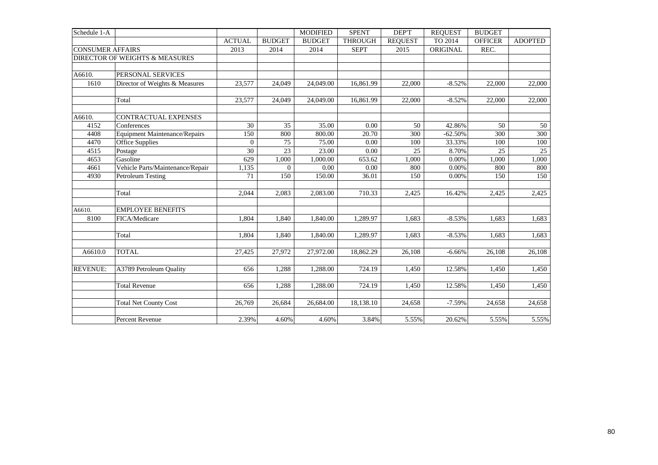| Schedule 1-A            |                                      |               |                       | <b>MODIFIED</b>   | <b>SPENT</b>   | DEP'T          | <b>REQUEST</b>  | <b>BUDGET</b>  |                |
|-------------------------|--------------------------------------|---------------|-----------------------|-------------------|----------------|----------------|-----------------|----------------|----------------|
|                         |                                      | <b>ACTUAL</b> | <b>BUDGET</b>         | <b>BUDGET</b>     | <b>THROUGH</b> | <b>REOUEST</b> | TO 2014         | <b>OFFICER</b> | <b>ADOPTED</b> |
| <b>CONSUMER AFFAIRS</b> |                                      | 2013          | 2014                  | 2014              | <b>SEPT</b>    | 2015           | ORIGINAL        | REC.           |                |
|                         | DIRECTOR OF WEIGHTS & MEASURES       |               |                       |                   |                |                |                 |                |                |
|                         |                                      |               |                       |                   |                |                |                 |                |                |
| A6610.                  | PERSONAL SERVICES                    |               |                       |                   |                |                |                 |                |                |
| 1610                    | Director of Weights & Measures       | 23,577        | 24,049                | 24,049.00         | 16,861.99      | 22,000         | $-8.52%$        | 22,000         | 22,000         |
|                         |                                      |               |                       |                   |                |                |                 |                |                |
|                         | Total                                | 23,577        | 24,049                | 24,049.00         | 16,861.99      | 22,000         | $-8.52%$        | 22,000         | 22,000         |
|                         |                                      |               |                       |                   |                |                |                 |                |                |
| A6610.<br>4152          | CONTRACTUAL EXPENSES<br>Conferences  | 30            | 35                    | 35.00             | 0.00           | 50             | 42.86%          | 50             | 50             |
| 4408                    | <b>Equipment Maintenance/Repairs</b> | 150           | 800                   | 800.00            | 20.70          | 300            | $-62.50%$       | 300            | 300            |
|                         |                                      | $\mathbf{0}$  |                       |                   | 0.00           |                |                 |                |                |
| 4470                    | <b>Office Supplies</b>               | 30            | 75<br>$\overline{23}$ | 75.00             |                | 100<br>25      | 33.33%<br>8.70% | 100<br>25      | 100            |
| 4515<br>4653            | Postage<br>Gasoline                  | 629           | 1,000                 | 23.00<br>1,000.00 | 0.00<br>653.62 | 1,000          | 0.00%           | 1,000          | 25<br>1,000    |
| 4661                    | Vehicle Parts/Maintenance/Repair     |               | $\Omega$              | 0.00              | 0.00           | 800            | 0.00%           | 800            | 800            |
| 4930                    |                                      | 1,135<br>71   | 150                   | 150.00            | 36.01          | 150            | 0.00%           | 150            |                |
|                         | Petroleum Testing                    |               |                       |                   |                |                |                 |                | 150            |
|                         | Total                                | 2,044         | 2,083                 | 2,083.00          | 710.33         | 2,425          | 16.42%          | 2,425          | 2,425          |
| A6610.                  | <b>EMPLOYEE BENEFITS</b>             |               |                       |                   |                |                |                 |                |                |
| 8100                    | FICA/Medicare                        | 1,804         | 1,840                 | 1,840.00          | 1,289.97       | 1,683          | $-8.53%$        | 1,683          | 1,683          |
|                         |                                      |               |                       |                   |                |                |                 |                |                |
|                         | Total                                | 1,804         | 1,840                 | 1,840.00          | 1,289.97       | 1,683          | $-8.53%$        | 1,683          | 1,683          |
|                         |                                      |               |                       |                   |                |                |                 |                |                |
| A6610.0                 | <b>TOTAL</b>                         | 27,425        | 27,972                | 27,972.00         | 18,862.29      | 26,108         | $-6.66%$        | 26,108         | 26,108         |
| <b>REVENUE:</b>         | A3789 Petroleum Quality              | 656           | 1,288                 | 1,288.00          | 724.19         | 1,450          | 12.58%          | 1,450          | 1,450          |
|                         |                                      |               |                       |                   |                |                |                 |                |                |
|                         | <b>Total Revenue</b>                 | 656           | 1,288                 | 1,288.00          | 724.19         | 1,450          | 12.58%          | 1,450          | 1,450          |
|                         | <b>Total Net County Cost</b>         | 26,769        | 26,684                | 26,684.00         | 18,138.10      | 24,658         | $-7.59%$        | 24,658         | 24,658         |
|                         |                                      |               |                       |                   |                |                |                 |                |                |
|                         | Percent Revenue                      | 2.39%         | 4.60%                 | 4.60%             | 3.84%          | 5.55%          | 20.62%          | 5.55%          | 5.55%          |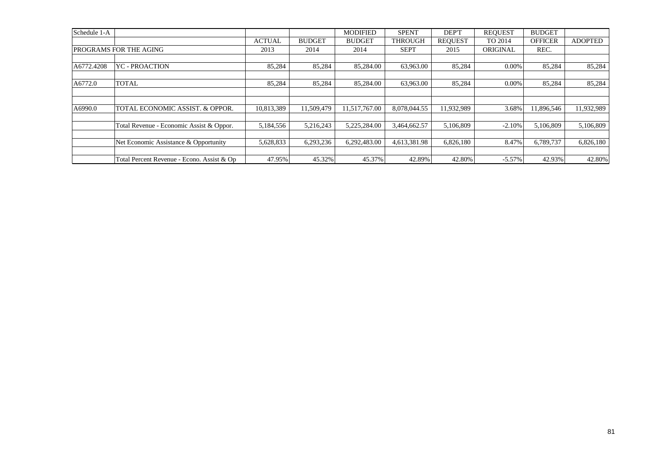| Schedule 1-A |                                            |               |               | <b>MODIFIED</b> | <b>SPENT</b>   | DEP'T          | <b>REOUEST</b> | <b>BUDGET</b>  |                |
|--------------|--------------------------------------------|---------------|---------------|-----------------|----------------|----------------|----------------|----------------|----------------|
|              |                                            | <b>ACTUAL</b> | <b>BUDGET</b> | <b>BUDGET</b>   | <b>THROUGH</b> | <b>REOUEST</b> | TO 2014        | <b>OFFICER</b> | <b>ADOPTED</b> |
|              | PROGRAMS FOR THE AGING                     | 2013          | 2014          | 2014            | <b>SEPT</b>    | 2015           | ORIGINAL       | REC.           |                |
|              |                                            |               |               |                 |                |                |                |                |                |
| A6772.4208   | <b>YC - PROACTION</b>                      | 85,284        | 85,284        | 85,284.00       | 63,963.00      | 85,284         | $0.00\%$       | 85,284         | 85,284         |
|              |                                            |               |               |                 |                |                |                |                |                |
| A6772.0      | <b>TOTAL</b>                               | 85,284        | 85,284        | 85,284.00       | 63,963.00      | 85,284         | $0.00\%$       | 85,284         | 85,284         |
|              |                                            |               |               |                 |                |                |                |                |                |
|              |                                            |               |               |                 |                |                |                |                |                |
| A6990.0      | TOTAL ECONOMIC ASSIST. & OPPOR.            | 10,813,389    | 11.509.479    | 11.517.767.00   | 8.078.044.55   | 11,932,989     | 3.68%          | 11.896.546     | 11,932,989     |
|              |                                            |               |               |                 |                |                |                |                |                |
|              | Total Revenue - Economic Assist & Oppor.   | 5,184,556     | 5.216.243     | 5.225.284.00    | 3.464,662.57   | 5,106,809      | $-2.10%$       | 5.106.809      | 5,106,809      |
|              |                                            |               |               |                 |                |                |                |                |                |
|              | Net Economic Assistance & Opportunity      | 5,628,833     | 6,293,236     | 6,292,483.00    | 4,613,381.98   | 6,826,180      | 8.47%          | 6,789,737      | 6,826,180      |
|              |                                            |               |               |                 |                |                |                |                |                |
|              | Total Percent Revenue - Econo. Assist & Op | 47.95%        | 45.32%        | 45.37%          | 42.89%         | 42.80%         | $-5.57\%$      | 42.93%         | 42.80%         |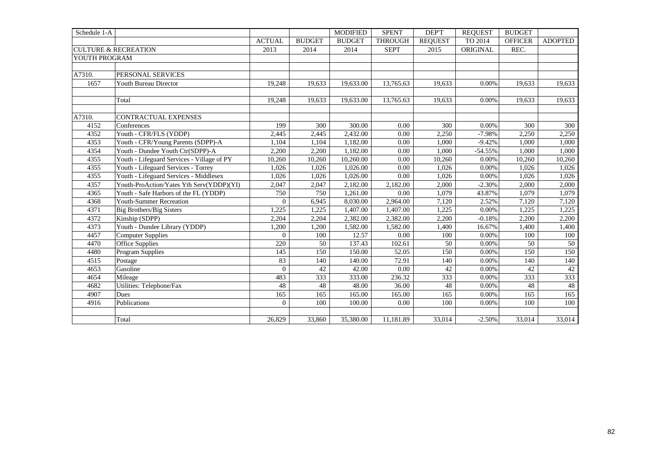| Schedule 1-A  |                                            |                |               | <b>MODIFIED</b> | <b>SPENT</b>   | DEP'T          | <b>REQUEST</b> | <b>BUDGET</b>  |                |
|---------------|--------------------------------------------|----------------|---------------|-----------------|----------------|----------------|----------------|----------------|----------------|
|               |                                            | <b>ACTUAL</b>  | <b>BUDGET</b> | <b>BUDGET</b>   | <b>THROUGH</b> | <b>REOUEST</b> | TO 2014        | <b>OFFICER</b> | <b>ADOPTED</b> |
|               | <b>CULTURE &amp; RECREATION</b>            | 2013           | 2014          | 2014            | <b>SEPT</b>    | 2015           | ORIGINAL       | REC.           |                |
| YOUTH PROGRAM |                                            |                |               |                 |                |                |                |                |                |
|               |                                            |                |               |                 |                |                |                |                |                |
| A7310.        | PERSONAL SERVICES                          |                |               |                 |                |                |                |                |                |
| 1657          | Youth Bureau Director                      | 19,248         | 19,633        | 19,633.00       | 13,765.63      | 19,633         | 0.00%          | 19,633         | 19,633         |
|               |                                            |                |               |                 |                |                |                |                |                |
|               | Total                                      | 19,248         | 19,633        | 19,633.00       | 13,765.63      | 19,633         | $0.00\%$       | 19,633         | 19,633         |
|               |                                            |                |               |                 |                |                |                |                |                |
| A7310.        | CONTRACTUAL EXPENSES                       |                |               |                 |                |                |                |                |                |
| 4152          | Conferences                                | 199            | 300           | 300.00          | 0.00           | 300            | 0.00%          | 300            | 300            |
| 4352          | Youth - CFR/FLS (YDDP)                     | 2,445          | 2,445         | 2,432.00        | 0.00           | 2,250          | $-7.98%$       | 2,250          | 2,250          |
| 4353          | Youth - CFR/Young Parents (SDPP)-A         | 1,104          | 1,104         | 1,182.00        | $0.00\,$       | 1,000          | $-9.42%$       | 1,000          | 1,000          |
| 4354          | Youth - Dundee Youth Ctr(SDPP)-A           | 2,200          | 2,200         | 1,182.00        | 0.00           | 1.000          | $-54.55%$      | 1,000          | 1,000          |
| 4355          | Youth - Lifeguard Services - Village of PY | 10,260         | 10,260        | 10,260.00       | 0.00           | 10,260         | 0.00%          | 10,260         | 10,260         |
| 4355          | Youth - Lifeguard Services - Torrey        | 1,026          | 1,026         | 1,026.00        | 0.00           | 1,026          | 0.00%          | 1,026          | 1,026          |
| 4355          | Youth - Lifeguard Services - Middlesex     | 1.026          | 1.026         | 1,026.00        | 0.00           | 1.026          | 0.00%          | 1.026          | 1,026          |
| 4357          | Youth-ProAction/Yates Yth Serv(YDDP)(YI)   | 2,047          | 2,047         | 2,182.00        | 2,182.00       | 2,000          | $-2.30%$       | 2,000          | 2,000          |
| 4365          | Youth - Safe Harbors of the FL (YDDP)      | 750            | 750           | 1,261.00        | 0.00           | 1,079          | 43.87%         | 1,079          | 1,079          |
| 4368          | <b>Youth-Summer Recreation</b>             | $\mathbf{0}$   | 6,945         | 8,030.00        | 2,964.00       | 7,120          | 2.52%          | 7,120          | 7,120          |
| 4371          | Big Brothers/Big Sisters                   | 1,225          | 1,225         | 1,407.00        | 1,407.00       | 1,225          | 0.00%          | 1,225          | 1,225          |
| 4372          | Kinship (SDPP)                             | 2,204          | 2,204         | 2,382.00        | 2,382.00       | 2,200          | $-0.18%$       | 2,200          | 2,200          |
| 4373          | Youth - Dundee Library (YDDP)              | 1,200          | 1,200         | 1,582.00        | 1,582.00       | 1,400          | 16.67%         | 1,400          | 1,400          |
| 4457          | <b>Computer Supplies</b>                   | $\theta$       | 100           | 12.57           | 0.00           | 100            | 0.00%          | 100            | 100            |
| 4470          | <b>Office Supplies</b>                     | 220            | 50            | 137.43          | 102.61         | 50             | 0.00%          | 50             | 50             |
| 4480          | <b>Program Supplies</b>                    | 145            | 150           | 150.00          | 52.05          | 150            | 0.00%          | 150            | 150            |
| 4515          | Postage                                    | 83             | 140           | 140.00          | 72.91          | 140            | 0.00%          | 140            | 140            |
| 4653          | Gasoline                                   | $\overline{0}$ | 42            | 42.00           | $0.00\,$       | 42             | 0.00%          | 42             | 42             |
| 4654          | Mileage                                    | 483            | 333           | 333.00          | 236.32         | 333            | 0.00%          | 333            | 333            |
| 4682          | Utilities: Telephone/Fax                   | 48             | 48            | 48.00           | 36.00          | 48             | 0.00%          | 48             | 48             |
| 4907          | <b>Dues</b>                                | 165            | 165           | 165.00          | 165.00         | 165            | 0.00%          | 165            | 165            |
| 4916          | Publications                               | $\theta$       | 100           | 100.00          | 0.00           | 100            | 0.00%          | 100            | 100            |
|               |                                            |                |               |                 |                |                |                |                |                |
|               | Total                                      | 26,829         | 33,860        | 35,380.00       | 11,181.89      | 33,014         | $-2.50%$       | 33,014         | 33,014         |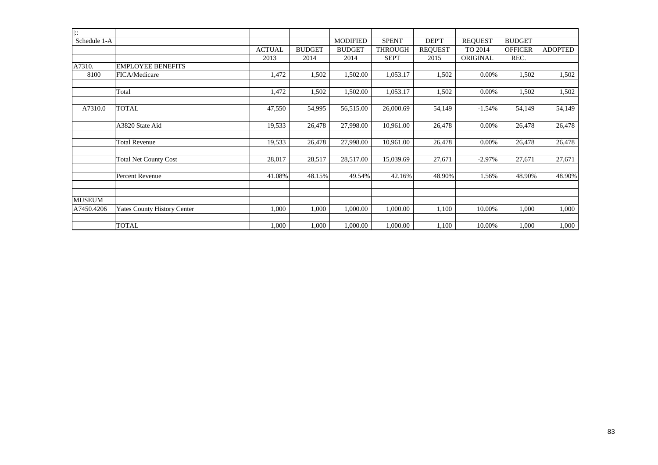| $\overline{\mathbb{R}}$ |                                    |               |               |                 |                |                |                |                |                |
|-------------------------|------------------------------------|---------------|---------------|-----------------|----------------|----------------|----------------|----------------|----------------|
| Schedule 1-A            |                                    |               |               | <b>MODIFIED</b> | <b>SPENT</b>   | DEP'T          | <b>REQUEST</b> | <b>BUDGET</b>  |                |
|                         |                                    | <b>ACTUAL</b> | <b>BUDGET</b> | <b>BUDGET</b>   | <b>THROUGH</b> | <b>REQUEST</b> | TO 2014        | <b>OFFICER</b> | <b>ADOPTED</b> |
|                         |                                    | 2013          | 2014          | 2014            | <b>SEPT</b>    | 2015           | ORIGINAL       | REC.           |                |
| A7310.                  | <b>EMPLOYEE BENEFITS</b>           |               |               |                 |                |                |                |                |                |
| 8100                    | FICA/Medicare                      | 1,472         | 1,502         | 1,502.00        | 1,053.17       | 1,502          | 0.00%          | 1,502          | 1,502          |
|                         | Total                              | 1,472         | 1,502         | 1,502.00        | 1,053.17       | 1,502          | 0.00%          | 1,502          | 1,502          |
| A7310.0                 | <b>TOTAL</b>                       | 47,550        | 54,995        | 56,515.00       | 26,000.69      | 54,149         | $-1.54%$       | 54,149         | 54,149         |
|                         | A3820 State Aid                    | 19,533        | 26,478        | 27,998.00       | 10,961.00      | 26,478         | 0.00%          | 26,478         | 26,478         |
|                         | <b>Total Revenue</b>               | 19,533        | 26,478        | 27,998.00       | 10,961.00      | 26,478         | 0.00%          | 26,478         | 26,478         |
|                         | <b>Total Net County Cost</b>       | 28,017        | 28,517        | 28,517.00       | 15,039.69      | 27,671         | $-2.97%$       | 27,671         | 27,671         |
|                         | Percent Revenue                    | 41.08%        | 48.15%        | 49.54%          | 42.16%         | 48.90%         | 1.56%          | 48.90%         | 48.90%         |
| <b>MUSEUM</b>           |                                    |               |               |                 |                |                |                |                |                |
| A7450.4206              | <b>Yates County History Center</b> | 1,000         | 1,000         | 1,000.00        | 1,000.00       | 1,100          | 10.00%         | 1,000          | 1,000          |
|                         | <b>TOTAL</b>                       | 1,000         | 1,000         | 1,000.00        | 1,000.00       | 1,100          | 10.00%         | 1,000          | 1,000          |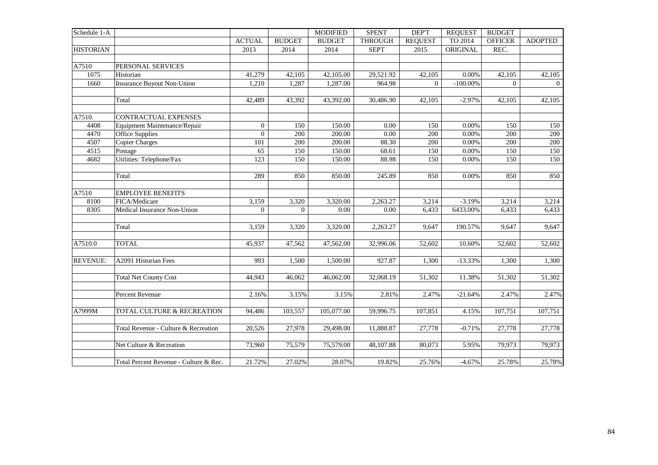| Schedule 1-A     |                                        |                |                | <b>MODIFIED</b> | <b>SPENT</b>   | DEP'T          | <b>REQUEST</b> | <b>BUDGET</b>  |                |
|------------------|----------------------------------------|----------------|----------------|-----------------|----------------|----------------|----------------|----------------|----------------|
|                  |                                        | <b>ACTUAL</b>  | <b>BUDGET</b>  | <b>BUDGET</b>   | <b>THROUGH</b> | <b>REQUEST</b> | TO 2014        | <b>OFFICER</b> | <b>ADOPTED</b> |
| <b>HISTORIAN</b> |                                        | 2013           | 2014           | 2014            | <b>SEPT</b>    | 2015           | ORIGINAL       | REC.           |                |
|                  |                                        |                |                |                 |                |                |                |                |                |
| A7510            | PERSONAL SERVICES                      |                |                |                 |                |                |                |                |                |
| 1075             | Historian                              | 41,279         | 42,105         | 42,105.00       | 29,521.92      | 42,105         | 0.00%          | 42,105         | 42,105         |
| 1660             | <b>Insurance Buyout Non-Union</b>      | 1,210          | 1,287          | 1,287.00        | 964.98         | $\overline{0}$ | $-100.00\%$    | $\overline{0}$ | $\overline{0}$ |
|                  |                                        |                |                |                 |                |                |                |                |                |
|                  | Total                                  | 42,489         | 43,392         | 43,392.00       | 30,486.90      | 42,105         | $-2.97%$       | 42,105         | 42,105         |
| A7510.           | <b>CONTRACTUAL EXPENSES</b>            |                |                |                 |                |                |                |                |                |
| 4408             | Equipment Maintenance/Repair           | $\overline{0}$ | 150            | 150.00          | 0.00           | 150            | 0.00%          | 150            | 150            |
| 4470             | <b>Office Supplies</b>                 | $\overline{0}$ | 200            | 200.00          | $0.00\,$       | 200            | 0.00%          | 200            | 200            |
| 4507             | <b>Copier Charges</b>                  | 101            | 200            | 200.00          | 88.30          | 200            | 0.00%          | 200            | 200            |
| 4515             | Postage                                | 65             | 150            | 150.00          | 68.61          | 150            | 0.00%          | 150            | 150            |
| 4682             | <b>Utilities: Telephone/Fax</b>        | 123            | 150            | 150.00          | 88.98          | 150            | 0.00%          | 150            | 150            |
|                  |                                        |                |                |                 |                |                |                |                |                |
|                  | Total                                  | 289            | 850            | 850.00          | 245.89         | 850            | 0.00%          | 850            | 850            |
| A7510            | <b>EMPLOYEE BENEFITS</b>               |                |                |                 |                |                |                |                |                |
| 8100             | FICA/Medicare                          | 3,159          | 3,320          | 3,320.00        | 2,263.27       | 3,214          | $-3.19%$       | 3,214          | 3,214          |
| 8305             | Medical Insurance Non-Union            | $\overline{0}$ | $\overline{0}$ | 0.00            | 0.00           | 6,433          | 6433.00%       | 6,433          | 6,433          |
|                  |                                        |                |                |                 |                |                |                |                |                |
|                  | Total                                  | 3,159          | 3,320          | 3,320.00        | 2,263.27       | 9,647          | 190.57%        | 9,647          | 9,647          |
|                  |                                        |                |                |                 |                |                |                |                |                |
| A7510.0          | <b>TOTAL</b>                           | 45,937         | 47,562         | 47,562.00       | 32,996.06      | 52,602         | 10.60%         | 52,602         | 52,602         |
| <b>REVENUE:</b>  | A2091 Historian Fees                   | 993            | 1,500          | 1,500.00        | 927.87         | 1,300          | $-13.33%$      | 1,300          | 1,300          |
|                  |                                        |                |                |                 |                |                |                |                |                |
|                  | <b>Total Net County Cost</b>           | 44,943         | 46,062         | 46,062.00       | 32,068.19      | 51,302         | 11.38%         | 51,302         | 51,302         |
|                  |                                        |                |                |                 |                |                |                |                |                |
|                  | Percent Revenue                        | 2.16%          | 3.15%          | 3.15%           | 2.81%          | 2.47%          | $-21.64%$      | 2.47%          | 2.47%          |
| A7999M           | TOTAL CULTURE & RECREATION             | 94,486         | 103,557        | 105,077.00      | 59,996.75      | 107,851        | 4.15%          | 107,751        | 107,751        |
|                  |                                        |                |                |                 |                |                |                |                |                |
|                  | Total Revenue - Culture & Recreation   | 20,526         | 27,978         | 29,498.00       | 11,888.87      | 27,778         | $-0.71%$       | 27,778         | 27,778         |
|                  |                                        |                |                |                 |                |                |                |                |                |
|                  | Net Culture & Recreation               | 73,960         | 75,579         | 75,579.00       | 48,107.88      | 80,073         | 5.95%          | 79,973         | 79,973         |
|                  | Total Percent Revenue - Culture & Rec. | 21.72%         | 27.02%         | 28.07%          | 19.82%         | 25.76%         | $-4.67%$       | 25.78%         | 25.78%         |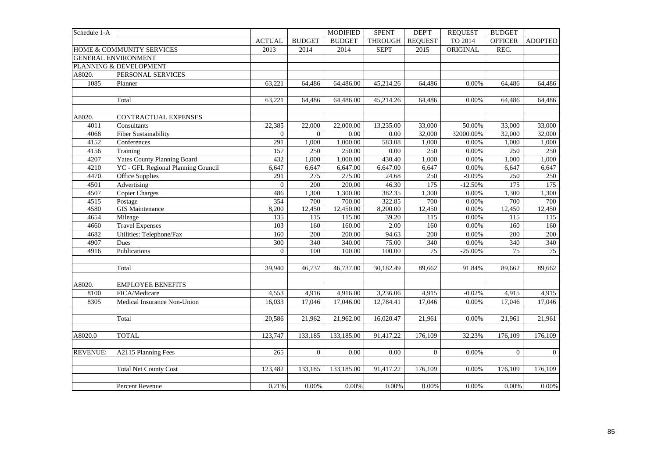| Schedule 1-A    |                                    |                  |                   | <b>MODIFIED</b> | <b>SPENT</b> | DEP'T           | <b>REQUEST</b> | <b>BUDGET</b>  |                 |
|-----------------|------------------------------------|------------------|-------------------|-----------------|--------------|-----------------|----------------|----------------|-----------------|
|                 |                                    | <b>ACTUAL</b>    | <b>BUDGET</b>     | <b>BUDGET</b>   | THROUGH      | <b>REQUEST</b>  | TO 2014        | <b>OFFICER</b> | <b>ADOPTED</b>  |
|                 | HOME & COMMUNITY SERVICES          | 2013             | 2014              | 2014            | <b>SEPT</b>  | 2015            | ORIGINAL       | REC.           |                 |
|                 | <b>GENERAL ENVIRONMENT</b>         |                  |                   |                 |              |                 |                |                |                 |
|                 | PLANNING & DEVELOPMENT             |                  |                   |                 |              |                 |                |                |                 |
| A8020.          | PERSONAL SERVICES                  |                  |                   |                 |              |                 |                |                |                 |
| 1085            | Planner                            | 63,221           | 64,486            | 64,486.00       | 45,214.26    | 64,486          | 0.00%          | 64,486         | 64,486          |
|                 |                                    |                  |                   |                 |              |                 |                |                |                 |
|                 | Total                              | 63,221           | 64,486            | 64,486.00       | 45,214.26    | 64,486          | 0.00%          | 64,486         | 64,486          |
|                 |                                    |                  |                   |                 |              |                 |                |                |                 |
| A8020.          | CONTRACTUAL EXPENSES               |                  |                   |                 |              |                 |                |                |                 |
| 4011            | Consultants                        | 22,385           | 22,000            | 22,000.00       | 13,235.00    | 33,000          | 50.00%         | 33,000         | 33,000          |
| 4068            | <b>Fiber Sustainability</b>        | $\overline{0}$   | $\overline{0}$    | 0.00            | 0.00         | 32,000          | 32000.00%      | 32,000         | 32,000          |
| 4152            | Conferences                        | 291              | 1,000             | 1,000.00        | 583.08       | 1,000           | 0.00%          | 1,000          | 1,000           |
| 4156            | Training                           | 157              | 250               | 250.00          | 0.00         | 250             | 0.00%          | 250            | 250             |
| 4207            | <b>Yates County Planning Board</b> | 432              | 1,000             | 1,000.00        | 430.40       | 1,000           | 0.00%          | 1,000          | 1,000           |
| 4210            | YC - GFL Regional Planning Council | 6,647            | 6,647             | 6,647.00        | 6,647.00     | 6,647           | 0.00%          | 6,647          | 6,647           |
| 4470            | Office Supplies                    | 291              | 275               | 275.00          | 24.68        | 250             | $-9.09%$       | 250            | 250             |
| 4501            | Advertising                        | $\overline{0}$   | 200               | 200.00          | 46.30        | 175             | $-12.50%$      | 175            | 175             |
| 4507            | <b>Copier Charges</b>              | 486              | 1,300             | 1,300.00        | 382.35       | 1,300           | 0.00%          | 1,300          | 1,300           |
| 4515            | Postage                            | 354              | 700               | 700.00          | 322.85       | 700             | 0.00%          | 700            | 700             |
| 4580            | <b>GIS</b> Maintenance             | 8,200            | 12,450            | 12,450.00       | 8,200.00     | 12,450          | 0.00%          | 12,450         | 12,450          |
| 4654            | Mileage                            | $\overline{135}$ | $\frac{115}{115}$ | 115.00          | 39.20        | 115             | 0.00%          | 115            | 115             |
| 4660            | <b>Travel Expenses</b>             | 103              | 160               | 160.00          | 2.00         | 160             | 0.00%          | 160            | 160             |
| 4682            | Utilities: Telephone/Fax           | 160              | 200               | 200.00          | 94.63        | 200             | 0.00%          | 200            | 200             |
| 4907            | Dues                               | $\overline{300}$ | 340               | 340.00          | 75.00        | 340             | $0.00\%$       | 340            | 340             |
| 4916            | Publications                       | $\overline{0}$   | 100               | 100.00          | 100.00       | $\overline{75}$ | $-25.00%$      | 75             | $\overline{75}$ |
|                 | Total                              | 39,940           | 46,737            | 46,737.00       | 30,182.49    | 89,662          | 91.84%         | 89,662         | 89,662          |
|                 |                                    |                  |                   |                 |              |                 |                |                |                 |
| A8020.          | <b>EMPLOYEE BENEFITS</b>           |                  |                   |                 |              |                 |                |                |                 |
| 8100            | FICA/Medicare                      | 4,553            | 4,916             | 4,916.00        | 3,236.06     | 4,915           | $-0.02%$       | 4,915          | 4,915           |
| 8305            | Medical Insurance Non-Union        | 16,033           | 17,046            | 17,046.00       | 12,784.41    | 17,046          | 0.00%          | 17,046         | 17,046          |
|                 | Total                              | 20,586           | 21,962            | 21,962.00       | 16,020.47    | 21,961          | 0.00%          | 21,961         | 21,961          |
|                 |                                    |                  |                   |                 |              |                 |                |                |                 |
| A8020.0         | <b>TOTAL</b>                       | 123,747          | 133,185           | 133,185.00      | 91,417.22    | 176,109         | 32.23%         | 176,109        | 176,109         |
| <b>REVENUE:</b> |                                    | 265              | $\Omega$          | 0.00            | 0.00         | $\Omega$        | 0.00%          | $\Omega$       | $\overline{0}$  |
|                 | A2115 Planning Fees                |                  |                   |                 |              |                 |                |                |                 |
|                 | <b>Total Net County Cost</b>       | 123,482          | 133,185           | 133,185.00      | 91,417.22    | 176,109         | 0.00%          | 176,109        | 176,109         |
|                 | Percent Revenue                    | 0.21%            | 0.00%             | 0.00%           | 0.00%        | 0.00%           | 0.00%          | 0.00%          | $0.00\%$        |
|                 |                                    |                  |                   |                 |              |                 |                |                |                 |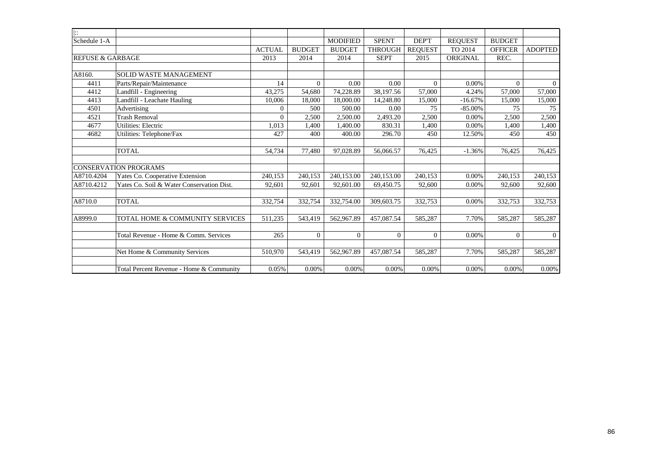| $\overline{ \colon}$        |                                           |               |               |                 |                |                |                |                |                |
|-----------------------------|-------------------------------------------|---------------|---------------|-----------------|----------------|----------------|----------------|----------------|----------------|
| Schedule 1-A                |                                           |               |               | <b>MODIFIED</b> | <b>SPENT</b>   | <b>DEPT</b>    | <b>REOUEST</b> | <b>BUDGET</b>  |                |
|                             |                                           | <b>ACTUAL</b> | <b>BUDGET</b> | <b>BUDGET</b>   | <b>THROUGH</b> | <b>REQUEST</b> | TO 2014        | <b>OFFICER</b> | <b>ADOPTED</b> |
| <b>REFUSE &amp; GARBAGE</b> |                                           | 2013          | 2014          | 2014            | <b>SEPT</b>    | 2015           | ORIGINAL       | REC.           |                |
|                             |                                           |               |               |                 |                |                |                |                |                |
| A8160.                      | <b>SOLID WASTE MANAGEMENT</b>             |               |               |                 |                |                |                |                |                |
| 4411                        | Parts/Repair/Maintenance                  | 14            | $\Omega$      | 0.00            | 0.00           | $\Omega$       | 0.00%          | $\Omega$       | $\Omega$       |
| 4412                        | Landfill - Engineering                    | 43.275        | 54.680        | 74.228.89       | 38,197.56      | 57,000         | 4.24%          | 57,000         | 57,000         |
| 4413                        | Landfill - Leachate Hauling               | 10,006        | 18,000        | 18,000.00       | 14,248.80      | 15,000         | $-16.67%$      | 15,000         | 15,000         |
| 4501                        | Advertising                               | $\mathbf{0}$  | 500           | 500.00          | 0.00           | 75             | $-85.00\%$     | 75             | 75             |
| 4521                        | <b>Trash Removal</b>                      | $\Omega$      | 2,500         | 2,500.00        | 2,493.20       | 2,500          | 0.00%          | 2,500          | 2,500          |
| 4677                        | <b>Utilities: Electric</b>                | 1,013         | 1,400         | 1,400.00        | 830.31         | 1,400          | 0.00%          | 1,400          | 1,400          |
| 4682                        | Utilities: Telephone/Fax                  | 427           | 400           | 400.00          | 296.70         | 450            | 12.50%         | 450            | 450            |
|                             |                                           |               |               |                 |                |                |                |                |                |
|                             | <b>TOTAL</b>                              | 54,734        | 77,480        | 97.028.89       | 56,066.57      | 76,425         | $-1.36%$       | 76,425         | 76,425         |
|                             |                                           |               |               |                 |                |                |                |                |                |
|                             | <b>CONSERVATION PROGRAMS</b>              |               |               |                 |                |                |                |                |                |
| A8710.4204                  | Yates Co. Cooperative Extension           | 240,153       | 240,153       | 240,153.00      | 240,153.00     | 240,153        | 0.00%          | 240,153        | 240,153        |
| A8710.4212                  | Yates Co. Soil & Water Conservation Dist. | 92,601        | 92,601        | 92,601.00       | 69,450.75      | 92,600         | 0.00%          | 92,600         | 92,600         |
|                             |                                           |               |               |                 |                |                |                |                |                |
| A8710.0                     | <b>TOTAL</b>                              | 332,754       | 332,754       | 332,754.00      | 309,603.75     | 332,753        | 0.00%          | 332,753        | 332,753        |
|                             |                                           |               |               |                 |                |                |                |                |                |
| A8999.0                     | TOTAL HOME & COMMUNITY SERVICES           | 511,235       | 543,419       | 562,967.89      | 457,087.54     | 585,287        | 7.70%          | 585,287        | 585,287        |
|                             |                                           |               |               |                 |                |                |                |                |                |
|                             | Total Revenue - Home & Comm. Services     | 265           | $\Omega$      | $\Omega$        | $\overline{0}$ | $\theta$       | 0.00%          | $\overline{0}$ | $\overline{0}$ |
|                             |                                           |               |               |                 |                |                |                |                |                |
|                             | Net Home & Community Services             | 510,970       | 543,419       | 562,967.89      | 457,087.54     | 585,287        | 7.70%          | 585,287        | 585,287        |
|                             |                                           |               |               |                 |                |                |                |                |                |
|                             | Total Percent Revenue - Home & Community  | 0.05%         | 0.00%         | $0.00\%$        | 0.00%          | 0.00%          | 0.00%          | 0.00%          | 0.00%          |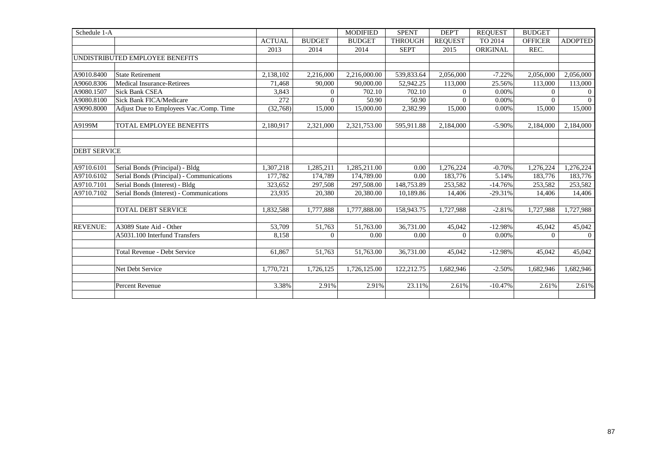| Schedule 1-A        |                                           |               |                | <b>MODIFIED</b> | <b>SPENT</b>   | DEP'T          | <b>REQUEST</b> | <b>BUDGET</b>  |                |
|---------------------|-------------------------------------------|---------------|----------------|-----------------|----------------|----------------|----------------|----------------|----------------|
|                     |                                           | <b>ACTUAL</b> | <b>BUDGET</b>  | <b>BUDGET</b>   | <b>THROUGH</b> | <b>REQUEST</b> | TO 2014        | <b>OFFICER</b> | <b>ADOPTED</b> |
|                     |                                           | 2013          | 2014           | 2014            | <b>SEPT</b>    | 2015           | ORIGINAL       | REC.           |                |
|                     | UNDISTRIBUTED EMPLOYEE BENEFITS           |               |                |                 |                |                |                |                |                |
|                     |                                           |               |                |                 |                |                |                |                |                |
| A9010.8400          | <b>State Retirement</b>                   | 2,138,102     | 2,216,000      | 2,216,000.00    | 539,833.64     | 2,056,000      | $-7.22%$       | 2,056,000      | 2,056,000      |
| A9060.8306          | <b>Medical Insurance-Retirees</b>         | 71,468        | 90,000         | 90,000.00       | 52,942.25      | 113,000        | 25.56%         | 113,000        | 113,000        |
| A9080.1507          | <b>Sick Bank CSEA</b>                     | 3,843         | $\overline{0}$ | 702.10          | 702.10         | $\overline{0}$ | 0.00%          | $\theta$       | $\overline{0}$ |
| A9080.8100          | Sick Bank FICA/Medicare                   | 272           | $\Omega$       | 50.90           | 50.90          | $\Omega$       | 0.00%          | $\Omega$       | $\Omega$       |
| A9090.8000          | Adjust Due to Employees Vac./Comp. Time   | (32,768)      | 15,000         | 15,000.00       | 2,382.99       | 15,000         | 0.00%          | 15,000         | 15,000         |
|                     |                                           |               |                |                 |                |                |                |                |                |
| A9199M              | TOTAL EMPLOYEE BENEFITS                   | 2,180,917     | 2,321,000      | 2,321,753.00    | 595,911.88     | 2,184,000      | $-5.90%$       | 2,184,000      | 2,184,000      |
|                     |                                           |               |                |                 |                |                |                |                |                |
|                     |                                           |               |                |                 |                |                |                |                |                |
| <b>DEBT SERVICE</b> |                                           |               |                |                 |                |                |                |                |                |
|                     |                                           |               |                |                 |                |                |                |                |                |
| A9710.6101          | Serial Bonds (Principal) - Bldg           | 1,307,218     | 1,285,211      | 1,285,211.00    | 0.00           | 1,276,224      | $-0.70%$       | 1,276,224      | 1,276,224      |
| A9710.6102          | Serial Bonds (Principal) - Communications | 177,782       | 174,789        | 174,789.00      | 0.00           | 183,776        | 5.14%          | 183,776        | 183,776        |
| A9710.7101          | Serial Bonds (Interest) - Bldg            | 323,652       | 297,508        | 297,508.00      | 148,753.89     | 253,582        | $-14.76%$      | 253,582        | 253,582        |
| A9710.7102          | Serial Bonds (Interest) - Communications  | 23,935        | 20.380         | 20,380.00       | 10,189.86      | 14,406         | $-29.31%$      | 14,406         | 14,406         |
|                     |                                           |               |                |                 |                |                |                |                |                |
|                     | <b>TOTAL DEBT SERVICE</b>                 | 1,832,588     | 1,777,888      | 1,777,888.00    | 158,943.75     | 1,727,988      | $-2.81%$       | 1,727,988      | 1,727,988      |
|                     |                                           |               |                |                 |                |                |                |                |                |
| <b>REVENUE:</b>     | A3089 State Aid - Other                   | 53,709        | 51,763         | 51,763.00       | 36,731.00      | 45,042         | $-12.98%$      | 45,042         | 45,042         |
|                     | A5031.100 Interfund Transfers             | 8,158         | $\theta$       | 0.00            | 0.00           | $\Omega$       | 0.00%          | $\Omega$       | $\overline{0}$ |
|                     |                                           |               |                |                 |                |                |                |                |                |
|                     | <b>Total Revenue - Debt Service</b>       | 61,867        | 51,763         | 51,763.00       | 36,731.00      | 45,042         | $-12.98%$      | 45,042         | 45,042         |
|                     |                                           |               |                |                 |                |                |                |                |                |
|                     | Net Debt Service                          | 1,770,721     | 1,726,125      | 1,726,125.00    | 122,212.75     | 1,682,946      | $-2.50%$       | 1,682,946      | 1,682,946      |
|                     |                                           |               |                |                 |                |                |                |                |                |
|                     | <b>Percent Revenue</b>                    | 3.38%         | 2.91%          | 2.91%           | 23.11%         | 2.61%          | $-10.47%$      | 2.61%          | 2.61%          |
|                     |                                           |               |                |                 |                |                |                |                |                |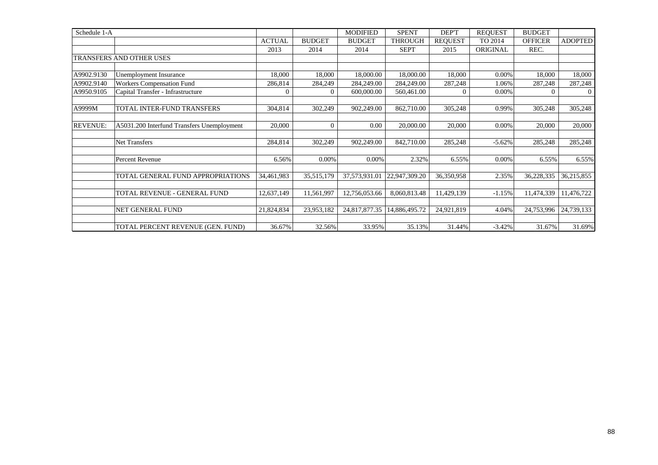| Schedule 1-A    |                                            |               |                | <b>MODIFIED</b> | <b>SPENT</b>   | DEP'T          | <b>REQUEST</b> | <b>BUDGET</b>  |                |
|-----------------|--------------------------------------------|---------------|----------------|-----------------|----------------|----------------|----------------|----------------|----------------|
|                 |                                            | <b>ACTUAL</b> | <b>BUDGET</b>  | <b>BUDGET</b>   | <b>THROUGH</b> | <b>REQUEST</b> | TO 2014        | <b>OFFICER</b> | <b>ADOPTED</b> |
|                 |                                            | 2013          | 2014           | 2014            | <b>SEPT</b>    | 2015           | ORIGINAL       | REC.           |                |
|                 | <b>TRANSFERS AND OTHER USES</b>            |               |                |                 |                |                |                |                |                |
|                 |                                            |               |                |                 |                |                |                |                |                |
| A9902.9130      | Unemployment Insurance                     | 18,000        | 18,000         | 18,000.00       | 18,000.00      | 18,000         | 0.00%          | 18,000         | 18,000         |
| A9902.9140      | Workers Compensation Fund                  | 286,814       | 284,249        | 284,249.00      | 284,249.00     | 287,248        | 1.06%          | 287,248        | 287,248        |
| A9950.9105      | Capital Transfer - Infrastructure          | $\theta$      | $\overline{0}$ | 600,000.00      | 560,461.00     | 0              | 0.00%          | $\Omega$       | $\overline{0}$ |
| A9999M          | TOTAL INTER-FUND TRANSFERS                 | 304,814       | 302,249        | 902,249.00      | 862,710.00     | 305,248        | 0.99%          | 305,248        | 305,248        |
| <b>REVENUE:</b> | A5031.200 Interfund Transfers Unemployment | 20,000        | $\overline{0}$ | 0.00            | 20,000.00      | 20,000         | 0.00%          | 20,000         | 20,000         |
|                 | <b>Net Transfers</b>                       | 284,814       | 302,249        | 902,249.00      | 842,710.00     | 285,248        | $-5.62%$       | 285,248        | 285,248        |
|                 | Percent Revenue                            | 6.56%         | 0.00%          | 0.00%           | 2.32%          | 6.55%          | 0.00%          | 6.55%          | 6.55%          |
|                 |                                            |               |                |                 |                |                |                |                |                |
|                 | TOTAL GENERAL FUND APPROPRIATIONS          | 34,461,983    | 35,515,179     | 37,573,931.01   | 22,947,309.20  | 36,350,958     | 2.35%          | 36,228,335     | 36,215,855     |
|                 |                                            |               |                |                 |                |                |                |                |                |
|                 | TOTAL REVENUE - GENERAL FUND               | 12,637,149    | 11,561,997     | 12,756,053.66   | 8,060,813.48   | 11,429,139     | $-1.15%$       | 11,474,339     | 11,476,722     |
|                 | <b>NET GENERAL FUND</b>                    | 21,824,834    | 23,953,182     | 24,817,877.35   | 14,886,495.72  | 24,921,819     | 4.04%          | 24,753,996     | 24,739,133     |
|                 | TOTAL PERCENT REVENUE (GEN. FUND)          | 36.67%        | 32.56%         | 33.95%          | 35.13%         | 31.44%         | $-3.42%$       | 31.67%         | 31.69%         |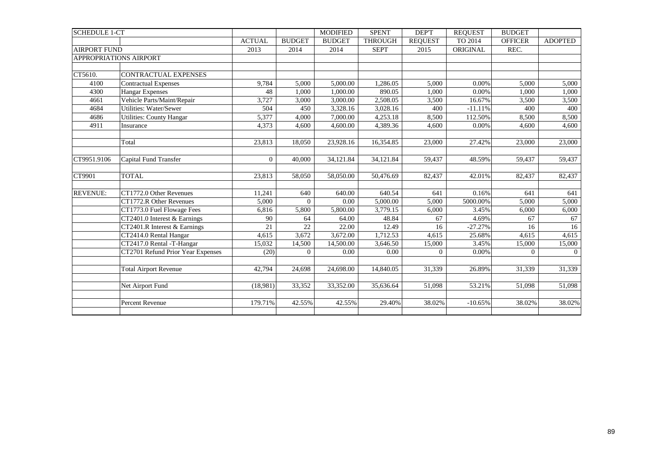| <b>SCHEDULE 1-CT</b> |                                   |                |               | <b>MODIFIED</b> | <b>SPENT</b>   | DEP'T          | <b>REOUEST</b> | <b>BUDGET</b>  |                |
|----------------------|-----------------------------------|----------------|---------------|-----------------|----------------|----------------|----------------|----------------|----------------|
|                      |                                   | <b>ACTUAL</b>  | <b>BUDGET</b> | <b>BUDGET</b>   | <b>THROUGH</b> | <b>REOUEST</b> | TO 2014        | <b>OFFICER</b> | <b>ADOPTED</b> |
| <b>AIRPORT FUND</b>  |                                   | 2013           | 2014          | 2014            | <b>SEPT</b>    | 2015           | ORIGINAL       | REC.           |                |
|                      | APPROPRIATIONS AIRPORT            |                |               |                 |                |                |                |                |                |
|                      |                                   |                |               |                 |                |                |                |                |                |
| CT5610.              | <b>CONTRACTUAL EXPENSES</b>       |                |               |                 |                |                |                |                |                |
| 4100                 | <b>Contractual Expenses</b>       | 9,784          | 5,000         | 5,000.00        | 1,286.05       | 5,000          | 0.00%          | 5,000          | 5,000          |
| 4300                 | <b>Hangar Expenses</b>            | 48             | 1,000         | 1,000.00        | 890.05         | 1,000          | 0.00%          | 1,000          | 1,000          |
| 4661                 | Vehicle Parts/Maint/Repair        | 3,727          | 3,000         | 3,000.00        | 2,508.05       | 3,500          | 16.67%         | 3,500          | 3,500          |
| 4684                 | Utilities: Water/Sewer            | 504            | 450           | 3,328.16        | 3,028.16       | 400            | $-11.11%$      | 400            | 400            |
| 4686                 | <b>Utilities: County Hangar</b>   | 5,377          | 4,000         | 7,000.00        | 4,253.18       | 8,500          | 112.50%        | 8,500          | 8,500          |
| 4911                 | Insurance                         | 4,373          | 4,600         | 4,600.00        | 4,389.36       | 4,600          | 0.00%          | 4,600          | 4,600          |
|                      |                                   |                |               |                 |                |                |                |                |                |
|                      | Total                             | 23,813         | 18,050        | 23,928.16       | 16,354.85      | 23,000         | 27.42%         | 23,000         | 23,000         |
|                      |                                   |                |               |                 |                |                |                |                |                |
| CT9951.9106          | Capital Fund Transfer             | $\overline{0}$ | 40,000        | 34,121.84       | 34,121.84      | 59,437         | 48.59%         | 59,437         | 59,437         |
|                      |                                   |                |               |                 |                |                |                |                |                |
| CT9901               | <b>TOTAL</b>                      | 23,813         | 58,050        | 58,050.00       | 50,476.69      | 82,437         | 42.01%         | 82,437         | 82,437         |
|                      |                                   |                |               |                 |                |                |                |                |                |
| <b>REVENUE:</b>      | CT1772.0 Other Revenues           | 11,241         | 640           | 640.00          | 640.54         | 641            | 0.16%          | 641            | 641            |
|                      | CT1772.R Other Revenues           | 5,000          | $\Omega$      | 0.00            | 5,000.00       | 5,000          | 5000.00%       | 5,000          | 5,000          |
|                      | CT1773.0 Fuel Flowage Fees        | 6,816          | 5,800         | 5,800.00        | 3,779.15       | 6,000          | 3.45%          | 6,000          | 6,000          |
|                      | CT2401.0 Interest & Earnings      | 90             | 64            | 64.00           | 48.84          | 67             | 4.69%          | 67             | 67             |
|                      | CT2401.R Interest & Earnings      | 21             | 22            | 22.00           | 12.49          | 16             | $-27.27%$      | 16             | 16             |
|                      | CT2414.0 Rental Hangar            | 4,615          | 3,672         | 3,672.00        | 1,712.53       | 4,615          | 25.68%         | 4,615          | 4,615          |
|                      | CT2417.0 Rental -T-Hangar         | 15,032         | 14,500        | 14,500.00       | 3,646.50       | 15,000         | 3.45%          | 15,000         | 15,000         |
|                      | CT2701 Refund Prior Year Expenses | (20)           | $\Omega$      | 0.00            | 0.00           | $\overline{0}$ | 0.00%          | $\Omega$       | $\Omega$       |
|                      |                                   |                |               |                 |                |                |                |                |                |
|                      | <b>Total Airport Revenue</b>      | 42,794         | 24,698        | 24,698.00       | 14,840.05      | 31,339         | 26.89%         | 31,339         | 31,339         |
|                      |                                   |                |               |                 |                |                |                |                |                |
|                      | Net Airport Fund                  | (18,981)       | 33,352        | 33,352.00       | 35,636.64      | 51,098         | 53.21%         | 51,098         | 51,098         |
|                      |                                   |                |               |                 |                |                |                |                |                |
|                      | Percent Revenue                   | 179.71%        | 42.55%        | 42.55%          | 29.40%         | 38.02%         | $-10.65%$      | 38.02%         | 38.02%         |
|                      |                                   |                |               |                 |                |                |                |                |                |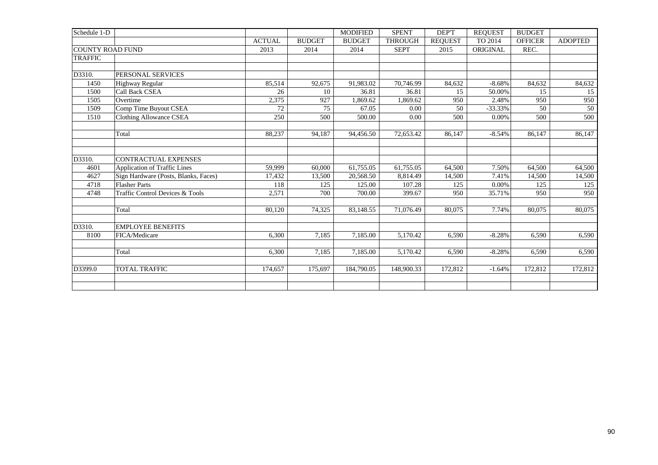| Schedule 1-D            |                                            |               |               | <b>MODIFIED</b> | <b>SPENT</b>   | DEP'T          | <b>REQUEST</b> | <b>BUDGET</b>  |                |
|-------------------------|--------------------------------------------|---------------|---------------|-----------------|----------------|----------------|----------------|----------------|----------------|
|                         |                                            | <b>ACTUAL</b> | <b>BUDGET</b> | <b>BUDGET</b>   | <b>THROUGH</b> | <b>REOUEST</b> | TO 2014        | <b>OFFICER</b> | <b>ADOPTED</b> |
| <b>COUNTY ROAD FUND</b> |                                            | 2013          | 2014          | 2014            | <b>SEPT</b>    | 2015           | ORIGINAL       | REC.           |                |
| <b>TRAFFIC</b>          |                                            |               |               |                 |                |                |                |                |                |
|                         |                                            |               |               |                 |                |                |                |                |                |
| D3310.                  | PERSONAL SERVICES                          |               |               |                 |                |                |                |                |                |
| 1450                    | <b>Highway Regular</b>                     | 85,514        | 92,675        | 91,983.02       | 70,746.99      | 84,632         | $-8.68%$       | 84,632         | 84,632         |
| 1500                    | Call Back CSEA                             | 26            | 10            | 36.81           | 36.81          | 15             | 50.00%         | 15             | 15             |
| 1505                    | Overtime                                   | 2,375         | 927           | 1.869.62        | 1.869.62       | 950            | 2.48%          | 950            | 950            |
| 1509                    | Comp Time Buyout CSEA                      | 72            | 75            | 67.05           | 0.00           | 50             | $-33.33%$      | 50             | 50             |
| 1510                    | <b>Clothing Allowance CSEA</b>             | 250           | 500           | 500.00          | 0.00           | 500            | 0.00%          | 500            | 500            |
|                         |                                            |               |               |                 |                |                |                |                |                |
|                         | Total                                      | 88,237        | 94,187        | 94,456.50       | 72,653.42      | 86,147         | $-8.54%$       | 86,147         | 86,147         |
|                         |                                            |               |               |                 |                |                |                |                |                |
|                         |                                            |               |               |                 |                |                |                |                |                |
| D3310.                  | <b>CONTRACTUAL EXPENSES</b>                |               |               |                 |                |                |                |                |                |
| 4601                    | <b>Application of Traffic Lines</b>        | 59.999        | 60,000        | 61,755.05       | 61,755.05      | 64,500         | 7.50%          | 64,500         | 64,500         |
| 4627                    | Sign Hardware (Posts, Blanks, Faces)       | 17,432        | 13,500        | 20.568.50       | 8.814.49       | 14,500         | 7.41%          | 14,500         | 14,500         |
| 4718                    | <b>Flasher Parts</b>                       | 118           | 125           | 125.00          | 107.28         | 125            | 0.00%          | 125            | 125            |
| 4748                    | <b>Traffic Control Devices &amp; Tools</b> | 2,571         | 700           | 700.00          | 399.67         | 950            | 35.71%         | 950            | 950            |
|                         |                                            |               |               |                 |                |                |                |                |                |
|                         | Total                                      | 80,120        | 74,325        | 83,148.55       | 71,076.49      | 80,075         | 7.74%          | 80,075         | 80,075         |
|                         |                                            |               |               |                 |                |                |                |                |                |
| D3310.                  | <b>EMPLOYEE BENEFITS</b>                   |               |               |                 |                |                |                |                |                |
| 8100                    | FICA/Medicare                              | 6,300         | 7,185         | 7,185.00        | 5,170.42       | 6,590          | $-8.28%$       | 6,590          | 6,590          |
|                         |                                            |               |               |                 |                |                |                |                |                |
|                         | Total                                      | 6,300         | 7,185         | 7,185.00        | 5,170.42       | 6,590          | $-8.28%$       | 6,590          | 6,590          |
|                         |                                            |               |               |                 |                |                |                |                |                |
| D3399.0                 | <b>TOTAL TRAFFIC</b>                       | 174,657       | 175,697       | 184,790.05      | 148,900.33     | 172,812        | $-1.64%$       | 172,812        | 172,812        |
|                         |                                            |               |               |                 |                |                |                |                |                |
|                         |                                            |               |               |                 |                |                |                |                |                |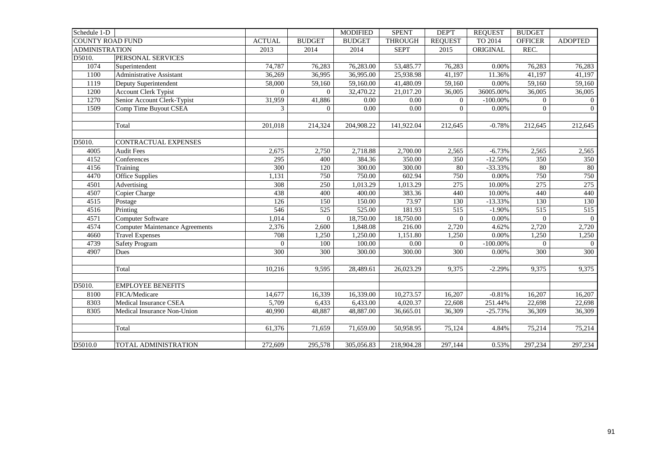| Schedule 1-D          |                                        |                  |               | <b>MODIFIED</b> | <b>SPENT</b>   | DEP'T          | <b>REQUEST</b> | <b>BUDGET</b>  |                |
|-----------------------|----------------------------------------|------------------|---------------|-----------------|----------------|----------------|----------------|----------------|----------------|
|                       | <b>COUNTY ROAD FUND</b>                | <b>ACTUAL</b>    | <b>BUDGET</b> | <b>BUDGET</b>   | <b>THROUGH</b> | <b>REQUEST</b> | TO 2014        | <b>OFFICER</b> | <b>ADOPTED</b> |
| <b>ADMINISTRATION</b> |                                        | 2013             | 2014          | 2014            | <b>SEPT</b>    | 2015           | ORIGINAL       | REC.           |                |
| D5010.                | PERSONAL SERVICES                      |                  |               |                 |                |                |                |                |                |
| 1074                  | Superintendent                         | 74,787           | 76,283        | 76,283.00       | 53,485.77      | 76,283         | 0.00%          | 76,283         | 76,283         |
| 1100                  | Administrative Assistant               | 36,269           | 36,995        | 36,995.00       | 25,938.98      | 41,197         | 11.36%         | 41,197         | 41,197         |
| 1119                  | Deputy Superintendent                  | 58,000           | 59,160        | 59,160.00       | 41,480.09      | 59,160         | 0.00%          | 59,160         | 59,160         |
| 1200                  | <b>Account Clerk Typist</b>            | $\overline{0}$   | $\Omega$      | 32,470.22       | 21,017.20      | 36,005         | 36005.00%      | 36,005         | 36,005         |
| 1270                  | Senior Account Clerk-Typist            | 31,959           | 41,886        | 0.00            | 0.00           | $\overline{0}$ | $-100.00\%$    | $\overline{0}$ | $\overline{0}$ |
| 1509                  | Comp Time Buyout CSEA                  | 3                | $\Omega$      | 0.00            | 0.00           | $\Omega$       | 0.00%          | $\Omega$       | $\overline{0}$ |
|                       | Total                                  | 201,018          | 214,324       | 204,908.22      | 141,922.04     | 212,645        | $-0.78%$       | 212,645        | 212,645        |
| D5010.                | CONTRACTUAL EXPENSES                   |                  |               |                 |                |                |                |                |                |
| 4005                  | <b>Audit Fees</b>                      | 2,675            | 2,750         | 2,718.88        | 2,700.00       | 2,565          | $-6.73%$       | 2,565          | 2,565          |
| 4152                  | Conferences                            | $\overline{295}$ | 400           | 384.36          | 350.00         | 350            | $-12.50%$      | 350            | 350            |
| 4156                  | Training                               | 300              | 120           | 300.00          | 300.00         | 80             | $-33.33%$      | 80             | 80             |
| 4470                  | Office Supplies                        | 1,131            | 750           | 750.00          | 602.94         | 750            | 0.00%          | 750            | 750            |
| 4501                  | Advertising                            | 308              | 250           | 1,013.29        | 1,013.29       | 275            | 10.00%         | 275            | 275            |
| 4507                  | Copier Charge                          | 438              | 400           | 400.00          | 383.36         | 440            | 10.00%         | 440            | 440            |
| 4515                  | Postage                                | 126              | 150           | 150.00          | 73.97          | 130            | $-13.33%$      | 130            | 130            |
| 4516                  | Printing                               | 546              | 525           | 525.00          | 181.93         | 515            | $-1.90%$       | 515            | 515            |
| 4571                  | Computer Software                      | 1,014            | $\Omega$      | 18,750.00       | 18,750.00      | $\Omega$       | 0.00%          | $\Omega$       | $\theta$       |
| 4574                  | <b>Computer Maintenance Agreements</b> | 2,376            | 2,600         | 1,848.08        | 216.00         | 2,720          | 4.62%          | 2,720          | 2,720          |
| 4660                  | <b>Travel Expenses</b>                 | 708              | 1,250         | 1,250.00        | 1,151.80       | 1,250          | 0.00%          | 1,250          | 1,250          |
| 4739                  | <b>Safety Program</b>                  | $\overline{0}$   | 100           | 100.00          | 0.00           | $\overline{0}$ | $-100.00\%$    | $\overline{0}$ | $\overline{0}$ |
| 4907                  | Dues                                   | 300              | 300           | 300.00          | 300.00         | 300            | 0.00%          | 300            | 300            |
|                       | Total                                  | 10,216           | 9,595         | 28,489.61       | 26,023.29      | 9,375          | $-2.29%$       | 9,375          | 9,375          |
| D5010.                | <b>EMPLOYEE BENEFITS</b>               |                  |               |                 |                |                |                |                |                |
| 8100                  | FICA/Medicare                          | 14,677           | 16,339        | 16,339.00       | 10,273.57      | 16,207         | $-0.81%$       | 16,207         | 16,207         |
| 8303                  | Medical Insurance CSEA                 | 5,709            | 6,433         | 6,433.00        | 4,020.37       | 22,608         | 251.44%        | 22,698         | 22,698         |
| 8305                  | Medical Insurance Non-Union            | 40,990           | 48,887        | 48,887.00       | 36,665.01      | 36,309         | $-25.73%$      | 36,309         | 36,309         |
|                       | Total                                  | 61,376           | 71,659        | 71,659.00       | 50,958.95      | 75,124         | 4.84%          | 75,214         | 75,214         |
| D5010.0               | TOTAL ADMINISTRATION                   | 272,609          | 295,578       | 305,056.83      | 218,904.28     | 297,144        | 0.53%          | 297,234        | 297,234        |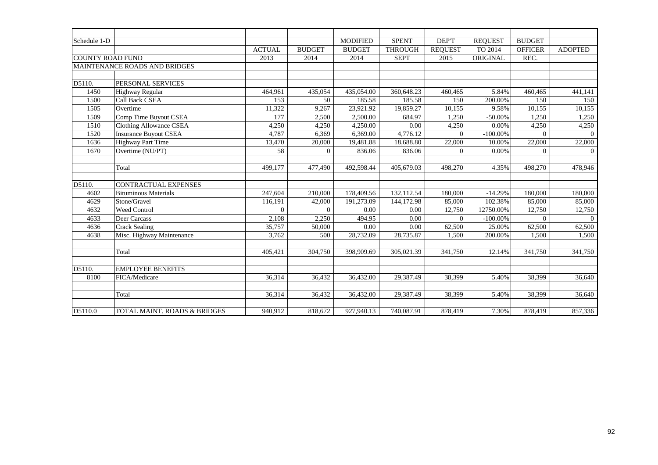| Schedule 1-D            |                                      |               |                | <b>MODIFIED</b> | <b>SPENT</b>   | DEP'T          | <b>REQUEST</b> | <b>BUDGET</b>  |                |
|-------------------------|--------------------------------------|---------------|----------------|-----------------|----------------|----------------|----------------|----------------|----------------|
|                         |                                      | <b>ACTUAL</b> | <b>BUDGET</b>  | <b>BUDGET</b>   | <b>THROUGH</b> | <b>REQUEST</b> | TO 2014        | <b>OFFICER</b> | <b>ADOPTED</b> |
| <b>COUNTY ROAD FUND</b> |                                      | 2013          | 2014           | 2014            | <b>SEPT</b>    | 2015           | ORIGINAL       | REC.           |                |
|                         | <b>MAINTENANCE ROADS AND BRIDGES</b> |               |                |                 |                |                |                |                |                |
|                         |                                      |               |                |                 |                |                |                |                |                |
| D5110.                  | PERSONAL SERVICES                    |               |                |                 |                |                |                |                |                |
| 1450                    | Highway Regular                      | 464,961       | 435,054        | 435,054.00      | 360,648.23     | 460,465        | 5.84%          | 460,465        | 441,141        |
| 1500                    | Call Back CSEA                       | 153           | 50             | 185.58          | 185.58         | 150            | 200.00%        | 150            | 150            |
| 1505                    | Overtime                             | 11,322        | 9,267          | 23,921.92       | 19,859.27      | 10,155         | 9.58%          | 10,155         | 10,155         |
| 1509                    | Comp Time Buyout CSEA                | 177           | 2,500          | 2,500.00        | 684.97         | 1,250          | $-50.00%$      | 1,250          | 1,250          |
| 1510                    | <b>Clothing Allowance CSEA</b>       | 4,250         | 4,250          | 4,250.00        | 0.00           | 4,250          | 0.00%          | 4,250          | 4,250          |
| 1520                    | <b>Insurance Buyout CSEA</b>         | 4,787         | 6,369          | 6,369.00        | 4,776.12       | $\Omega$       | $-100.00\%$    | $\Omega$       | $\Omega$       |
| 1636                    | <b>Highway Part Time</b>             | 13,470        | 20,000         | 19,481.88       | 18,688.80      | 22,000         | 10.00%         | 22,000         | 22,000         |
| 1670                    | Overtime (NU/PT)                     | 58            | $\overline{0}$ | 836.06          | 836.06         | $\overline{0}$ | 0.00%          | $\overline{0}$ | $\overline{0}$ |
|                         |                                      |               |                |                 |                |                |                |                |                |
|                         | Total                                | 499,177       | 477,490        | 492,598.44      | 405,679.03     | 498,270        | 4.35%          | 498,270        | 478,946        |
|                         |                                      |               |                |                 |                |                |                |                |                |
| D5110.                  | CONTRACTUAL EXPENSES                 |               |                |                 |                |                |                |                |                |
| 4602                    | <b>Bituminous Materials</b>          | 247,604       | 210,000        | 178,409.56      | 132,112.54     | 180,000        | $-14.29%$      | 180,000        | 180,000        |
| 4629                    | Stone/Gravel                         | 116,191       | 42,000         | 191,273.09      | 144,172.98     | 85,000         | 102.38%        | 85,000         | 85,000         |
| 4632                    | Weed Control                         | $\Omega$      | $\Omega$       | 0.00            | 0.00           | 12,750         | 12750.00%      | 12,750         | 12,750         |
| 4633                    | Deer Carcass                         | 2,108         | 2,250          | 494.95          | 0.00           | $\Omega$       | $-100.00\%$    | $\Omega$       | $\Omega$       |
| 4636                    | <b>Crack Sealing</b>                 | 35,757        | 50,000         | 0.00            | 0.00           | 62,500         | 25.00%         | 62,500         | 62,500         |
| 4638                    | Misc. Highway Maintenance            | 3,762         | 500            | 28,732.09       | 28,735.87      | 1,500          | 200.00%        | 1,500          | 1,500          |
|                         |                                      |               |                |                 |                |                |                |                |                |
|                         | Total                                | 405,421       | 304,750        | 398,909.69      | 305,021.39     | 341,750        | 12.14%         | 341,750        | 341,750        |
|                         |                                      |               |                |                 |                |                |                |                |                |
| D5110.                  | <b>EMPLOYEE BENEFITS</b>             |               |                |                 |                |                |                |                |                |
| 8100                    | FICA/Medicare                        | 36,314        | 36,432         | 36,432.00       | 29,387.49      | 38,399         | 5.40%          | 38,399         | 36,640         |
|                         |                                      |               |                |                 |                |                |                |                |                |
|                         | Total                                | 36,314        | 36,432         | 36,432.00       | 29,387.49      | 38,399         | 5.40%          | 38,399         | 36,640         |
|                         |                                      |               |                |                 |                |                |                |                |                |
| D5110.0                 | TOTAL MAINT. ROADS & BRIDGES         | 940,912       | 818,672        | 927,940.13      | 740,087.91     | 878,419        | 7.30%          | 878,419        | 857,336        |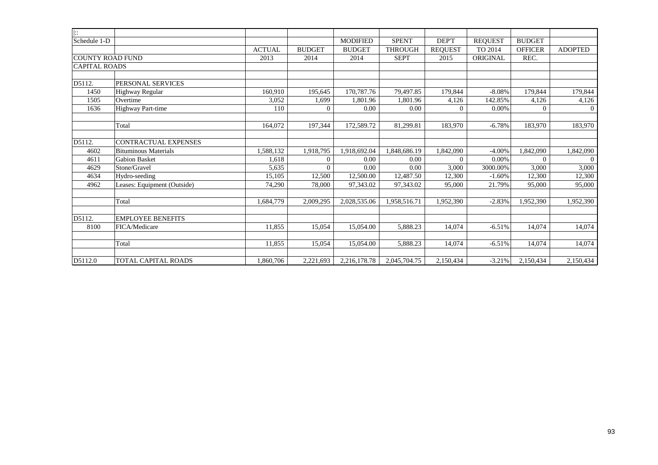| $\overline{\mathbb{R}}$ |                             |               |               |                 |                |                |                |                |                |
|-------------------------|-----------------------------|---------------|---------------|-----------------|----------------|----------------|----------------|----------------|----------------|
| Schedule 1-D            |                             |               |               | <b>MODIFIED</b> | <b>SPENT</b>   | DEP'T          | <b>REQUEST</b> | <b>BUDGET</b>  |                |
|                         |                             | <b>ACTUAL</b> | <b>BUDGET</b> | <b>BUDGET</b>   | <b>THROUGH</b> | <b>REQUEST</b> | TO 2014        | <b>OFFICER</b> | <b>ADOPTED</b> |
| <b>COUNTY ROAD FUND</b> |                             | 2013          | 2014          | 2014            | <b>SEPT</b>    | 2015           | ORIGINAL       | REC.           |                |
| <b>CAPITAL ROADS</b>    |                             |               |               |                 |                |                |                |                |                |
|                         |                             |               |               |                 |                |                |                |                |                |
| D5112.                  | PERSONAL SERVICES           |               |               |                 |                |                |                |                |                |
| 1450                    | Highway Regular             | 160.910       | 195.645       | 170,787.76      | 79.497.85      | 179,844        | $-8.08%$       | 179.844        | 179.844        |
| 1505                    | Overtime                    | 3,052         | 1,699         | 1,801.96        | 1,801.96       | 4,126          | 142.85%        | 4,126          | 4,126          |
| 1636                    | Highway Part-time           | 110           | $\Omega$      | 0.00            | 0.00           | $\Omega$       | 0.00%          | $\overline{0}$ | $\overline{0}$ |
|                         |                             |               |               |                 |                |                |                |                |                |
|                         | Total                       | 164,072       | 197,344       | 172,589.72      | 81,299.81      | 183,970        | $-6.78%$       | 183,970        | 183,970        |
|                         |                             |               |               |                 |                |                |                |                |                |
| D5112.                  | CONTRACTUAL EXPENSES        |               |               |                 |                |                |                |                |                |
| 4602                    | <b>Bituminous Materials</b> | 1,588,132     | 1,918,795     | 1,918,692.04    | 1,848,686.19   | 1,842,090      | $-4.00%$       | 1,842,090      | 1,842,090      |
| 4611                    | <b>Gabion Basket</b>        | 1,618         | $\Omega$      | 0.00            | 0.00           | $\Omega$       | 0.00%          | $\Omega$       | $\Omega$       |
| 4629                    | Stone/Gravel                | 5,635         | $\Omega$      | 0.00            | 0.00           | 3,000          | 3000.00%       | 3,000          | 3,000          |
| 4634                    | Hydro-seeding               | 15,105        | 12,500        | 12,500.00       | 12,487.50      | 12,300         | $-1.60%$       | 12,300         | 12,300         |
| 4962                    | Leases: Equipment (Outside) | 74,290        | 78,000        | 97,343.02       | 97,343.02      | 95,000         | 21.79%         | 95,000         | 95,000         |
|                         |                             |               |               |                 |                |                |                |                |                |
|                         | Total                       | 1,684,779     | 2,009,295     | 2,028,535.06    | 1,958,516.71   | 1,952,390      | $-2.83%$       | 1,952,390      | 1,952,390      |
|                         |                             |               |               |                 |                |                |                |                |                |
| D5112.                  | <b>EMPLOYEE BENEFITS</b>    |               |               |                 |                |                |                |                |                |
| 8100                    | FICA/Medicare               | 11,855        | 15,054        | 15,054.00       | 5,888.23       | 14,074         | $-6.51%$       | 14,074         | 14,074         |
|                         |                             |               |               |                 |                |                |                |                |                |
|                         | Total                       | 11,855        | 15,054        | 15,054.00       | 5,888.23       | 14,074         | $-6.51%$       | 14,074         | 14,074         |
|                         |                             |               |               |                 |                |                |                |                |                |
| D5112.0                 | <b>TOTAL CAPITAL ROADS</b>  | 1.860.706     | 2,221,693     | 2,216,178.78    | 2.045.704.75   | 2,150,434      | $-3.21%$       | 2,150,434      | 2,150,434      |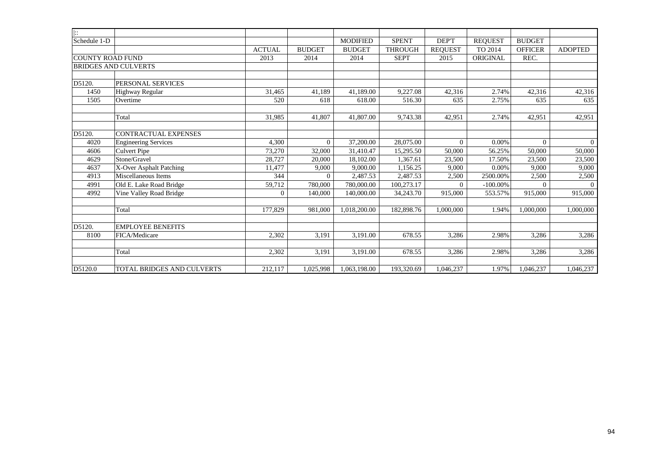| $\left  \cdot \right $  |                             |               |                |                 |                |                |                |                |                |
|-------------------------|-----------------------------|---------------|----------------|-----------------|----------------|----------------|----------------|----------------|----------------|
| Schedule 1-D            |                             |               |                | <b>MODIFIED</b> | <b>SPENT</b>   | DEP'T          | <b>REOUEST</b> | <b>BUDGET</b>  |                |
|                         |                             | <b>ACTUAL</b> | <b>BUDGET</b>  | <b>BUDGET</b>   | <b>THROUGH</b> | <b>REQUEST</b> | TO 2014        | <b>OFFICER</b> | <b>ADOPTED</b> |
| <b>COUNTY ROAD FUND</b> |                             | 2013          | 2014           | 2014            | <b>SEPT</b>    | 2015           | ORIGINAL       | REC.           |                |
|                         | <b>BRIDGES AND CULVERTS</b> |               |                |                 |                |                |                |                |                |
|                         |                             |               |                |                 |                |                |                |                |                |
| D5120.                  | PERSONAL SERVICES           |               |                |                 |                |                |                |                |                |
| 1450                    | Highway Regular             | 31,465        | 41,189         | 41,189.00       | 9,227.08       | 42,316         | 2.74%          | 42,316         | 42,316         |
| 1505                    | Overtime                    | 520           | 618            | 618.00          | 516.30         | 635            | 2.75%          | 635            | 635            |
|                         |                             |               |                |                 |                |                |                |                |                |
|                         | Total                       | 31,985        | 41,807         | 41,807.00       | 9,743.38       | 42,951         | 2.74%          | 42,951         | 42,951         |
|                         |                             |               |                |                 |                |                |                |                |                |
| D5120.                  | <b>CONTRACTUAL EXPENSES</b> |               |                |                 |                |                |                |                |                |
| 4020                    | <b>Engineering Services</b> | 4,300         | $\overline{0}$ | 37,200.00       | 28,075.00      | $\overline{0}$ | 0.00%          | $\Omega$       | $\Omega$       |
| 4606                    | <b>Culvert Pipe</b>         | 73,270        | 32,000         | 31,410.47       | 15,295.50      | 50,000         | 56.25%         | 50,000         | 50,000         |
| 4629                    | Stone/Gravel                | 28,727        | 20,000         | 18,102.00       | 1.367.61       | 23,500         | 17.50%         | 23,500         | 23,500         |
| 4637                    | X-Over Asphalt Patching     | 11,477        | 9,000          | 9,000.00        | 1,156.25       | 9,000          | 0.00%          | 9.000          | 9,000          |
| 4913                    | Miscellaneous Items         | 344           | $\Omega$       | 2,487.53        | 2,487.53       | 2,500          | 2500.00%       | 2,500          | 2,500          |
| 4991                    | Old E. Lake Road Bridge     | 59,712        | 780,000        | 780,000.00      | 100,273.17     | $\Omega$       | $-100.00\%$    | $\Omega$       |                |
| 4992                    | Vine Valley Road Bridge     | $\Omega$      | 140,000        | 140,000.00      | 34,243.70      | 915,000        | 553.57%        | 915,000        | 915,000        |
|                         |                             |               |                |                 |                |                |                |                |                |
|                         | Total                       | 177,829       | 981,000        | 1,018,200.00    | 182,898.76     | 1,000,000      | 1.94%          | 1.000.000      | 1,000,000      |
| D5120.                  | <b>EMPLOYEE BENEFITS</b>    |               |                |                 |                |                |                |                |                |
| 8100                    | FICA/Medicare               | 2,302         | 3,191          | 3,191.00        | 678.55         | 3,286          | 2.98%          | 3,286          | 3,286          |
|                         |                             |               |                |                 |                |                |                |                |                |
|                         | Total                       | 2,302         | 3,191          | 3,191.00        | 678.55         | 3,286          | 2.98%          | 3,286          | 3,286          |
|                         |                             |               |                |                 |                |                |                |                |                |
| D5120.0                 | TOTAL BRIDGES AND CULVERTS  | 212,117       | 1,025,998      | 1,063,198.00    | 193,320.69     | 1,046,237      | 1.97%          | 1,046,237      | 1,046,237      |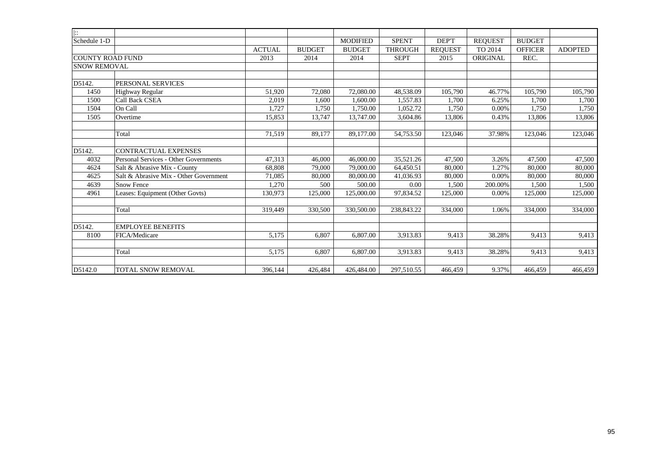| $\left  \cdot \right $  |                                        |               |               |                 |                |                |                |                |                |
|-------------------------|----------------------------------------|---------------|---------------|-----------------|----------------|----------------|----------------|----------------|----------------|
| Schedule 1-D            |                                        |               |               | <b>MODIFIED</b> | <b>SPENT</b>   | DEP'T          | <b>REQUEST</b> | <b>BUDGET</b>  |                |
|                         |                                        | <b>ACTUAL</b> | <b>BUDGET</b> | <b>BUDGET</b>   | <b>THROUGH</b> | <b>REQUEST</b> | TO 2014        | <b>OFFICER</b> | <b>ADOPTED</b> |
| <b>COUNTY ROAD FUND</b> |                                        | 2013          | 2014          | 2014            | <b>SEPT</b>    | 2015           | ORIGINAL       | REC.           |                |
| <b>SNOW REMOVAL</b>     |                                        |               |               |                 |                |                |                |                |                |
|                         |                                        |               |               |                 |                |                |                |                |                |
| D5142.                  | PERSONAL SERVICES                      |               |               |                 |                |                |                |                |                |
| 1450                    | <b>Highway Regular</b>                 | 51,920        | 72,080        | 72,080.00       | 48,538.09      | 105,790        | 46.77%         | 105,790        | 105,790        |
| 1500                    | <b>Call Back CSEA</b>                  | 2,019         | 1.600         | 1,600.00        | 1.557.83       | 1.700          | 6.25%          | 1.700          | 1,700          |
| 1504                    | On Call                                | 1.727         | 1.750         | 1,750.00        | 1,052.72       | 1,750          | 0.00%          | 1,750          | 1,750          |
| 1505                    | Overtime                               | 15,853        | 13,747        | 13,747.00       | 3.604.86       | 13,806         | 0.43%          | 13,806         | 13,806         |
|                         |                                        |               |               |                 |                |                |                |                |                |
|                         | Total                                  | 71,519        | 89,177        | 89,177.00       | 54,753.50      | 123,046        | 37.98%         | 123,046        | 123,046        |
|                         |                                        |               |               |                 |                |                |                |                |                |
| D5142.                  | <b>CONTRACTUAL EXPENSES</b>            |               |               |                 |                |                |                |                |                |
| 4032                    | Personal Services - Other Governments  | 47,313        | 46,000        | 46,000.00       | 35,521.26      | 47,500         | 3.26%          | 47,500         | 47,500         |
| 4624                    | Salt & Abrasive Mix - County           | 68,808        | 79,000        | 79,000.00       | 64,450.51      | 80,000         | 1.27%          | 80,000         | 80,000         |
| 4625                    | Salt & Abrasive Mix - Other Government | 71,085        | 80,000        | 80,000.00       | 41,036.93      | 80,000         | 0.00%          | 80,000         | 80,000         |
| 4639                    | Snow Fence                             | 1,270         | 500           | 500.00          | 0.00           | 1,500          | 200.00%        | 1,500          | 1,500          |
| 4961                    | Leases: Equipment (Other Govts)        | 130.973       | 125,000       | 125,000.00      | 97,834.52      | 125,000        | 0.00%          | 125,000        | 125,000        |
|                         |                                        |               |               |                 |                |                |                |                |                |
|                         | Total                                  | 319,449       | 330,500       | 330,500.00      | 238,843.22     | 334,000        | 1.06%          | 334,000        | 334,000        |
|                         |                                        |               |               |                 |                |                |                |                |                |
| D5142.                  | <b>EMPLOYEE BENEFITS</b>               |               |               |                 |                |                |                |                |                |
| 8100                    | FICA/Medicare                          | 5,175         | 6.807         | 6,807.00        | 3,913.83       | 9,413          | 38.28%         | 9,413          | 9,413          |
|                         |                                        |               |               |                 |                |                |                |                |                |
|                         | Total                                  | 5,175         | 6,807         | 6,807.00        | 3,913.83       | 9,413          | 38.28%         | 9,413          | 9,413          |
|                         |                                        |               |               |                 |                |                |                |                |                |
| D5142.0                 | TOTAL SNOW REMOVAL                     | 396,144       | 426,484       | 426,484.00      | 297,510.55     | 466,459        | 9.37%          | 466,459        | 466,459        |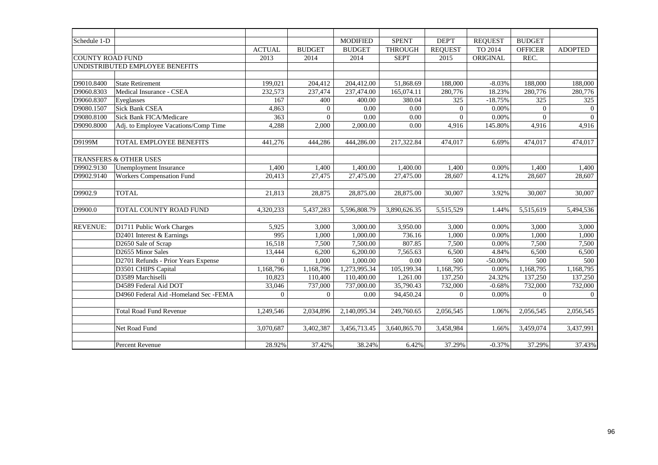| Schedule 1-D            |                                       |                |               | <b>MODIFIED</b> | <b>SPENT</b>   | DEP'T          | <b>REQUEST</b> | <b>BUDGET</b>  |                |
|-------------------------|---------------------------------------|----------------|---------------|-----------------|----------------|----------------|----------------|----------------|----------------|
|                         |                                       | <b>ACTUAL</b>  | <b>BUDGET</b> | <b>BUDGET</b>   | <b>THROUGH</b> | <b>REQUEST</b> | TO 2014        | <b>OFFICER</b> | <b>ADOPTED</b> |
| <b>COUNTY ROAD FUND</b> |                                       | 2013           | 2014          | 2014            | <b>SEPT</b>    | 2015           | ORIGINAL       | REC.           |                |
|                         | UNDISTRIBUTED EMPLOYEE BENEFITS       |                |               |                 |                |                |                |                |                |
|                         |                                       |                |               |                 |                |                |                |                |                |
| D9010.8400              | <b>State Retirement</b>               | 199,021        | 204,412       | 204,412.00      | 51,868.69      | 188,000        | $-8.03%$       | 188,000        | 188,000        |
| D9060.8303              | Medical Insurance - CSEA              | 232,573        | 237,474       | 237,474.00      | 165,074.11     | 280,776        | 18.23%         | 280,776        | 280,776        |
| D9060.8307              | Eyeglasses                            | 167            | 400           | 400.00          | 380.04         | 325            | $-18.75%$      | 325            | 325            |
| D9080.1507              | <b>Sick Bank CSEA</b>                 | 4,863          | $\mathbf{0}$  | 0.00            | 0.00           | $\overline{0}$ | 0.00%          | $\Omega$       | $\overline{0}$ |
| D9080.8100              | <b>Sick Bank FICA/Medicare</b>        | 363            | $\Omega$      | 0.00            | 0.00           | $\overline{0}$ | 0.00%          | $\Omega$       | $\mathbf{0}$   |
| D9090.8000              | Adj. to Employee Vacations/Comp Time  | 4,288          | 2,000         | 2,000.00        | 0.00           | 4,916          | 145.80%        | 4,916          | 4,916          |
|                         |                                       |                |               |                 |                |                |                |                |                |
| D9199M                  | TOTAL EMPLOYEE BENEFITS               | 441,276        | 444,286       | 444,286.00      | 217,322.84     | 474,017        | 6.69%          | 474,017        | 474,017        |
|                         |                                       |                |               |                 |                |                |                |                |                |
|                         | TRANSFERS & OTHER USES                |                |               |                 |                |                |                |                |                |
| D9902.9130              | Unemployment Insurance                | 1.400          | 1,400         | 1,400.00        | 1,400.00       | 1.400          | 0.00%          | 1.400          | 1,400          |
| D9902.9140              | <b>Workers Compensation Fund</b>      | 20,413         | 27,475        | 27,475.00       | 27,475.00      | 28,607         | 4.12%          | 28,607         | 28,607         |
|                         |                                       |                |               |                 |                |                |                |                |                |
| D9902.9                 | <b>TOTAL</b>                          | 21,813         | 28,875        | 28,875.00       | 28,875.00      | 30,007         | 3.92%          | 30,007         | 30,007         |
|                         |                                       |                |               |                 |                |                |                |                |                |
| D9900.0                 | TOTAL COUNTY ROAD FUND                | 4,320,233      | 5,437,283     | 5,596,808.79    | 3,890,626.35   | 5,515,529      | 1.44%          | 5,515,619      | 5,494,536      |
|                         |                                       |                |               |                 |                |                |                |                |                |
| <b>REVENUE:</b>         | D1711 Public Work Charges             | 5,925          | 3,000         | 3,000.00        | 3,950.00       | 3,000          | 0.00%          | 3,000          | 3,000          |
|                         | D2401 Interest & Earnings             | 995            | 1,000         | 1,000.00        | 736.16         | 1,000          | 0.00%          | 1,000          | 1,000          |
|                         | D2650 Sale of Scrap                   | 16,518         | 7,500         | 7,500.00        | 807.85         | 7,500          | 0.00%          | 7,500          | 7,500          |
|                         | D2655 Minor Sales                     | 13,444         | 6,200         | 6,200.00        | 7,565.63       | 6,500          | 4.84%          | 6,500          | 6,500          |
|                         | D2701 Refunds - Prior Years Expense   | $\overline{0}$ | 1,000         | 1,000.00        | 0.00           | 500            | $-50.00%$      | 500            | 500            |
|                         | D3501 CHIPS Capital                   | 1,168,796      | 1,168,796     | 1,273,995.34    | 105,199.34     | 1,168,795      | 0.00%          | 1,168,795      | 1,168,795      |
|                         | D3589 Marchiselli                     | 10,823         | 110,400       | 110,400.00      | 1,261.00       | 137,250        | 24.32%         | 137,250        | 137,250        |
|                         | D4589 Federal Aid DOT                 | 33,046         | 737,000       | 737,000.00      | 35,790.43      | 732,000        | $-0.68%$       | 732,000        | 732,000        |
|                         | D4960 Federal Aid -Homeland Sec -FEMA | $\overline{0}$ | $\mathbf{0}$  | 0.00            | 94,450.24      | $\overline{0}$ | 0.00%          | $\overline{0}$ | $\overline{0}$ |
|                         |                                       |                |               |                 |                |                |                |                |                |
|                         | <b>Total Road Fund Revenue</b>        | 1,249,546      | 2,034,896     | 2,140,095.34    | 249,760.65     | 2,056,545      | 1.06%          | 2,056,545      | 2,056,545      |
|                         |                                       |                |               |                 |                |                |                |                |                |
|                         | Net Road Fund                         | 3,070,687      | 3,402,387     | 3,456,713.45    | 3,640,865.70   | 3,458,984      | 1.66%          | 3,459,074      | 3,437,991      |
|                         |                                       |                |               |                 |                |                |                |                |                |
|                         | Percent Revenue                       | 28.92%         | 37.42%        | 38.24%          | 6.42%          | 37.29%         | $-0.37%$       | 37.29%         | 37.43%         |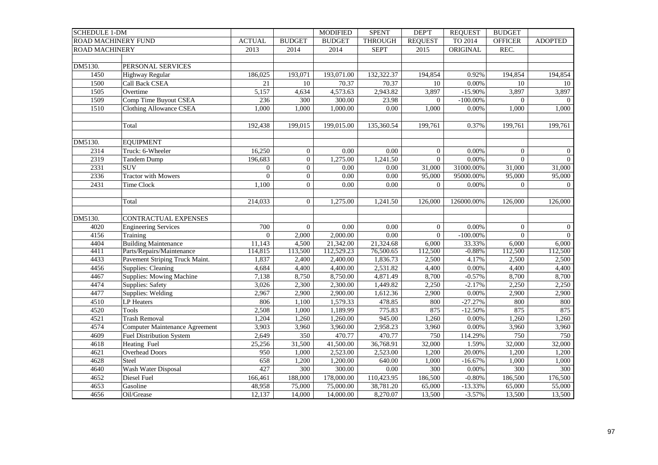| <b>SCHEDULE 1-DM</b>       |                                       |                 |                  | <b>MODIFIED</b>   | <b>SPENT</b>          | <b>DEPT</b>    | <b>REQUEST</b>      | <b>BUDGET</b>  |                  |
|----------------------------|---------------------------------------|-----------------|------------------|-------------------|-----------------------|----------------|---------------------|----------------|------------------|
| <b>ROAD MACHINERY FUND</b> |                                       | <b>ACTUAL</b>   | <b>BUDGET</b>    | <b>BUDGET</b>     | <b>THROUGH</b>        | <b>REQUEST</b> | TO 2014             | <b>OFFICER</b> | <b>ADOPTED</b>   |
| <b>ROAD MACHINERY</b>      |                                       | 2013            | 2014             | 2014              | <b>SEPT</b>           | 2015           | ORIGINAL            | REC.           |                  |
|                            |                                       |                 |                  |                   |                       |                |                     |                |                  |
| DM5130.                    | PERSONAL SERVICES                     |                 |                  |                   |                       |                |                     |                |                  |
| 1450                       | Highway Regular                       | 186,025         | 193,071          | 193,071.00        | 132,322.37            | 194,854        | 0.92%               | 194,854        | 194,854          |
| 1500                       | <b>Call Back CSEA</b>                 | $\overline{21}$ | 10               | 70.37             | 70.37                 | 10             | 0.00%               | 10             | 10               |
| 1505                       | Overtime                              | 5,157           | 4,634            | 4,573.63          | 2,943.82              | 3,897          | $-15.90%$           | 3,897          | 3,897            |
| 1509                       | Comp Time Buyout CSEA                 | 236             | 300              | 300.00            | 23.98                 | $\overline{0}$ | $-100.00\%$         | $\Omega$       | $\overline{0}$   |
| 1510                       | Clothing Allowance CSEA               | 1,000           | 1,000            | 1,000.00          | 0.00                  | 1,000          | 0.00%               | 1,000          | 1,000            |
|                            |                                       |                 |                  |                   |                       |                |                     |                |                  |
|                            | Total                                 | 192,438         | 199,015          | 199,015.00        | 135,360.54            | 199,761        | 0.37%               | 199,761        | 199,761          |
|                            |                                       |                 |                  |                   |                       |                |                     |                |                  |
| DM5130.                    | <b>EQUIPMENT</b>                      |                 |                  |                   |                       |                |                     |                |                  |
| 2314                       | Truck: 6-Wheeler                      | 16,250          | $\overline{0}$   | 0.00              | 0.00                  | $\overline{0}$ | 0.00%               | $\Omega$       | $\boldsymbol{0}$ |
| 2319                       | <b>Tandem Dump</b>                    | 196,683         | $\overline{0}$   | 1,275.00          | 1,241.50              | $\Omega$       | 0.00%               | $\Omega$       | $\overline{0}$   |
| 2331                       | <b>SUV</b>                            | $\overline{0}$  | $\overline{0}$   | 0.00              | 0.00                  | 31,000         | 31000.00%           | 31,000         | 31,000           |
| 2336                       | <b>Tractor with Mowers</b>            | $\Omega$        | $\boldsymbol{0}$ | $\overline{0.00}$ | 0.00                  | 95,000         | 95000.00%           | 95,000         | 95,000           |
| 2431                       | Time Clock                            | 1,100           | $\Omega$         | $0.00\,$          | 0.00                  | $\Omega$       | 0.00%               | $\Omega$       | $\overline{0}$   |
|                            |                                       |                 |                  |                   |                       |                |                     |                |                  |
|                            | Total                                 | 214,033         | $\Omega$         | 1,275.00          | 1,241.50              | 126,000        | 126000.00%          | 126,000        | 126,000          |
|                            |                                       |                 |                  |                   |                       |                |                     |                |                  |
| DM5130.                    | CONTRACTUAL EXPENSES                  |                 |                  |                   |                       |                |                     |                |                  |
| 4020                       | <b>Engineering Services</b>           | 700             | $\overline{0}$   | 0.00              | 0.00                  | $\overline{0}$ | 0.00%               | $\overline{0}$ | $\boldsymbol{0}$ |
| 4156                       | Training                              | $\Omega$        | 2,000            | 2,000.00          | 0.00                  | $\overline{0}$ | $-100.00\%$         | $\Omega$       | $\overline{0}$   |
| 4404                       | <b>Building Maintenance</b>           | 11,143          | 4,500            | 21,342.00         | 21,324.68             | 6,000          | 33.33%              | 6,000          | 6,000            |
| 4411                       | Parts/Repairs/Maintenance             | 114,815         | 113,500          | 112,529.23        | 76,500.65             | 112,500        | $-0.88%$            | 112,500        | 112,500          |
| 4433                       | Pavement Striping Truck Maint.        | 1,837           | 2,400            | 2,400.00          | $\overline{1,836.73}$ | 2,500          | $\overline{4.17\%}$ | 2,500          | 2,500            |
| 4456                       | <b>Supplies: Cleaning</b>             | 4,684           | 4,400            | 4,400.00          | 2,531.82              | 4,400          | 0.00%               | 4,400          | 4,400            |
| 4467                       | <b>Supplies: Mowing Machine</b>       | 7,138           | 8,750            | 8,750.00          | 4,871.49              | 8,700          | $-0.57%$            | 8,700          | 8,700            |
| 4474                       | Supplies: Safety                      | 3,026           | 2,300            | 2,300.00          | 1,449.82              | 2,250          | $-2.17%$            | 2,250          | 2,250            |
| 4477                       | Supplies: Welding                     | 2,967           | 2,900            | 2,900.00          | 1,612.36              | 2,900          | 0.00%               | 2,900          | 2,900            |
| 4510                       | LP Heaters                            | 806             | 1,100            | 1,579.33          | 478.85                | 800            | $-27.27%$           | 800            | 800              |
| 4520                       | <b>Tools</b>                          | 2,508           | 1,000            | 1,189.99          | 775.83                | 875            | $-12.50%$           | 875            | 875              |
| 4521                       | <b>Trash Removal</b>                  | 1,204           | 1,260            | 1,260.00          | 945.00                | 1,260          | 0.00%               | 1,260          | 1,260            |
| 4574                       | <b>Computer Maintenance Agreement</b> | 3,903           | 3,960            | 3,960.00          | 2,958.23              | 3,960          | 0.00%               | 3,960          | 3,960            |
| 4609                       | <b>Fuel Distribution System</b>       | 2,649           | 350              | 470.77            | 470.77                | 750            | 114.29%             | 750            | 750              |
| 4618                       | Heating Fuel                          | 25,256          | 31,500           | 41,500.00         | 36,768.91             | 32,000         | 1.59%               | 32,000         | 32,000           |
| 4621                       | <b>Overhead Doors</b>                 | 950             | 1,000            | 2,523.00          | 2,523.00              | 1,200          | 20.00%              | 1,200          | 1,200            |
| 4628                       | Steel                                 | 658             | 1,200            | 1,200.00          | 640.00                | 1,000          | $-16.67%$           | 1,000          | 1,000            |
| 4640                       | Wash Water Disposal                   | 427             | 300              | 300.00            | 0.00                  | 300            | 0.00%               | 300            | 300              |
| 4652                       | Diesel Fuel                           | 166,461         | 188,000          | 178,000.00        | 110,423.95            | 186,500        | $-0.80%$            | 186,500        | 176,500          |
| 4653                       | Gasoline                              | 48,958          | 75,000           | 75,000.00         | 38,781.20             | 65,000         | $-13.33%$           | 65,000         | 55,000           |
| 4656                       | Oil/Grease                            | 12,137          | 14,000           | 14,000.00         | 8,270.07              | 13,500         | $-3.57%$            | 13,500         | 13,500           |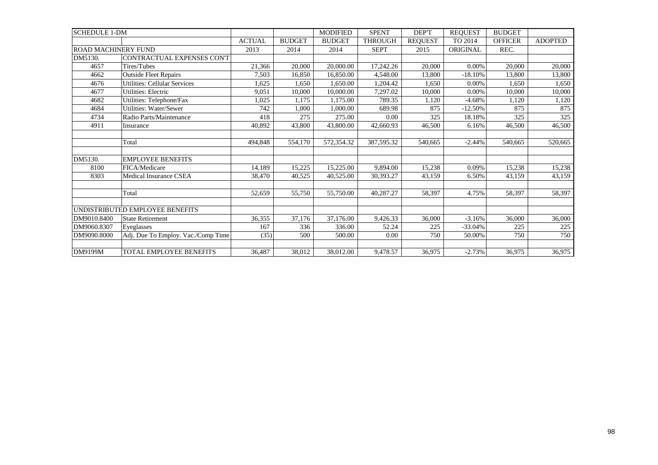| <b>SCHEDULE 1-DM</b>       |                                     |               |               | <b>MODIFIED</b> | <b>SPENT</b>   | DEP'T          | <b>REQUEST</b> | <b>BUDGET</b>  |                |
|----------------------------|-------------------------------------|---------------|---------------|-----------------|----------------|----------------|----------------|----------------|----------------|
|                            |                                     | <b>ACTUAL</b> | <b>BUDGET</b> | <b>BUDGET</b>   | <b>THROUGH</b> | <b>REQUEST</b> | TO 2014        | <b>OFFICER</b> | <b>ADOPTED</b> |
| <b>ROAD MACHINERY FUND</b> |                                     | 2013          | 2014          | 2014            | <b>SEPT</b>    | 2015           | ORIGINAL       | REC.           |                |
| DM5130.                    | CONTRACTUAL EXPENSES CONT           |               |               |                 |                |                |                |                |                |
| 4657                       | Tires/Tubes                         | 21,366        | 20,000        | 20,000.00       | 17,242.26      | 20,000         | 0.00%          | 20,000         | 20,000         |
| 4662                       | <b>Outside Fleet Repairs</b>        | 7,503         | 16,850        | 16,850.00       | 4,548.00       | 13,800         | $-18.10%$      | 13,800         | 13,800         |
| 4676                       | <b>Utilities: Cellular Services</b> | 1,625         | 1,650         | 1.650.00        | 1,204.42       | 1,650          | 0.00%          | 1,650          | 1,650          |
| 4677                       | Utilities: Electric                 | 9,051         | 10,000        | 10,000.00       | 7,297.02       | 10.000         | 0.00%          | 10,000         | 10,000         |
| 4682                       | Utilities: Telephone/Fax            | 1,025         | 1,175         | 1,175.00        | 789.35         | 1,120          | $-4.68%$       | 1,120          | 1,120          |
| 4684                       | <b>Utilities: Water/Sewer</b>       | 742           | 1,000         | 1.000.00        | 689.98         | 875            | $-12.50%$      | 875            | 875            |
| 4734                       | Radio Parts/Maintenance             | 418           | 275           | 275.00          | 0.00           | 325            | 18.18%         | 325            | 325            |
| 4911                       | Insurance                           | 40,892        | 43,800        | 43,800.00       | 42,660.93      | 46,500         | 6.16%          | 46,500         | 46,500         |
|                            |                                     |               |               |                 |                |                |                |                |                |
|                            | Total                               | 494.848       | 554,170       | 572,354.32      | 387,595.32     | 540,665        | $-2.44%$       | 540.665        | 520,665        |
|                            |                                     |               |               |                 |                |                |                |                |                |
| DM5130.                    | <b>EMPLOYEE BENEFITS</b>            |               |               |                 |                |                |                |                |                |
| 8100                       | FICA/Medicare                       | 14,189        | 15,225        | 15,225.00       | 9,894.00       | 15,238         | 0.09%          | 15,238         | 15,238         |
| 8303                       | Medical Insurance CSEA              | 38,470        | 40,525        | 40,525.00       | 30,393.27      | 43,159         | 6.50%          | 43,159         | 43,159         |
|                            |                                     |               |               |                 |                |                |                |                |                |
|                            | Total                               | 52,659        | 55,750        | 55,750.00       | 40,287.27      | 58,397         | 4.75%          | 58,397         | 58,397         |
|                            |                                     |               |               |                 |                |                |                |                |                |
|                            | UNDISTRIBUTED EMPLOYEE BENEFITS     |               |               |                 |                |                |                |                |                |
| DM9010.8400                | <b>State Retirement</b>             | 36,355        | 37,176        | 37,176.00       | 9,426.33       | 36,000         | $-3.16%$       | 36,000         | 36,000         |
| DM9060.8307                | Eveglasses                          | 167           | 336           | 336.00          | 52.24          | 225            | $-33.04%$      | 225            | 225            |
| DM9090.8000                | Adj. Due To Employ. Vac./Comp Time  | (35)          | 500           | 500.00          | 0.00           | 750            | 50.00%         | 750            | 750            |
|                            |                                     |               |               |                 |                |                |                |                |                |
| DM9199M                    | TOTAL EMPLOYEE BENEFITS             | 36,487        | 38,012        | 38,012.00       | 9,478.57       | 36,975         | $-2.73%$       | 36,975         | 36,975         |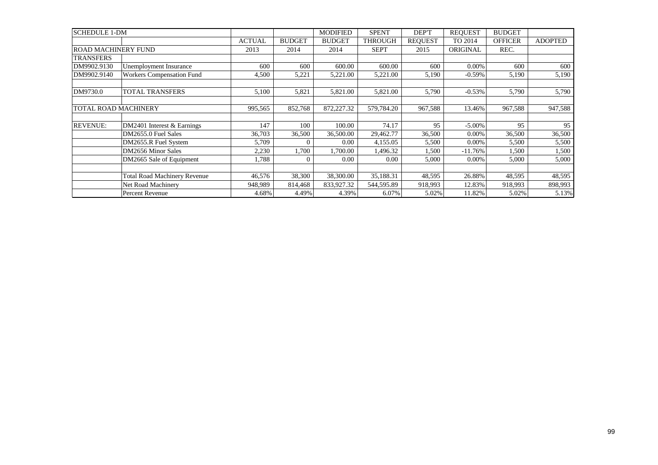| <b>SCHEDULE 1-DM</b>        |                                     |               |               | <b>MODIFIED</b> | <b>SPENT</b>   | DEP'T          | <b>REQUEST</b>  | <b>BUDGET</b>  |                |
|-----------------------------|-------------------------------------|---------------|---------------|-----------------|----------------|----------------|-----------------|----------------|----------------|
|                             |                                     | <b>ACTUAL</b> | <b>BUDGET</b> | <b>BUDGET</b>   | <b>THROUGH</b> | <b>REOUEST</b> | TO 2014         | <b>OFFICER</b> | <b>ADOPTED</b> |
| <b>ROAD MACHINERY FUND</b>  |                                     | 2013          | 2014          | 2014            | <b>SEPT</b>    | 2015           | <b>ORIGINAL</b> | REC.           |                |
| <b>TRANSFERS</b>            |                                     |               |               |                 |                |                |                 |                |                |
| DM9902.9130                 | Unemployment Insurance              | 600           | 600           | 600.00          | 600.00         | 600            | 0.00%           | 600            | 600            |
| DM9902.9140                 | <b>Workers Compensation Fund</b>    | 4,500         | 5,221         | 5,221.00        | 5,221.00       | 5,190          | $-0.59%$        | 5,190          | 5,190          |
|                             |                                     |               |               |                 |                |                |                 |                |                |
| DM9730.0                    | <b>TOTAL TRANSFERS</b>              | 5,100         | 5,821         | 5,821.00        | 5,821.00       | 5,790          | $-0.53%$        | 5,790          | 5,790          |
|                             |                                     |               |               |                 |                |                |                 |                |                |
| <b>TOTAL ROAD MACHINERY</b> |                                     | 995,565       | 852,768       | 872,227.32      | 579,784.20     | 967,588        | 13.46%          | 967,588        | 947,588        |
|                             |                                     |               |               |                 |                |                |                 |                |                |
| <b>REVENUE:</b>             | DM2401 Interest & Earnings          | 147           | 100           | 100.00          | 74.17          | 95             | $-5.00\%$       | 95             | 95             |
|                             | DM2655.0 Fuel Sales                 | 36,703        | 36,500        | 36,500.00       | 29,462.77      | 36,500         | 0.00%           | 36,500         | 36,500         |
|                             | DM2655.R Fuel System                | 5,709         | 0             | 0.00            | 4,155.05       | 5,500          | $0.00\%$        | 5,500          | 5,500          |
|                             | DM2656 Minor Sales                  | 2,230         | 1,700         | 1,700.00        | 1,496.32       | 1,500          | $-11.76%$       | 1,500          | 1,500          |
|                             | DM2665 Sale of Equipment            | 1,788         | 0             | 0.00            | 0.00           | 5,000          | 0.00%           | 5,000          | 5,000          |
|                             |                                     |               |               |                 |                |                |                 |                |                |
|                             | <b>Total Road Machinery Revenue</b> | 46,576        | 38,300        | 38,300.00       | 35,188.31      | 48,595         | 26.88%          | 48,595         | 48,595         |
|                             | Net Road Machinery                  | 948,989       | 814,468       | 833,927.32      | 544,595.89     | 918,993        | 12.83%          | 918,993        | 898,993        |
|                             | Percent Revenue                     | 4.68%         | 4.49%         | 4.39%           | 6.07%          | 5.02%          | 11.82%          | 5.02%          | 5.13%          |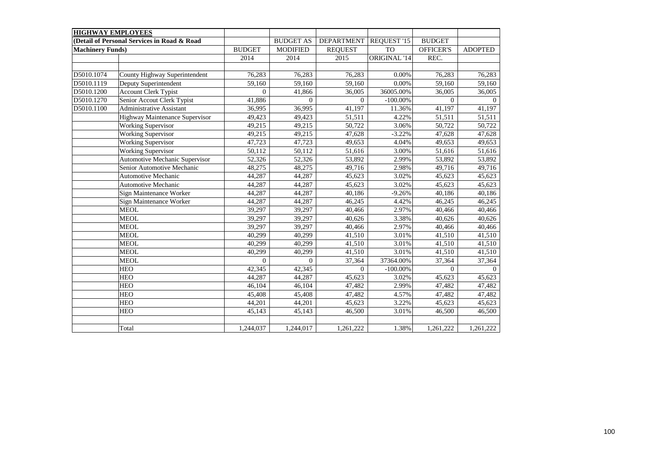| <b>HIGHWAY EMPLOYEES</b> |                                             |                |                  |                   |                    |                  |                |
|--------------------------|---------------------------------------------|----------------|------------------|-------------------|--------------------|------------------|----------------|
|                          | (Detail of Personal Services in Road & Road |                | <b>BUDGET AS</b> | <b>DEPARTMENT</b> | <b>REQUEST '15</b> | <b>BUDGET</b>    |                |
| <b>Machinery Funds)</b>  |                                             | <b>BUDGET</b>  | <b>MODIFIED</b>  | <b>REQUEST</b>    | <b>TO</b>          | <b>OFFICER'S</b> | <b>ADOPTED</b> |
|                          |                                             | 2014           | 2014             | 2015              | ORIGINAL '14       | REC.             |                |
|                          |                                             |                |                  |                   |                    |                  |                |
| D5010.1074               | County Highway Superintendent               | 76,283         | 76,283           | 76,283            | 0.00%              | 76,283           | 76,283         |
| D5010.1119               | Deputy Superintendent                       | 59,160         | 59,160           | 59,160            | 0.00%              | 59,160           | 59,160         |
| D5010.1200               | <b>Account Clerk Typist</b>                 | $\overline{0}$ | 41,866           | 36,005            | 36005.00%          | 36,005           | 36,005         |
| D5010.1270               | Senior Accout Clerk Typist                  | 41,886         | $\Omega$         | $\overline{0}$    | $-100.00\%$        | $\mathbf{0}$     | $\Omega$       |
| D5010.1100               | <b>Administrative Assistant</b>             | 36,995         | 36,995           | 41,197            | 11.36%             | 41,197           | 41,197         |
|                          | Highway Maintenance Supervisor              | 49,423         | 49,423           | 51,511            | 4.22%              | 51,511           | 51,511         |
|                          | <b>Working Supervisor</b>                   | 49,215         | 49,215           | 50,722            | 3.06%              | 50,722           | 50,722         |
|                          | <b>Working Supervisor</b>                   | 49,215         | 49,215           | 47,628            | $-3.22%$           | 47,628           | 47,628         |
|                          | <b>Working Supervisor</b>                   | 47,723         | 47,723           | 49,653            | 4.04%              | 49,653           | 49,653         |
|                          | <b>Working Supervisor</b>                   | 50,112         | 50,112           | 51,616            | 3.00%              | 51,616           | 51,616         |
|                          | Automotive Mechanic Supervisor              | 52,326         | 52,326           | 53,892            | 2.99%              | 53,892           | 53,892         |
|                          | Senior Automotive Mechanic                  | 48,275         | 48,275           | 49,716            | 2.98%              | 49,716           | 49,716         |
|                          | Automotive Mechanic                         | 44,287         | 44,287           | 45,623            | 3.02%              | 45,623           | 45,623         |
|                          | <b>Automotive Mechanic</b>                  | 44,287         | 44,287           | 45,623            | 3.02%              | 45,623           | 45,623         |
|                          | Sign Maintenance Worker                     | 44,287         | 44,287           | 40,186            | $-9.26%$           | 40,186           | 40,186         |
|                          | Sign Maintenance Worker                     | 44,287         | 44,287           | 46,245            | 4.42%              | 46,245           | 46,245         |
|                          | <b>MEOL</b>                                 | 39,297         | 39,297           | 40,466            | 2.97%              | 40,466           | 40,466         |
|                          | <b>MEOL</b>                                 | 39,297         | 39,297           | 40,626            | 3.38%              | 40,626           | 40,626         |
|                          | <b>MEOL</b>                                 | 39,297         | 39,297           | 40,466            | 2.97%              | 40,466           | 40,466         |
|                          | <b>MEOL</b>                                 | 40,299         | 40,299           | 41,510            | 3.01%              | 41,510           | 41,510         |
|                          | <b>MEOL</b>                                 | 40,299         | 40,299           | 41,510            | 3.01%              | 41,510           | 41,510         |
|                          | <b>MEOL</b>                                 | 40,299         | 40,299           | 41,510            | 3.01%              | 41,510           | 41,510         |
|                          | <b>MEOL</b>                                 | $\Omega$       | $\Omega$         | 37,364            | 37364.00%          | 37,364           | 37,364         |
|                          | <b>HEO</b>                                  | 42,345         | 42,345           | $\theta$          | $-100.00\%$        | $\mathbf{0}$     |                |
|                          | <b>HEO</b>                                  | 44,287         | 44,287           | 45,623            | 3.02%              | 45,623           | 45,623         |
|                          | <b>HEO</b>                                  | 46,104         | 46,104           | 47,482            | 2.99%              | 47,482           | 47,482         |
|                          | <b>HEO</b>                                  | 45,408         | 45,408           | 47,482            | 4.57%              | 47,482           | 47,482         |
|                          | <b>HEO</b>                                  | 44,201         | 44,201           | 45,623            | 3.22%              | 45,623           | 45,623         |
|                          | <b>HEO</b>                                  | 45,143         | 45,143           | 46,500            | 3.01%              | 46,500           | 46,500         |
|                          |                                             |                |                  |                   |                    |                  |                |
|                          | Total                                       | 1,244,037      | 1,244,017        | 1,261,222         | 1.38%              | 1,261,222        | 1,261,222      |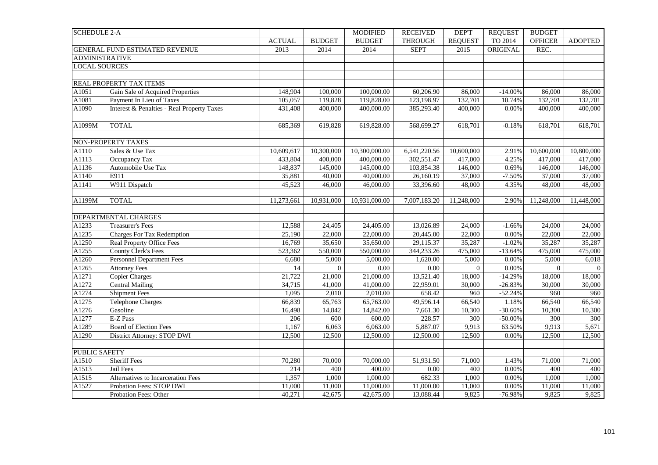| <b>SCHEDULE 2-A</b>   |                                            |               |                | <b>MODIFIED</b> | <b>RECEIVED</b> | DEP'T            | <b>REQUEST</b> | <b>BUDGET</b>  |                |
|-----------------------|--------------------------------------------|---------------|----------------|-----------------|-----------------|------------------|----------------|----------------|----------------|
|                       |                                            | <b>ACTUAL</b> | <b>BUDGET</b>  | <b>BUDGET</b>   | <b>THROUGH</b>  | <b>REQUEST</b>   | TO 2014        | <b>OFFICER</b> | <b>ADOPTED</b> |
|                       | GENERAL FUND ESTIMATED REVENUE             | 2013          | 2014           | 2014            | <b>SEPT</b>     | 2015             | ORIGINAL       | REC.           |                |
| <b>ADMINISTRATIVE</b> |                                            |               |                |                 |                 |                  |                |                |                |
| <b>LOCAL SOURCES</b>  |                                            |               |                |                 |                 |                  |                |                |                |
|                       |                                            |               |                |                 |                 |                  |                |                |                |
|                       | REAL PROPERTY TAX ITEMS                    |               |                |                 |                 |                  |                |                |                |
| A1051                 | Gain Sale of Acquired Properties           | 148,904       | 100,000        | 100,000.00      | 60,206.90       | 86,000           | $-14.00%$      | 86,000         | 86,000         |
| A1081                 | Payment In Lieu of Taxes                   | 105,057       | 119,828        | 119,828.00      | 123,198.97      | 132,701          | 10.74%         | 132,701        | 132,701        |
| A1090                 | Interest & Penalties - Real Property Taxes | 431,408       | 400,000        | 400,000.00      | 385,293.40      | 400,000          | 0.00%          | 400,000        | 400,000        |
|                       |                                            |               |                |                 |                 |                  |                |                |                |
| A1099M                | <b>TOTAL</b>                               | 685,369       | 619,828        | 619,828.00      | 568,699.27      | 618,701          | $-0.18%$       | 618,701        | 618,701        |
|                       |                                            |               |                |                 |                 |                  |                |                |                |
|                       | NON-PROPERTY TAXES                         |               |                |                 |                 |                  |                |                |                |
| A1110                 | Sales & Use Tax                            | 10,609,617    | 10,300,000     | 10,300,000.00   | 6,541,220.56    | 10,600,000       | 2.91%          | 10,600,000     | 10,800,000     |
| A1113                 | Occupancy Tax                              | 433,804       | 400,000        | 400,000.00      | 302,551.47      | 417,000          | 4.25%          | 417,000        | 417,000        |
| A1136                 | Automobile Use Tax                         | 148,837       | 145,000        | 145,000.00      | 103,854.38      | 146,000          | 0.69%          | 146,000        | 146,000        |
| A1140                 | E911                                       | 35,881        | 40,000         | 40,000.00       | 26,160.19       | 37,000           | $-7.50%$       | 37,000         | 37,000         |
| A1141                 | W911 Dispatch                              | 45,523        | 46,000         | 46,000.00       | 33,396.60       | 48,000           | 4.35%          | 48,000         | 48,000         |
|                       |                                            |               |                |                 |                 |                  |                |                |                |
| A1199M                | <b>TOTAL</b>                               | 11,273,661    | 10,931,000     | 10,931,000.00   | 7,007,183.20    | 11,248,000       | 2.90%          | 11,248,000     | 11,448,000     |
|                       |                                            |               |                |                 |                 |                  |                |                |                |
|                       | DEPARTMENTAL CHARGES                       |               |                |                 |                 |                  |                |                |                |
| A1233                 | <b>Treasurer's Fees</b>                    | 12,588        | 24,405         | 24,405.00       | 13,026.89       | 24,000           | $-1.66%$       | 24,000         | 24,000         |
| A1235                 | <b>Charges For Tax Redemption</b>          | 25,190        | 22,000         | 22,000.00       | 20,445.00       | 22,000           | 0.00%          | 22,000         | 22,000         |
| A1250                 | Real Property Office Fees                  | 16,769        | 35,650         | 35,650.00       | 29,115.37       | 35,287           | $-1.02%$       | 35,287         | 35,287         |
| A1255                 | County Clerk's Fees                        | 523,362       | 550,000        | 550,000.00      | 344,233.26      | 475,000          | $-13.64%$      | 475,000        | 475,000        |
| A1260                 | <b>Personnel Department Fees</b>           | 6,680         | 5,000          | 5,000.00        | 1,620.00        | 5,000            | 0.00%          | 5,000          | 6,018          |
| A1265                 | <b>Attorney Fees</b>                       | 14            | $\overline{0}$ | 0.00            | $0.00\,$        | $\mathbf{0}$     | 0.00%          | $\theta$       | $\overline{0}$ |
| A1271                 | <b>Copier Charges</b>                      | 21,722        | 21,000         | 21,000.00       | 13,521.40       | 18,000           | $-14.29%$      | 18,000         | 18,000         |
| A1272                 | Central Mailing                            | 34,715        | 41,000         | 41,000.00       | 22,959.01       | 30,000           | $-26.83%$      | 30,000         | 30,000         |
| A1274                 | <b>Shipment Fees</b>                       | 1,095         | 2,010          | 2,010.00        | 658.42          | 960              | $-52.24%$      | 960            | 960            |
| A1275                 | <b>Telephone Charges</b>                   | 66,839        | 65,763         | 65,763.00       | 49,596.14       | 66,540           | 1.18%          | 66,540         | 66,540         |
| A1276                 | Gasoline                                   | 16,498        | 14,842         | 14,842.00       | 7,661.30        | 10,300           | $-30.60%$      | 10,300         | 10,300         |
| A1277                 | E-Z Pass                                   | 206           | 600            | 600.00          | 228.57          | $\overline{300}$ | $-50.00\%$     | 300            | 300            |
| A1289                 | <b>Board of Election Fees</b>              | 1,167         | 6,063          | 6,063.00        | 5,887.07        | 9,913            | 63.50%         | 9,913          | 5,671          |
| A1290                 | District Attorney: STOP DWI                | 12,500        | 12,500         | 12,500.00       | 12,500.00       | 12,500           | 0.00%          | 12,500         | 12,500         |
|                       |                                            |               |                |                 |                 |                  |                |                |                |
| <b>PUBLIC SAFETY</b>  |                                            |               |                |                 |                 |                  |                |                |                |
| A1510                 | <b>Sheriff Fees</b>                        | 70,280        | 70,000         | 70,000.00       | 51,931.50       | 71,000           | 1.43%          | 71,000         | 71,000         |
| A1513                 | Jail Fees                                  | 214           | 400            | 400.00          | $0.00\,$        | 400              | 0.00%          | 400            | 400            |
| A1515                 | Alternatives to Incarceration Fees         | 1,357         | 1,000          | 1,000.00        | 682.33          | 1,000            | 0.00%          | 1,000          | 1,000          |
| A1527                 | Probation Fees: STOP DWI                   | 11,000        | 11,000         | 11,000.00       | 11,000.00       | 11,000           | 0.00%          | 11,000         | 11,000         |
|                       | Probation Fees: Other                      | 40,271        | 42,675         | 42,675.00       | 13,088.44       | 9,825            | $-76.98%$      | 9,825          | 9,825          |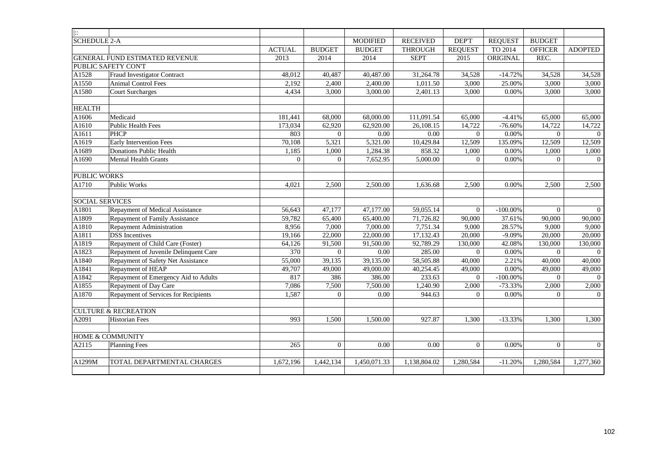| $\left  \cdot \right $ |                                        |               |                |                 |                 |                |                |                |                |
|------------------------|----------------------------------------|---------------|----------------|-----------------|-----------------|----------------|----------------|----------------|----------------|
| <b>SCHEDULE 2-A</b>    |                                        |               |                | <b>MODIFIED</b> | <b>RECEIVED</b> | DEP'T          | <b>REQUEST</b> | <b>BUDGET</b>  |                |
|                        |                                        | <b>ACTUAL</b> | <b>BUDGET</b>  | <b>BUDGET</b>   | <b>THROUGH</b>  | <b>REQUEST</b> | TO 2014        | <b>OFFICER</b> | <b>ADOPTED</b> |
|                        | GENERAL FUND ESTIMATED REVENUE         | 2013          | 2014           | 2014            | <b>SEPT</b>     | 2015           | ORIGINAL       | REC.           |                |
|                        | PUBLIC SAFETY CON'T                    |               |                |                 |                 |                |                |                |                |
| A1528                  | <b>Fraud Investigator Contract</b>     | 48,012        | 40.487         | 40,487.00       | 31,264.78       | 34,528         | $-14.72%$      | 34,528         | 34,528         |
| A1550                  | <b>Animal Control Fees</b>             | 2,192         | 2,400          | 2,400.00        | 1,011.50        | 3,000          | 25.00%         | 3,000          | 3,000          |
| A1580                  | <b>Court Surcharges</b>                | 4,434         | 3,000          | 3,000.00        | 2,401.13        | 3,000          | 0.00%          | 3,000          | 3,000          |
|                        |                                        |               |                |                 |                 |                |                |                |                |
| <b>HEALTH</b>          |                                        |               |                |                 |                 |                |                |                |                |
| A1606                  | Medicaid                               | 181,441       | 68,000         | 68,000.00       | 111,091.54      | 65,000         | $-4.41%$       | 65,000         | 65,000         |
| A1610                  | <b>Public Health Fees</b>              | 173,034       | 62,920         | 62,920.00       | 26,108.15       | 14,722         | $-76.60%$      | 14,722         | 14,722         |
| A1611                  | <b>PHCP</b>                            | 803           | $\overline{0}$ | 0.00            | 0.00            | $\overline{0}$ | 0.00%          | $\overline{0}$ | $\Omega$       |
| A1619                  | <b>Early Intervention Fees</b>         | 70,108        | 5,321          | 5,321.00        | 10,429.84       | 12,509         | 135.09%        | 12,509         | 12,509         |
| A1689                  | <b>Donations Public Health</b>         | 1,185         | 1,000          | 1,284.38        | 858.32          | 1,000          | 0.00%          | 1,000          | 1,000          |
| A1690                  | <b>Mental Health Grants</b>            | $\Omega$      | $\Omega$       | 7,652.95        | 5,000.00        | $\Omega$       | 0.00%          | $\Omega$       | $\Omega$       |
|                        |                                        |               |                |                 |                 |                |                |                |                |
| <b>PUBLIC WORKS</b>    |                                        |               |                |                 |                 |                |                |                |                |
| A1710                  | Public Works                           | 4,021         | 2,500          | 2,500.00        | 1,636.68        | 2,500          | 0.00%          | 2,500          | 2,500          |
|                        |                                        |               |                |                 |                 |                |                |                |                |
| <b>SOCIAL SERVICES</b> |                                        |               |                |                 |                 |                |                |                |                |
| A1801                  | <b>Repayment of Medical Assistance</b> | 56.643        | 47,177         | 47,177.00       | 59.055.14       | $\overline{0}$ | $-100.00\%$    | $\theta$       | $\overline{0}$ |
| A1809                  | Repayment of Family Assistance         | 59,782        | 65,400         | 65,400.00       | 71,726.82       | 90,000         | 37.61%         | 90,000         | 90,000         |
| A1810                  | Repayment Administration               | 8,956         | 7,000          | 7,000.00        | 7,751.34        | 9,000          | 28.57%         | 9,000          | 9,000          |
| A1811                  | <b>DSS</b> Incentives                  | 19,166        | 22,000         | 22,000.00       | 17,132.43       | 20,000         | $-9.09%$       | 20,000         | 20,000         |
| A1819                  | Repayment of Child Care (Foster)       | 64.126        | 91.500         | 91,500.00       | 92,789.29       | 130,000        | 42.08%         | 130,000        | 130,000        |
| A1823                  | Repayment of Juvenile Delinquent Care  | 370           | $\overline{0}$ | 0.00            | 285.00          | $\overline{0}$ | 0.00%          | $\theta$       | $\Omega$       |
| A1840                  | Repayment of Safety Net Assistance     | 55,000        | 39,135         | 39,135.00       | 58,505.88       | 40,000         | 2.21%          | 40,000         | 40,000         |
| A1841                  | Repayment of HEAP                      | 49,707        | 49,000         | 49,000.00       | 40,254.45       | 49,000         | 0.00%          | 49,000         | 49,000         |
| A1842                  | Repayment of Emergency Aid to Adults   | 817           | 386            | 386.00          | 233.63          | $\overline{0}$ | $-100.00\%$    | $\overline{0}$ | $\overline{0}$ |
| A1855                  | Repayment of Day Care                  | 7,086         | 7,500          | 7,500.00        | 1,240.90        | 2,000          | $-73.33%$      | 2,000          | 2,000          |
| A1870                  | Repayment of Services for Recipients   | 1,587         | $\Omega$       | 0.00            | 944.63          | $\Omega$       | 0.00%          | $\Omega$       | $\theta$       |
|                        |                                        |               |                |                 |                 |                |                |                |                |
|                        | <b>CULTURE &amp; RECREATION</b>        |               |                |                 |                 |                |                |                |                |
| A2091                  | <b>Historian Fees</b>                  | 993           | 1,500          | 1,500.00        | 927.87          | 1,300          | $-13.33%$      | 1,300          | 1,300          |
|                        |                                        |               |                |                 |                 |                |                |                |                |
|                        | <b>HOME &amp; COMMUNITY</b>            |               |                |                 |                 |                |                |                |                |
| A2115                  | <b>Planning Fees</b>                   | 265           | $\Omega$       | 0.00            | 0.00            | $\Omega$       | 0.00%          | $\Omega$       | $\overline{0}$ |
|                        |                                        |               |                |                 |                 |                |                |                |                |
| A1299M                 | TOTAL DEPARTMENTAL CHARGES             | 1,672,196     | 1,442,134      | 1,450,071.33    | 1,138,804.02    | 1,280,584      | $-11.20%$      | 1,280,584      | 1,277,360      |
|                        |                                        |               |                |                 |                 |                |                |                |                |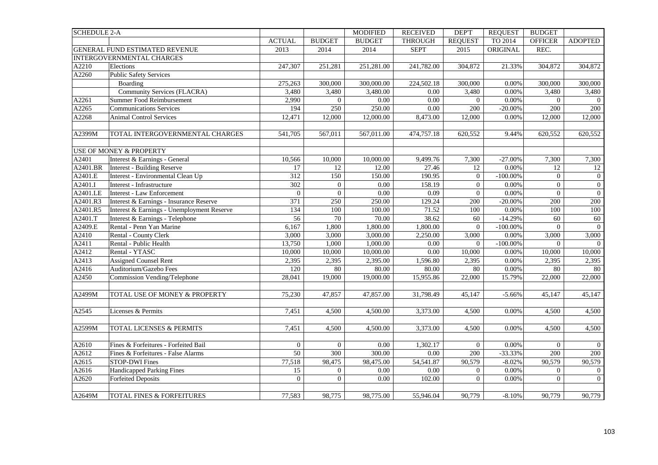| <b>SCHEDULE 2-A</b>  |                                            |                  |                  | <b>MODIFIED</b> | <b>RECEIVED</b> | <b>DEPT</b>      | <b>REQUEST</b> | <b>BUDGET</b>    |                  |
|----------------------|--------------------------------------------|------------------|------------------|-----------------|-----------------|------------------|----------------|------------------|------------------|
|                      |                                            | <b>ACTUAL</b>    | <b>BUDGET</b>    | <b>BUDGET</b>   | <b>THROUGH</b>  | <b>REQUEST</b>   | TO 2014        | <b>OFFICER</b>   | <b>ADOPTED</b>   |
|                      | GENERAL FUND ESTIMATED REVENUE             | 2013             | 2014             | 2014            | <b>SEPT</b>     | 2015             | ORIGINAL       | REC.             |                  |
|                      | INTERGOVERNMENTAL CHARGES                  |                  |                  |                 |                 |                  |                |                  |                  |
| A2210                | Elections                                  | 247,307          | 251,281          | 251,281.00      | 241,782.00      | 304,872          | 21.33%         | 304,872          | 304,872          |
| A2260                | <b>Public Safety Services</b>              |                  |                  |                 |                 |                  |                |                  |                  |
|                      | Boarding                                   | 275,263          | 300,000          | 300,000.00      | 224,502.18      | 300,000          | 0.00%          | 300,000          | 300,000          |
|                      | <b>Community Services (FLACRA)</b>         | 3,480            | 3,480            | 3,480.00        | 0.00            | 3,480            | 0.00%          | 3,480            | 3,480            |
| A2261                | Summer Food Reimbursement                  | 2,990            | $\boldsymbol{0}$ | $0.00\,$        | $0.00\,$        | $\mathbf{0}$     | 0.00%          | $\overline{0}$   | $\overline{0}$   |
| A2265                | <b>Communications Services</b>             | 194              | 250              | 250.00          | $0.00\,$        | 200              | $-20.00\%$     | 200              | 200              |
| A2268                | <b>Animal Control Services</b>             | 12,471           | 12,000           | 12,000.00       | 8,473.00        | 12,000           | 0.00%          | 12,000           | 12,000           |
|                      |                                            |                  |                  |                 |                 |                  |                |                  |                  |
| A2399M               | TOTAL INTERGOVERNMENTAL CHARGES            | 541,705          | 567,011          | 567,011.00      | 474,757.18      | 620,552          | 9.44%          | 620,552          | 620,552          |
|                      |                                            |                  |                  |                 |                 |                  |                |                  |                  |
|                      | <b>USE OF MONEY &amp; PROPERTY</b>         |                  |                  |                 |                 |                  |                |                  |                  |
| A2401                | Interest & Earnings - General              | 10,566           | 10,000           | 10,000.00       | 9,499.76        | 7,300            | $-27.00%$      | 7,300            | 7,300            |
| A2401.BR             | Interest - Building Reserve                | 17               | $\overline{12}$  | 12.00           | 27.46           | $\overline{12}$  | 0.00%          | $\overline{12}$  | 12               |
| A2401.E              | Interest - Environmental Clean Up          | $\overline{312}$ | 150              | 150.00          | 190.95          | $\boldsymbol{0}$ | $-100.00\%$    | $\mathbf{0}$     | $\overline{0}$   |
| $A\overline{2401.I}$ | Interest - Infrastructure                  | 302              | $\overline{0}$   | 0.00            | 158.19          | $\mathbf{0}$     | 0.00%          | $\mathbf{0}$     | $\boldsymbol{0}$ |
| A2401.LE             | Interest - Law Enforcement                 | $\overline{0}$   | $\boldsymbol{0}$ | $0.00\,$        | 0.09            | $\boldsymbol{0}$ | 0.00%          | $\mathbf{0}$     | $\overline{0}$   |
| A2401.R3             | Interest & Earnings - Insurance Reserve    | 371              | 250              | 250.00          | 129.24          | 200              | $-20.00\%$     | 200              | 200              |
| A2401.R5             | Interest & Earnings - Unemployment Reserve | 134              | 100              | 100.00          | 71.52           | 100              | 0.00%          | 100              | 100              |
| A2401.T              | Interest & Earnings - Telephone            | 56               | 70               | 70.00           | 38.62           | 60               | $-14.29%$      | 60               | 60               |
| A2409.E              | Rental - Penn Yan Marine                   | 6,167            | 1,800            | 1,800.00        | 1,800.00        | $\mathbf{0}$     | $-100.00\%$    | $\boldsymbol{0}$ | $\overline{0}$   |
| A2410                | Rental - County Clerk                      | 3,000            | 3,000            | 3,000.00        | 2,250.00        | 3,000            | 0.00%          | 3,000            | 3,000            |
| A2411                | Rental - Public Health                     | 13,750           | 1,000            | 1,000.00        | 0.00            | $\overline{0}$   | $-100.00\%$    | $\overline{0}$   | $\theta$         |
| A2412                | Rental - YTASC                             | 10,000           | 10,000           | 10,000.00       | $0.00\,$        | 10,000           | 0.00%          | 10,000           | 10,000           |
| A2413                | <b>Assigned Counsel Rent</b>               | 2,395            | 2,395            | 2,395.00        | 1,596.80        | 2,395            | 0.00%          | 2,395            | 2,395            |
| A2416                | Auditorium/Gazebo Fees                     | 120              | 80               | 80.00           | 80.00           | 80               | 0.00%          | 80               | 80               |
| A2450                | Commission Vending/Telephone               | 28,041           | 19,000           | 19,000.00       | 15,955.86       | 22,000           | 15.79%         | 22,000           | 22,000           |
|                      |                                            |                  |                  |                 |                 |                  |                |                  |                  |
| A2499M               | TOTAL USE OF MONEY & PROPERTY              | 75,230           | 47,857           | 47,857.00       | 31,798.49       | 45,147           | $-5.66%$       | 45,147           | 45,147           |
|                      |                                            |                  |                  |                 |                 |                  |                |                  |                  |
| A2545                | Licenses & Permits                         | 7,451            | 4,500            | 4,500.00        | 3,373.00        | 4,500            | 0.00%          | 4,500            | 4,500            |
|                      |                                            |                  |                  |                 |                 |                  |                |                  |                  |
| A2599M               | <b>TOTAL LICENSES &amp; PERMITS</b>        | 7,451            | 4,500            | 4,500.00        | 3,373.00        | 4,500            | 0.00%          | 4,500            | 4,500            |
|                      |                                            |                  |                  |                 |                 |                  |                |                  |                  |
| A2610                | Fines & Forfeitures - Forfeited Bail       | $\overline{0}$   | $\overline{0}$   | $0.00\,$        | 1,302.17        | $\mathbf{0}$     | 0.00%          | $\overline{0}$   | $\overline{0}$   |
| A2612                | Fines & Forfeitures - False Alarms         | 50               | 300              | 300.00          | 0.00            | 200              | $-33.33%$      | 200              | $200\,$          |
| A2615                | <b>STOP-DWI Fines</b>                      | 77,518           | 98,475           | 98,475.00       | 54,541.87       | 90,579           | $-8.02%$       | 90,579           | 90,579           |
| A2616                | Handicapped Parking Fines                  | 15               | $\boldsymbol{0}$ | 0.00            | 0.00            | $\mathbf{0}$     | 0.00%          | $\overline{0}$   | $\boldsymbol{0}$ |
| A2620                | <b>Forfeited Deposits</b>                  | $\Omega$         | $\theta$         | 0.00            | 102.00          | $\Omega$         | 0.00%          | $\boldsymbol{0}$ | $\mathbf{0}$     |
|                      |                                            |                  |                  |                 |                 |                  |                |                  |                  |
| A2649M               | <b>TOTAL FINES &amp; FORFEITURES</b>       | 77,583           | 98,775           | 98,775.00       | 55,946.04       | 90,779           | $-8.10%$       | 90,779           | 90,779           |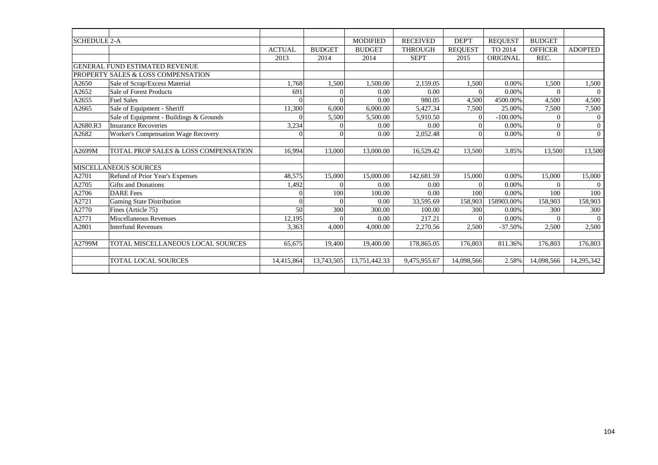| <b>SCHEDULE 2-A</b> |                                         |               |               | <b>MODIFIED</b> | <b>RECEIVED</b> | <b>DEPT</b>    | <b>REOUEST</b> | <b>BUDGET</b>  |                |
|---------------------|-----------------------------------------|---------------|---------------|-----------------|-----------------|----------------|----------------|----------------|----------------|
|                     |                                         | <b>ACTUAL</b> | <b>BUDGET</b> | <b>BUDGET</b>   | <b>THROUGH</b>  | <b>REQUEST</b> | TO 2014        | <b>OFFICER</b> | <b>ADOPTED</b> |
|                     |                                         | 2013          | 2014          | 2014            | <b>SEPT</b>     | 2015           | ORIGINAL       | REC.           |                |
|                     | <b>GENERAL FUND ESTIMATED REVENUE</b>   |               |               |                 |                 |                |                |                |                |
|                     | PROPERTY SALES & LOSS COMPENSATION      |               |               |                 |                 |                |                |                |                |
| A2650               | Sale of Scrap/Excess Material           | 1.768         | 1.500         | 1,500.00        | 2,159.05        | 1,500          | 0.00%          | 1,500          | 1,500          |
| A2652               | Sale of Forest Products                 | 691           |               | 0.00            | 0.00            | $\Omega$       | 0.00%          | $\Omega$       | $\Omega$       |
| A2655               | <b>Fuel Sales</b>                       | $\Omega$      |               | 0.00            | 980.05          | 4,500          | 4500.00%       | 4,500          | 4,500          |
| A2665               | Sale of Equipment - Sheriff             | 11,300        | 6,000         | 6,000.00        | 5,427.34        | 7,500          | 25.00%         | 7,500          | 7,500          |
|                     | Sale of Equipment - Buildings & Grounds | $\Omega$      | 5,500         | 5,500.00        | 5,910.50        | $\Omega$       | $-100.00\%$    | $\Omega$       | $\Omega$       |
| A2680.R3            | <b>Insurance Recoveries</b>             | 3,234         |               | 0.00            | 0.00            | $\Omega$       | 0.00%          | $\overline{0}$ | $\overline{0}$ |
| A2682               | Worker's Compensation Wage Recovery     | $\Omega$      |               | 0.00            | 2,052.48        |                | 0.00%          | $\Omega$       | $\overline{0}$ |
|                     |                                         |               |               |                 |                 |                |                |                |                |
| A2699M              | TOTAL PROP SALES & LOSS COMPENSATION    | 16.994        | 13.000        | 13,000.00       | 16,529.42       | 13,500         | 3.85%          | 13,500         | 13,500         |
|                     |                                         |               |               |                 |                 |                |                |                |                |
|                     | <b>MISCELLANEOUS SOURCES</b>            |               |               |                 |                 |                |                |                |                |
| A2701               | Refund of Prior Year's Expenses         | 48,575        | 15,000        | 15,000.00       | 142,681.59      | 15,000         | 0.00%          | 15,000         | 15,000         |
| A2705               | <b>Gifts and Donations</b>              | 1,492         |               | 0.00            | 0.00            | $\Omega$       | $0.00\%$       | $\Omega$       | $\Omega$       |
| A2706               | <b>DARE</b> Fees                        | $\Omega$      | 100           | 100.00          | 0.00            | 100            | 0.00%          | 100            | 100            |
| A2721               | <b>Gaming State Distribution</b>        | $\theta$      |               | 0.00            | 33,595.69       | 158,903        | 158903.00%     | 158,903        | 158,903        |
| A2770               | Fines (Article 75)                      | 50            | 300           | 300.00          | 100.00          | 300            | 0.00%          | 300            | 300            |
| A2771               | Miscellaneous Revenues                  | 12,195        |               | 0.00            | 217.21          | $\Omega$       | 0.00%          | $\overline{0}$ | $\Omega$       |
| A2801               | <b>Interfund Revenues</b>               | 3,363         | 4.000         | 4,000.00        | 2,270.56        | 2,500          | $-37.50%$      | 2,500          | 2,500          |
|                     |                                         |               |               |                 |                 |                |                |                |                |
| A2799M              | TOTAL MISCELLANEOUS LOCAL SOURCES       | 65,675        | 19,400        | 19,400.00       | 178,865.05      | 176,803        | 811.36%        | 176,803        | 176,803        |
|                     |                                         |               |               |                 |                 |                |                |                |                |
|                     | <b>TOTAL LOCAL SOURCES</b>              | 14,415,864    | 13,743,505    | 13.751.442.33   | 9,475,955.67    | 14,098,566     | 2.58%          | 14,098,566     | 14,295,342     |
|                     |                                         |               |               |                 |                 |                |                |                |                |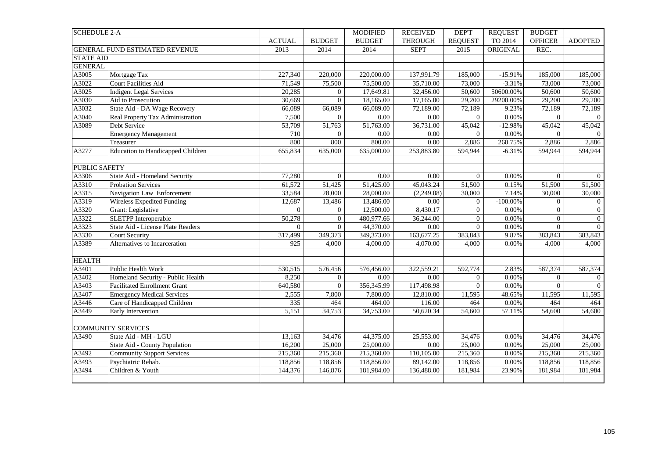| <b>SCHEDULE 2-A</b>  |                                          |                |                  | <b>MODIFIED</b> | <b>RECEIVED</b> | DEP'T          | <b>REQUEST</b> | <b>BUDGET</b>  |                |
|----------------------|------------------------------------------|----------------|------------------|-----------------|-----------------|----------------|----------------|----------------|----------------|
|                      |                                          | <b>ACTUAL</b>  | <b>BUDGET</b>    | <b>BUDGET</b>   | <b>THROUGH</b>  | <b>REQUEST</b> | TO 2014        | <b>OFFICER</b> | <b>ADOPTED</b> |
|                      | GENERAL FUND ESTIMATED REVENUE           | 2013           | 2014             | 2014            | <b>SEPT</b>     | 2015           | ORIGINAL       | REC.           |                |
| <b>STATE AID</b>     |                                          |                |                  |                 |                 |                |                |                |                |
| <b>GENERAL</b>       |                                          |                |                  |                 |                 |                |                |                |                |
| A3005                | Mortgage Tax                             | 227,340        | 220,000          | 220,000.00      | 137,991.79      | 185,000        | $-15.91%$      | 185,000        | 185,000        |
| A3022                | <b>Court Facilities Aid</b>              | 71,549         | 75,500           | 75,500.00       | 35,710.00       | 73,000         | $-3.31%$       | 73,000         | 73,000         |
| A3025                | <b>Indigent Legal Services</b>           | 20,285         | $\overline{0}$   | 17,649.81       | 32,456.00       | 50,600         | 50600.00%      | 50,600         | 50,600         |
| A3030                | Aid to Prosecution                       | 30,669         | $\overline{0}$   | 18,165.00       | 17,165.00       | 29,200         | 29200.00%      | 29,200         | 29,200         |
| A3032                | State Aid - DA Wage Recovery             | 66,089         | 66,089           | 66,089.00       | 72,189.00       | 72,189         | 9.23%          | 72,189         | 72,189         |
| A3040                | Real Property Tax Administration         | 7,500          | $\overline{0}$   | 0.00            | 0.00            | $\overline{0}$ | 0.00%          | $\overline{0}$ | $\theta$       |
| A3089                | Debt Service                             | 53,709         | 51,763           | 51,763.00       | 36,731.00       | 45,042         | $-12.98%$      | 45,042         | 45,042         |
|                      | <b>Emergency Management</b>              | 710            | $\boldsymbol{0}$ | 0.00            | $0.00\,$        | $\overline{0}$ | 0.00%          | $\overline{0}$ | $\Omega$       |
|                      | Treasurer                                | 800            | 800              | 800.00          | 0.00            | 2,886          | 260.75%        | 2,886          | 2,886          |
| A3277                | <b>Education to Handicapped Children</b> | 655,834        | 635,000          | 635,000.00      | 253,883.80      | 594,944        | $-6.31%$       | 594,944        | 594,944        |
|                      |                                          |                |                  |                 |                 |                |                |                |                |
| <b>PUBLIC SAFETY</b> |                                          |                |                  |                 |                 |                |                |                |                |
| A3306                | State Aid - Homeland Security            | 77,280         | $\boldsymbol{0}$ | 0.00            | $0.00\,$        | $\overline{0}$ | $0.00\%$       | $\overline{0}$ | $\overline{0}$ |
| A3310                | <b>Probation Services</b>                | 61,572         | 51,425           | 51,425.00       | 45,043.24       | 51,500         | 0.15%          | 51,500         | 51,500         |
| A3315                | Navigation Law Enforcement               | 33,584         | 28,000           | 28,000.00       | (2,249.08)      | 30,000         | 7.14%          | 30,000         | 30,000         |
| A3319                | Wireless Expedited Funding               | 12,687         | 13,486           | 13,486.00       | $0.00\,$        | $\overline{0}$ | $-100.00\%$    | $\overline{0}$ | $\overline{0}$ |
| A3320                | Grant: Legislative                       | $\overline{0}$ | $\overline{0}$   | 12,500.00       | 8,430.17        | $\overline{0}$ | 0.00%          | $\overline{0}$ | $\overline{0}$ |
| A3322                | <b>SLETPP</b> Interoperable              | 50,278         | $\boldsymbol{0}$ | 480,977.66      | 36,244.00       | $\mathbf{0}$   | 0.00%          | $\overline{0}$ | $\overline{0}$ |
| A3323                | State Aid - License Plate Readers        | $\Omega$       | $\mathbf{0}$     | 44,370.00       | $0.00\,$        | $\overline{0}$ | $0.00\%$       | $\overline{0}$ | $\theta$       |
| A3330                | Court Security                           | 317,499        | 349,373          | 349,373.00      | 163,677.25      | 383,843        | 9.87%          | 383,843        | 383,843        |
| A3389                | Alternatives to Incarceration            | 925            | 4,000            | 4,000.00        | 4,070.00        | 4,000          | 0.00%          | 4,000          | 4,000          |
| <b>HEALTH</b>        |                                          |                |                  |                 |                 |                |                |                |                |
| $A3\overline{401}$   | Public Health Work                       | 530,515        | 576,456          | 576,456.00      | 322,559.21      | 592,774        | 2.83%          | 587,374        | 587,374        |
| A3402                | Homeland Security - Public Health        | 8,250          | $\overline{0}$   | 0.00            | 0.00            | $\overline{0}$ | 0.00%          | $\overline{0}$ | $\overline{0}$ |
| A3403                | <b>Facilitated Enrollment Grant</b>      | 640,580        | $\overline{0}$   | 356,345.99      | 117,498.98      | $\overline{0}$ | $0.00\%$       | $\overline{0}$ | $\Omega$       |
| A3407                | <b>Emergency Medical Services</b>        | 2,555          | 7,800            | 7,800.00        | 12,810.00       | 11,595         | 48.65%         | 11,595         | 11,595         |
| A3446                | Care of Handicapped Children             | 335            | 464              | 464.00          | 116.00          | 464            | 0.00%          | 464            | 464            |
| A3449                | Early Intervention                       | 5,151          | 34,753           | 34,753.00       | 50,620.34       | 54,600         | 57.11%         | 54,600         | 54,600         |
|                      |                                          |                |                  |                 |                 |                |                |                |                |
|                      | <b>COMMUNITY SERVICES</b>                |                |                  |                 |                 |                |                |                |                |
| A3490                | State Aid - MH - LGU                     | 13,163         | 34,476           | 44,375.00       | 25,553.00       | 34,476         | 0.00%          | 34,476         | 34,476         |
|                      | State Aid - County Population            | 16,200         | 25,000           | 25,000.00       | 0.00            | 25,000         | 0.00%          | 25,000         | 25,000         |
| A3492                | <b>Community Support Services</b>        | 215,360        | 215,360          | 215,360.00      | 110,105.00      | 215,360        | 0.00%          | 215,360        | 215,360        |
| A3493                | Psychiatric Rehab.                       | 118,856        | 118,856          | 118,856.00      | 89,142.00       | 118,856        | $0.00\%$       | 118,856        | 118,856        |
| A3494                | Children & Youth                         | 144,376        | 146,876          | 181,984.00      | 136,488.00      | 181,984        | 23.90%         | 181,984        | 181,984        |
|                      |                                          |                |                  |                 |                 |                |                |                |                |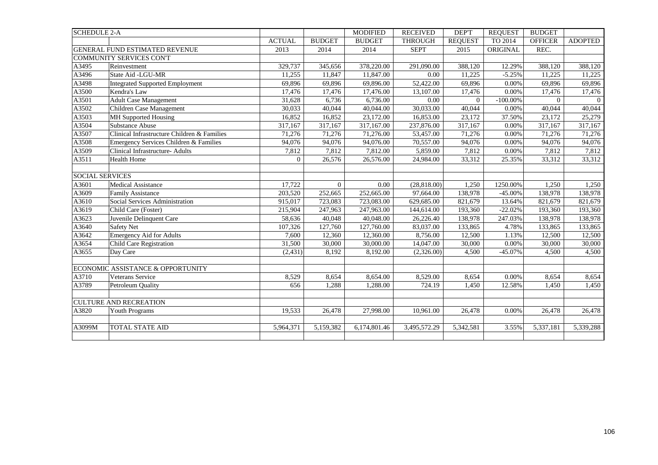| <b>SCHEDULE 2-A</b>    |                                             |               |                | <b>MODIFIED</b> | <b>RECEIVED</b> | DEP'T          | <b>REQUEST</b> | <b>BUDGET</b>  |                |
|------------------------|---------------------------------------------|---------------|----------------|-----------------|-----------------|----------------|----------------|----------------|----------------|
|                        |                                             | <b>ACTUAL</b> | <b>BUDGET</b>  | <b>BUDGET</b>   | <b>THROUGH</b>  | <b>REQUEST</b> | TO 2014        | <b>OFFICER</b> | <b>ADOPTED</b> |
|                        | <b>GENERAL FUND ESTIMATED REVENUE</b>       | 2013          | 2014           | 2014            | <b>SEPT</b>     | 2015           | ORIGINAL       | REC.           |                |
|                        | COMMUNITY SERVICES CON'T                    |               |                |                 |                 |                |                |                |                |
| A3495                  | Reinvestment                                | 329,737       | 345,656        | 378,220.00      | 291,090.00      | 388,120        | 12.29%         | 388,120        | 388,120        |
| A3496                  | State Aid -LGU-MR                           | 11,255        | 11,847         | 11,847.00       | 0.00            | 11,225         | $-5.25%$       | 11,225         | 11,225         |
| A3498                  | <b>Integrated Supported Employment</b>      | 69,896        | 69,896         | 69,896.00       | 52,422.00       | 69,896         | 0.00%          | 69,896         | 69,896         |
| A3500                  | Kendra's Law                                | 17,476        | 17,476         | 17,476.00       | 13,107.00       | 17,476         | 0.00%          | 17,476         | 17,476         |
| A3501                  | <b>Adult Case Management</b>                | 31,628        | 6,736          | 6,736.00        | 0.00            | $\Omega$       | $-100.00\%$    | $\Omega$       | $\Omega$       |
| A3502                  | Children Case Management                    | 30.033        | 40,044         | 40,044.00       | 30,033.00       | 40,044         | 0.00%          | 40,044         | 40,044         |
| A3503                  | <b>MH</b> Supported Housing                 | 16,852        | 16,852         | 23,172.00       | 16,853.00       | 23,172         | 37.50%         | 23,172         | 25,279         |
| A3504                  | Substance Abuse                             | 317,167       | 317,167        | 317,167.00      | 237,876.00      | 317,167        | 0.00%          | 317,167        | 317,167        |
| A3507                  | Clinical Infrastructure Children & Families | 71,276        | 71,276         | 71,276.00       | 53,457.00       | 71,276         | 0.00%          | 71,276         | 71,276         |
| A3508                  | Emergency Services Children & Families      | 94,076        | 94,076         | 94,076.00       | 70,557.00       | 94,076         | 0.00%          | 94,076         | 94,076         |
| A3509                  | <b>Clinical Infrastructure-Adults</b>       | 7,812         | 7,812          | 7,812.00        | 5,859.00        | 7,812          | 0.00%          | 7,812          | 7,812          |
| A3511                  | <b>Health Home</b>                          | $\Omega$      | 26,576         | 26,576.00       | 24,984.00       | 33,312         | 25.35%         | 33,312         | 33,312         |
|                        |                                             |               |                |                 |                 |                |                |                |                |
| <b>SOCIAL SERVICES</b> |                                             |               |                |                 |                 |                |                |                |                |
| A3601                  | <b>Medical Assistance</b>                   | 17,722        | $\overline{0}$ | 0.00            | (28, 818.00)    | 1,250          | 1250.00%       | 1,250          | 1,250          |
| A3609                  | <b>Family Assistance</b>                    | 203,520       | 252,665        | 252,665.00      | 97,664.00       | 138,978        | $-45.00\%$     | 138,978        | 138,978        |
| A3610                  | Social Services Administration              | 915,017       | 723,083        | 723,083.00      | 629,685.00      | 821,679        | 13.64%         | 821,679        | 821,679        |
| A3619                  | Child Care (Foster)                         | 215,904       | 247,963        | 247,963.00      | 144,614.00      | 193,360        | $-22.02%$      | 193,360        | 193,360        |
| A3623                  | Juvenile Delinquent Care                    | 58,636        | 40,048         | 40,048.00       | 26,226.40       | 138,978        | 247.03%        | 138,978        | 138,978        |
| A3640                  | <b>Safety Net</b>                           | 107,326       | 127,760        | 127,760.00      | 83,037.00       | 133,865        | 4.78%          | 133,865        | 133,865        |
| A3642                  | <b>Emergency Aid for Adults</b>             | 7,600         | 12,360         | 12,360.00       | 8,756.00        | 12,500         | 1.13%          | 12,500         | 12,500         |
| A3654                  | <b>Child Care Registration</b>              | 31,500        | 30,000         | 30,000.00       | 14,047.00       | 30,000         | $0.00\%$       | 30,000         | 30,000         |
| A3655                  | Day Care                                    | (2, 431)      | 8,192          | 8,192.00        | (2,326.00)      | 4,500          | $-45.07%$      | 4,500          | 4,500          |
|                        |                                             |               |                |                 |                 |                |                |                |                |
|                        | ECONOMIC ASSISTANCE & OPPORTUNITY           |               |                |                 |                 |                |                |                |                |
| A3710                  | <b>Veterans Service</b>                     | 8,529         | 8,654          | 8,654.00        | 8,529.00        | 8,654          | 0.00%          | 8,654          | 8,654          |
| A3789                  | Petroleum Quality                           | 656           | 1,288          | 1,288.00        | 724.19          | 1,450          | 12.58%         | 1,450          | 1,450          |
|                        |                                             |               |                |                 |                 |                |                |                |                |
|                        | <b>CULTURE AND RECREATION</b>               |               |                |                 |                 |                |                |                |                |
| A3820                  | <b>Youth Programs</b>                       | 19,533        | 26,478         | 27,998.00       | 10,961.00       | 26,478         | 0.00%          | 26,478         | 26,478         |
|                        |                                             |               |                |                 |                 |                |                |                |                |
| A3099M                 | <b>TOTAL STATE AID</b>                      | 5,964,371     | 5,159,382      | 6,174,801.46    | 3,495,572.29    | 5,342,581      | 3.55%          | 5,337,181      | 5,339,288      |
|                        |                                             |               |                |                 |                 |                |                |                |                |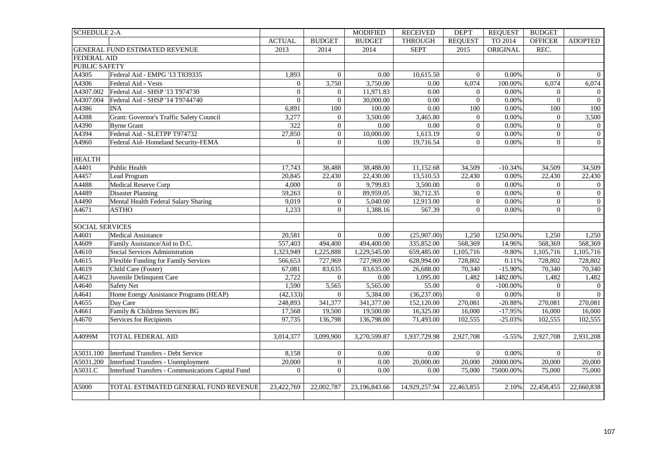| <b>SCHEDULE 2-A</b>    |                                                   |                |                  | <b>MODIFIED</b> | <b>RECEIVED</b> | DEP'T            | <b>REQUEST</b> | <b>BUDGET</b>  |                  |
|------------------------|---------------------------------------------------|----------------|------------------|-----------------|-----------------|------------------|----------------|----------------|------------------|
|                        |                                                   | <b>ACTUAL</b>  | <b>BUDGET</b>    | <b>BUDGET</b>   | <b>THROUGH</b>  | <b>REQUEST</b>   | TO 2014        | <b>OFFICER</b> | <b>ADOPTED</b>   |
|                        | GENERAL FUND ESTIMATED REVENUE                    | 2013           | 2014             | 2014            | <b>SEPT</b>     | 2015             | ORIGINAL       | REC.           |                  |
| <b>FEDERAL AID</b>     |                                                   |                |                  |                 |                 |                  |                |                |                  |
| <b>PUBLIC SAFETY</b>   |                                                   |                |                  |                 |                 |                  |                |                |                  |
| A4305                  | Federal Aid - EMPG '13 T839335                    | 1,893          | $\overline{0}$   | 0.00            | 10,615.50       | $\overline{0}$   | 0.00%          | $\overline{0}$ | $\theta$         |
| A4306                  | Federal Aid - Vests                               | $\overline{0}$ | 3,750            | 3,750.00        | 0.00            | 6,074            | 100.00%        | 6,074          | 6,074            |
| A4307.002              | Federal Aid - SHSP '13 T974730                    | $\overline{0}$ | $\boldsymbol{0}$ | 11,971.83       | 0.00            | $\overline{0}$   | 0.00%          | $\overline{0}$ | $\overline{0}$   |
| A4307.004              | Federal Aid - SHSP '14 T9744740                   | $\overline{0}$ | $\mathbf 0$      | 30,000.00       | 0.00            | $\boldsymbol{0}$ | $0.00\%$       | $\mathbf{0}$   | $\overline{0}$   |
| A4386                  | <b>INA</b>                                        | 6,891          | 100              | 100.00          | $0.00\,$        | $100\,$          | 0.00%          | 100            | 100              |
| A4388                  | Grant: Governor's Traffic Safety Council          | 3,277          | $\overline{0}$   | 3,500.00        | 3,465.80        | $\overline{0}$   | 0.00%          | $\overline{0}$ | 3,500            |
| A4390                  | <b>Byrne Grant</b>                                | 322            | $\overline{0}$   | 0.00            | 0.00            | $\mathbf{0}$     | 0.00%          | $\overline{0}$ | $\overline{0}$   |
| A4394                  | Federal Aid - SLETPP T974732                      | 27,850         | $\boldsymbol{0}$ | 10,000.00       | 1,613.19        | $\overline{0}$   | 0.00%          | $\overline{0}$ | $\boldsymbol{0}$ |
| A4960                  | Federal Aid-Homeland Security-FEMA                | $\overline{0}$ | $\mathbf{0}$     | 0.00            | 19,716.54       | $\overline{0}$   | 0.00%          | $\overline{0}$ | $\mathbf{0}$     |
|                        |                                                   |                |                  |                 |                 |                  |                |                |                  |
| <b>HEALTH</b>          |                                                   |                |                  |                 |                 |                  |                |                |                  |
| A4401                  | Public Health                                     | 17,743         | 38,488           | 38,488.00       | 11,152.68       | 34,509           | $-10.34%$      | 34,509         | 34,509           |
| A4457                  | Lead Program                                      | 20,845         | 22,430           | 22,430.00       | 13,510.53       | 22,430           | 0.00%          | 22,430         | 22,430           |
| A4488                  | Medical Reserve Corp                              | 4,000          | $\mathbf{0}$     | 9,799.83        | 3,500.00        | $\overline{0}$   | 0.00%          | $\overline{0}$ | $\overline{0}$   |
| A4489                  | <b>Disaster Planning</b>                          | 59,263         | $\overline{0}$   | 89,959.05       | 30,712.35       | $\mathbf{0}$     | 0.00%          | $\overline{0}$ | $\boldsymbol{0}$ |
| A4490                  | Mental Health Federal Salary Sharing              | 9,019          | $\overline{0}$   | 5,040.00        | 12,913.00       | $\overline{0}$   | 0.00%          | $\overline{0}$ | $\boldsymbol{0}$ |
| A4671                  | <b>ASTHO</b>                                      | 1,233          | $\overline{0}$   | 1,388.16        | 567.39          | $\overline{0}$   | 0.00%          | $\overline{0}$ | $\overline{0}$   |
|                        |                                                   |                |                  |                 |                 |                  |                |                |                  |
| <b>SOCIAL SERVICES</b> |                                                   |                |                  |                 |                 |                  |                |                |                  |
| A4601                  | Medical Assistance                                | 20,581         | $\Omega$         | 0.00            | (25,907.00)     | 1.250            | 1250.00%       | 1.250          | 1,250            |
| A4609                  | Family Assistance/Aid to D.C.                     | 557,403        | 494,400          | 494,400.00      | 335,852.00      | 568,369          | 14.96%         | 568,369        | 568,369          |
| A4610                  | Social Services Administration                    | 1,323,949      | 1,225,888        | 1,229,545.00    | 659,485.00      | 1,105,716        | $-9.80%$       | 1,105,716      | 1,105,716        |
| A4615                  | Flexible Funding for Family Services              | 566,653        | 727,969          | 727,969.00      | 628,994.00      | 728,802          | 0.11%          | 728,802        | 728,802          |
| A4619                  | Child Care (Foster)                               | 67,081         | 83,635           | 83,635.00       | 26,688.00       | 70,340           | $-15.90\%$     | 70,340         | 70,340           |
| A4623                  | Juvenile Delinquent Care                          | 2,722          | $\overline{0}$   | 0.00            | 1,095.00        | 1,482            | 1482.00%       | 1,482          | 1,482            |
| A4640                  | <b>Safety Net</b>                                 | 1,590          | 5,565            | 5,565.00        | 55.00           | $\overline{0}$   | $-100.00\%$    | $\theta$       | $\overline{0}$   |
| A4641                  | Home Energy Assistance Programs (HEAP)            | (42, 133)      | $\mathbf{0}$     | 5,384.00        | (36, 237.00)    | $\overline{0}$   | 0.00%          | $\overline{0}$ | $\overline{0}$   |
| A4655                  | Day Care                                          | 248,893        | 341,377          | 341,377.00      | 152,120.00      | 270,081          | $-20.88%$      | 270,081        | 270,081          |
| A4661                  | Family & Childrens Services BG                    | 17,568         | 19,500           | 19,500.00       | 16,325.00       | 16,000           | $-17.95%$      | 16,000         | 16,000           |
| A4670                  | Services for Recipients                           | 97,735         | 136,798          | 136,798.00      | 71,493.00       | 102,555          | $-25.03%$      | 102,555        | 102,555          |
|                        |                                                   |                |                  |                 |                 |                  |                |                |                  |
| A4099M                 | <b>TOTAL FEDERAL AID</b>                          | 3,014,377      | 3,099,900        | 3,270,599.87    | 1,937,729.98    | 2,927,708        | $-5.55%$       | 2,927,708      | 2,931,208        |
| A5031.100              | Interfund Transfers - Debt Service                | 8,158          | $\mathbf{0}$     | $0.00\,$        | $0.00\,$        | $\overline{0}$   | 0.00%          | $\overline{0}$ | $\overline{0}$   |
| A5031.200              | Interfund Transfers - Unemployment                | 20,000         | $\overline{0}$   | 0.00            | 20,000.00       | 20,000           | 20000.00%      | 20,000         | 20,000           |
| A5031.C                | Interfund Transfers - Communications Capital Fund | $\overline{0}$ | $\Omega$         | 0.00            | 0.00            | 75,000           | 75000.00%      | 75,000         | 75,000           |
|                        |                                                   |                |                  |                 |                 |                  |                |                |                  |
| A5000                  | TOTAL ESTIMATED GENERAL FUND REVENUE              | 23,422,769     | 22,002,787       | 23,196,843.66   | 14,929,257.94   | 22,463,855       | 2.10%          | 22,458,455     | 22,660,838       |
|                        |                                                   |                |                  |                 |                 |                  |                |                |                  |
|                        |                                                   |                |                  |                 |                 |                  |                |                |                  |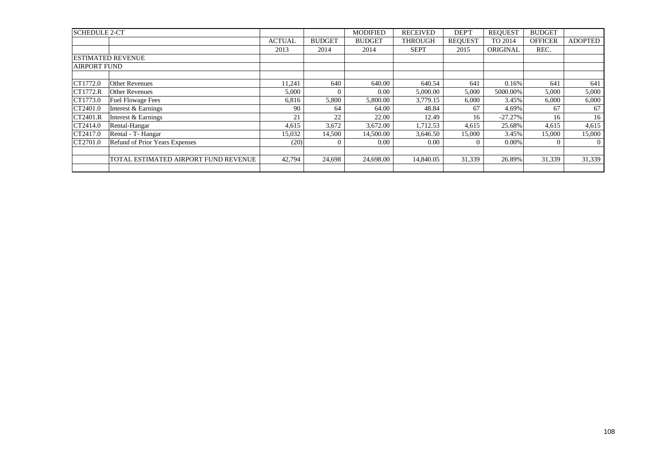| <b>SCHEDULE 2-CT</b> |                                      |               |               | <b>MODIFIED</b> | <b>RECEIVED</b> | DEP'T          | <b>REQUEST</b> | <b>BUDGET</b>  |                |
|----------------------|--------------------------------------|---------------|---------------|-----------------|-----------------|----------------|----------------|----------------|----------------|
|                      |                                      | <b>ACTUAL</b> | <b>BUDGET</b> | <b>BUDGET</b>   | <b>THROUGH</b>  | <b>REOUEST</b> | TO 2014        | <b>OFFICER</b> | <b>ADOPTED</b> |
|                      |                                      | 2013          | 2014          | 2014            | <b>SEPT</b>     | 2015           | ORIGINAL       | REC.           |                |
|                      | <b>ESTIMATED REVENUE</b>             |               |               |                 |                 |                |                |                |                |
| <b>AIRPORT FUND</b>  |                                      |               |               |                 |                 |                |                |                |                |
|                      |                                      |               |               |                 |                 |                |                |                |                |
| CT1772.0             | Other Revenues                       | 11,241        | 640           | 640.00          | 640.54          | 641            | 0.16%          | 641            | 641            |
| CT1772.R             | <b>Other Revenues</b>                | 5,000         | 0             | 0.00            | 5,000.00        | 5,000          | 5000.00%       | 5,000          | 5,000          |
| CT1773.0             | <b>Fuel Flowage Fees</b>             | 6,816         | 5,800         | 5,800.00        | 3,779.15        | 6,000          | 3.45%          | 6,000          | 6,000          |
| CT2401.0             | Interest & Earnings                  | 90            | 64            | 64.00           | 48.84           | 67             | 4.69%          | 67             | 67             |
| CT2401.R             | Interest & Earnings                  | 21            | 22            | 22.00           | 12.49           | 16             | $-27.27%$      | 16             | 16             |
| CT2414.0             | Rental-Hangar                        | 4,615         | 3,672         | 3,672.00        | 1,712.53        | 4,615          | 25.68%         | 4,615          | 4,615          |
| CT2417.0             | Rental - T- Hangar                   | 15,032        | 14,500        | 14,500.00       | 3,646.50        | 15,000         | 3.45%          | 15,000         | 15,000         |
| CT2701.0             | Refund of Prior Years Expenses       | (20)          |               | 0.00            | 0.00            |                | $0.00\%$       | $\Omega$       | $\theta$       |
|                      |                                      |               |               |                 |                 |                |                |                |                |
|                      | TOTAL ESTIMATED AIRPORT FUND REVENUE | 42,794        | 24.698        | 24,698.00       | 14,840.05       | 31.339         | 26.89%         | 31,339         | 31,339         |
|                      |                                      |               |               |                 |                 |                |                |                |                |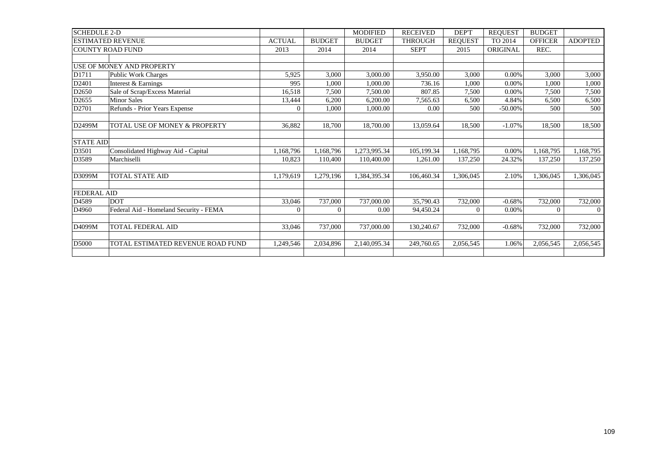| <b>SCHEDULE 2-D</b>       |                                        |                |                | <b>MODIFIED</b> | <b>RECEIVED</b> | DEP'T          | <b>REQUEST</b> | <b>BUDGET</b>  |                |
|---------------------------|----------------------------------------|----------------|----------------|-----------------|-----------------|----------------|----------------|----------------|----------------|
| <b>ESTIMATED REVENUE</b>  |                                        | <b>ACTUAL</b>  | <b>BUDGET</b>  | <b>BUDGET</b>   | <b>THROUGH</b>  | <b>REQUEST</b> | TO 2014        | <b>OFFICER</b> | <b>ADOPTED</b> |
| <b>COUNTY ROAD FUND</b>   |                                        | 2013           | 2014           | 2014            | <b>SEPT</b>     | 2015           | ORIGINAL       | REC.           |                |
|                           |                                        |                |                |                 |                 |                |                |                |                |
| USE OF MONEY AND PROPERTY |                                        |                |                |                 |                 |                |                |                |                |
| D1711                     | Public Work Charges                    | 5,925          | 3,000          | 3,000.00        | 3,950.00        | 3,000          | 0.00%          | 3,000          | 3,000          |
| D2401                     | Interest & Earnings                    | 995            | 1,000          | 1,000.00        | 736.16          | 1.000          | 0.00%          | 1,000          | 1,000          |
| D <sub>2650</sub>         | Sale of Scrap/Excess Material          | 16,518         | 7,500          | 7,500.00        | 807.85          | 7,500          | 0.00%          | 7,500          | 7,500          |
| D2655                     | <b>Minor Sales</b>                     | 13,444         | 6,200          | 6,200.00        | 7,565.63        | 6,500          | 4.84%          | 6,500          | 6,500          |
| D2701                     | Refunds - Prior Years Expense          | $\Omega$       | 1,000          | 1,000.00        | 0.00            | 500            | $-50.00\%$     | 500            | 500            |
|                           |                                        |                |                |                 |                 |                |                |                |                |
| D2499M                    | TOTAL USE OF MONEY & PROPERTY          | 36,882         | 18,700         | 18,700.00       | 13,059.64       | 18,500         | $-1.07%$       | 18,500         | 18,500         |
|                           |                                        |                |                |                 |                 |                |                |                |                |
| <b>STATE AID</b>          |                                        |                |                |                 |                 |                |                |                |                |
| D3501                     | Consolidated Highway Aid - Capital     | 1,168,796      | 1,168,796      | 1,273,995.34    | 105,199.34      | 1,168,795      | 0.00%          | 1,168,795      | 1,168,795      |
| D3589                     | Marchiselli                            | 10,823         | 110,400        | 110,400.00      | 1,261.00        | 137,250        | 24.32%         | 137,250        | 137,250        |
|                           |                                        |                |                |                 |                 |                |                |                |                |
| D3099M                    | <b>TOTAL STATE AID</b>                 | 1,179,619      | 1,279,196      | 1,384,395.34    | 106,460.34      | 1,306,045      | 2.10%          | 1,306,045      | 1,306,045      |
|                           |                                        |                |                |                 |                 |                |                |                |                |
| <b>FEDERAL AID</b>        |                                        |                |                |                 |                 |                |                |                |                |
| D4589                     | <b>DOT</b>                             | 33,046         | 737,000        | 737,000.00      | 35,790.43       | 732,000        | $-0.68%$       | 732,000        | 732,000        |
| D4960                     | Federal Aid - Homeland Security - FEMA | $\overline{0}$ | $\overline{0}$ | 0.00            | 94,450.24       | 0              | 0.00%          | $\overline{0}$ | $\mathbf{0}$   |
|                           |                                        |                |                |                 |                 |                |                |                |                |
| D4099M                    | TOTAL FEDERAL AID                      | 33,046         | 737,000        | 737,000.00      | 130,240.67      | 732,000        | $-0.68%$       | 732,000        | 732,000        |
|                           |                                        |                |                |                 |                 |                |                |                |                |
| D5000                     | TOTAL ESTIMATED REVENUE ROAD FUND      | 1,249,546      | 2,034,896      | 2,140,095.34    | 249,760.65      | 2,056,545      | 1.06%          | 2,056,545      | 2,056,545      |
|                           |                                        |                |                |                 |                 |                |                |                |                |